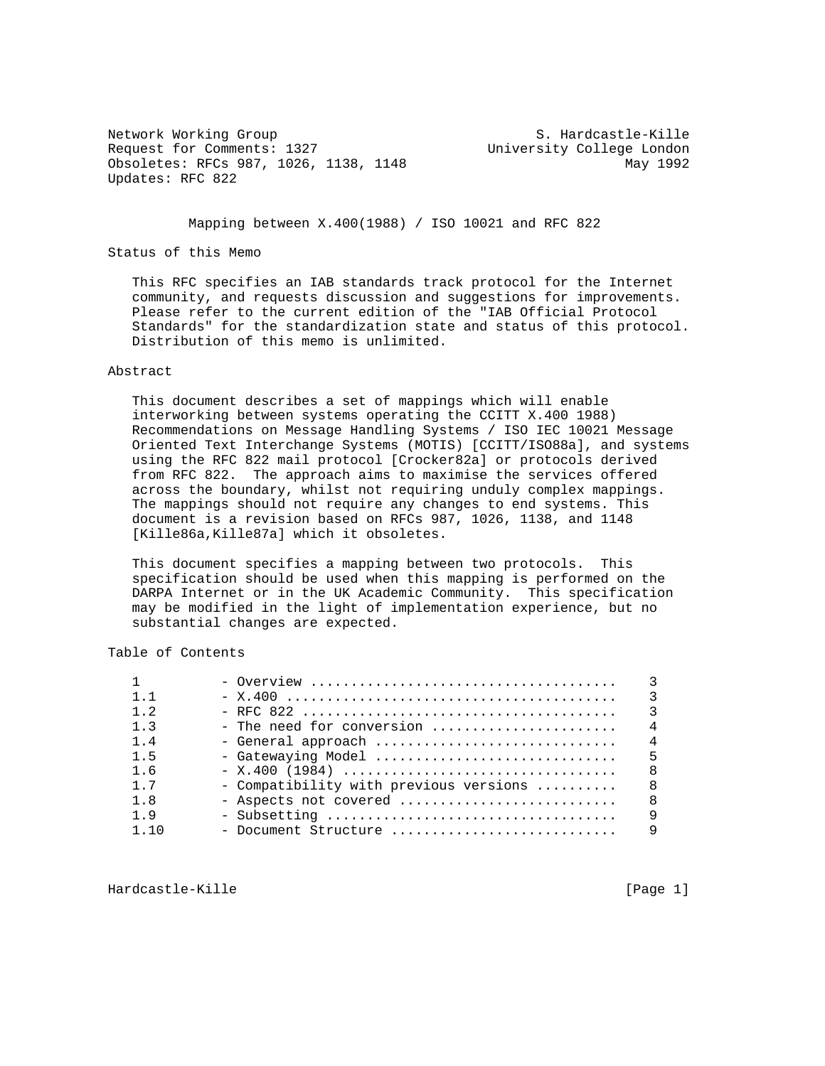Network Working Group S. Hardcastle-Kille Request for Comments: 1327 University College London Obsoletes: RFCs 987, 1026, 1138, 1148 May 1992 Updates: RFC 822

Mapping between X.400(1988) / ISO 10021 and RFC 822

## Status of this Memo

 This RFC specifies an IAB standards track protocol for the Internet community, and requests discussion and suggestions for improvements. Please refer to the current edition of the "IAB Official Protocol Standards" for the standardization state and status of this protocol. Distribution of this memo is unlimited.

# Abstract

 This document describes a set of mappings which will enable interworking between systems operating the CCITT X.400 1988) Recommendations on Message Handling Systems / ISO IEC 10021 Message Oriented Text Interchange Systems (MOTIS) [CCITT/ISO88a], and systems using the RFC 822 mail protocol [Crocker82a] or protocols derived from RFC 822. The approach aims to maximise the services offered across the boundary, whilst not requiring unduly complex mappings. The mappings should not require any changes to end systems. This document is a revision based on RFCs 987, 1026, 1138, and 1148 [Kille86a,Kille87a] which it obsoletes.

 This document specifies a mapping between two protocols. This specification should be used when this mapping is performed on the DARPA Internet or in the UK Academic Community. This specification may be modified in the light of implementation experience, but no substantial changes are expected.

Table of Contents

| $1 \quad 1$     |                                        | २              |
|-----------------|----------------------------------------|----------------|
| $1 \t2$         |                                        | $\mathcal{R}$  |
| 1 <sup>3</sup>  | - The need for conversion              | $\overline{4}$ |
| $1\quad 4$      | - General approach                     | $\overline{4}$ |
| $1\overline{5}$ |                                        |                |
| 16              |                                        | 8              |
| 1 7             | - Compatibility with previous versions | 8 <sup>8</sup> |
| 1 R             | - Aspects not covered                  | <sup>8</sup>   |
| 1 9             |                                        | a              |
| 110             | - Document Structure                   | 9              |

Hardcastle-Kille [Page 1]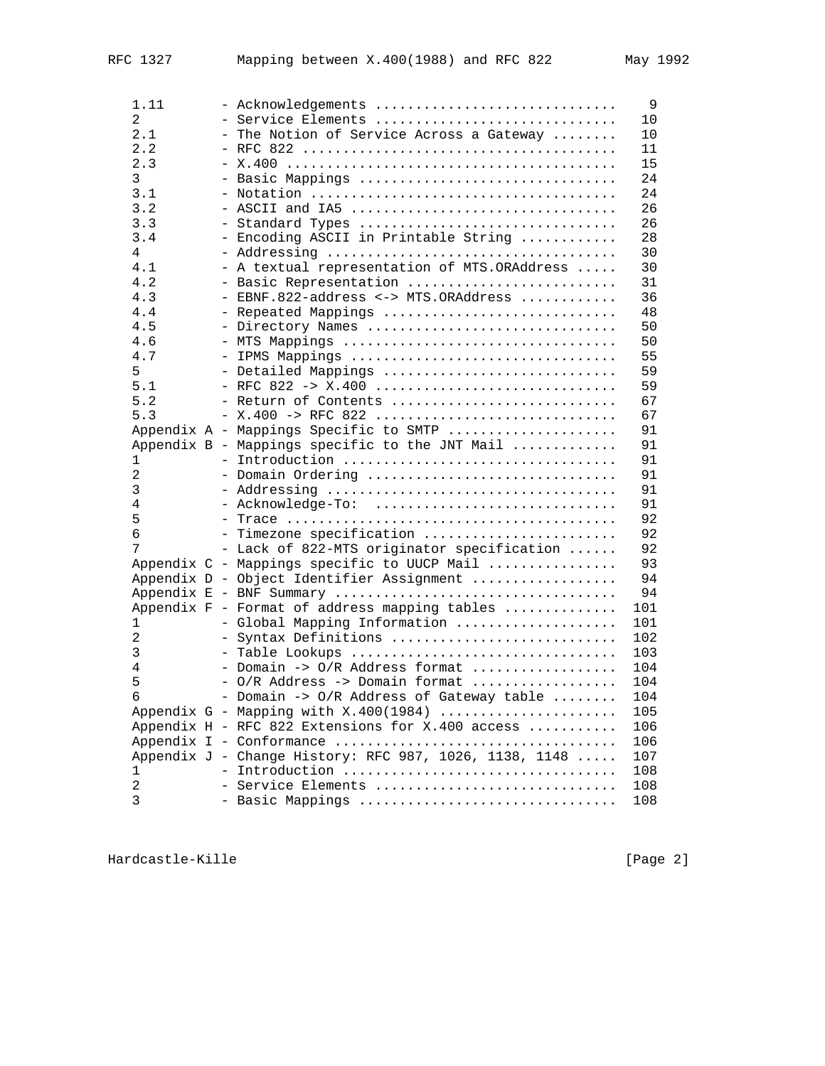| 1.11           | - Acknowledgements                                     | 9   |
|----------------|--------------------------------------------------------|-----|
| 2              | - Service Elements                                     | 10  |
| 2.1            | - The Notion of Service Across a Gateway               | 10  |
| 2.2            |                                                        | 11  |
| 2.3            |                                                        | 15  |
| 3              | - Basic Mappings                                       | 24  |
| 3.1            |                                                        | 24  |
| 3.2            | - ASCII and IA5                                        | 26  |
| 3.3            | - Standard Types                                       | 26  |
| 3.4            | - Encoding ASCII in Printable String                   | 28  |
| 4              |                                                        | 30  |
| 4.1            | - A textual representation of MTS.ORAddress            | 30  |
| 4.2            | - Basic Representation                                 | 31  |
| 4.3            | - EBNF.822-address <-> MTS.ORAddress                   | 36  |
| 4.4            | - Repeated Mappings                                    | 48  |
| 4.5            | - Directory Names                                      | 50  |
| 4.6            | - MTS Mappings                                         | 50  |
| 4.7            | - IPMS Mappings                                        | 55  |
| 5              | - Detailed Mappings                                    | 59  |
| 5.1            | - RFC 822 -> X.400                                     | 59  |
| 5.2            | - Return of Contents                                   | 67  |
| 5.3            | $- X.400 - > RFC 822       $                           | 67  |
|                | Appendix A - Mappings Specific to SMTP                 | 91  |
|                | Appendix B - Mappings specific to the JNT Mail         | 91  |
| 1              | - Introduction                                         | 91  |
| 2              | - Domain Ordering                                      | 91  |
| 3              | - Addressing                                           | 91  |
| 4              | - Acknowledge-To:                                      | 91  |
| 5              |                                                        | 92  |
| 6              | - Timezone specification                               | 92  |
| 7              | - Lack of 822-MTS originator specification             | 92  |
|                | Appendix C - Mappings specific to UUCP Mail            | 93  |
|                | Appendix D - Object Identifier Assignment              | 94  |
|                | Appendix E - BNF Summary                               | 94  |
|                | Appendix F - Format of address mapping tables          | 101 |
| 1              | - Global Mapping Information                           | 101 |
| $\overline{2}$ | - Syntax Definitions                                   | 102 |
| 3              | - Table Lookups                                        | 103 |
| $\overline{4}$ | - Domain -> O/R Address format                         | 104 |
| 5              | - O/R Address -> Domain format                         | 104 |
| 6              | - Domain -> O/R Address of Gateway table               | 104 |
|                | Appendix $G$ - Mapping with $X.400(1984)$              | 105 |
|                | Appendix H - RFC 822 Extensions for X.400 access       | 106 |
|                |                                                        | 106 |
|                | Appendix J - Change History: RFC 987, 1026, 1138, 1148 | 107 |
| 1              | - Introduction                                         | 108 |
| $\mathbf{2}$   | - Service Elements                                     | 108 |
| 3              | - Basic Mappings                                       | 108 |
|                |                                                        |     |

Hardcastle-Kille **Exercise Exercise Exercise 2** and Exercise **[Page 2]**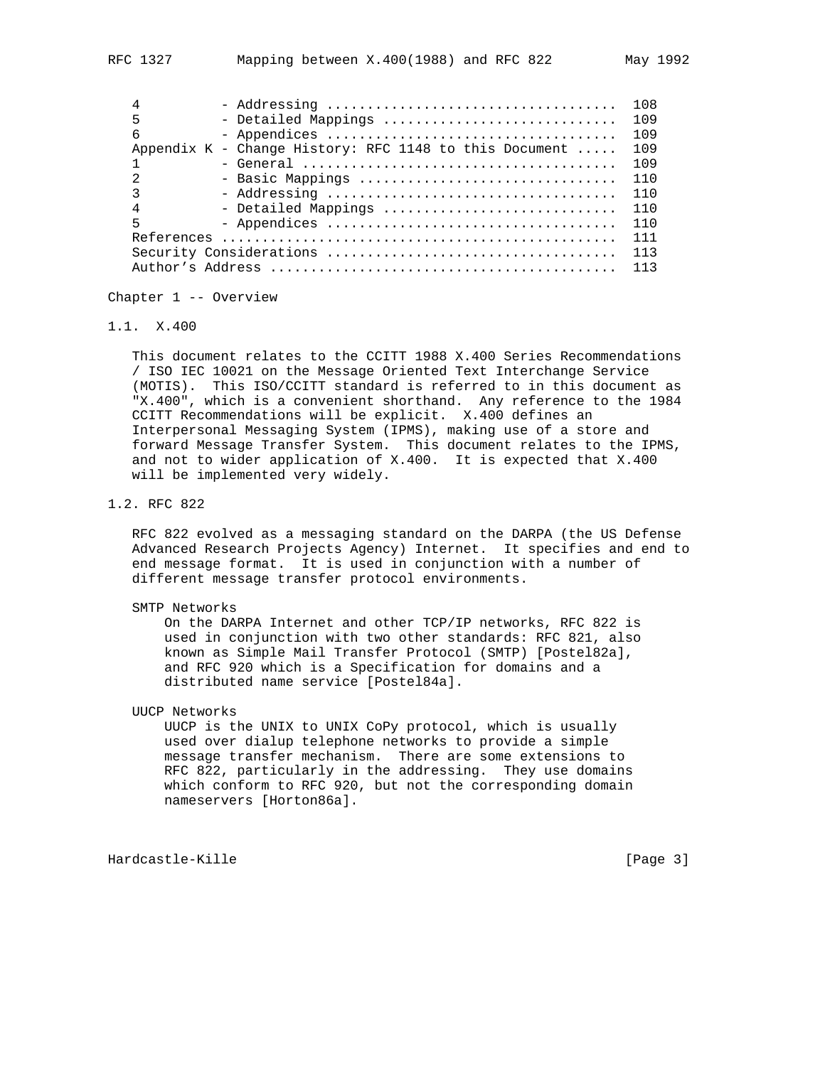|   |                                                          | 108 |
|---|----------------------------------------------------------|-----|
| 5 | - Detailed Mappings                                      | 109 |
| 6 |                                                          | 109 |
|   | Appendix $K$ - Change History: RFC 1148 to this Document | 109 |
|   |                                                          | 109 |
|   | - Basic Mappings                                         | 110 |
| ς |                                                          | 110 |
| 4 | - Detailed Mappings                                      | 110 |
| 5 |                                                          | 110 |
|   |                                                          | 111 |
|   |                                                          |     |
|   |                                                          | 113 |

Chapter 1 -- Overview

1.1. X.400

 This document relates to the CCITT 1988 X.400 Series Recommendations / ISO IEC 10021 on the Message Oriented Text Interchange Service (MOTIS). This ISO/CCITT standard is referred to in this document as "X.400", which is a convenient shorthand. Any reference to the 1984 CCITT Recommendations will be explicit. X.400 defines an Interpersonal Messaging System (IPMS), making use of a store and forward Message Transfer System. This document relates to the IPMS, and not to wider application of X.400. It is expected that X.400 will be implemented very widely.

1.2. RFC 822

 RFC 822 evolved as a messaging standard on the DARPA (the US Defense Advanced Research Projects Agency) Internet. It specifies and end to end message format. It is used in conjunction with a number of different message transfer protocol environments.

SMTP Networks

 On the DARPA Internet and other TCP/IP networks, RFC 822 is used in conjunction with two other standards: RFC 821, also known as Simple Mail Transfer Protocol (SMTP) [Postel82a], and RFC 920 which is a Specification for domains and a distributed name service [Postel84a].

UUCP Networks

 UUCP is the UNIX to UNIX CoPy protocol, which is usually used over dialup telephone networks to provide a simple message transfer mechanism. There are some extensions to RFC 822, particularly in the addressing. They use domains which conform to RFC 920, but not the corresponding domain nameservers [Horton86a].

Hardcastle-Kille **Exercise Exercise Exercise Exercise Exercise Exercise Exercise (Page 3)**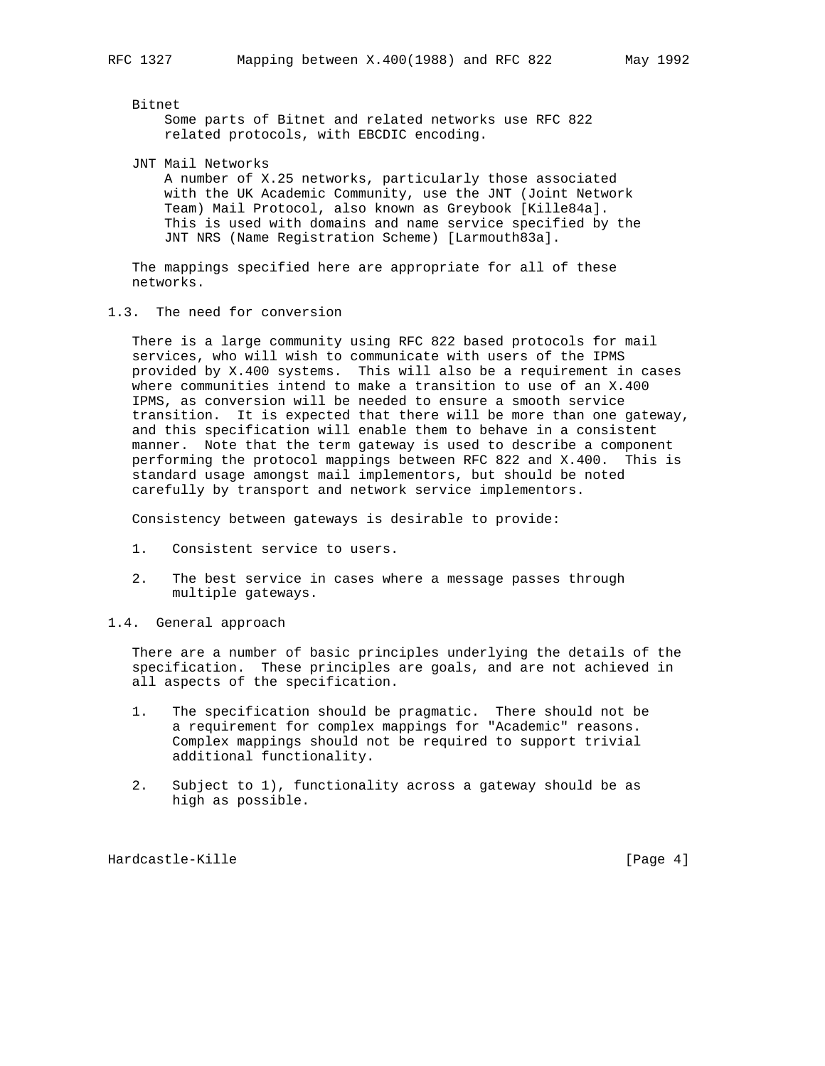Bitnet

 Some parts of Bitnet and related networks use RFC 822 related protocols, with EBCDIC encoding.

JNT Mail Networks

 A number of X.25 networks, particularly those associated with the UK Academic Community, use the JNT (Joint Network Team) Mail Protocol, also known as Greybook [Kille84a]. This is used with domains and name service specified by the JNT NRS (Name Registration Scheme) [Larmouth83a].

 The mappings specified here are appropriate for all of these networks.

1.3. The need for conversion

 There is a large community using RFC 822 based protocols for mail services, who will wish to communicate with users of the IPMS provided by X.400 systems. This will also be a requirement in cases where communities intend to make a transition to use of an X.400 IPMS, as conversion will be needed to ensure a smooth service transition. It is expected that there will be more than one gateway, and this specification will enable them to behave in a consistent manner. Note that the term gateway is used to describe a component performing the protocol mappings between RFC 822 and X.400. This is standard usage amongst mail implementors, but should be noted carefully by transport and network service implementors.

Consistency between gateways is desirable to provide:

- 1. Consistent service to users.
- 2. The best service in cases where a message passes through multiple gateways.
- 1.4. General approach

 There are a number of basic principles underlying the details of the specification. These principles are goals, and are not achieved in all aspects of the specification.

- 1. The specification should be pragmatic. There should not be a requirement for complex mappings for "Academic" reasons. Complex mappings should not be required to support trivial additional functionality.
- 2. Subject to 1), functionality across a gateway should be as high as possible.

Hardcastle-Kille **Exercise Exercise Exercise Exercise Exercise** [Page 4]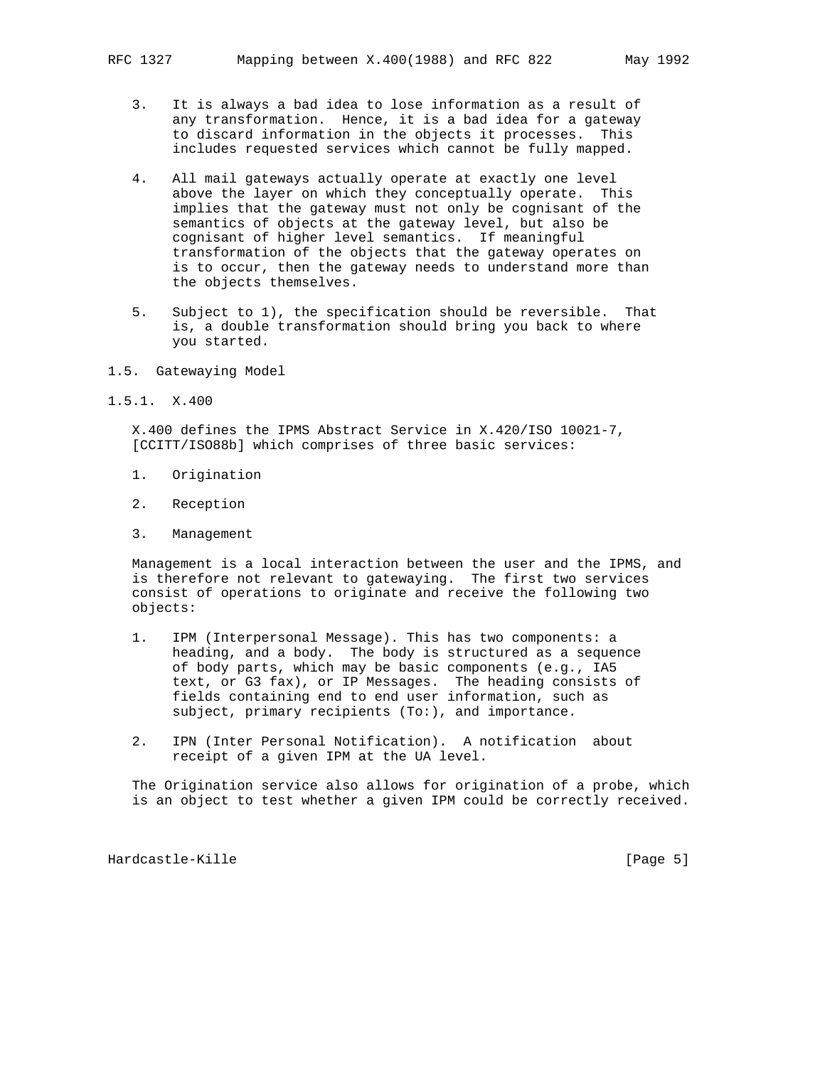- 3. It is always a bad idea to lose information as a result of any transformation. Hence, it is a bad idea for a gateway to discard information in the objects it processes. This includes requested services which cannot be fully mapped.
- 4. All mail gateways actually operate at exactly one level above the layer on which they conceptually operate. This implies that the gateway must not only be cognisant of the semantics of objects at the gateway level, but also be cognisant of higher level semantics. If meaningful transformation of the objects that the gateway operates on is to occur, then the gateway needs to understand more than the objects themselves.
- 5. Subject to 1), the specification should be reversible. That is, a double transformation should bring you back to where you started.
- 1.5. Gatewaying Model
- 1.5.1. X.400

 X.400 defines the IPMS Abstract Service in X.420/ISO 10021-7, [CCITT/ISO88b] which comprises of three basic services:

- 1. Origination
- 2. Reception
- 3. Management

 Management is a local interaction between the user and the IPMS, and is therefore not relevant to gatewaying. The first two services consist of operations to originate and receive the following two objects:

- 1. IPM (Interpersonal Message). This has two components: a heading, and a body. The body is structured as a sequence of body parts, which may be basic components (e.g., IA5 text, or G3 fax), or IP Messages. The heading consists of fields containing end to end user information, such as subject, primary recipients (To:), and importance.
- 2. IPN (Inter Personal Notification). A notification about receipt of a given IPM at the UA level.

 The Origination service also allows for origination of a probe, which is an object to test whether a given IPM could be correctly received.

Hardcastle-Kille [Page 5]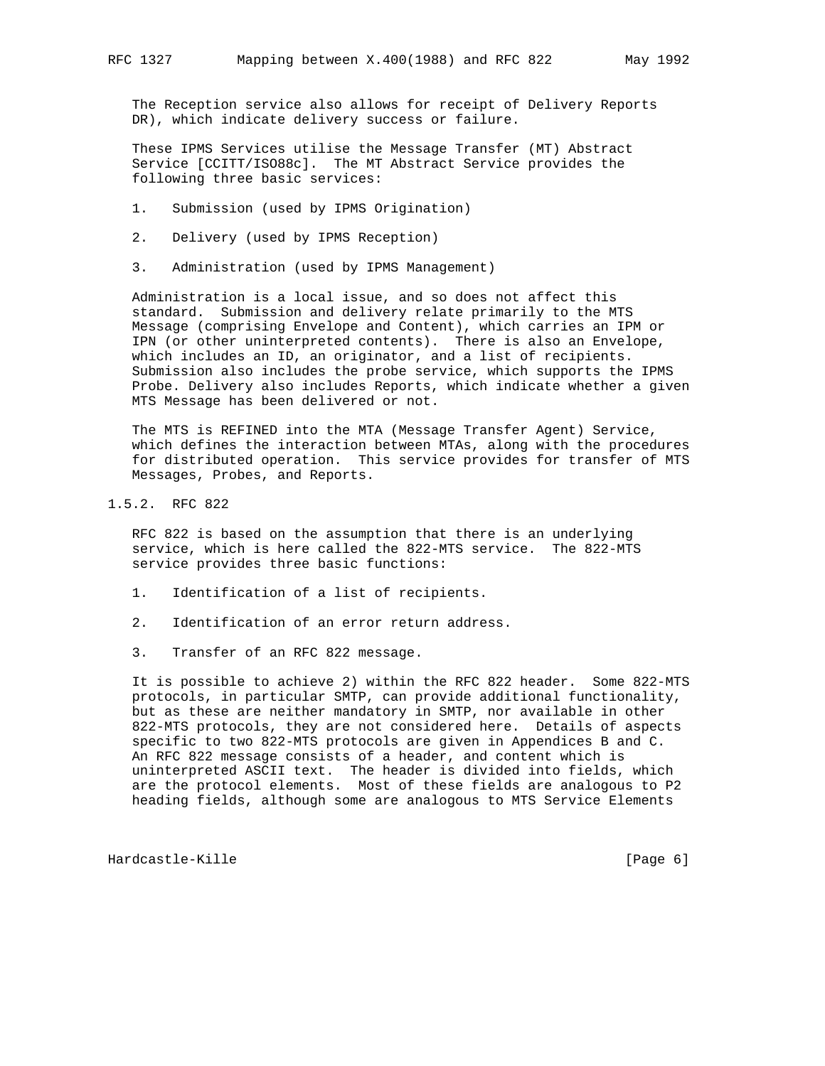The Reception service also allows for receipt of Delivery Reports DR), which indicate delivery success or failure.

 These IPMS Services utilise the Message Transfer (MT) Abstract Service [CCITT/ISO88c]. The MT Abstract Service provides the following three basic services:

- 1. Submission (used by IPMS Origination)
- 2. Delivery (used by IPMS Reception)
- 3. Administration (used by IPMS Management)

 Administration is a local issue, and so does not affect this standard. Submission and delivery relate primarily to the MTS Message (comprising Envelope and Content), which carries an IPM or IPN (or other uninterpreted contents). There is also an Envelope, which includes an ID, an originator, and a list of recipients. Submission also includes the probe service, which supports the IPMS Probe. Delivery also includes Reports, which indicate whether a given MTS Message has been delivered or not.

 The MTS is REFINED into the MTA (Message Transfer Agent) Service, which defines the interaction between MTAs, along with the procedures for distributed operation. This service provides for transfer of MTS Messages, Probes, and Reports.

1.5.2. RFC 822

 RFC 822 is based on the assumption that there is an underlying service, which is here called the 822-MTS service. The 822-MTS service provides three basic functions:

- 1. Identification of a list of recipients.
- 2. Identification of an error return address.
- 3. Transfer of an RFC 822 message.

 It is possible to achieve 2) within the RFC 822 header. Some 822-MTS protocols, in particular SMTP, can provide additional functionality, but as these are neither mandatory in SMTP, nor available in other 822-MTS protocols, they are not considered here. Details of aspects specific to two 822-MTS protocols are given in Appendices B and C. An RFC 822 message consists of a header, and content which is uninterpreted ASCII text. The header is divided into fields, which are the protocol elements. Most of these fields are analogous to P2 heading fields, although some are analogous to MTS Service Elements

Hardcastle-Kille [Page 6]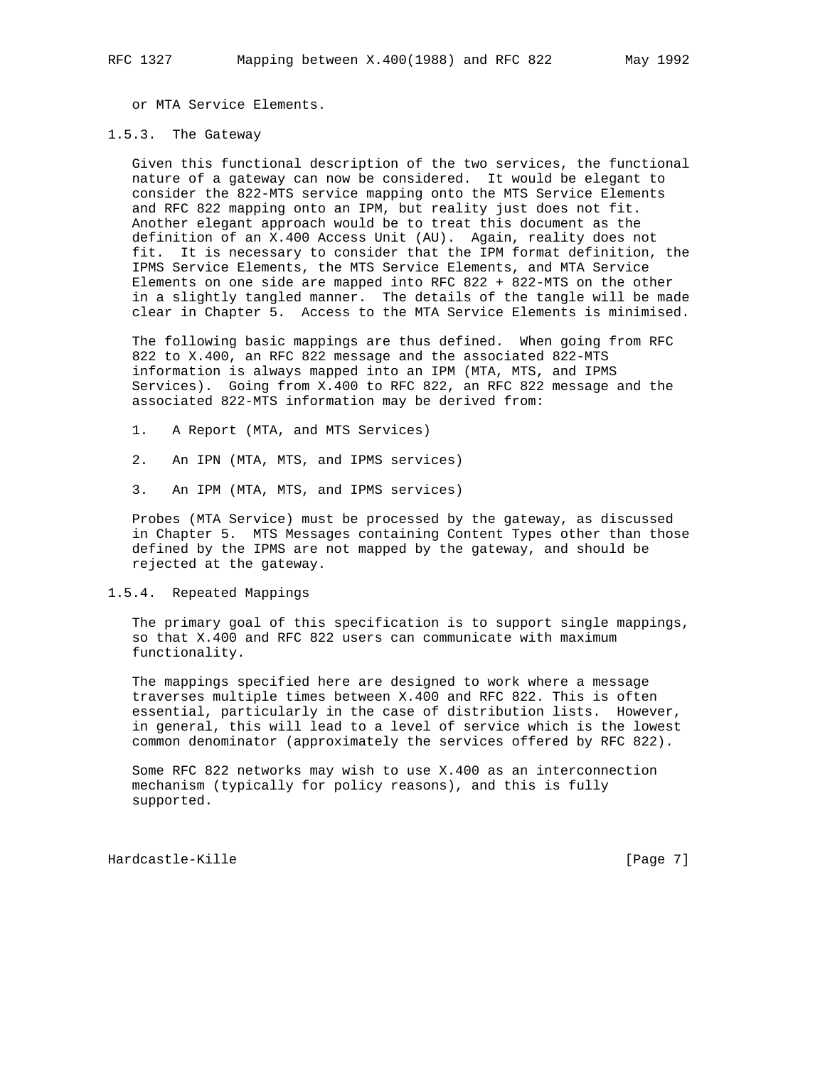or MTA Service Elements.

## 1.5.3. The Gateway

 Given this functional description of the two services, the functional nature of a gateway can now be considered. It would be elegant to consider the 822-MTS service mapping onto the MTS Service Elements and RFC 822 mapping onto an IPM, but reality just does not fit. Another elegant approach would be to treat this document as the definition of an X.400 Access Unit (AU). Again, reality does not fit. It is necessary to consider that the IPM format definition, the IPMS Service Elements, the MTS Service Elements, and MTA Service Elements on one side are mapped into RFC 822 + 822-MTS on the other in a slightly tangled manner. The details of the tangle will be made clear in Chapter 5. Access to the MTA Service Elements is minimised.

 The following basic mappings are thus defined. When going from RFC 822 to X.400, an RFC 822 message and the associated 822-MTS information is always mapped into an IPM (MTA, MTS, and IPMS Services). Going from X.400 to RFC 822, an RFC 822 message and the associated 822-MTS information may be derived from:

- 1. A Report (MTA, and MTS Services)
- 2. An IPN (MTA, MTS, and IPMS services)
- 3. An IPM (MTA, MTS, and IPMS services)

 Probes (MTA Service) must be processed by the gateway, as discussed in Chapter 5. MTS Messages containing Content Types other than those defined by the IPMS are not mapped by the gateway, and should be rejected at the gateway.

# 1.5.4. Repeated Mappings

 The primary goal of this specification is to support single mappings, so that X.400 and RFC 822 users can communicate with maximum functionality.

 The mappings specified here are designed to work where a message traverses multiple times between X.400 and RFC 822. This is often essential, particularly in the case of distribution lists. However, in general, this will lead to a level of service which is the lowest common denominator (approximately the services offered by RFC 822).

 Some RFC 822 networks may wish to use X.400 as an interconnection mechanism (typically for policy reasons), and this is fully supported.

Hardcastle-Kille [Page 7]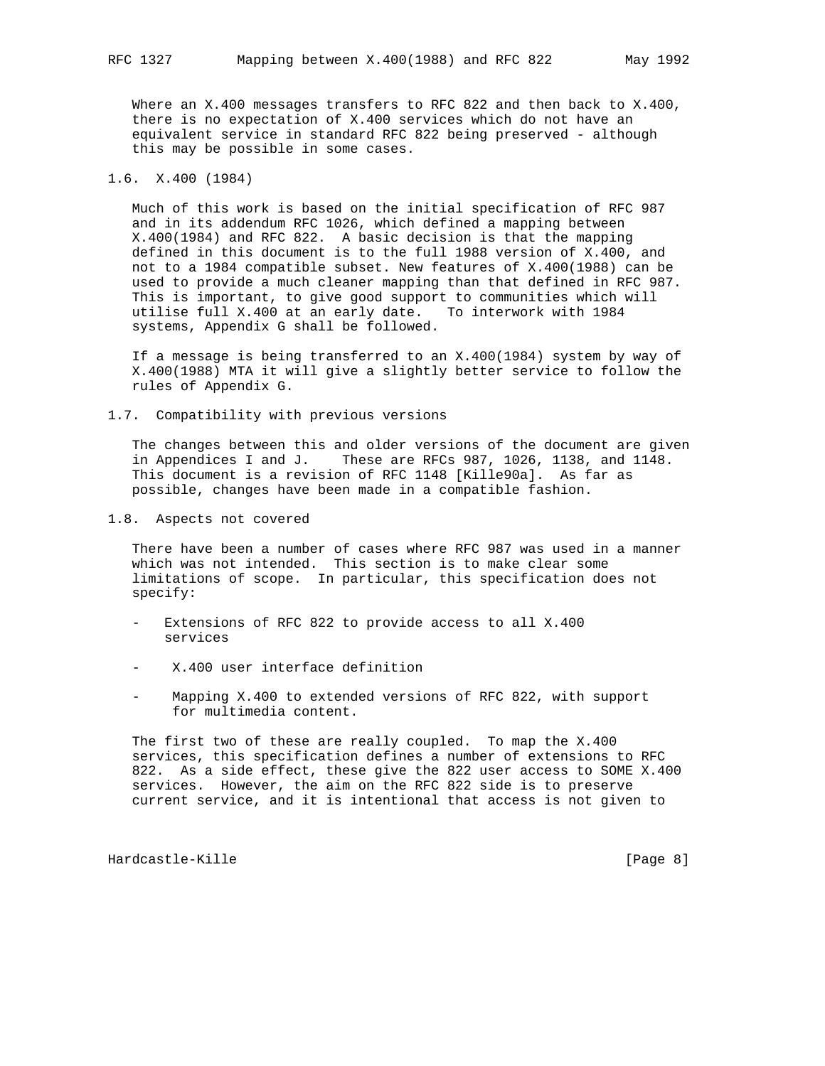Where an X.400 messages transfers to RFC 822 and then back to X.400, there is no expectation of X.400 services which do not have an equivalent service in standard RFC 822 being preserved - although this may be possible in some cases.

# 1.6. X.400 (1984)

 Much of this work is based on the initial specification of RFC 987 and in its addendum RFC 1026, which defined a mapping between X.400(1984) and RFC 822. A basic decision is that the mapping defined in this document is to the full 1988 version of X.400, and not to a 1984 compatible subset. New features of X.400(1988) can be used to provide a much cleaner mapping than that defined in RFC 987. This is important, to give good support to communities which will utilise full X.400 at an early date. To interwork with 1984 systems, Appendix G shall be followed.

 If a message is being transferred to an X.400(1984) system by way of X.400(1988) MTA it will give a slightly better service to follow the rules of Appendix G.

1.7. Compatibility with previous versions

 The changes between this and older versions of the document are given in Appendices I and J. These are RFCs 987, 1026, 1138, and 1148. This document is a revision of RFC 1148 [Kille90a]. As far as possible, changes have been made in a compatible fashion.

1.8. Aspects not covered

 There have been a number of cases where RFC 987 was used in a manner which was not intended. This section is to make clear some limitations of scope. In particular, this specification does not specify:

- Extensions of RFC 822 to provide access to all X.400 services
- X.400 user interface definition
- Mapping X.400 to extended versions of RFC 822, with support for multimedia content.

 The first two of these are really coupled. To map the X.400 services, this specification defines a number of extensions to RFC 822. As a side effect, these give the 822 user access to SOME X.400 services. However, the aim on the RFC 822 side is to preserve current service, and it is intentional that access is not given to

Hardcastle-Kille **Exercise Exercise Exercise Exercise Exercise Exercise Exercise Exercise Exercise Exercise I**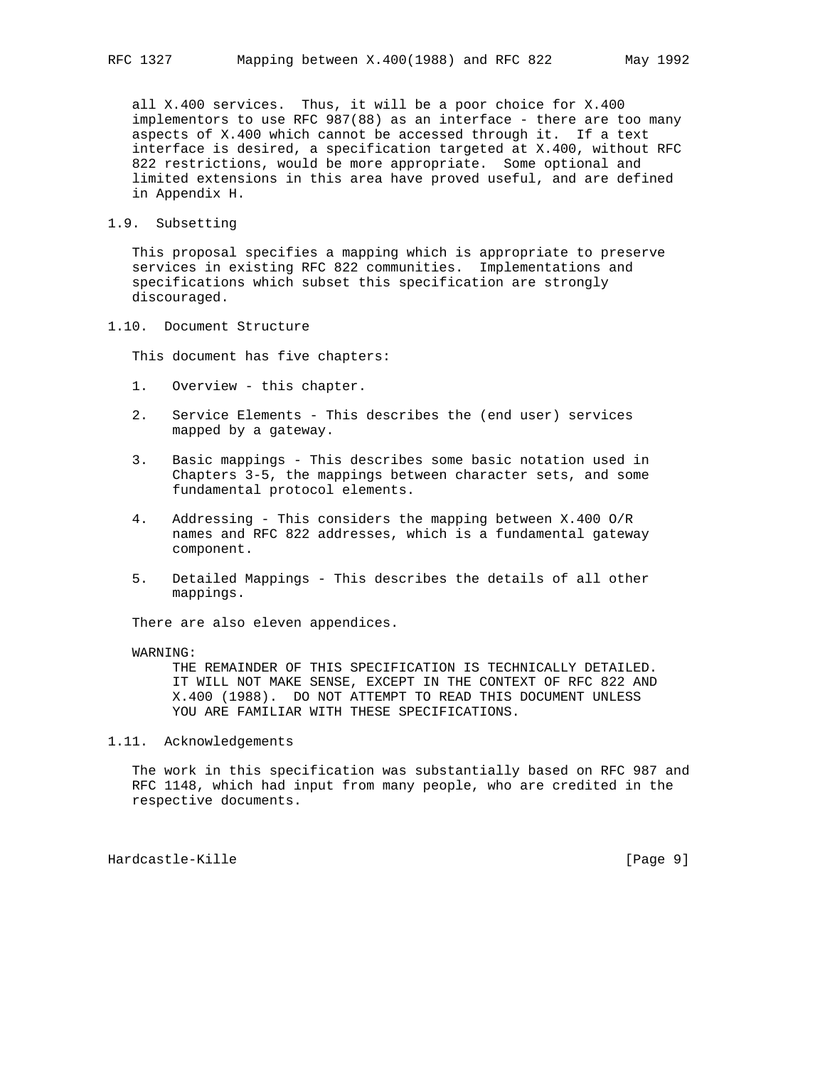all X.400 services. Thus, it will be a poor choice for X.400 implementors to use RFC 987(88) as an interface - there are too many aspects of X.400 which cannot be accessed through it. If a text interface is desired, a specification targeted at X.400, without RFC 822 restrictions, would be more appropriate. Some optional and limited extensions in this area have proved useful, and are defined in Appendix H.

# 1.9. Subsetting

 This proposal specifies a mapping which is appropriate to preserve services in existing RFC 822 communities. Implementations and specifications which subset this specification are strongly discouraged.

# 1.10. Document Structure

This document has five chapters:

- 1. Overview this chapter.
- 2. Service Elements This describes the (end user) services mapped by a gateway.
- 3. Basic mappings This describes some basic notation used in Chapters 3-5, the mappings between character sets, and some fundamental protocol elements.
- 4. Addressing This considers the mapping between X.400 O/R names and RFC 822 addresses, which is a fundamental gateway component.
- 5. Detailed Mappings This describes the details of all other mappings.

There are also eleven appendices.

#### WARNING:

 THE REMAINDER OF THIS SPECIFICATION IS TECHNICALLY DETAILED. IT WILL NOT MAKE SENSE, EXCEPT IN THE CONTEXT OF RFC 822 AND X.400 (1988). DO NOT ATTEMPT TO READ THIS DOCUMENT UNLESS YOU ARE FAMILIAR WITH THESE SPECIFICATIONS.

1.11. Acknowledgements

 The work in this specification was substantially based on RFC 987 and RFC 1148, which had input from many people, who are credited in the respective documents.

Hardcastle-Kille [Page 9]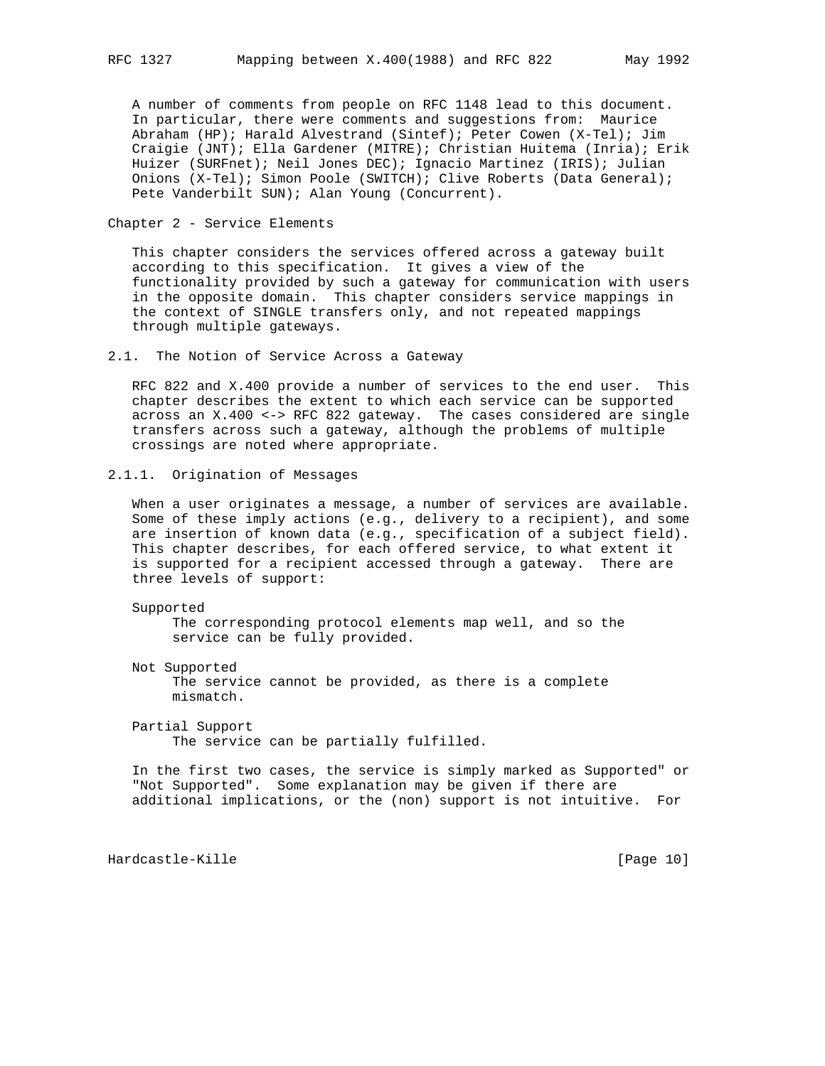A number of comments from people on RFC 1148 lead to this document. In particular, there were comments and suggestions from: Maurice Abraham (HP); Harald Alvestrand (Sintef); Peter Cowen (X-Tel); Jim Craigie (JNT); Ella Gardener (MITRE); Christian Huitema (Inria); Erik Huizer (SURFnet); Neil Jones DEC); Ignacio Martinez (IRIS); Julian Onions (X-Tel); Simon Poole (SWITCH); Clive Roberts (Data General); Pete Vanderbilt SUN); Alan Young (Concurrent).

Chapter 2 - Service Elements

 This chapter considers the services offered across a gateway built according to this specification. It gives a view of the functionality provided by such a gateway for communication with users in the opposite domain. This chapter considers service mappings in the context of SINGLE transfers only, and not repeated mappings through multiple gateways.

2.1. The Notion of Service Across a Gateway

 RFC 822 and X.400 provide a number of services to the end user. This chapter describes the extent to which each service can be supported across an X.400 <-> RFC 822 gateway. The cases considered are single transfers across such a gateway, although the problems of multiple crossings are noted where appropriate.

2.1.1. Origination of Messages

 When a user originates a message, a number of services are available. Some of these imply actions (e.g., delivery to a recipient), and some are insertion of known data (e.g., specification of a subject field). This chapter describes, for each offered service, to what extent it is supported for a recipient accessed through a gateway. There are three levels of support:

Supported

 The corresponding protocol elements map well, and so the service can be fully provided.

 Not Supported The service cannot be provided, as there is a complete mismatch.

 Partial Support The service can be partially fulfilled.

 In the first two cases, the service is simply marked as Supported" or "Not Supported". Some explanation may be given if there are additional implications, or the (non) support is not intuitive. For

Hardcastle-Kille [Page 10]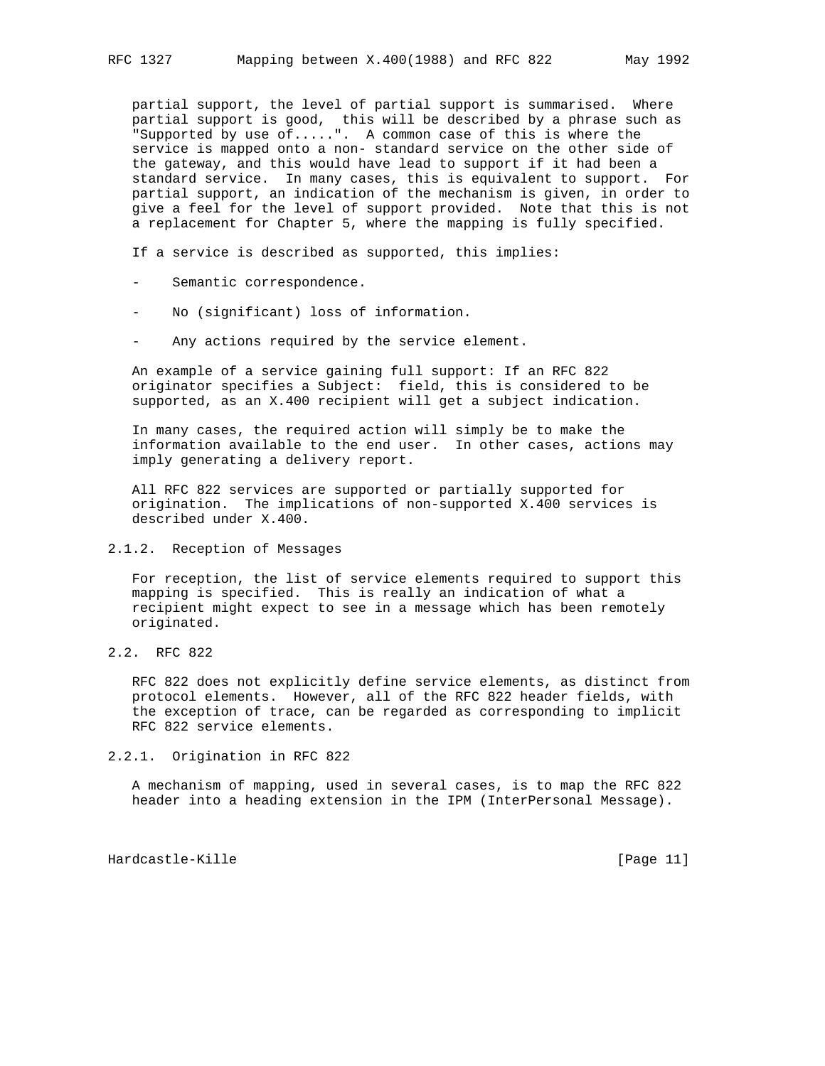partial support, the level of partial support is summarised. Where partial support is good, this will be described by a phrase such as "Supported by use of.....". A common case of this is where the service is mapped onto a non- standard service on the other side of the gateway, and this would have lead to support if it had been a standard service. In many cases, this is equivalent to support. For partial support, an indication of the mechanism is given, in order to give a feel for the level of support provided. Note that this is not a replacement for Chapter 5, where the mapping is fully specified.

If a service is described as supported, this implies:

- Semantic correspondence.
- No (significant) loss of information.
- Any actions required by the service element.

 An example of a service gaining full support: If an RFC 822 originator specifies a Subject: field, this is considered to be supported, as an X.400 recipient will get a subject indication.

 In many cases, the required action will simply be to make the information available to the end user. In other cases, actions may imply generating a delivery report.

 All RFC 822 services are supported or partially supported for origination. The implications of non-supported X.400 services is described under X.400.

# 2.1.2. Reception of Messages

 For reception, the list of service elements required to support this mapping is specified. This is really an indication of what a recipient might expect to see in a message which has been remotely originated.

2.2. RFC 822

 RFC 822 does not explicitly define service elements, as distinct from protocol elements. However, all of the RFC 822 header fields, with the exception of trace, can be regarded as corresponding to implicit RFC 822 service elements.

#### 2.2.1. Origination in RFC 822

 A mechanism of mapping, used in several cases, is to map the RFC 822 header into a heading extension in the IPM (InterPersonal Message).

Hardcastle-Kille [Page 11]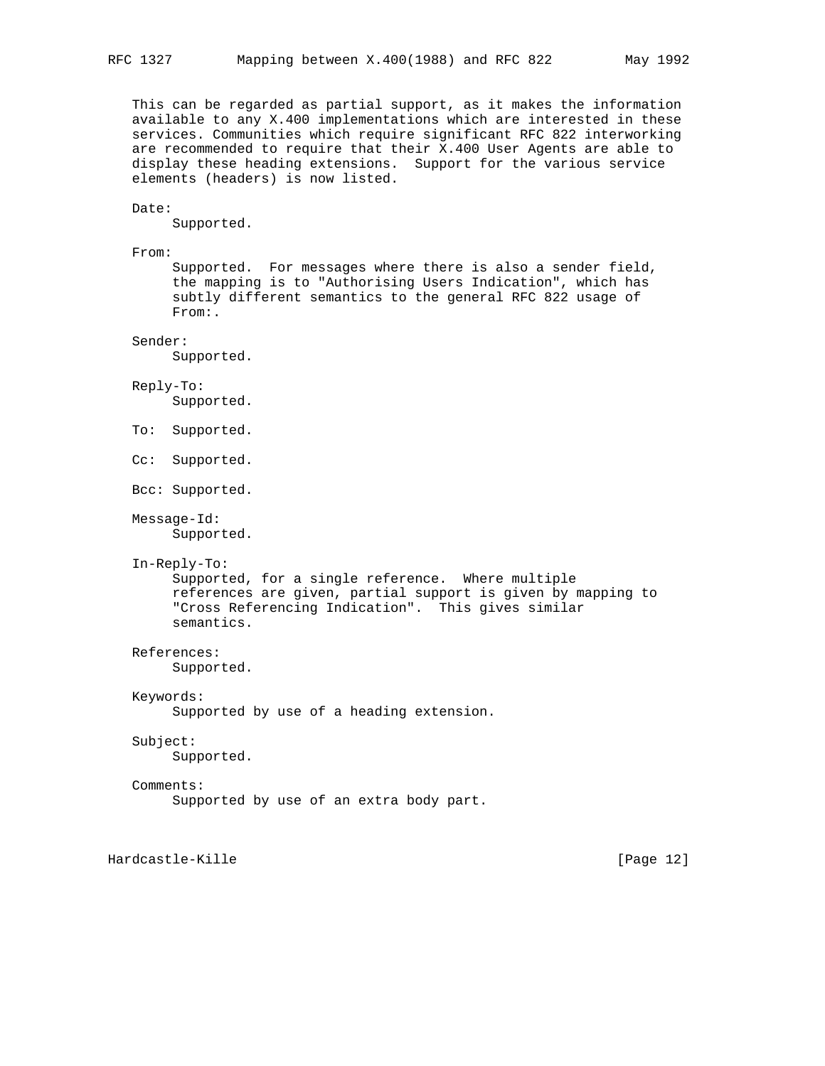This can be regarded as partial support, as it makes the information available to any X.400 implementations which are interested in these services. Communities which require significant RFC 822 interworking are recommended to require that their X.400 User Agents are able to display these heading extensions. Support for the various service elements (headers) is now listed.

#### Date:

Supported.

#### From:

 Supported. For messages where there is also a sender field, the mapping is to "Authorising Users Indication", which has subtly different semantics to the general RFC 822 usage of From:.

## Sender:

Supported.

#### Reply-To:

Supported.

To: Supported.

```
 Cc: Supported.
```

```
 Bcc: Supported.
```
Message-Id:

Supported.

#### In-Reply-To:

```
 Supported, for a single reference. Where multiple
 references are given, partial support is given by mapping to
 "Cross Referencing Indication". This gives similar
 semantics.
```
# References:

Supported.

## Keywords:

Supported by use of a heading extension.

#### Subject:

Supported.

#### Comments:

Supported by use of an extra body part.

Hardcastle-Kille [Page 12]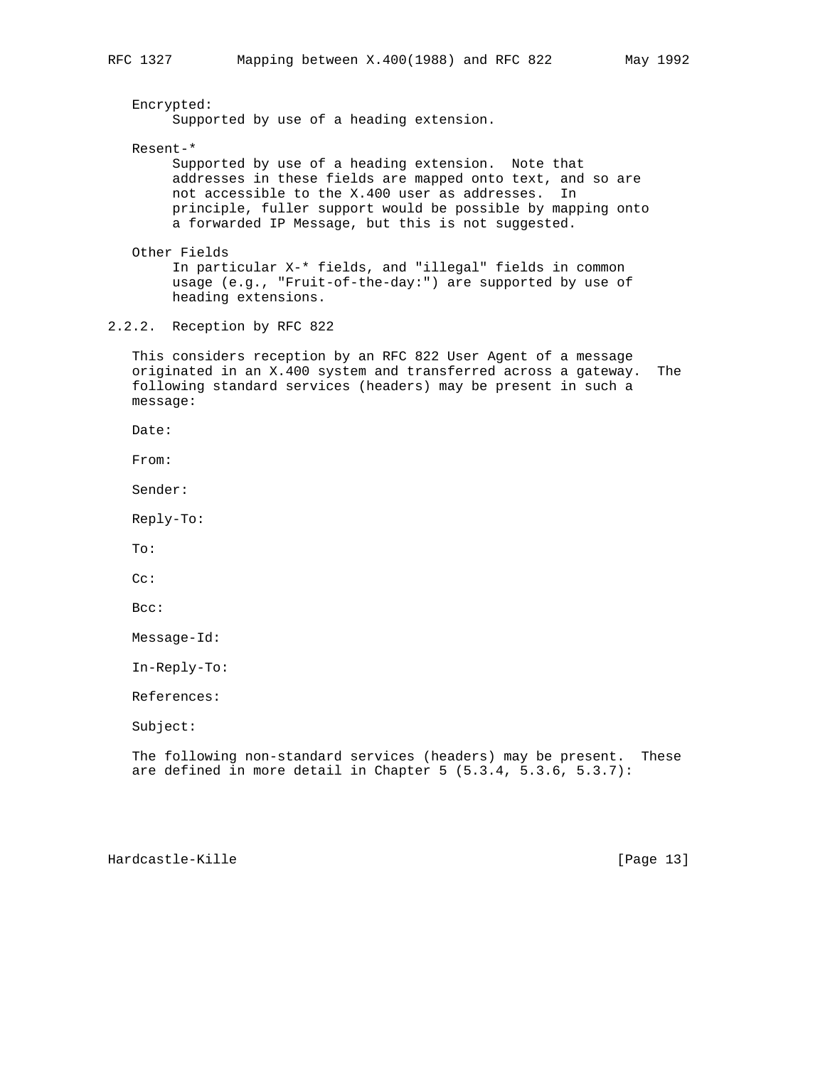Encrypted: Supported by use of a heading extension. Resent-\* Supported by use of a heading extension. Note that addresses in these fields are mapped onto text, and so are not accessible to the X.400 user as addresses. In principle, fuller support would be possible by mapping onto a forwarded IP Message, but this is not suggested. Other Fields In particular X-\* fields, and "illegal" fields in common usage (e.g., "Fruit-of-the-day:") are supported by use of heading extensions. 2.2.2. Reception by RFC 822 This considers reception by an RFC 822 User Agent of a message originated in an X.400 system and transferred across a gateway. The following standard services (headers) may be present in such a message: Date: From: Sender: Reply-To: To: Cc: Bcc: Message-Id: In-Reply-To: References: Subject: The following non-standard services (headers) may be present. These are defined in more detail in Chapter 5 (5.3.4, 5.3.6, 5.3.7):

Hardcastle-Kille [Page 13]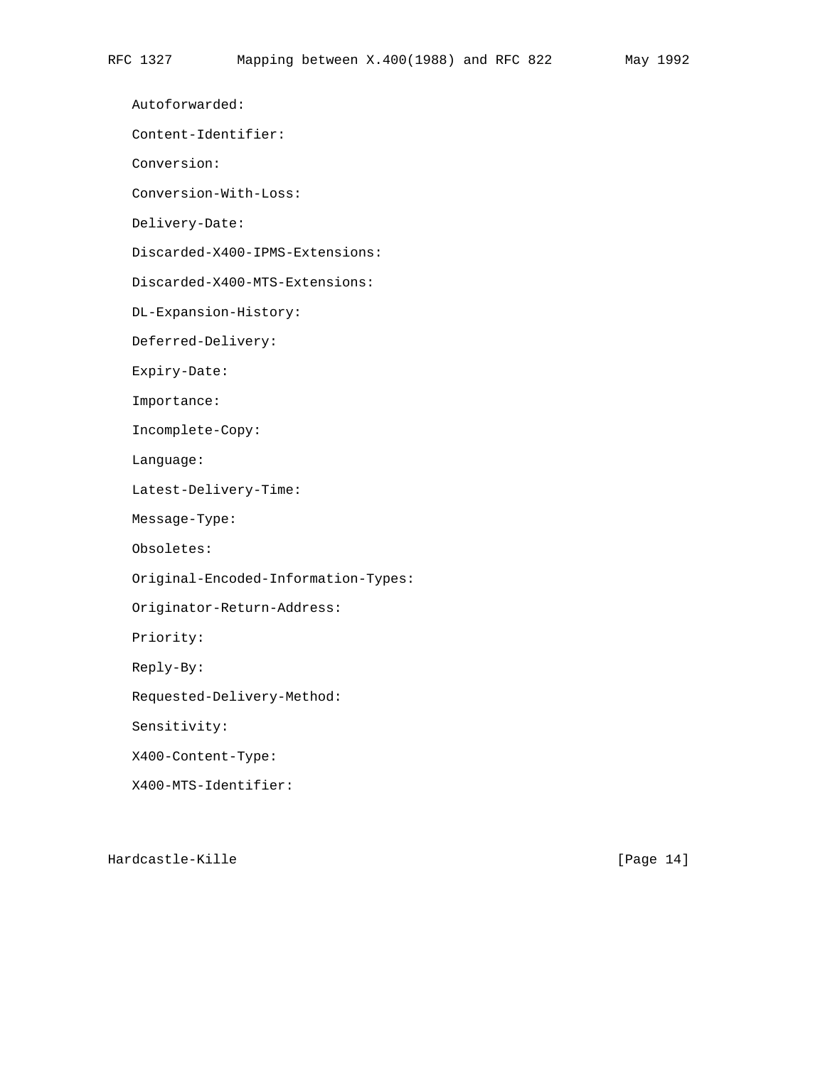Autoforwarded:

Content-Identifier:

Conversion:

Conversion-With-Loss:

Delivery-Date:

Discarded-X400-IPMS-Extensions:

Discarded-X400-MTS-Extensions:

DL-Expansion-History:

Deferred-Delivery:

Expiry-Date:

Importance:

Incomplete-Copy:

Language:

Latest-Delivery-Time:

Message-Type:

Obsoletes:

Original-Encoded-Information-Types:

Originator-Return-Address:

Priority:

Reply-By:

Requested-Delivery-Method:

Sensitivity:

X400-Content-Type:

X400-MTS-Identifier:

Hardcastle-Kille [Page 14]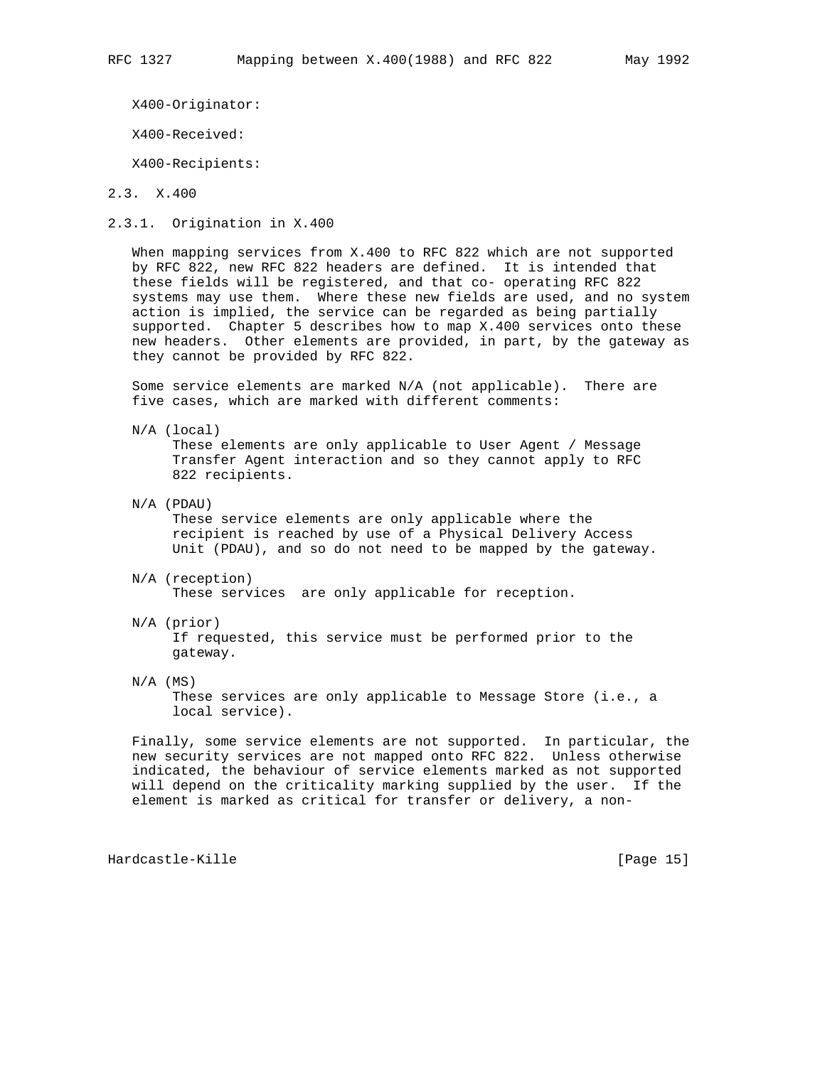X400-Originator:

X400-Received:

X400-Recipients:

2.3. X.400

2.3.1. Origination in X.400

 When mapping services from X.400 to RFC 822 which are not supported by RFC 822, new RFC 822 headers are defined. It is intended that these fields will be registered, and that co- operating RFC 822 systems may use them. Where these new fields are used, and no system action is implied, the service can be regarded as being partially supported. Chapter 5 describes how to map X.400 services onto these new headers. Other elements are provided, in part, by the gateway as they cannot be provided by RFC 822.

 Some service elements are marked N/A (not applicable). There are five cases, which are marked with different comments:

N/A (local)

 These elements are only applicable to User Agent / Message Transfer Agent interaction and so they cannot apply to RFC 822 recipients.

N/A (PDAU)

 These service elements are only applicable where the recipient is reached by use of a Physical Delivery Access Unit (PDAU), and so do not need to be mapped by the gateway.

- N/A (reception) These services are only applicable for reception.
- N/A (prior)

 If requested, this service must be performed prior to the gateway.

 $N/A$  (MS)

 These services are only applicable to Message Store (i.e., a local service).

 Finally, some service elements are not supported. In particular, the new security services are not mapped onto RFC 822. Unless otherwise indicated, the behaviour of service elements marked as not supported will depend on the criticality marking supplied by the user. If the element is marked as critical for transfer or delivery, a non-

Hardcastle-Kille [Page 15]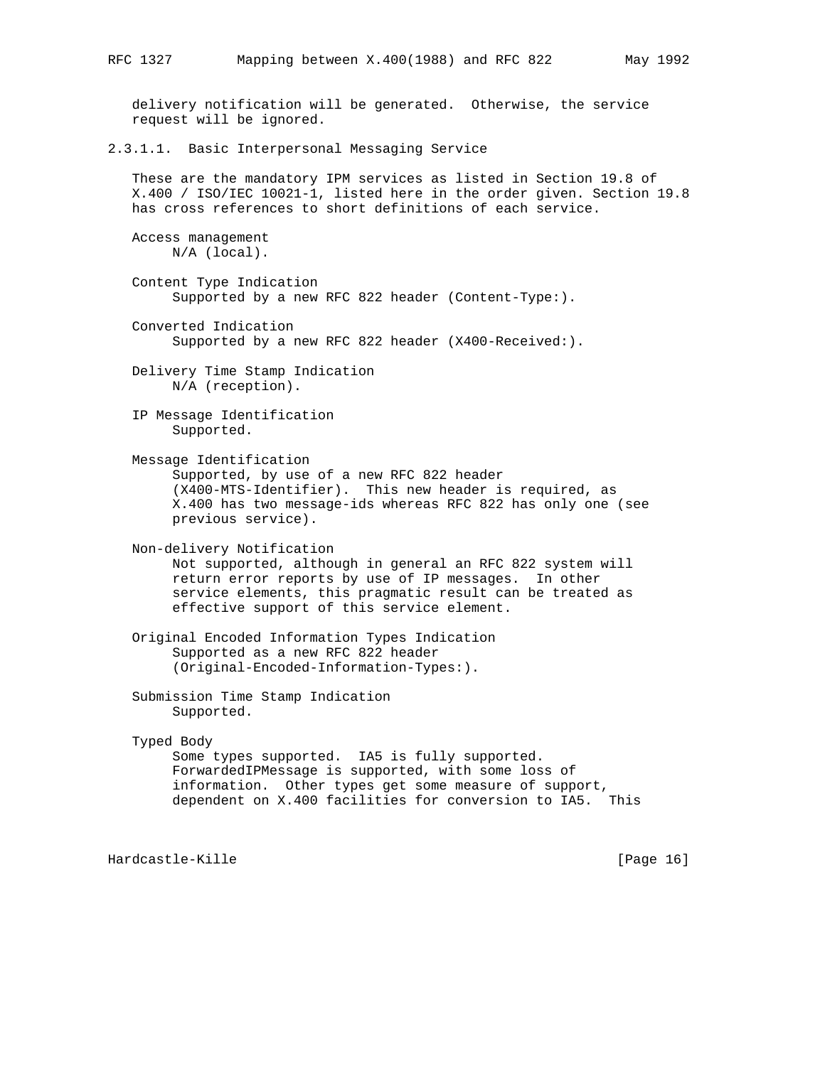delivery notification will be generated. Otherwise, the service request will be ignored. 2.3.1.1. Basic Interpersonal Messaging Service These are the mandatory IPM services as listed in Section 19.8 of X.400 / ISO/IEC 10021-1, listed here in the order given. Section 19.8 has cross references to short definitions of each service. Access management N/A (local). Content Type Indication Supported by a new RFC 822 header (Content-Type:). Converted Indication Supported by a new RFC 822 header (X400-Received:). Delivery Time Stamp Indication N/A (reception). IP Message Identification Supported. Message Identification Supported, by use of a new RFC 822 header (X400-MTS-Identifier). This new header is required, as X.400 has two message-ids whereas RFC 822 has only one (see previous service). Non-delivery Notification Not supported, although in general an RFC 822 system will return error reports by use of IP messages. In other service elements, this pragmatic result can be treated as effective support of this service element. Original Encoded Information Types Indication Supported as a new RFC 822 header (Original-Encoded-Information-Types:). Submission Time Stamp Indication Supported. Typed Body Some types supported. IA5 is fully supported. ForwardedIPMessage is supported, with some loss of information. Other types get some measure of support, dependent on X.400 facilities for conversion to IA5. This Hardcastle-Kille [Page 16] [Page 16]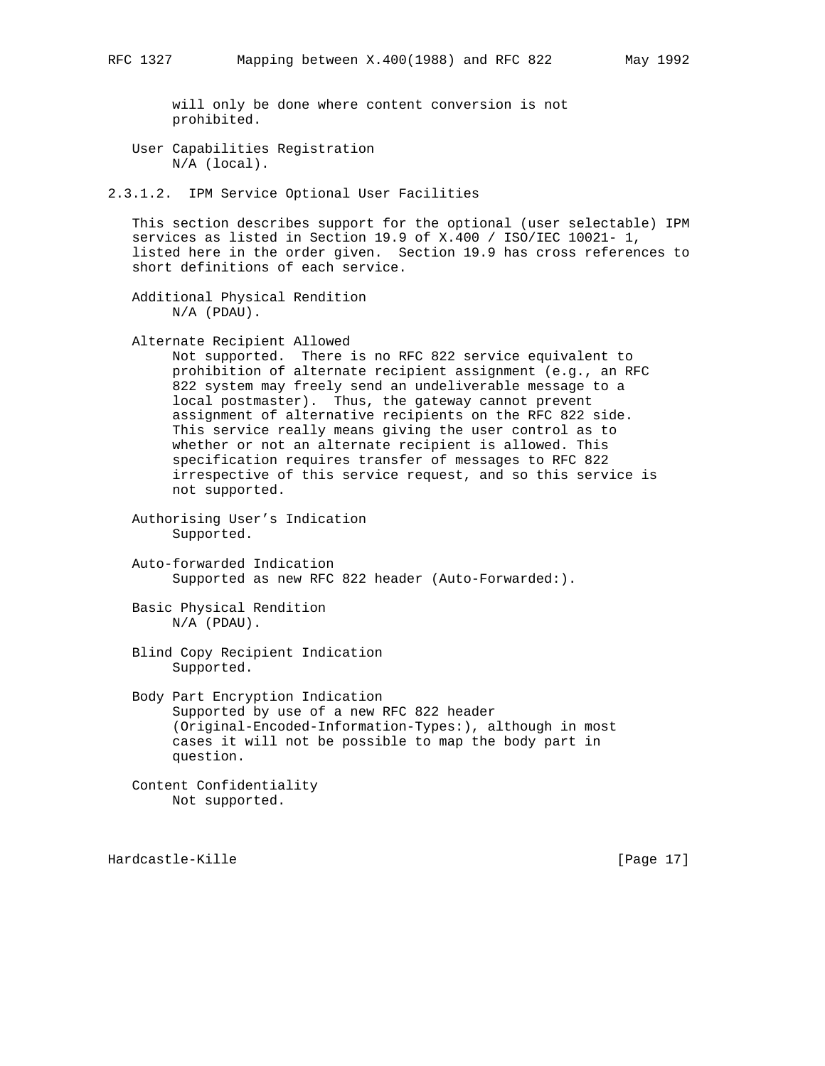will only be done where content conversion is not prohibited.

 User Capabilities Registration N/A (local).

2.3.1.2. IPM Service Optional User Facilities

 This section describes support for the optional (user selectable) IPM services as listed in Section 19.9 of X.400 / ISO/IEC 10021- 1, listed here in the order given. Section 19.9 has cross references to short definitions of each service.

 Additional Physical Rendition N/A (PDAU).

Alternate Recipient Allowed

 Not supported. There is no RFC 822 service equivalent to prohibition of alternate recipient assignment (e.g., an RFC 822 system may freely send an undeliverable message to a local postmaster). Thus, the gateway cannot prevent assignment of alternative recipients on the RFC 822 side. This service really means giving the user control as to whether or not an alternate recipient is allowed. This specification requires transfer of messages to RFC 822 irrespective of this service request, and so this service is not supported.

 Authorising User's Indication Supported.

 Auto-forwarded Indication Supported as new RFC 822 header (Auto-Forwarded:).

 Basic Physical Rendition N/A (PDAU).

 Blind Copy Recipient Indication Supported.

 Body Part Encryption Indication Supported by use of a new RFC 822 header (Original-Encoded-Information-Types:), although in most cases it will not be possible to map the body part in question.

 Content Confidentiality Not supported.

Hardcastle-Kille [Page 17]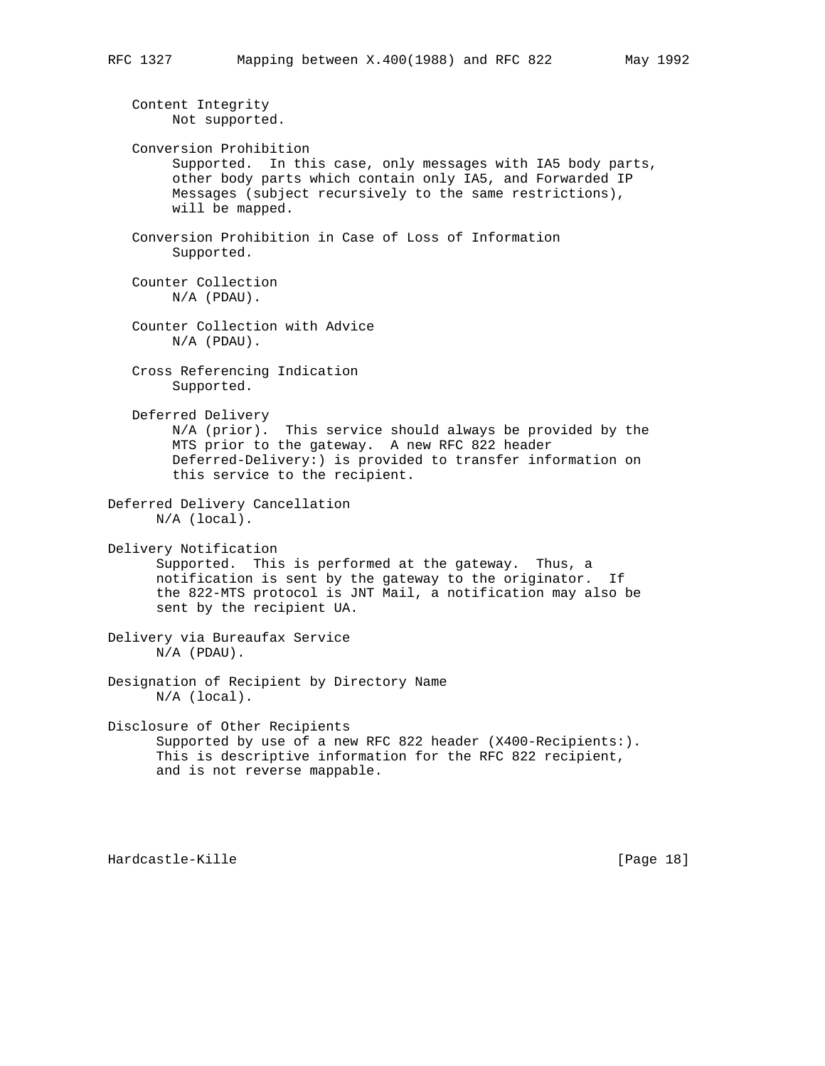Content Integrity Not supported. Conversion Prohibition Supported. In this case, only messages with IA5 body parts, other body parts which contain only IA5, and Forwarded IP Messages (subject recursively to the same restrictions), will be mapped. Conversion Prohibition in Case of Loss of Information Supported. Counter Collection N/A (PDAU). Counter Collection with Advice N/A (PDAU). Cross Referencing Indication Supported. Deferred Delivery N/A (prior). This service should always be provided by the MTS prior to the gateway. A new RFC 822 header Deferred-Delivery:) is provided to transfer information on this service to the recipient. Deferred Delivery Cancellation N/A (local). Delivery Notification Supported. This is performed at the gateway. Thus, a notification is sent by the gateway to the originator. If the 822-MTS protocol is JNT Mail, a notification may also be sent by the recipient UA. Delivery via Bureaufax Service N/A (PDAU). Designation of Recipient by Directory Name N/A (local). Disclosure of Other Recipients Supported by use of a new RFC 822 header (X400-Recipients:). This is descriptive information for the RFC 822 recipient, and is not reverse mappable.

Hardcastle-Kille [Page 18]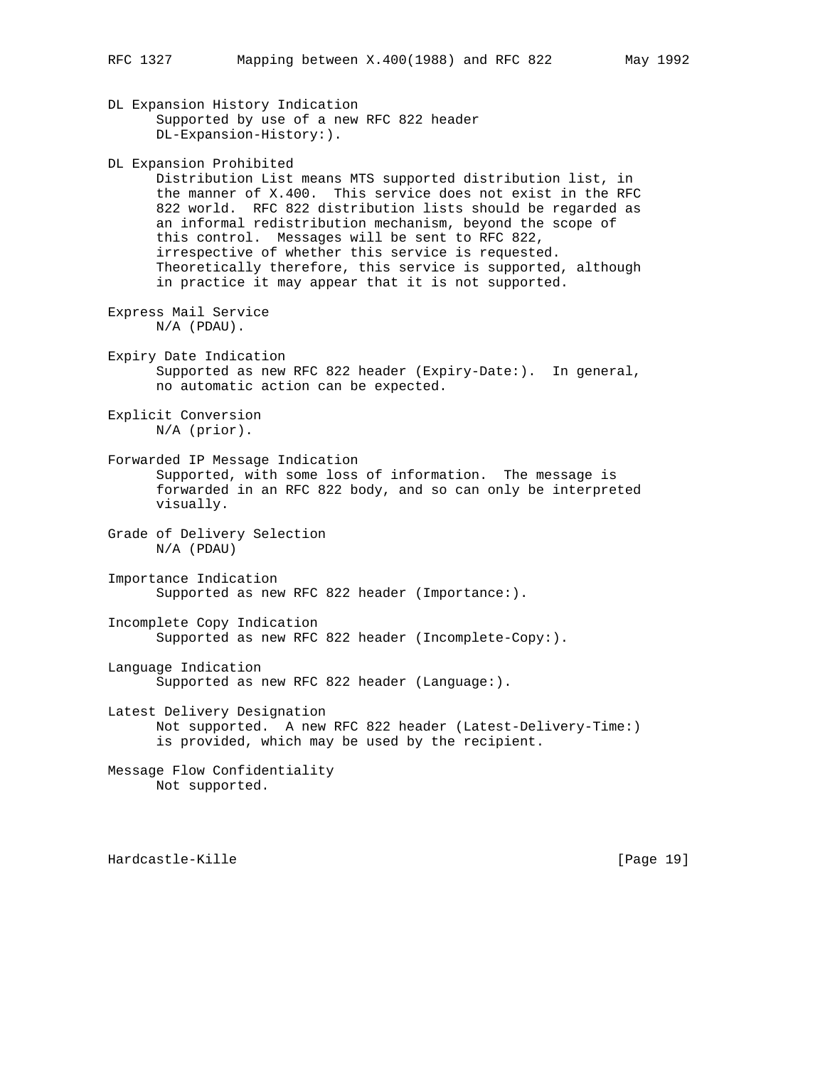DL Expansion History Indication Supported by use of a new RFC 822 header DL-Expansion-History:). DL Expansion Prohibited Distribution List means MTS supported distribution list, in the manner of X.400. This service does not exist in the RFC 822 world. RFC 822 distribution lists should be regarded as an informal redistribution mechanism, beyond the scope of this control. Messages will be sent to RFC 822, irrespective of whether this service is requested. Theoretically therefore, this service is supported, although in practice it may appear that it is not supported. Express Mail Service N/A (PDAU). Expiry Date Indication Supported as new RFC 822 header (Expiry-Date:). In general, no automatic action can be expected. Explicit Conversion N/A (prior). Forwarded IP Message Indication Supported, with some loss of information. The message is forwarded in an RFC 822 body, and so can only be interpreted visually. Grade of Delivery Selection N/A (PDAU) Importance Indication Supported as new RFC 822 header (Importance:). Incomplete Copy Indication Supported as new RFC 822 header (Incomplete-Copy:).

Language Indication Supported as new RFC 822 header (Language:).

Latest Delivery Designation Not supported. A new RFC 822 header (Latest-Delivery-Time:) is provided, which may be used by the recipient.

Message Flow Confidentiality Not supported.

Hardcastle-Kille [Page 19]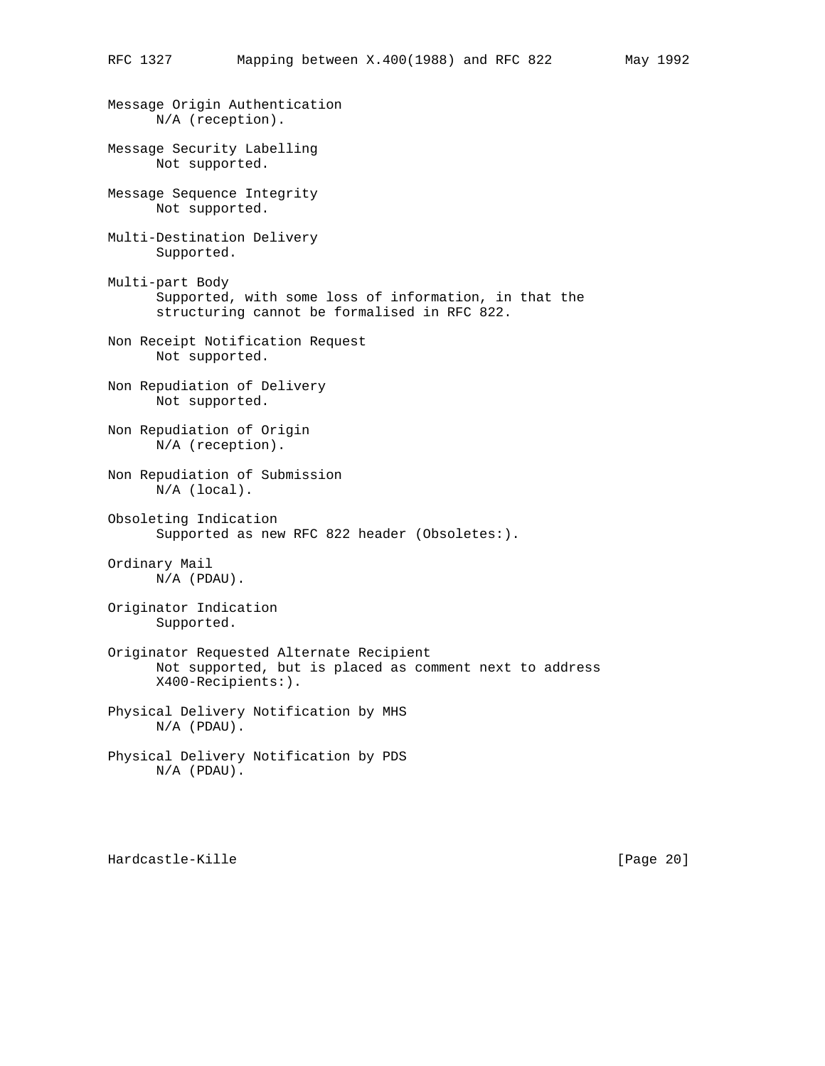Message Origin Authentication N/A (reception). Message Security Labelling Not supported. Message Sequence Integrity Not supported. Multi-Destination Delivery Supported. Multi-part Body Supported, with some loss of information, in that the structuring cannot be formalised in RFC 822. Non Receipt Notification Request Not supported. Non Repudiation of Delivery Not supported. Non Repudiation of Origin N/A (reception). Non Repudiation of Submission N/A (local). Obsoleting Indication Supported as new RFC 822 header (Obsoletes:). Ordinary Mail N/A (PDAU). Originator Indication Supported. Originator Requested Alternate Recipient Not supported, but is placed as comment next to address X400-Recipients:). Physical Delivery Notification by MHS N/A (PDAU). Physical Delivery Notification by PDS N/A (PDAU).

Hardcastle-Kille [Page 20]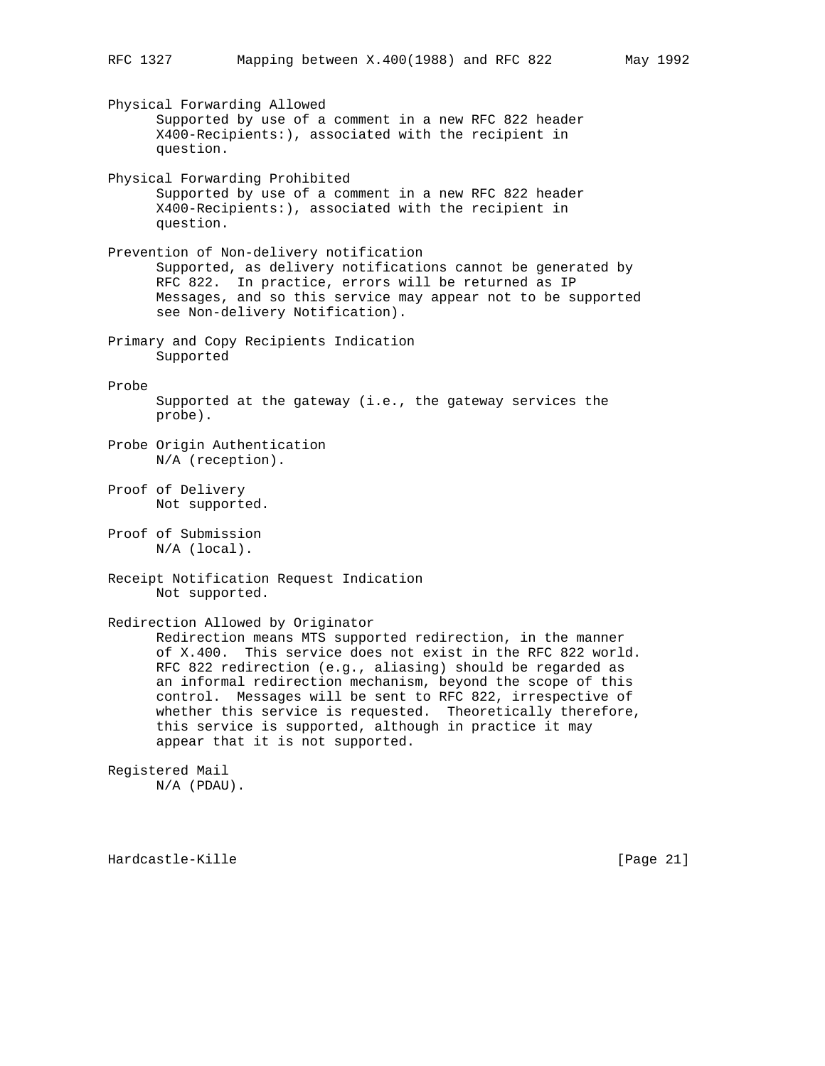Physical Forwarding Allowed Supported by use of a comment in a new RFC 822 header X400-Recipients:), associated with the recipient in question. Physical Forwarding Prohibited Supported by use of a comment in a new RFC 822 header X400-Recipients:), associated with the recipient in question. Prevention of Non-delivery notification Supported, as delivery notifications cannot be generated by RFC 822. In practice, errors will be returned as IP Messages, and so this service may appear not to be supported see Non-delivery Notification). Primary and Copy Recipients Indication Supported Probe Supported at the gateway (i.e., the gateway services the probe). Probe Origin Authentication N/A (reception). Proof of Delivery Not supported. Proof of Submission N/A (local). Receipt Notification Request Indication Not supported. Redirection Allowed by Originator Redirection means MTS supported redirection, in the manner of X.400. This service does not exist in the RFC 822 world. RFC 822 redirection (e.g., aliasing) should be regarded as an informal redirection mechanism, beyond the scope of this control. Messages will be sent to RFC 822, irrespective of whether this service is requested. Theoretically therefore, this service is supported, although in practice it may appear that it is not supported. Registered Mail N/A (PDAU).

Hardcastle-Kille [Page 21]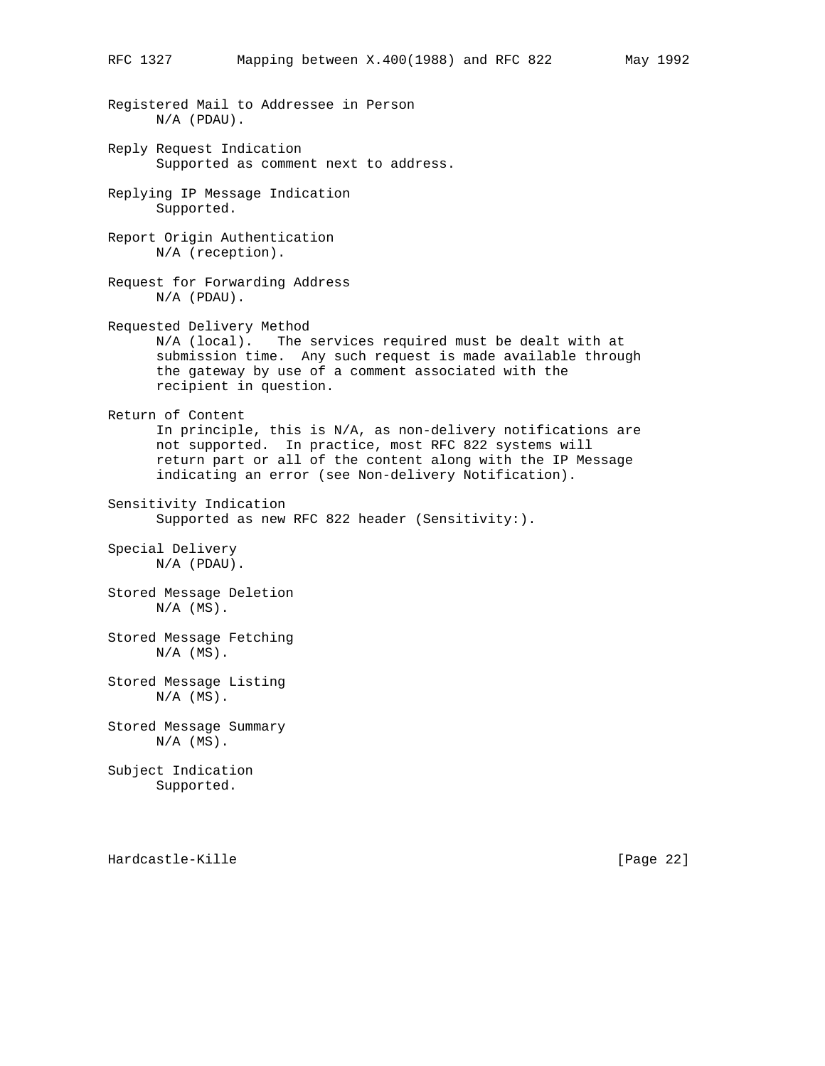Registered Mail to Addressee in Person N/A (PDAU). Reply Request Indication Supported as comment next to address. Replying IP Message Indication Supported. Report Origin Authentication N/A (reception). Request for Forwarding Address N/A (PDAU). Requested Delivery Method N/A (local). The services required must be dealt with at submission time. Any such request is made available through the gateway by use of a comment associated with the recipient in question. Return of Content In principle, this is N/A, as non-delivery notifications are not supported. In practice, most RFC 822 systems will return part or all of the content along with the IP Message indicating an error (see Non-delivery Notification). Sensitivity Indication Supported as new RFC 822 header (Sensitivity:). Special Delivery N/A (PDAU). Stored Message Deletion  $N/A$   $(MS)$ . Stored Message Fetching  $N/A$   $(MS)$ . Stored Message Listing  $N/A$  (MS). Stored Message Summary  $N/A$   $(MS)$ . Subject Indication Supported.

Hardcastle-Kille [Page 22]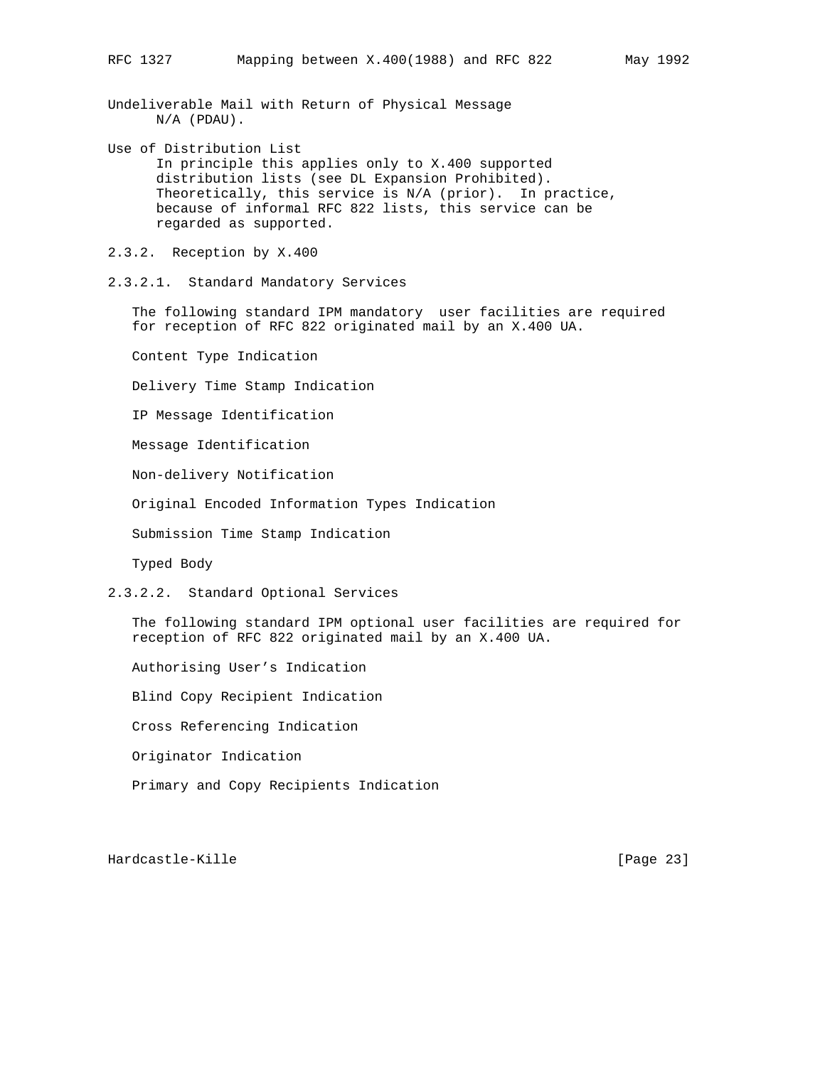Undeliverable Mail with Return of Physical Message N/A (PDAU).

Use of Distribution List In principle this applies only to X.400 supported distribution lists (see DL Expansion Prohibited). Theoretically, this service is N/A (prior). In practice, because of informal RFC 822 lists, this service can be regarded as supported.

2.3.2. Reception by X.400

2.3.2.1. Standard Mandatory Services

 The following standard IPM mandatory user facilities are required for reception of RFC 822 originated mail by an X.400 UA.

Content Type Indication

Delivery Time Stamp Indication

IP Message Identification

Message Identification

Non-delivery Notification

Original Encoded Information Types Indication

Submission Time Stamp Indication

Typed Body

2.3.2.2. Standard Optional Services

 The following standard IPM optional user facilities are required for reception of RFC 822 originated mail by an X.400 UA.

Authorising User's Indication

Blind Copy Recipient Indication

Cross Referencing Indication

Originator Indication

Primary and Copy Recipients Indication

Hardcastle-Kille [Page 23]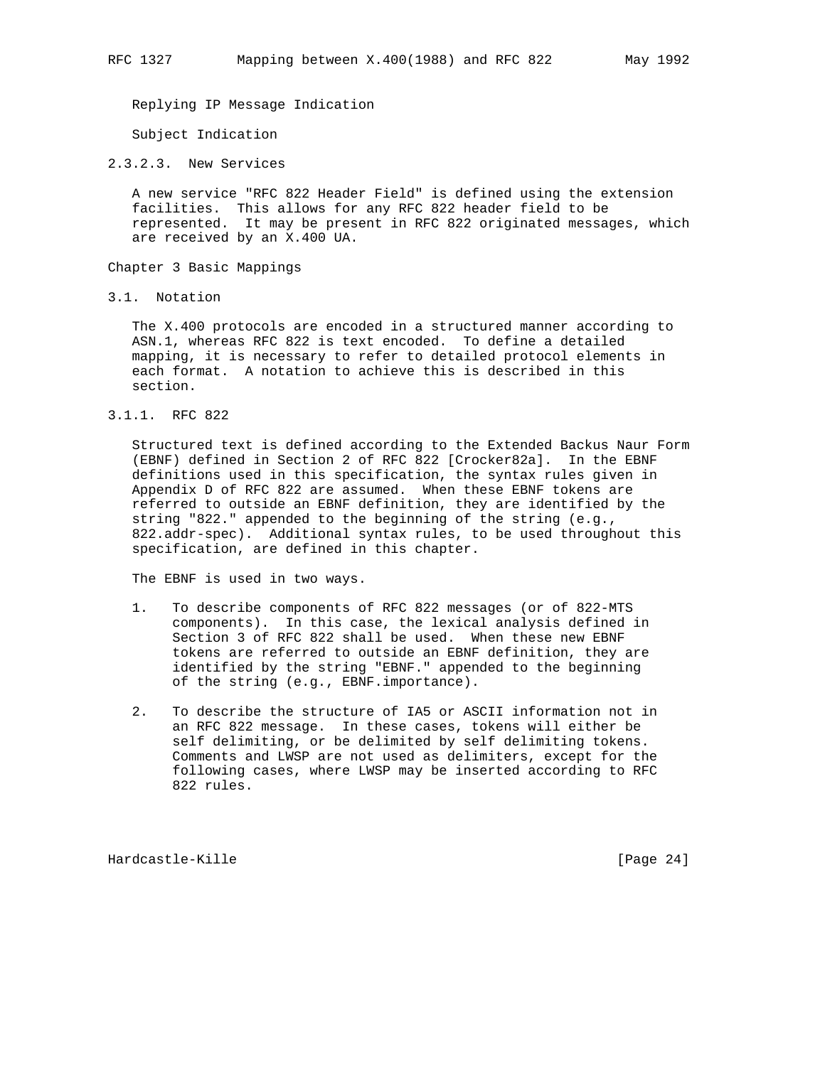Replying IP Message Indication

Subject Indication

2.3.2.3. New Services

 A new service "RFC 822 Header Field" is defined using the extension facilities. This allows for any RFC 822 header field to be represented. It may be present in RFC 822 originated messages, which are received by an X.400 UA.

Chapter 3 Basic Mappings

3.1. Notation

 The X.400 protocols are encoded in a structured manner according to ASN.1, whereas RFC 822 is text encoded. To define a detailed mapping, it is necessary to refer to detailed protocol elements in each format. A notation to achieve this is described in this section.

3.1.1. RFC 822

 Structured text is defined according to the Extended Backus Naur Form (EBNF) defined in Section 2 of RFC 822 [Crocker82a]. In the EBNF definitions used in this specification, the syntax rules given in Appendix D of RFC 822 are assumed. When these EBNF tokens are referred to outside an EBNF definition, they are identified by the string "822." appended to the beginning of the string (e.g., 822.addr-spec). Additional syntax rules, to be used throughout this specification, are defined in this chapter.

The EBNF is used in two ways.

- 1. To describe components of RFC 822 messages (or of 822-MTS components). In this case, the lexical analysis defined in Section 3 of RFC 822 shall be used. When these new EBNF tokens are referred to outside an EBNF definition, they are identified by the string "EBNF." appended to the beginning of the string (e.g., EBNF.importance).
- 2. To describe the structure of IA5 or ASCII information not in an RFC 822 message. In these cases, tokens will either be self delimiting, or be delimited by self delimiting tokens. Comments and LWSP are not used as delimiters, except for the following cases, where LWSP may be inserted according to RFC 822 rules.

Hardcastle-Kille [Page 24]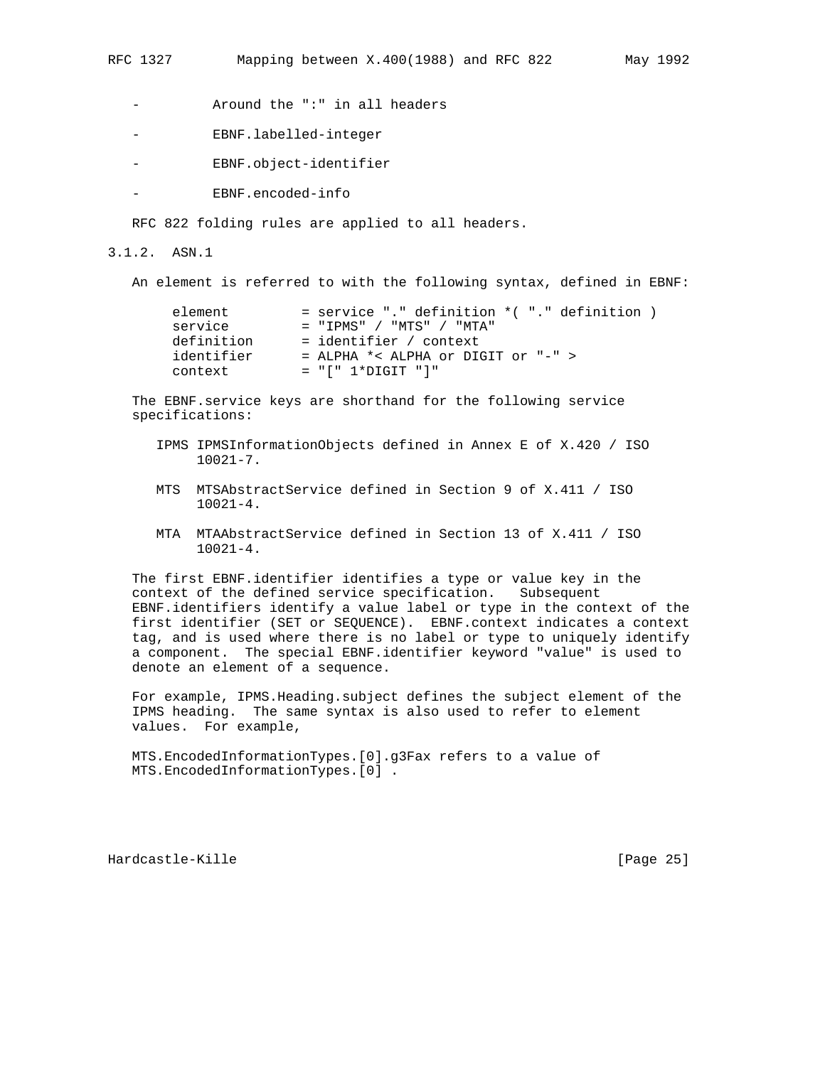- Around the ":" in all headers
- EBNF.labelled-integer
- EBNF.object-identifier
- EBNF.encoded-info

RFC 822 folding rules are applied to all headers.

3.1.2. ASN.1

An element is referred to with the following syntax, defined in EBNF:

| $=$ service "." definition $*($ "." definition $)$ |
|----------------------------------------------------|
| $=$ "TPMS" / "MTS" / "MTA"                         |
| = identifier / context                             |
| $=$ ALPHA $*$ < ALPHA or DIGIT or "-" >            |
| $= "[' 1*DiffIT "']"$                              |
|                                                    |

 The EBNF.service keys are shorthand for the following service specifications:

- IPMS IPMSInformationObjects defined in Annex E of X.420 / ISO 10021-7.
- MTS MTSAbstractService defined in Section 9 of X.411 / ISO 10021-4.
- MTA MTAAbstractService defined in Section 13 of X.411 / ISO 10021-4.

 The first EBNF.identifier identifies a type or value key in the context of the defined service specification. Subsequent EBNF.identifiers identify a value label or type in the context of the first identifier (SET or SEQUENCE). EBNF.context indicates a context tag, and is used where there is no label or type to uniquely identify a component. The special EBNF.identifier keyword "value" is used to denote an element of a sequence.

 For example, IPMS.Heading.subject defines the subject element of the IPMS heading. The same syntax is also used to refer to element values. For example,

 MTS.EncodedInformationTypes.[0].g3Fax refers to a value of MTS.EncodedInformationTypes.[0] .

Hardcastle-Kille [Page 25]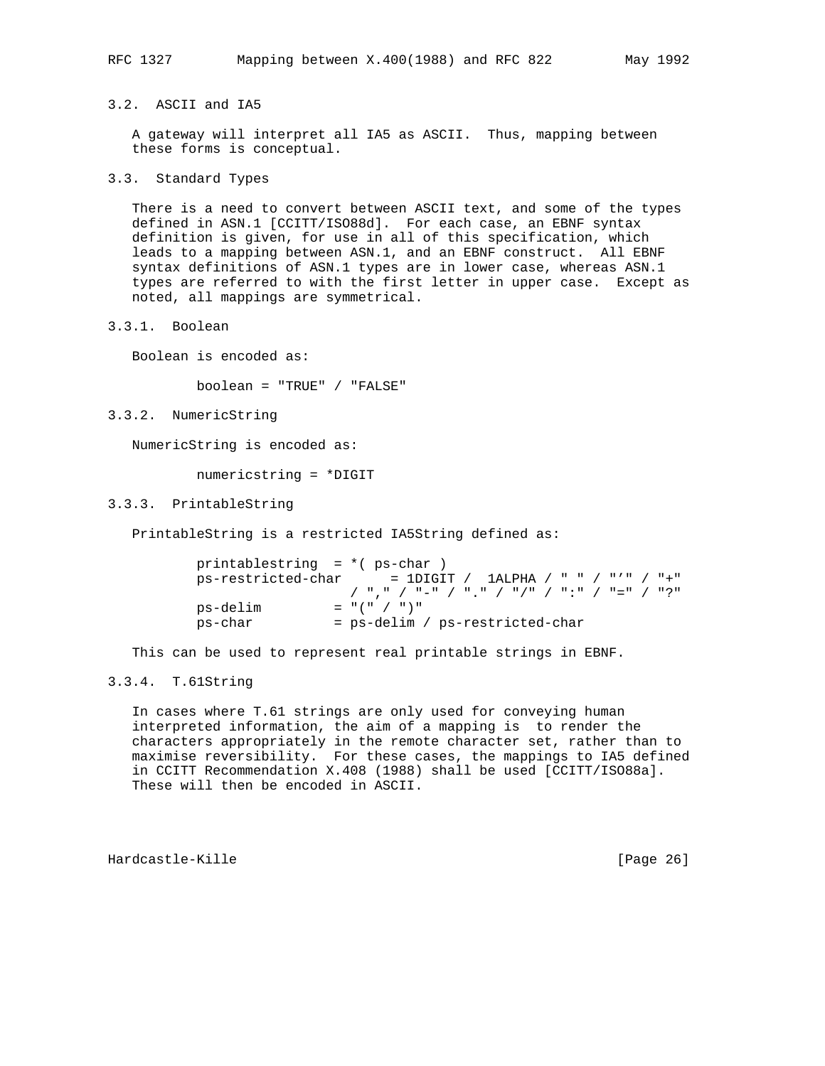3.2. ASCII and IA5

 A gateway will interpret all IA5 as ASCII. Thus, mapping between these forms is conceptual.

3.3. Standard Types

 There is a need to convert between ASCII text, and some of the types defined in ASN.1 [CCITT/ISO88d]. For each case, an EBNF syntax definition is given, for use in all of this specification, which leads to a mapping between ASN.1, and an EBNF construct. All EBNF syntax definitions of ASN.1 types are in lower case, whereas ASN.1 types are referred to with the first letter in upper case. Except as noted, all mappings are symmetrical.

3.3.1. Boolean

Boolean is encoded as:

boolean = "TRUE" / "FALSE"

3.3.2. NumericString

NumericString is encoded as:

numericstring = \*DIGIT

3.3.3. PrintableString

PrintableString is a restricted IA5String defined as:

```
 printablestring = *( ps-char )
ps-restricted-char = 1DIGIT / 1ALPHA / " " / "'" / "+"
                 / "," / "-" / "." / "/" / ":" / "=" / "?"
ps-delim = "(" / ")"
 ps-char = ps-delim / ps-restricted-char
```
This can be used to represent real printable strings in EBNF.

# 3.3.4. T.61String

 In cases where T.61 strings are only used for conveying human interpreted information, the aim of a mapping is to render the characters appropriately in the remote character set, rather than to maximise reversibility. For these cases, the mappings to IA5 defined in CCITT Recommendation X.408 (1988) shall be used [CCITT/ISO88a]. These will then be encoded in ASCII.

Hardcastle-Kille [Page 26]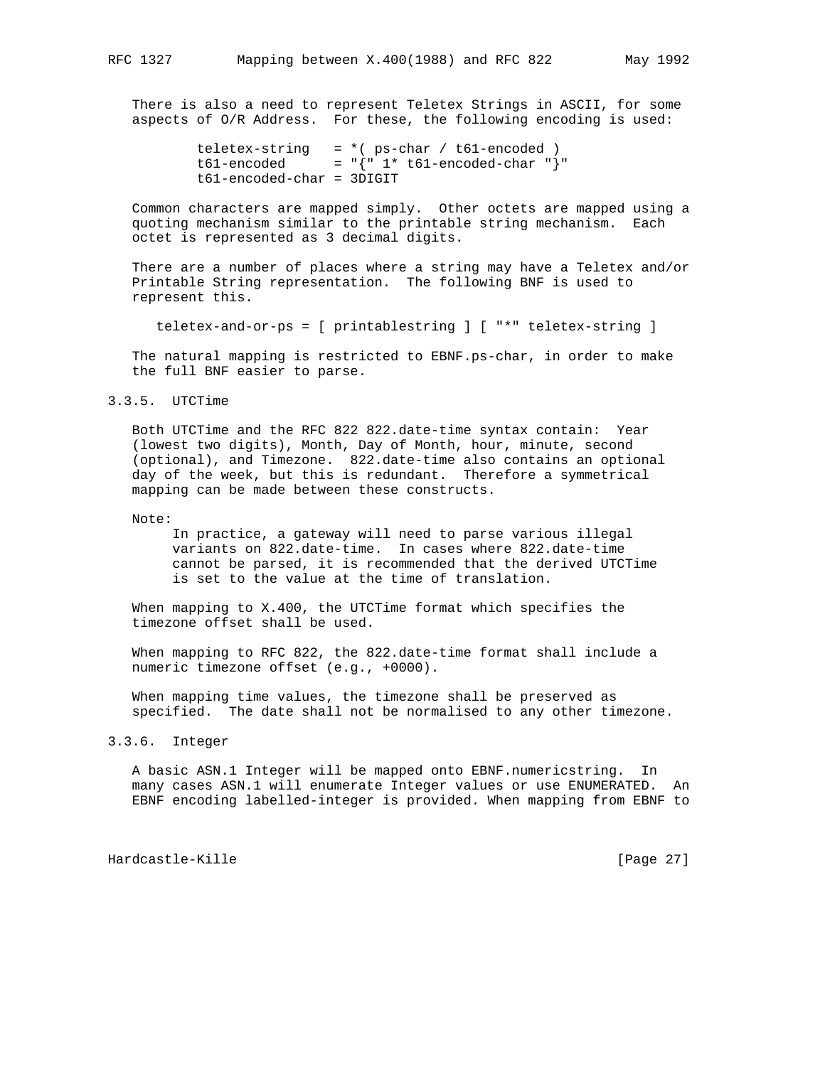There is also a need to represent Teletex Strings in ASCII, for some aspects of O/R Address. For these, the following encoding is used:

```
teletex-string = *( ps-char / t61-encoded )
t61-encoded = {\lceil} = {\lceil} {\lceil} 1* t61-encoded-char {\lceil} {\rceil} "
 t61-encoded-char = 3DIGIT
```
 Common characters are mapped simply. Other octets are mapped using a quoting mechanism similar to the printable string mechanism. Each octet is represented as 3 decimal digits.

 There are a number of places where a string may have a Teletex and/or Printable String representation. The following BNF is used to represent this.

teletex-and-or-ps = [ printablestring ] [ "\*" teletex-string ]

 The natural mapping is restricted to EBNF.ps-char, in order to make the full BNF easier to parse.

# 3.3.5. UTCTime

 Both UTCTime and the RFC 822 822.date-time syntax contain: Year (lowest two digits), Month, Day of Month, hour, minute, second (optional), and Timezone. 822.date-time also contains an optional day of the week, but this is redundant. Therefore a symmetrical mapping can be made between these constructs.

Note:

 In practice, a gateway will need to parse various illegal variants on 822.date-time. In cases where 822.date-time cannot be parsed, it is recommended that the derived UTCTime is set to the value at the time of translation.

 When mapping to X.400, the UTCTime format which specifies the timezone offset shall be used.

 When mapping to RFC 822, the 822.date-time format shall include a numeric timezone offset (e.g., +0000).

 When mapping time values, the timezone shall be preserved as specified. The date shall not be normalised to any other timezone.

3.3.6. Integer

 A basic ASN.1 Integer will be mapped onto EBNF.numericstring. In many cases ASN.1 will enumerate Integer values or use ENUMERATED. An EBNF encoding labelled-integer is provided. When mapping from EBNF to

Hardcastle-Kille [Page 27]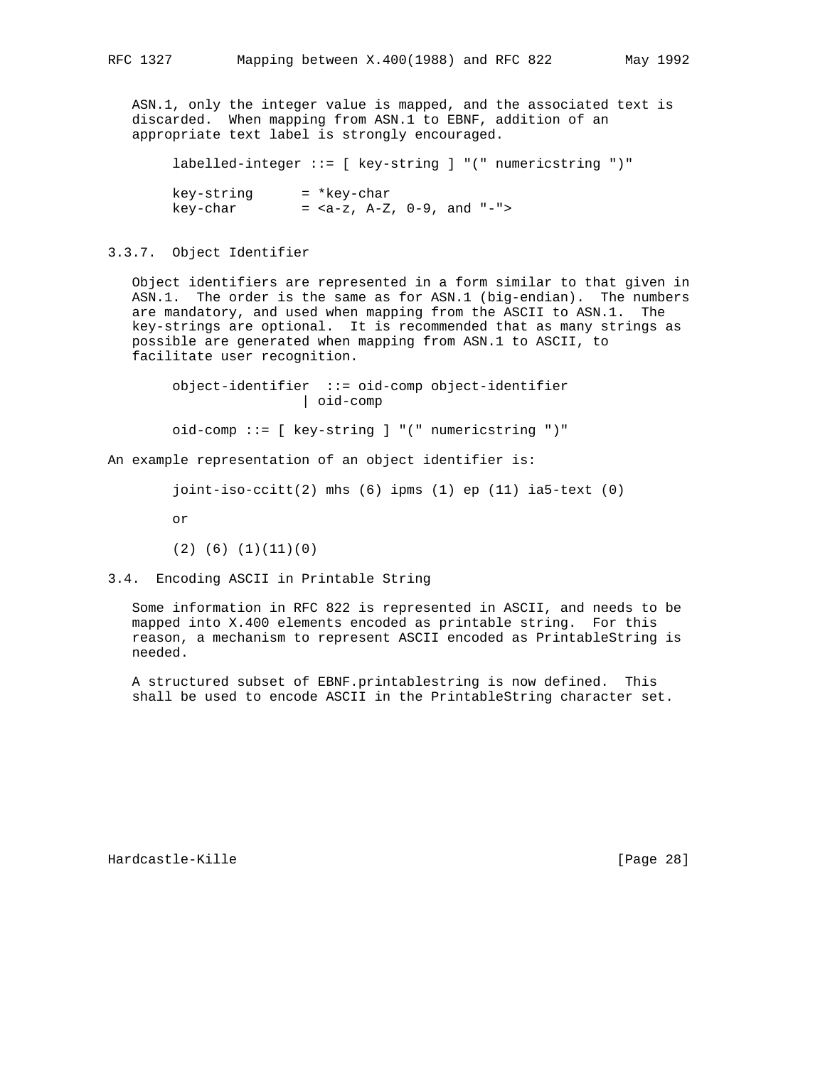ASN.1, only the integer value is mapped, and the associated text is discarded. When mapping from ASN.1 to EBNF, addition of an appropriate text label is strongly encouraged.

labelled-integer ::= [ key-string ] "(" numericstring ")"

 key-string = \*key-char key-char =  $,  $A-Z$ ,  $0-9$ , and  $"$ -">$ 

# 3.3.7. Object Identifier

 Object identifiers are represented in a form similar to that given in ASN.1. The order is the same as for ASN.1 (big-endian). The numbers are mandatory, and used when mapping from the ASCII to ASN.1. The key-strings are optional. It is recommended that as many strings as possible are generated when mapping from ASN.1 to ASCII, to facilitate user recognition.

 object-identifier ::= oid-comp object-identifier | oid-comp

oid-comp ::= [ key-string ] "(" numericstring ")"

An example representation of an object identifier is:

```
 joint-iso-ccitt(2) mhs (6) ipms (1) ep (11) ia5-text (0)
```
or

(2) (6) (1)(11)(0)

# 3.4. Encoding ASCII in Printable String

 Some information in RFC 822 is represented in ASCII, and needs to be mapped into X.400 elements encoded as printable string. For this reason, a mechanism to represent ASCII encoded as PrintableString is needed.

 A structured subset of EBNF.printablestring is now defined. This shall be used to encode ASCII in the PrintableString character set.

Hardcastle-Kille [Page 28]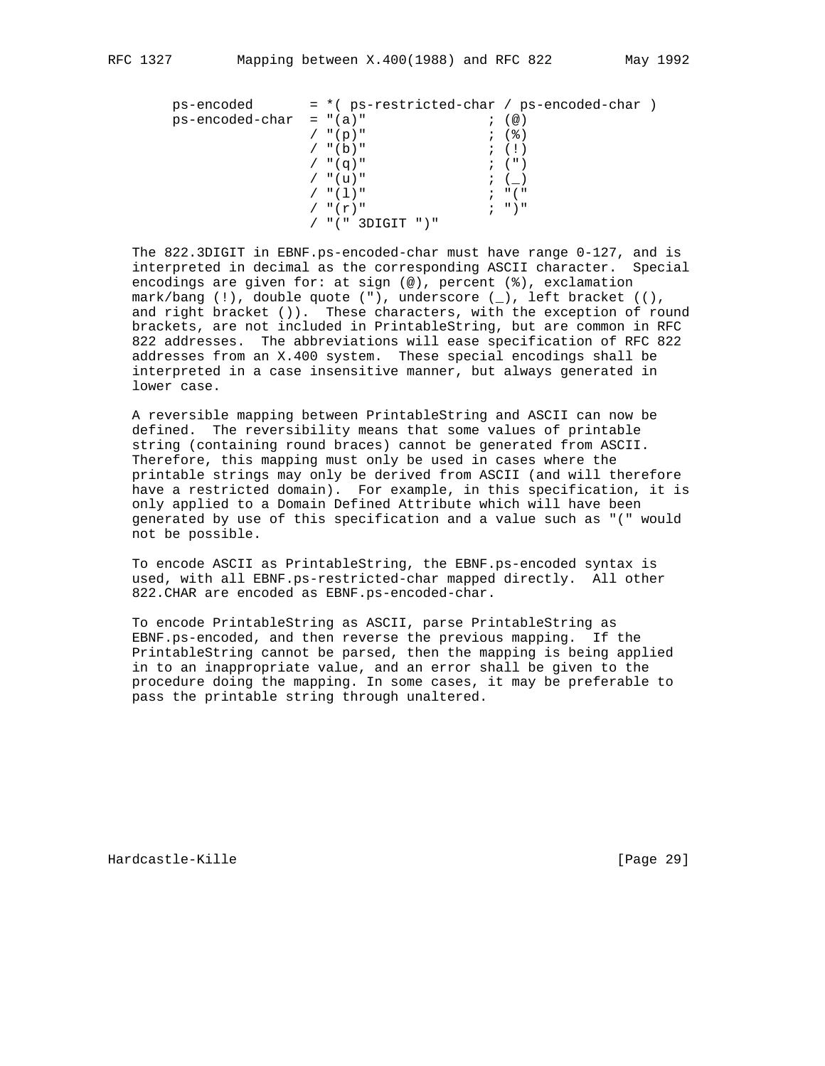| ps-encoded                | $=$ *( ps-restricted-char / ps-encoded-char ) |                                 |
|---------------------------|-----------------------------------------------|---------------------------------|
| $ps-encoded-char = "(a)"$ |                                               | (@)                             |
|                           | $/$ "(p)"                                     | ; (%)                           |
|                           | $/$ "(b)"                                     | $\mathfrak{z}$ (1)              |
|                           | $/$ "(q)"                                     | $\; ; \; (\; )$                 |
|                           | / "(u)"                                       | $\ddot{i}$ ( )                  |
|                           | / "(1)"                                       | $\cdot$ $\cdot$ $\cdot$ $\cdot$ |
|                           | $/$ " $(r)$ "                                 | $; "$ $"$                       |
|                           | $/$ "(" 3DIGIT ")"                            |                                 |

 The 822.3DIGIT in EBNF.ps-encoded-char must have range 0-127, and is interpreted in decimal as the corresponding ASCII character. Special encodings are given for: at sign (@), percent (%), exclamation mark/bang (!), double quote ("), underscore (\_), left bracket ((), and right bracket ()). These characters, with the exception of round brackets, are not included in PrintableString, but are common in RFC 822 addresses. The abbreviations will ease specification of RFC 822 addresses from an X.400 system. These special encodings shall be interpreted in a case insensitive manner, but always generated in lower case.

 A reversible mapping between PrintableString and ASCII can now be defined. The reversibility means that some values of printable string (containing round braces) cannot be generated from ASCII. Therefore, this mapping must only be used in cases where the printable strings may only be derived from ASCII (and will therefore have a restricted domain). For example, in this specification, it is only applied to a Domain Defined Attribute which will have been generated by use of this specification and a value such as "(" would not be possible.

 To encode ASCII as PrintableString, the EBNF.ps-encoded syntax is used, with all EBNF.ps-restricted-char mapped directly. All other 822.CHAR are encoded as EBNF.ps-encoded-char.

 To encode PrintableString as ASCII, parse PrintableString as EBNF.ps-encoded, and then reverse the previous mapping. If the PrintableString cannot be parsed, then the mapping is being applied in to an inappropriate value, and an error shall be given to the procedure doing the mapping. In some cases, it may be preferable to pass the printable string through unaltered.

Hardcastle-Kille [Page 29]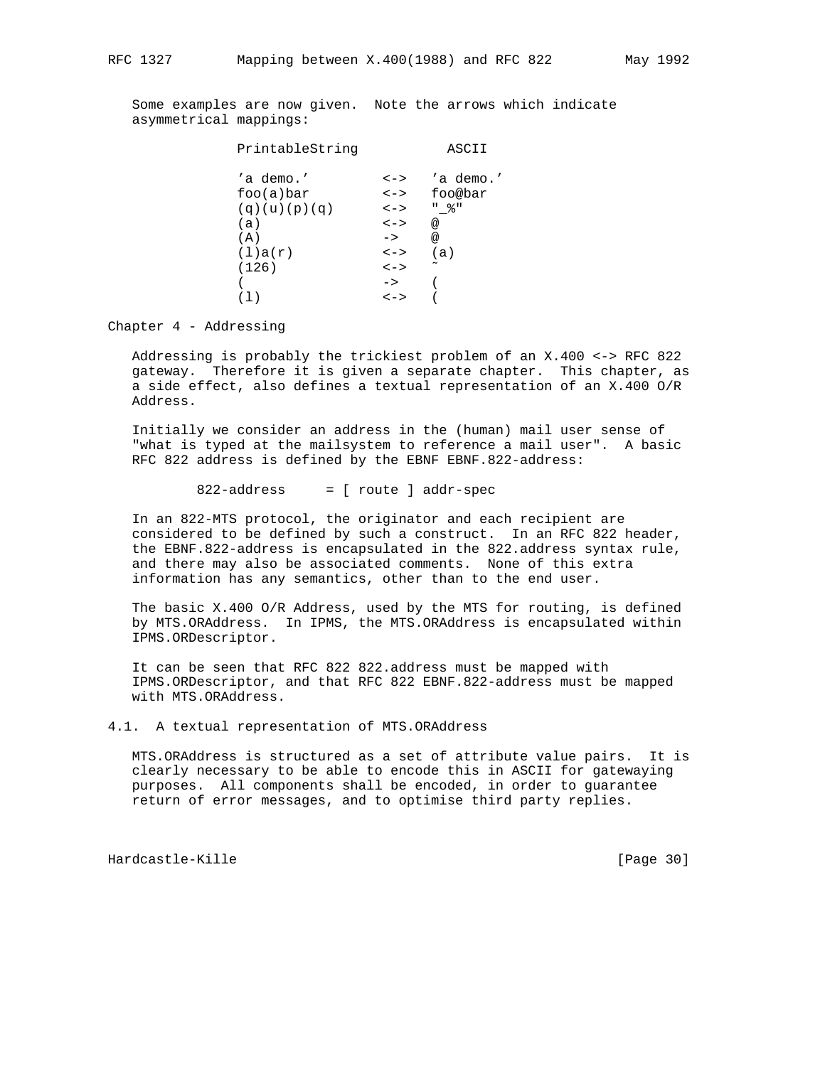Some examples are now given. Note the arrows which indicate asymmetrical mappings:

| PrintableString |               | ASCII                 |
|-----------------|---------------|-----------------------|
| 'a demo.'       | $\lt$ - $>$   | 'a demo.'             |
| foo(a)bar       | $\lt$ $\gt$   | foo@bar               |
| (q)(u)(p)(q)    | $\lt$ $ >$    | " 응 "                 |
| (a)             | $\lt$ ->      | @                     |
| (A)             | $\rightarrow$ | @                     |
| (1)a(r)         | $\lt$ $ >$    | (a)                   |
| (126)           | $\lt$ $ >$    | $\tilde{\phantom{a}}$ |
|                 | $\rightarrow$ |                       |
|                 | <->           |                       |

Chapter 4 - Addressing

 Addressing is probably the trickiest problem of an X.400 <-> RFC 822 gateway. Therefore it is given a separate chapter. This chapter, as a side effect, also defines a textual representation of an X.400 O/R Address.

 Initially we consider an address in the (human) mail user sense of "what is typed at the mailsystem to reference a mail user". A basic RFC 822 address is defined by the EBNF EBNF.822-address:

822-address = [ route ] addr-spec

 In an 822-MTS protocol, the originator and each recipient are considered to be defined by such a construct. In an RFC 822 header, the EBNF.822-address is encapsulated in the 822.address syntax rule, and there may also be associated comments. None of this extra information has any semantics, other than to the end user.

 The basic X.400 O/R Address, used by the MTS for routing, is defined by MTS.ORAddress. In IPMS, the MTS.ORAddress is encapsulated within IPMS.ORDescriptor.

 It can be seen that RFC 822 822.address must be mapped with IPMS.ORDescriptor, and that RFC 822 EBNF.822-address must be mapped with MTS.ORAddress.

4.1. A textual representation of MTS.ORAddress

 MTS.ORAddress is structured as a set of attribute value pairs. It is clearly necessary to be able to encode this in ASCII for gatewaying purposes. All components shall be encoded, in order to guarantee return of error messages, and to optimise third party replies.

Hardcastle-Kille [Page 30]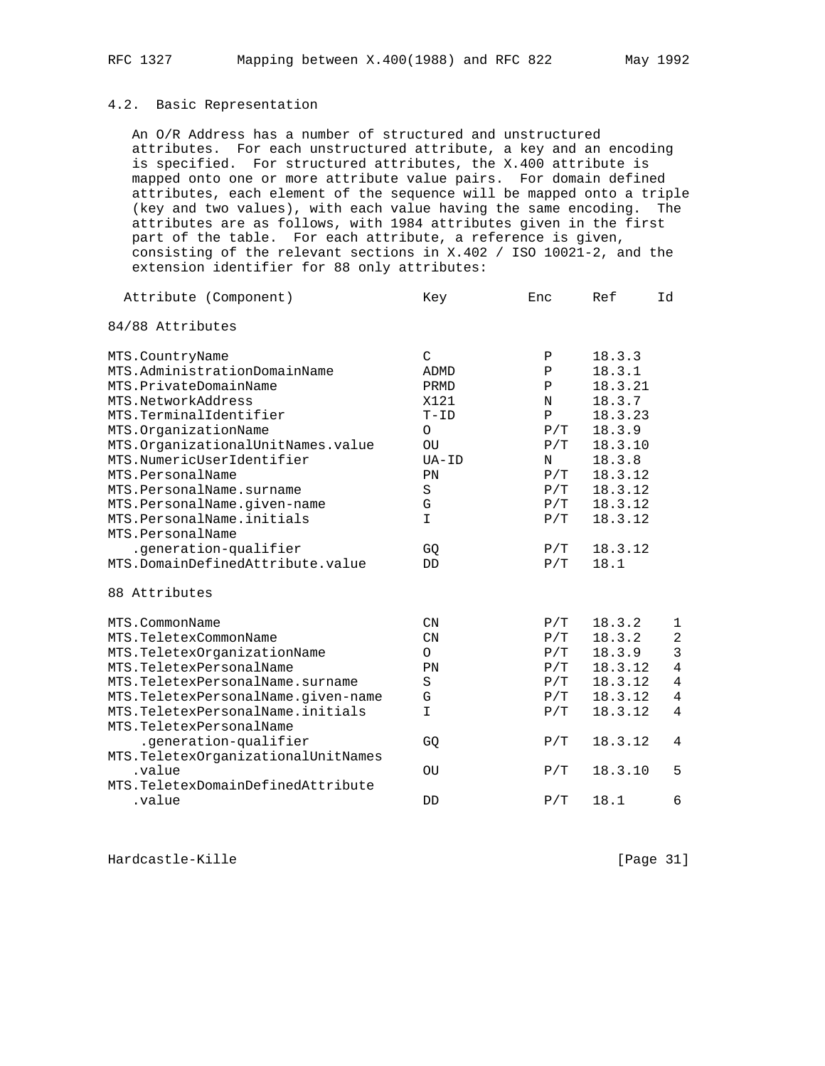# 4.2. Basic Representation

 An O/R Address has a number of structured and unstructured attributes. For each unstructured attribute, a key and an encoding is specified. For structured attributes, the X.400 attribute is mapped onto one or more attribute value pairs. For domain defined attributes, each element of the sequence will be mapped onto a triple (key and two values), with each value having the same encoding. The attributes are as follows, with 1984 attributes given in the first part of the table. For each attribute, a reference is given, consisting of the relevant sections in X.402 / ISO 10021-2, and the extension identifier for 88 only attributes:

| Attribute (Component)               | Key                       | Enc           | Ref     | Id             |
|-------------------------------------|---------------------------|---------------|---------|----------------|
| 84/88 Attributes                    |                           |               |         |                |
| MTS.CountryName                     | $\mathcal{C}$             | Ρ             | 18.3.3  |                |
| MTS.AdministrationDomainName        | ADMD                      | Ρ             | 18.3.1  |                |
| MTS.PrivateDomainName               | PRMD                      | Ρ             | 18.3.21 |                |
| MTS.NetworkAddress                  | X121                      | N             | 18.3.7  |                |
| MTS.TerminalIdentifier              | $T-TD$                    | $\, {\bf P}$  | 18.3.23 |                |
| MTS.OrganizationName                | $\Omega$                  | P/T           | 18.3.9  |                |
| MTS.OrganizationalUnitNames.value   | OU                        | P/T           | 18.3.10 |                |
| MTS.NumericUserIdentifier           | $UA-ID$                   | N             | 18.3.8  |                |
| MTS.PersonalName                    | PN                        | P/T           | 18.3.12 |                |
| MTS.PersonalName.surname            | $\rm S$                   | P/T           | 18.3.12 |                |
| MTS.PersonalName.given-name         | G                         | P/T           | 18.3.12 |                |
| MTS.PersonalName.initials           | $\mathbf I$               | P/T           | 18.3.12 |                |
| MTS.PersonalName                    |                           |               |         |                |
| .generation-qualifier               | GQ                        | P/T           | 18.3.12 |                |
| MTS.DomainDefinedAttribute.value    | DD                        | P/T           | 18.1    |                |
| 88 Attributes                       |                           |               |         |                |
| MTS.CommonName                      | $\mathcal{C} \mathcal{N}$ | P/T           | 18.3.2  | $\mathbf 1$    |
| MTS.TeletexCommonName               | $\mathcal{C}N$            | P/T           | 18.3.2  | $\overline{a}$ |
| MTS.TeletexOrganizationName         | $\circ$                   | P/T           | 18.3.9  | $\overline{3}$ |
| MTS.TeletexPersonalName             | PN                        | P/T           | 18.3.12 | $\overline{4}$ |
| MTS. TeletexPersonalName. surname   | $\rm S$                   | $\rm P$ / T   | 18.3.12 | $\overline{4}$ |
| MTS.TeletexPersonalName.given-name  | G                         | $\rm P\,/\,T$ | 18.3.12 | $\overline{4}$ |
| MTS. TeletexPersonalName. initials  | I                         | P/T           | 18.3.12 | $\overline{4}$ |
| MTS. TeletexPersonalName            |                           |               |         |                |
| .generation-qualifier               | GQ                        | P/T           | 18.3.12 | 4              |
| MTS. TeletexOrganizationalUnitNames |                           |               |         |                |
| .value                              | OU                        | P/T           | 18.3.10 | 5              |
| MTS.TeletexDomainDefinedAttribute   |                           |               |         |                |
| .value                              | DD                        | P/T           | 18.1    | 6              |

Hardcastle-Kille [Page 31]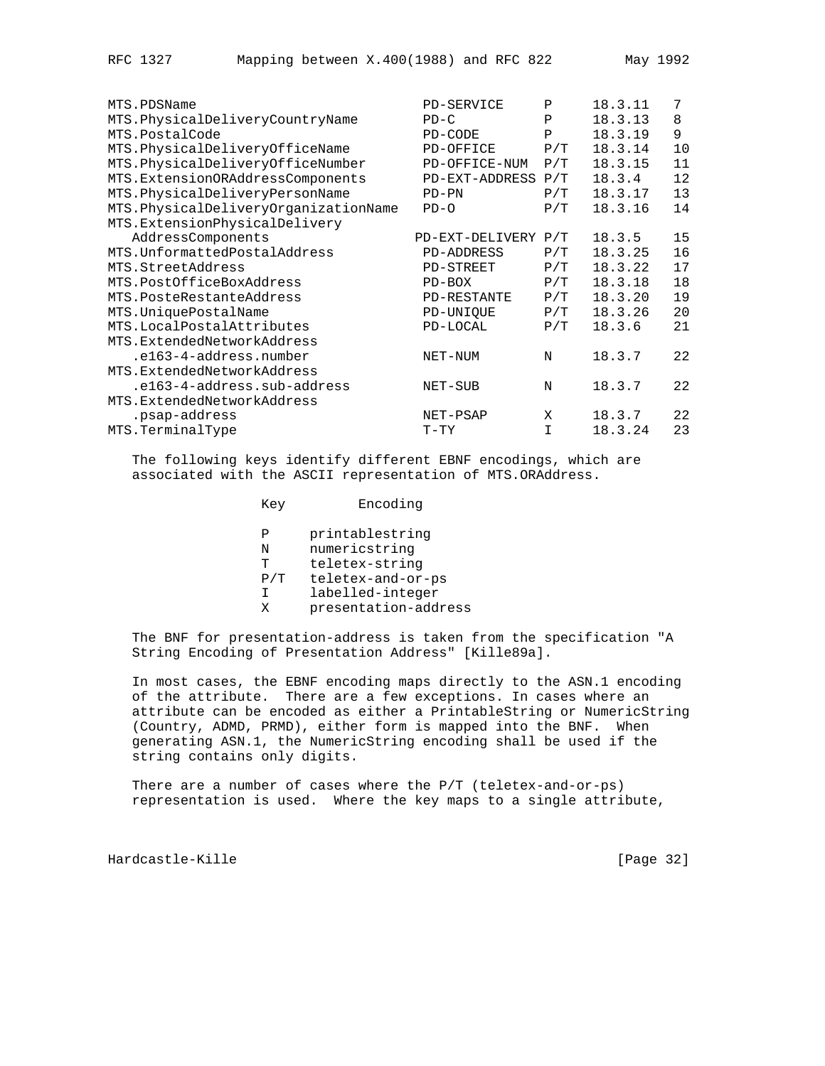| MTS.PDSName                          | PD-SERVICE          | Ρ   | 18.3.11 | 7  |
|--------------------------------------|---------------------|-----|---------|----|
| MTS.PhysicalDeliveryCountryName      | $PD-C$              | P   | 18.3.13 | 8  |
| MTS.PostalCode                       | PD-CODE             | P   | 18.3.19 | 9  |
| MTS.PhysicalDeliveryOfficeName       | PD-OFFICE           | P/T | 18.3.14 | 10 |
| MTS.PhysicalDeliveryOfficeNumber     | PD-OFFICE-NUM       | P/T | 18.3.15 | 11 |
| MTS.ExtensionORAddressComponents     | PD-EXT-ADDRESS      | P/T | 18.3.4  | 12 |
| MTS.PhysicalDeliveryPersonName       | $PD-PN$             | P/T | 18.3.17 | 13 |
| MTS.PhysicalDeliveryOrganizationName | $PD-O$              | P/T | 18.3.16 | 14 |
| MTS.ExtensionPhysicalDelivery        |                     |     |         |    |
| AddressComponents                    | PD-EXT-DELIVERY P/T |     | 18.3.5  | 15 |
| MTS. UnformattedPostalAddress        | <b>PD-ADDRESS</b>   | P/T | 18.3.25 | 16 |
| MTS.StreetAddress                    | PD-STREET           | P/T | 18.3.22 | 17 |
| MTS.PostOfficeBoxAddress             | $PD-BOX$            | P/T | 18.3.18 | 18 |
| MTS.PosteRestanteAddress             | PD-RESTANTE         | P/T | 18.3.20 | 19 |
| MTS. UniquePostalName                | PD-UNIQUE           | P/T | 18.3.26 | 20 |
| MTS.LocalPostalAttributes            | PD-LOCAL            | P/T | 18.3.6  | 21 |
| MTS.ExtendedNetworkAddress           |                     |     |         |    |
| .e163-4-address.number               | NET-NUM             | N   | 18.3.7  | 22 |
| MTS.ExtendedNetworkAddress           |                     |     |         |    |
| .e163-4-address.sub-address          | NET-SUB             | N   | 18.3.7  | 22 |
| MTS.ExtendedNetworkAddress           |                     |     |         |    |
| .psap-address                        | NET-PSAP            | X   | 18.3.7  | 22 |
| MTS.TerminalType                     | $T-TY$              | T.  | 18.3.24 | 23 |

 The following keys identify different EBNF encodings, which are associated with the ASCII representation of MTS.ORAddress.

| Key                | Encoding                                                                |
|--------------------|-------------------------------------------------------------------------|
| Ρ<br>N<br>Ͳ<br>P/T | printablestring<br>numericstring<br>teletex-string<br>teletex-and-or-ps |
|                    | labelled-integer                                                        |

X presentation-address

 The BNF for presentation-address is taken from the specification "A String Encoding of Presentation Address" [Kille89a].

 In most cases, the EBNF encoding maps directly to the ASN.1 encoding of the attribute. There are a few exceptions. In cases where an attribute can be encoded as either a PrintableString or NumericString (Country, ADMD, PRMD), either form is mapped into the BNF. When generating ASN.1, the NumericString encoding shall be used if the string contains only digits.

There are a number of cases where the P/T (teletex-and-or-ps) representation is used. Where the key maps to a single attribute,

Hardcastle-Kille [Page 32]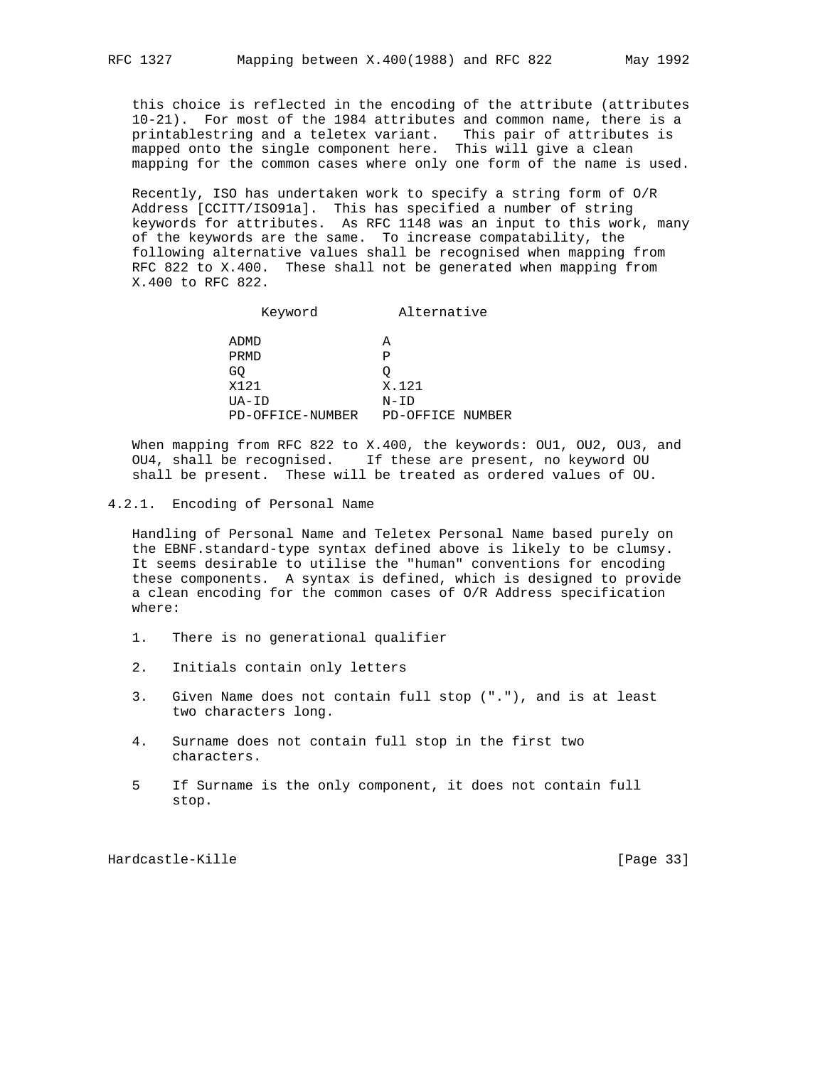this choice is reflected in the encoding of the attribute (attributes 10-21). For most of the 1984 attributes and common name, there is a printablestring and a teletex variant. This pair of attributes is mapped onto the single component here. This will give a clean mapping for the common cases where only one form of the name is used.

 Recently, ISO has undertaken work to specify a string form of O/R Address [CCITT/ISO91a]. This has specified a number of string keywords for attributes. As RFC 1148 was an input to this work, many of the keywords are the same. To increase compatability, the following alternative values shall be recognised when mapping from RFC 822 to X.400. These shall not be generated when mapping from X.400 to RFC 822.

|    | Keyword          | Alternative      |  |
|----|------------------|------------------|--|
|    | ADMD             | А                |  |
|    | PRMD             | P                |  |
| GQ |                  |                  |  |
|    | X121             | X.121            |  |
|    | $UA-TD$          | N-ID             |  |
|    | PD-OFFICE-NUMBER | PD-OFFICE NUMBER |  |

When mapping from RFC 822 to X.400, the keywords: OU1, OU2, OU3, and OU4, shall be recognised. If these are present, no keyword OU shall be present. These will be treated as ordered values of OU.

4.2.1. Encoding of Personal Name

 Handling of Personal Name and Teletex Personal Name based purely on the EBNF.standard-type syntax defined above is likely to be clumsy. It seems desirable to utilise the "human" conventions for encoding these components. A syntax is defined, which is designed to provide a clean encoding for the common cases of O/R Address specification where:

- 1. There is no generational qualifier
- 2. Initials contain only letters
- 3. Given Name does not contain full stop ("."), and is at least two characters long.
- 4. Surname does not contain full stop in the first two characters.
- 5 If Surname is the only component, it does not contain full stop.

Hardcastle-Kille [Page 33]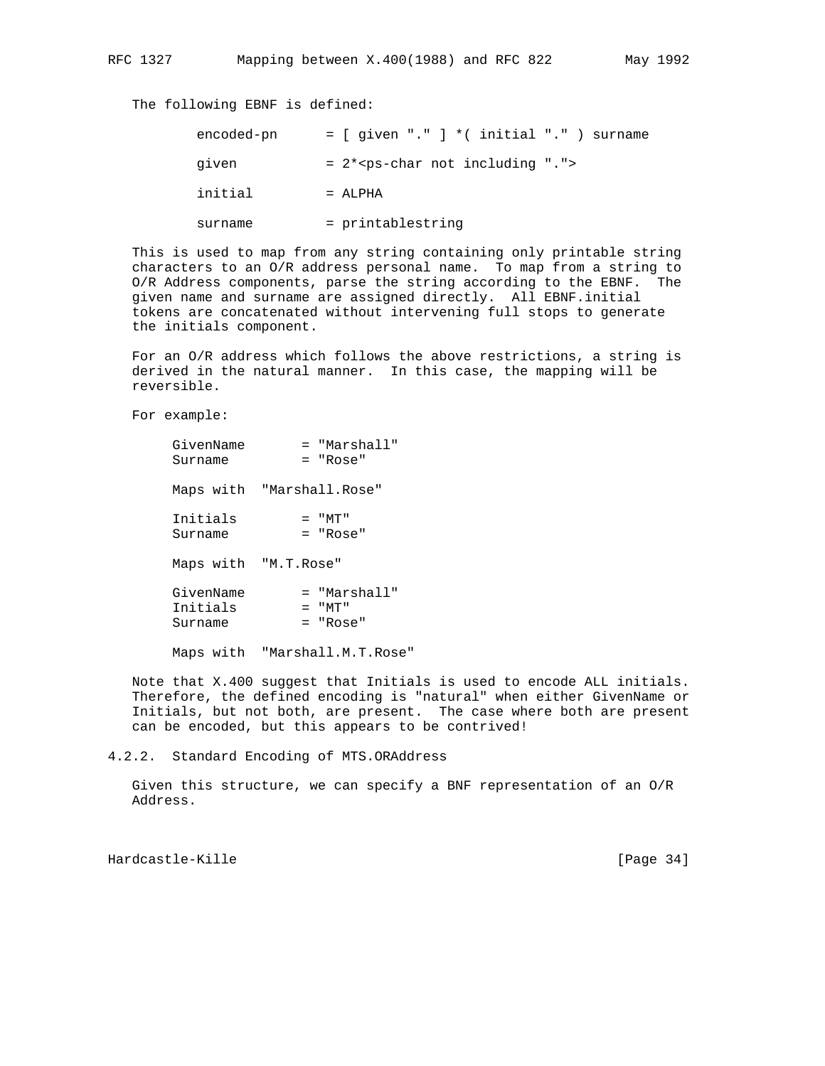The following EBNF is defined:

| encoded-pn |                   |                                | $=$ [ given "." ] * ( initial "." ) surname |
|------------|-------------------|--------------------------------|---------------------------------------------|
| given      |                   | $= 2*ps-char not including ".$ |                                             |
| initial    | $=$ ALPHA         |                                |                                             |
| surname    | = printablestring |                                |                                             |

 This is used to map from any string containing only printable string characters to an O/R address personal name. To map from a string to O/R Address components, parse the string according to the EBNF. The given name and surname are assigned directly. All EBNF.initial tokens are concatenated without intervening full stops to generate the initials component.

 For an O/R address which follows the above restrictions, a string is derived in the natural manner. In this case, the mapping will be reversible.

For example:

| GivenName<br>Surname             | = "Marshall"<br>= "Rose"                 |
|----------------------------------|------------------------------------------|
| Maps with "Marshall.Rose"        |                                          |
| Initials<br>Surname              | $=$ " $MT$ "<br>$=$ "Rose"               |
| Maps with "M.T.Rose"             |                                          |
| GivenName<br>Initials<br>Surname | = "Marshall"<br>$=$ " $MT$ "<br>= "Rose" |

Maps with "Marshall.M.T.Rose"

 Note that X.400 suggest that Initials is used to encode ALL initials. Therefore, the defined encoding is "natural" when either GivenName or Initials, but not both, are present. The case where both are present can be encoded, but this appears to be contrived!

4.2.2. Standard Encoding of MTS.ORAddress

 Given this structure, we can specify a BNF representation of an O/R Address.

Hardcastle-Kille [Page 34]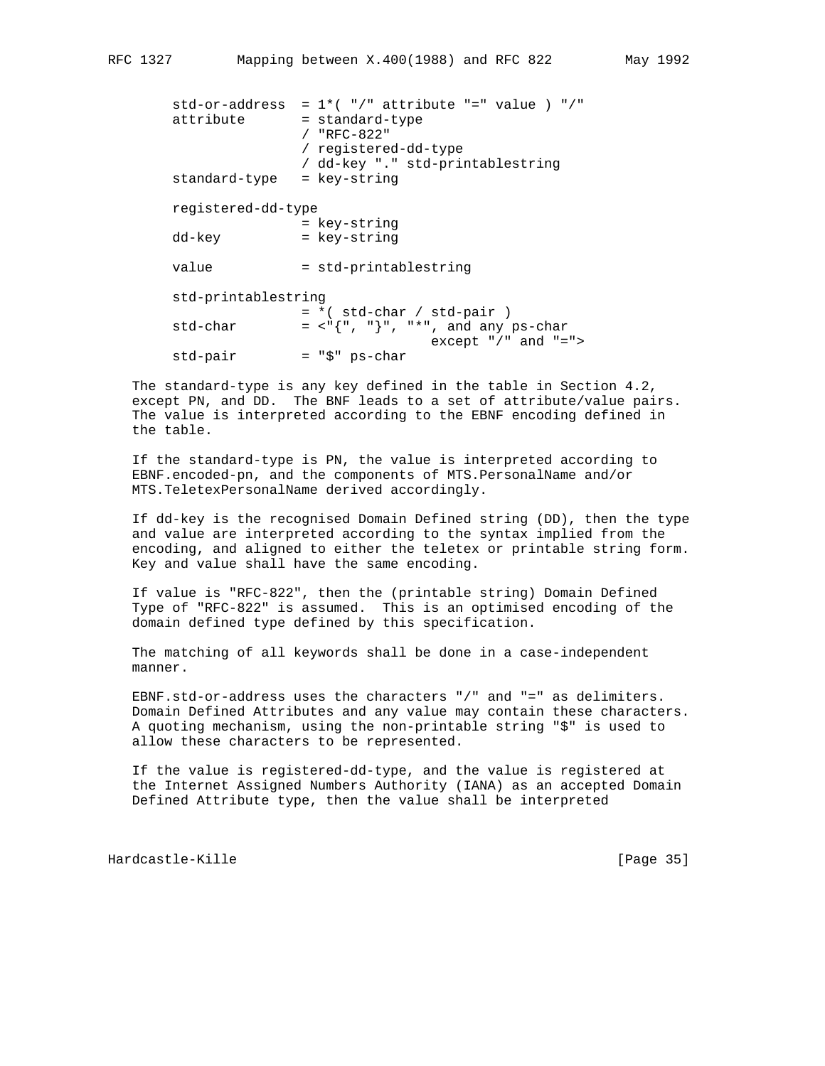```
std-or-address = 1*(-")" attribute "=" value ) "/"
attribute = standard-type
                / "RFC-822"
                / registered-dd-type
                / dd-key "." std-printablestring
 standard-type = key-string
 registered-dd-type
                = key-string
dd-key = key-string
value = std-printablestring
 std-printablestring
               = *( std-char / std-pair )
std-char = \langle"{", "}", "*", and any ps-char
std-pair = "\zeta" ps-char except "/" and "=">
               std-pair = "$" ps-char
```
 The standard-type is any key defined in the table in Section 4.2, except PN, and DD. The BNF leads to a set of attribute/value pairs. The value is interpreted according to the EBNF encoding defined in the table.

 If the standard-type is PN, the value is interpreted according to EBNF.encoded-pn, and the components of MTS.PersonalName and/or MTS.TeletexPersonalName derived accordingly.

 If dd-key is the recognised Domain Defined string (DD), then the type and value are interpreted according to the syntax implied from the encoding, and aligned to either the teletex or printable string form. Key and value shall have the same encoding.

 If value is "RFC-822", then the (printable string) Domain Defined Type of "RFC-822" is assumed. This is an optimised encoding of the domain defined type defined by this specification.

 The matching of all keywords shall be done in a case-independent manner.

 EBNF.std-or-address uses the characters "/" and "=" as delimiters. Domain Defined Attributes and any value may contain these characters. A quoting mechanism, using the non-printable string "\$" is used to allow these characters to be represented.

 If the value is registered-dd-type, and the value is registered at the Internet Assigned Numbers Authority (IANA) as an accepted Domain Defined Attribute type, then the value shall be interpreted

Hardcastle-Kille [Page 35]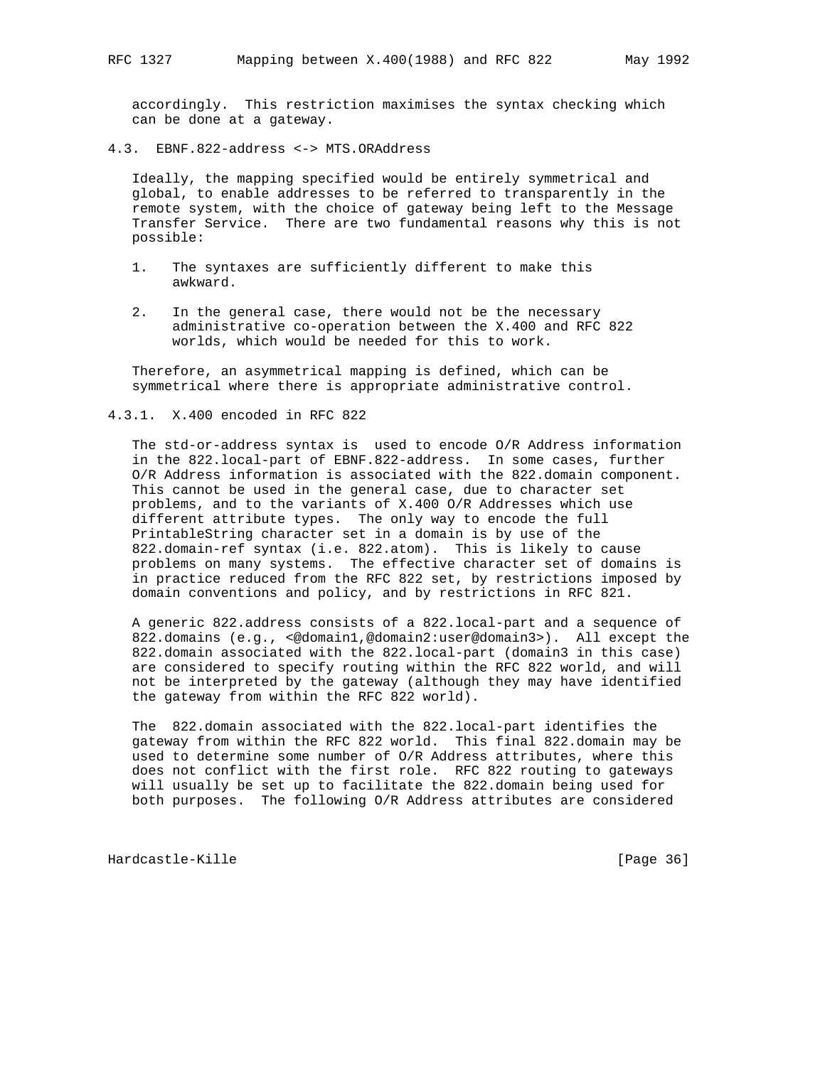accordingly. This restriction maximises the syntax checking which can be done at a gateway.

4.3. EBNF.822-address <-> MTS.ORAddress

 Ideally, the mapping specified would be entirely symmetrical and global, to enable addresses to be referred to transparently in the remote system, with the choice of gateway being left to the Message Transfer Service. There are two fundamental reasons why this is not possible:

- 1. The syntaxes are sufficiently different to make this awkward.
- 2. In the general case, there would not be the necessary administrative co-operation between the X.400 and RFC 822 worlds, which would be needed for this to work.

 Therefore, an asymmetrical mapping is defined, which can be symmetrical where there is appropriate administrative control.

4.3.1. X.400 encoded in RFC 822

 The std-or-address syntax is used to encode O/R Address information in the 822.local-part of EBNF.822-address. In some cases, further O/R Address information is associated with the 822.domain component. This cannot be used in the general case, due to character set problems, and to the variants of X.400 O/R Addresses which use different attribute types. The only way to encode the full PrintableString character set in a domain is by use of the 822.domain-ref syntax (i.e. 822.atom). This is likely to cause problems on many systems. The effective character set of domains is in practice reduced from the RFC 822 set, by restrictions imposed by domain conventions and policy, and by restrictions in RFC 821.

 A generic 822.address consists of a 822.local-part and a sequence of 822.domains (e.g., <@domain1,@domain2:user@domain3>). All except the 822.domain associated with the 822.local-part (domain3 in this case) are considered to specify routing within the RFC 822 world, and will not be interpreted by the gateway (although they may have identified the gateway from within the RFC 822 world).

 The 822.domain associated with the 822.local-part identifies the gateway from within the RFC 822 world. This final 822.domain may be used to determine some number of O/R Address attributes, where this does not conflict with the first role. RFC 822 routing to gateways will usually be set up to facilitate the 822.domain being used for both purposes. The following O/R Address attributes are considered

Hardcastle-Kille [Page 36]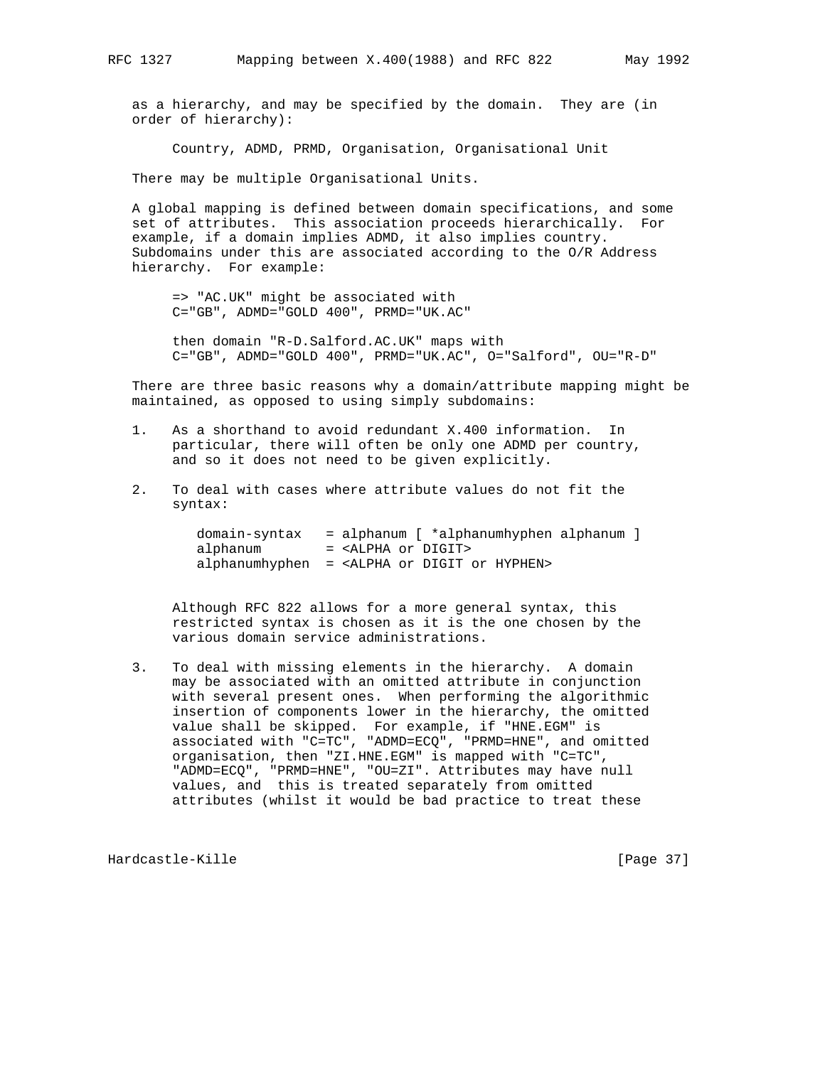as a hierarchy, and may be specified by the domain. They are (in order of hierarchy):

Country, ADMD, PRMD, Organisation, Organisational Unit

There may be multiple Organisational Units.

 A global mapping is defined between domain specifications, and some set of attributes. This association proceeds hierarchically. For example, if a domain implies ADMD, it also implies country. Subdomains under this are associated according to the O/R Address hierarchy. For example:

 => "AC.UK" might be associated with C="GB", ADMD="GOLD 400", PRMD="UK.AC"

 then domain "R-D.Salford.AC.UK" maps with C="GB", ADMD="GOLD 400", PRMD="UK.AC", O="Salford", OU="R-D"

 There are three basic reasons why a domain/attribute mapping might be maintained, as opposed to using simply subdomains:

- 1. As a shorthand to avoid redundant X.400 information. In particular, there will often be only one ADMD per country, and so it does not need to be given explicitly.
- 2. To deal with cases where attribute values do not fit the syntax:

|          | $domain-syntax = alphanum$ $*alphanumbyphen alphanum$ ]   |
|----------|-----------------------------------------------------------|
| alphanum | = <alpha digit="" or=""></alpha>                          |
|          | alphanumhyphen = <alpha digit="" hyphen="" or=""></alpha> |

 Although RFC 822 allows for a more general syntax, this restricted syntax is chosen as it is the one chosen by the various domain service administrations.

 3. To deal with missing elements in the hierarchy. A domain may be associated with an omitted attribute in conjunction with several present ones. When performing the algorithmic insertion of components lower in the hierarchy, the omitted value shall be skipped. For example, if "HNE.EGM" is associated with "C=TC", "ADMD=ECQ", "PRMD=HNE", and omitted organisation, then "ZI.HNE.EGM" is mapped with "C=TC", "ADMD=ECQ", "PRMD=HNE", "OU=ZI". Attributes may have null values, and this is treated separately from omitted attributes (whilst it would be bad practice to treat these

Hardcastle-Kille [Page 37]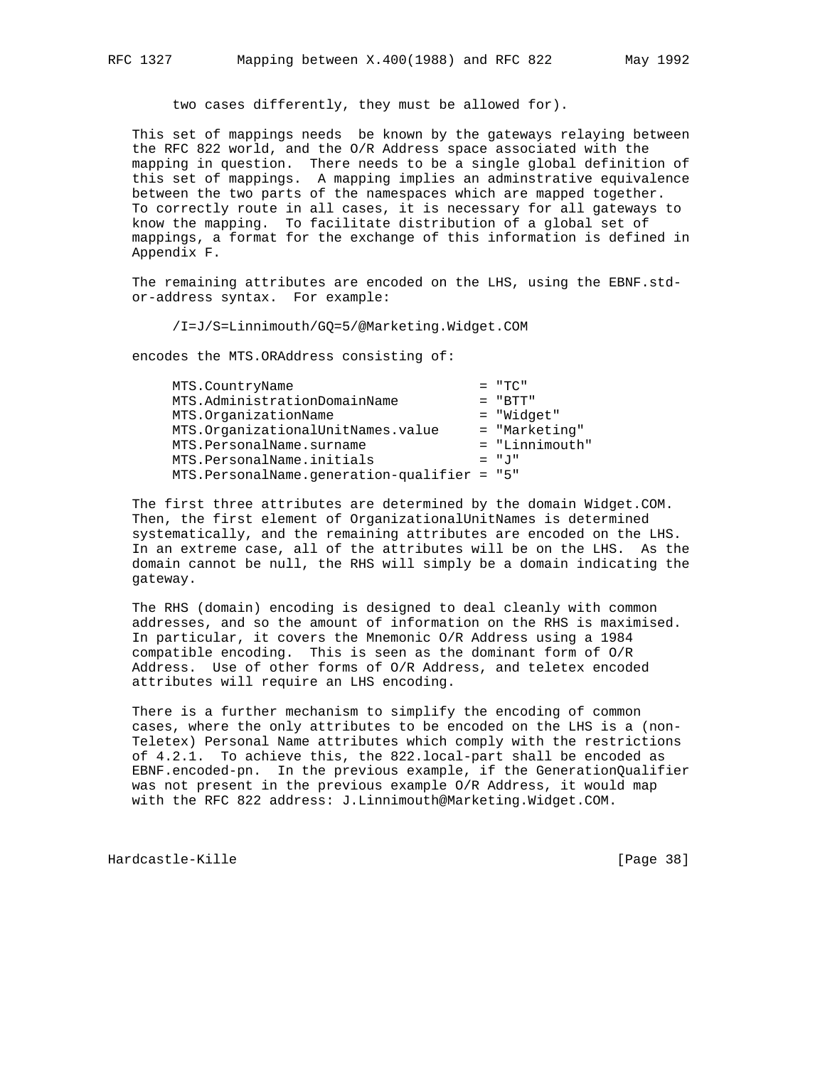two cases differently, they must be allowed for).

 This set of mappings needs be known by the gateways relaying between the RFC 822 world, and the O/R Address space associated with the mapping in question. There needs to be a single global definition of this set of mappings. A mapping implies an adminstrative equivalence between the two parts of the namespaces which are mapped together. To correctly route in all cases, it is necessary for all gateways to know the mapping. To facilitate distribution of a global set of mappings, a format for the exchange of this information is defined in Appendix F.

 The remaining attributes are encoded on the LHS, using the EBNF.std or-address syntax. For example:

/I=J/S=Linnimouth/GQ=5/@Marketing.Widget.COM

encodes the MTS.ORAddress consisting of:

| MTS.CountryName                              | $= "TC"$       |
|----------------------------------------------|----------------|
| MTS.AdministrationDomainName                 | $= "BTT"$      |
| MTS.OrganizationName                         | = "Widget"     |
| MTS.OrganizationalUnitNames.value            | = "Marketing"  |
| MTS.PersonalName.surname                     | = "Linnimouth" |
| MTS.PersonalName.initials                    | $=$ "J"        |
| MTS. PersonalName.generation-qualifier = "5" |                |
|                                              |                |

 The first three attributes are determined by the domain Widget.COM. Then, the first element of OrganizationalUnitNames is determined systematically, and the remaining attributes are encoded on the LHS. In an extreme case, all of the attributes will be on the LHS. As the domain cannot be null, the RHS will simply be a domain indicating the gateway.

 The RHS (domain) encoding is designed to deal cleanly with common addresses, and so the amount of information on the RHS is maximised. In particular, it covers the Mnemonic O/R Address using a 1984 compatible encoding. This is seen as the dominant form of O/R Address. Use of other forms of O/R Address, and teletex encoded attributes will require an LHS encoding.

 There is a further mechanism to simplify the encoding of common cases, where the only attributes to be encoded on the LHS is a (non- Teletex) Personal Name attributes which comply with the restrictions of 4.2.1. To achieve this, the 822.local-part shall be encoded as EBNF.encoded-pn. In the previous example, if the GenerationQualifier was not present in the previous example O/R Address, it would map with the RFC 822 address: J.Linnimouth@Marketing.Widget.COM.

Hardcastle-Kille [Page 38]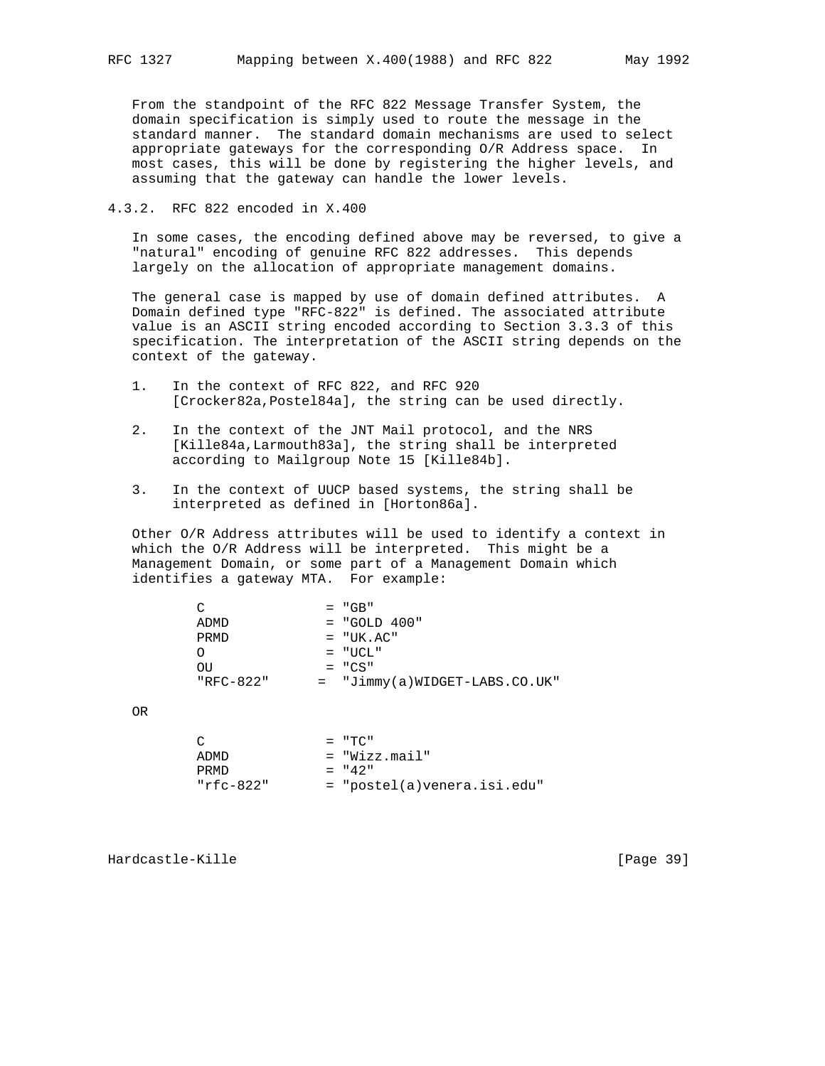From the standpoint of the RFC 822 Message Transfer System, the domain specification is simply used to route the message in the standard manner. The standard domain mechanisms are used to select appropriate gateways for the corresponding O/R Address space. In most cases, this will be done by registering the higher levels, and assuming that the gateway can handle the lower levels.

# 4.3.2. RFC 822 encoded in X.400

 In some cases, the encoding defined above may be reversed, to give a "natural" encoding of genuine RFC 822 addresses. This depends largely on the allocation of appropriate management domains.

 The general case is mapped by use of domain defined attributes. A Domain defined type "RFC-822" is defined. The associated attribute value is an ASCII string encoded according to Section 3.3.3 of this specification. The interpretation of the ASCII string depends on the context of the gateway.

- 1. In the context of RFC 822, and RFC 920 [Crocker82a,Postel84a], the string can be used directly.
- 2. In the context of the JNT Mail protocol, and the NRS [Kille84a,Larmouth83a], the string shall be interpreted according to Mailgroup Note 15 [Kille84b].
- 3. In the context of UUCP based systems, the string shall be interpreted as defined in [Horton86a].

 Other O/R Address attributes will be used to identify a context in which the O/R Address will be interpreted. This might be a Management Domain, or some part of a Management Domain which identifies a gateway MTA. For example:

|           | $= "GB"$                        |
|-----------|---------------------------------|
| ADMD      | $= "GOLD 400"$                  |
| PRMD      | $= "UK. AC"$                    |
|           | $=$ "UCL"                       |
| OU        | $= "CS"$                        |
| "RFC-822" | $=$ "Jimmy(a)WIDGET-LABS.CO.UK" |
|           |                                 |

OR

|           | $=$ "TC"                      |
|-----------|-------------------------------|
| ADMD      | = "Wizz.mail"                 |
| PRMD.     | $= 42$ "                      |
| "rfc-822" | $=$ "postel(a)venera.isi.edu" |

Hardcastle-Kille [Page 39]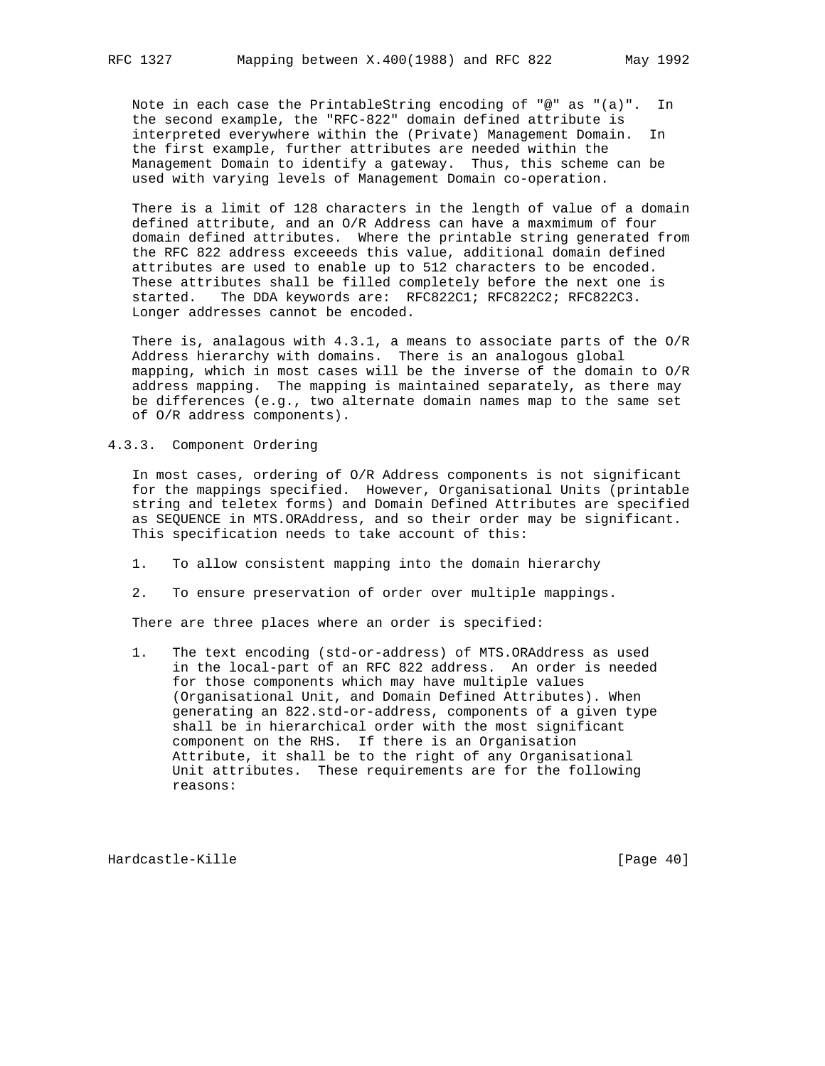Note in each case the PrintableString encoding of "@" as "(a)". In the second example, the "RFC-822" domain defined attribute is interpreted everywhere within the (Private) Management Domain. In the first example, further attributes are needed within the Management Domain to identify a gateway. Thus, this scheme can be used with varying levels of Management Domain co-operation.

 There is a limit of 128 characters in the length of value of a domain defined attribute, and an O/R Address can have a maxmimum of four domain defined attributes. Where the printable string generated from the RFC 822 address exceeeds this value, additional domain defined attributes are used to enable up to 512 characters to be encoded. These attributes shall be filled completely before the next one is started. The DDA keywords are: RFC822C1; RFC822C2; RFC822C3. Longer addresses cannot be encoded.

 There is, analagous with 4.3.1, a means to associate parts of the O/R Address hierarchy with domains. There is an analogous global mapping, which in most cases will be the inverse of the domain to O/R address mapping. The mapping is maintained separately, as there may be differences (e.g., two alternate domain names map to the same set of O/R address components).

# 4.3.3. Component Ordering

 In most cases, ordering of O/R Address components is not significant for the mappings specified. However, Organisational Units (printable string and teletex forms) and Domain Defined Attributes are specified as SEQUENCE in MTS.ORAddress, and so their order may be significant. This specification needs to take account of this:

- 1. To allow consistent mapping into the domain hierarchy
- 2. To ensure preservation of order over multiple mappings.

There are three places where an order is specified:

 1. The text encoding (std-or-address) of MTS.ORAddress as used in the local-part of an RFC 822 address. An order is needed for those components which may have multiple values (Organisational Unit, and Domain Defined Attributes). When generating an 822.std-or-address, components of a given type shall be in hierarchical order with the most significant component on the RHS. If there is an Organisation Attribute, it shall be to the right of any Organisational Unit attributes. These requirements are for the following reasons:

Hardcastle-Kille [Page 40]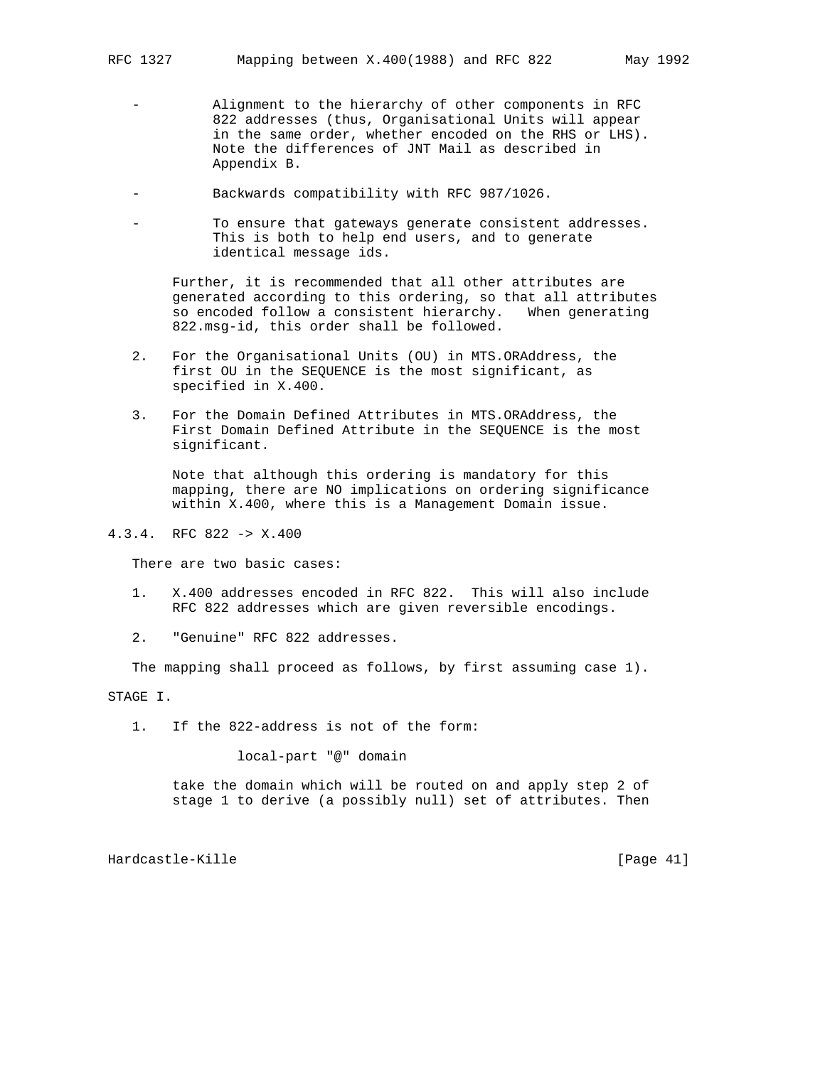- Alignment to the hierarchy of other components in RFC 822 addresses (thus, Organisational Units will appear in the same order, whether encoded on the RHS or LHS). Note the differences of JNT Mail as described in Appendix B.
- Backwards compatibility with RFC 987/1026.
- To ensure that gateways generate consistent addresses. This is both to help end users, and to generate identical message ids.

 Further, it is recommended that all other attributes are generated according to this ordering, so that all attributes so encoded follow a consistent hierarchy. When generating 822.msg-id, this order shall be followed.

- 2. For the Organisational Units (OU) in MTS.ORAddress, the first OU in the SEQUENCE is the most significant, as specified in X.400.
- 3. For the Domain Defined Attributes in MTS.ORAddress, the First Domain Defined Attribute in the SEQUENCE is the most significant.

 Note that although this ordering is mandatory for this mapping, there are NO implications on ordering significance within X.400, where this is a Management Domain issue.

# 4.3.4. RFC 822 -> X.400

There are two basic cases:

- 1. X.400 addresses encoded in RFC 822. This will also include RFC 822 addresses which are given reversible encodings.
- 2. "Genuine" RFC 822 addresses.

The mapping shall proceed as follows, by first assuming case 1).

STAGE I.

1. If the 822-address is not of the form:

local-part "@" domain

 take the domain which will be routed on and apply step 2 of stage 1 to derive (a possibly null) set of attributes. Then

Hardcastle-Kille [Page 41]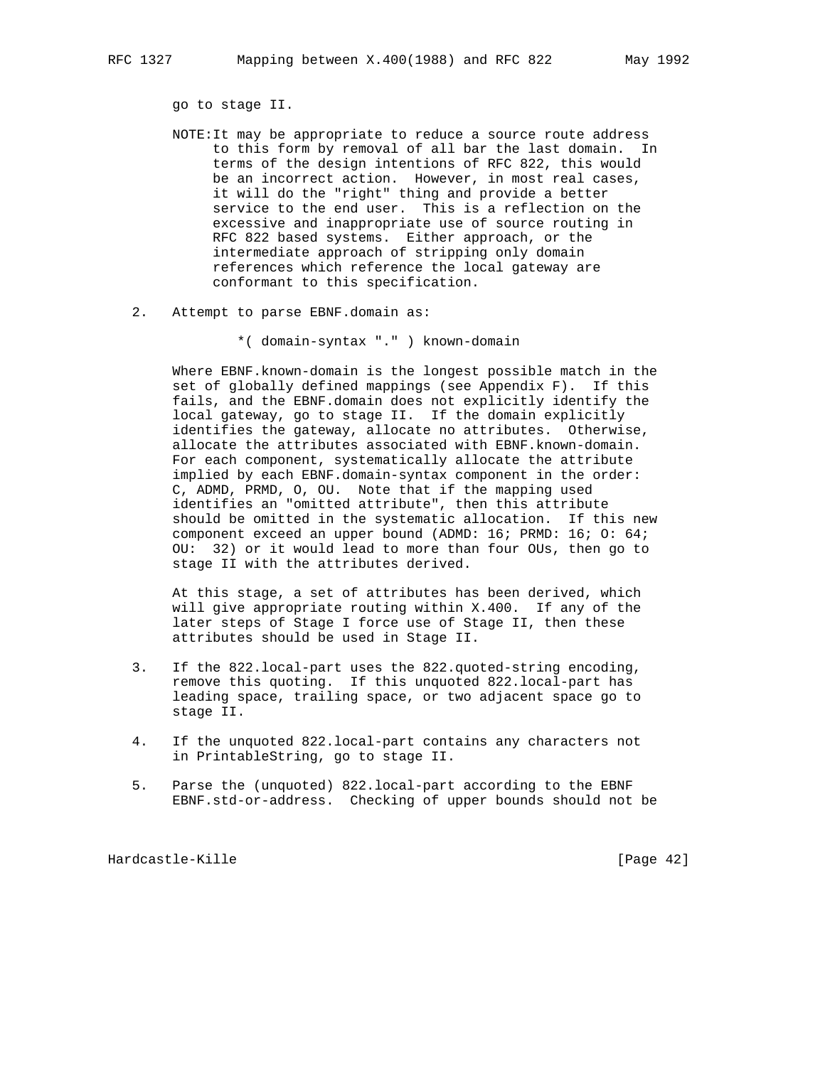go to stage II.

- NOTE:It may be appropriate to reduce a source route address to this form by removal of all bar the last domain. In terms of the design intentions of RFC 822, this would be an incorrect action. However, in most real cases, it will do the "right" thing and provide a better service to the end user. This is a reflection on the excessive and inappropriate use of source routing in RFC 822 based systems. Either approach, or the intermediate approach of stripping only domain references which reference the local gateway are conformant to this specification.
- 2. Attempt to parse EBNF.domain as:
	- \*( domain-syntax "." ) known-domain

 Where EBNF.known-domain is the longest possible match in the set of globally defined mappings (see Appendix F). If this fails, and the EBNF.domain does not explicitly identify the local gateway, go to stage II. If the domain explicitly identifies the gateway, allocate no attributes. Otherwise, allocate the attributes associated with EBNF.known-domain. For each component, systematically allocate the attribute implied by each EBNF.domain-syntax component in the order: C, ADMD, PRMD, O, OU. Note that if the mapping used identifies an "omitted attribute", then this attribute should be omitted in the systematic allocation. If this new component exceed an upper bound (ADMD: 16; PRMD: 16; O: 64; OU: 32) or it would lead to more than four OUs, then go to stage II with the attributes derived.

 At this stage, a set of attributes has been derived, which will give appropriate routing within X.400. If any of the later steps of Stage I force use of Stage II, then these attributes should be used in Stage II.

- 3. If the 822.local-part uses the 822.quoted-string encoding, remove this quoting. If this unquoted 822.local-part has leading space, trailing space, or two adjacent space go to stage II.
- 4. If the unquoted 822.local-part contains any characters not in PrintableString, go to stage II.
- 5. Parse the (unquoted) 822.local-part according to the EBNF EBNF.std-or-address. Checking of upper bounds should not be

Hardcastle-Kille [Page 42]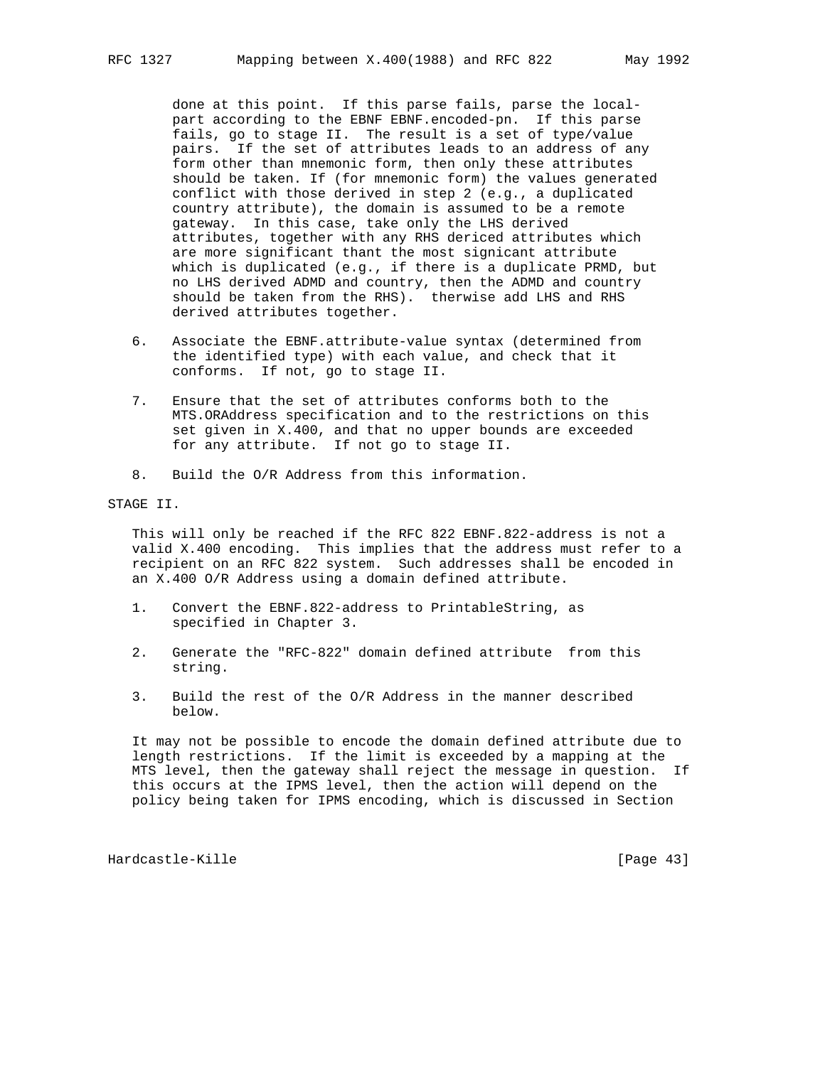done at this point. If this parse fails, parse the local part according to the EBNF EBNF.encoded-pn. If this parse fails, go to stage II. The result is a set of type/value pairs. If the set of attributes leads to an address of any form other than mnemonic form, then only these attributes should be taken. If (for mnemonic form) the values generated conflict with those derived in step 2 (e.g., a duplicated country attribute), the domain is assumed to be a remote gateway. In this case, take only the LHS derived attributes, together with any RHS dericed attributes which are more significant thant the most signicant attribute which is duplicated (e.g., if there is a duplicate PRMD, but no LHS derived ADMD and country, then the ADMD and country should be taken from the RHS). therwise add LHS and RHS derived attributes together.

- 6. Associate the EBNF.attribute-value syntax (determined from the identified type) with each value, and check that it conforms. If not, go to stage II.
- 7. Ensure that the set of attributes conforms both to the MTS.ORAddress specification and to the restrictions on this set given in X.400, and that no upper bounds are exceeded for any attribute. If not go to stage II.
- 8. Build the O/R Address from this information.

STAGE II.

 This will only be reached if the RFC 822 EBNF.822-address is not a valid X.400 encoding. This implies that the address must refer to a recipient on an RFC 822 system. Such addresses shall be encoded in an X.400 O/R Address using a domain defined attribute.

- 1. Convert the EBNF.822-address to PrintableString, as specified in Chapter 3.
- 2. Generate the "RFC-822" domain defined attribute from this string.
- 3. Build the rest of the O/R Address in the manner described below.

 It may not be possible to encode the domain defined attribute due to length restrictions. If the limit is exceeded by a mapping at the MTS level, then the gateway shall reject the message in question. If this occurs at the IPMS level, then the action will depend on the policy being taken for IPMS encoding, which is discussed in Section

Hardcastle-Kille [Page 43]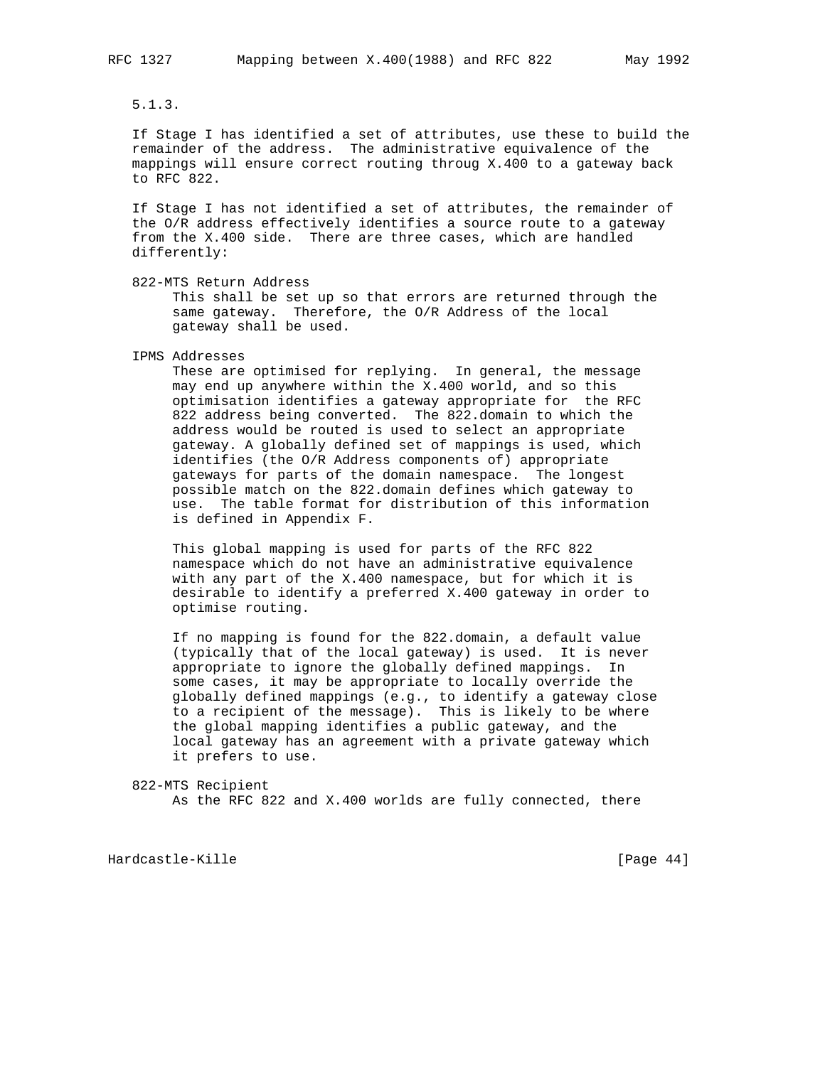5.1.3.

 If Stage I has identified a set of attributes, use these to build the remainder of the address. The administrative equivalence of the mappings will ensure correct routing throug X.400 to a gateway back to RFC 822.

 If Stage I has not identified a set of attributes, the remainder of the O/R address effectively identifies a source route to a gateway from the X.400 side. There are three cases, which are handled differently:

 This shall be set up so that errors are returned through the same gateway. Therefore, the O/R Address of the local gateway shall be used.

IPMS Addresses

 These are optimised for replying. In general, the message may end up anywhere within the X.400 world, and so this optimisation identifies a gateway appropriate for the RFC 822 address being converted. The 822.domain to which the address would be routed is used to select an appropriate gateway. A globally defined set of mappings is used, which identifies (the O/R Address components of) appropriate gateways for parts of the domain namespace. The longest possible match on the 822.domain defines which gateway to use. The table format for distribution of this information is defined in Appendix F.

 This global mapping is used for parts of the RFC 822 namespace which do not have an administrative equivalence with any part of the X.400 namespace, but for which it is desirable to identify a preferred X.400 gateway in order to optimise routing.

 If no mapping is found for the 822.domain, a default value (typically that of the local gateway) is used. It is never appropriate to ignore the globally defined mappings. In some cases, it may be appropriate to locally override the globally defined mappings (e.g., to identify a gateway close to a recipient of the message). This is likely to be where the global mapping identifies a public gateway, and the local gateway has an agreement with a private gateway which it prefers to use.

 822-MTS Recipient As the RFC 822 and X.400 worlds are fully connected, there

Hardcastle-Kille [Page 44]

 <sup>822-</sup>MTS Return Address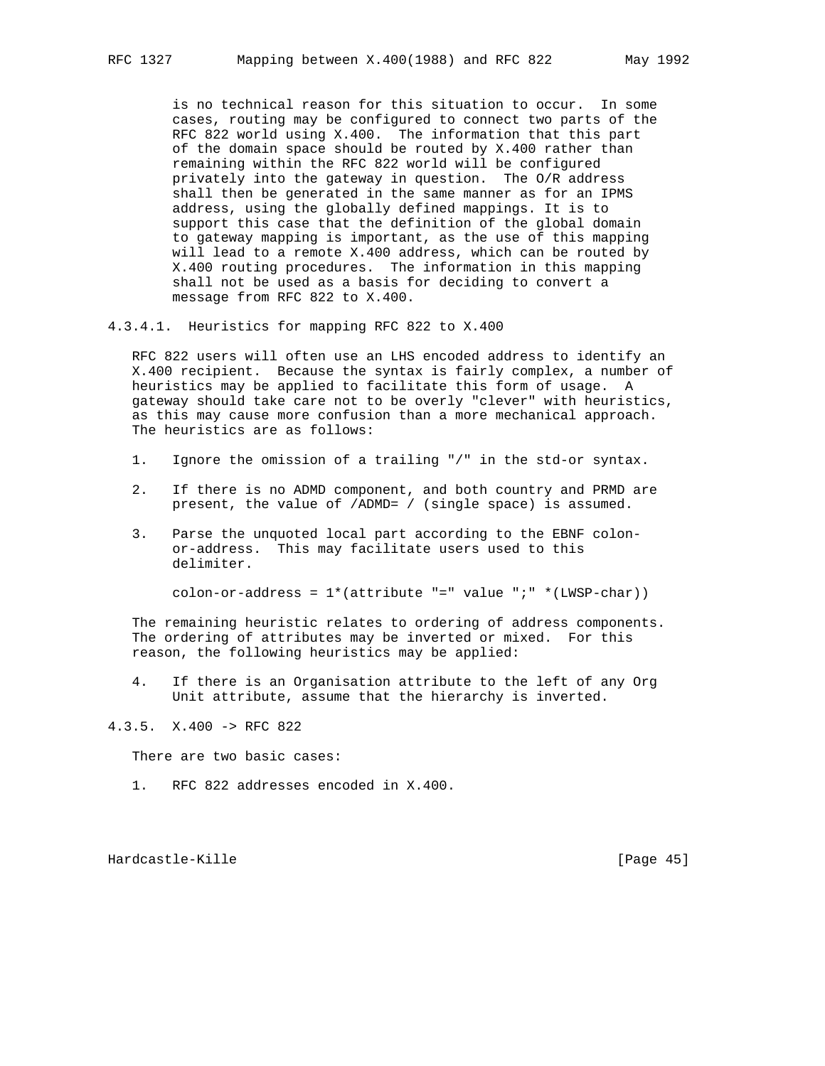is no technical reason for this situation to occur. In some cases, routing may be configured to connect two parts of the RFC 822 world using X.400. The information that this part of the domain space should be routed by X.400 rather than remaining within the RFC 822 world will be configured privately into the gateway in question. The O/R address shall then be generated in the same manner as for an IPMS address, using the globally defined mappings. It is to support this case that the definition of the global domain to gateway mapping is important, as the use of this mapping will lead to a remote X.400 address, which can be routed by X.400 routing procedures. The information in this mapping shall not be used as a basis for deciding to convert a message from RFC 822 to X.400.

4.3.4.1. Heuristics for mapping RFC 822 to X.400

 RFC 822 users will often use an LHS encoded address to identify an X.400 recipient. Because the syntax is fairly complex, a number of heuristics may be applied to facilitate this form of usage. A gateway should take care not to be overly "clever" with heuristics, as this may cause more confusion than a more mechanical approach. The heuristics are as follows:

- 1. Ignore the omission of a trailing "/" in the std-or syntax.
- 2. If there is no ADMD component, and both country and PRMD are present, the value of /ADMD= / (single space) is assumed.
- 3. Parse the unquoted local part according to the EBNF colon or-address. This may facilitate users used to this delimiter.

colon-or-address =  $1*(attribute "=" value ";" * (LWSP-char))$ 

 The remaining heuristic relates to ordering of address components. The ordering of attributes may be inverted or mixed. For this reason, the following heuristics may be applied:

 4. If there is an Organisation attribute to the left of any Org Unit attribute, assume that the hierarchy is inverted.

4.3.5. X.400 -> RFC 822

There are two basic cases:

1. RFC 822 addresses encoded in X.400.

Hardcastle-Kille [Page 45]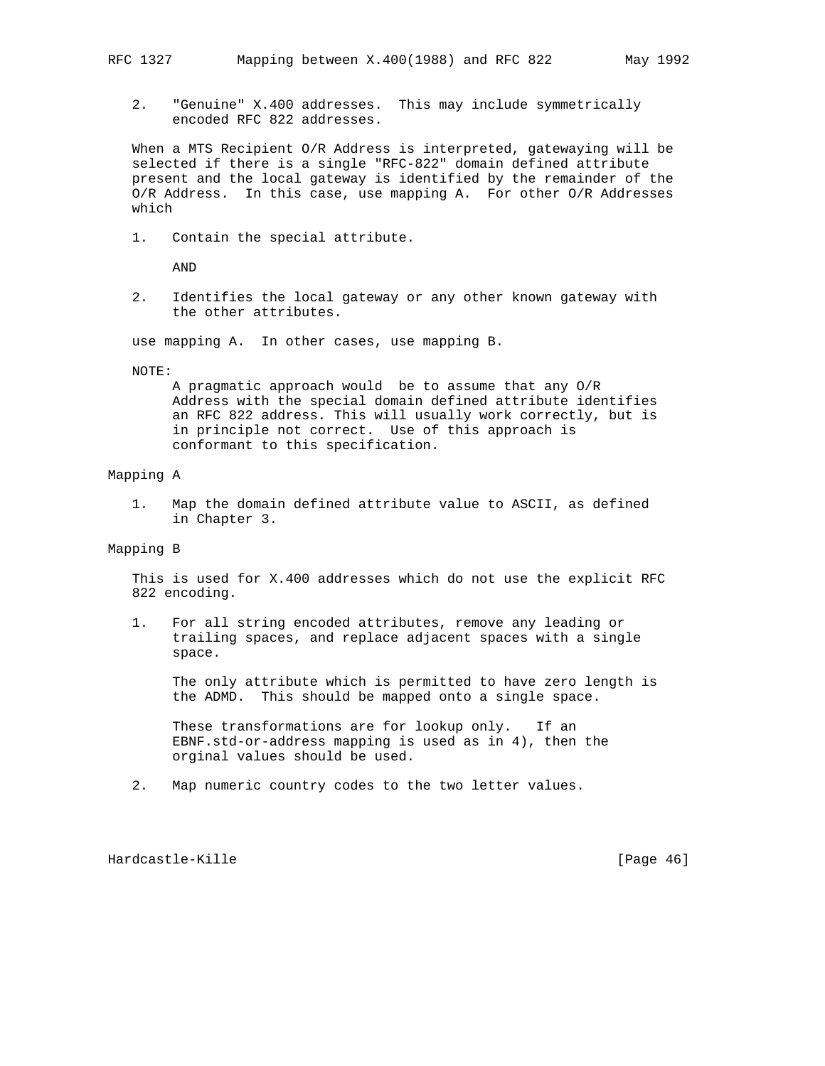2. "Genuine" X.400 addresses. This may include symmetrically encoded RFC 822 addresses.

 When a MTS Recipient O/R Address is interpreted, gatewaying will be selected if there is a single "RFC-822" domain defined attribute present and the local gateway is identified by the remainder of the O/R Address. In this case, use mapping A. For other O/R Addresses which

1. Contain the special attribute.

AND

 2. Identifies the local gateway or any other known gateway with the other attributes.

use mapping A. In other cases, use mapping B.

NOTE:

 A pragmatic approach would be to assume that any O/R Address with the special domain defined attribute identifies an RFC 822 address. This will usually work correctly, but is in principle not correct. Use of this approach is conformant to this specification.

### Mapping A

 1. Map the domain defined attribute value to ASCII, as defined in Chapter 3.

# Mapping B

 This is used for X.400 addresses which do not use the explicit RFC 822 encoding.

 1. For all string encoded attributes, remove any leading or trailing spaces, and replace adjacent spaces with a single space.

 The only attribute which is permitted to have zero length is the ADMD. This should be mapped onto a single space.

 These transformations are for lookup only. If an EBNF.std-or-address mapping is used as in 4), then the orginal values should be used.

2. Map numeric country codes to the two letter values.

Hardcastle-Kille [Page 46]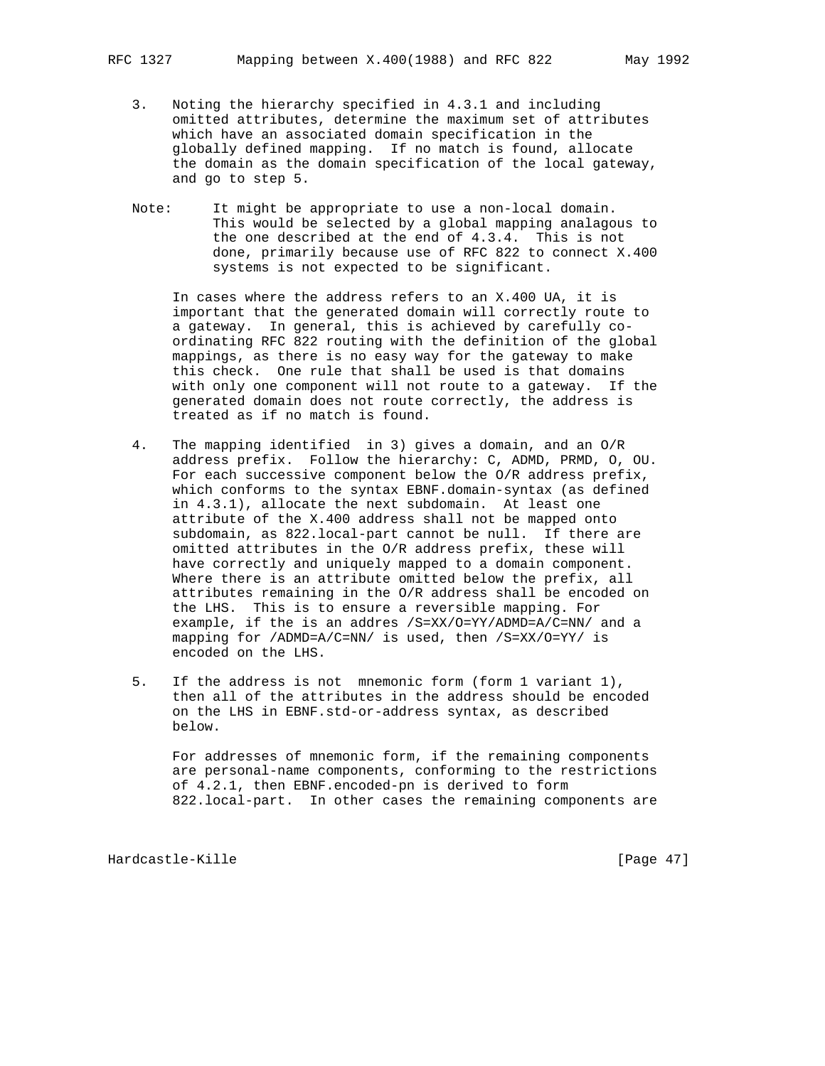- 3. Noting the hierarchy specified in 4.3.1 and including omitted attributes, determine the maximum set of attributes which have an associated domain specification in the globally defined mapping. If no match is found, allocate the domain as the domain specification of the local gateway, and go to step 5.
- Note: It might be appropriate to use a non-local domain. This would be selected by a global mapping analagous to the one described at the end of 4.3.4. This is not done, primarily because use of RFC 822 to connect X.400 systems is not expected to be significant.

 In cases where the address refers to an X.400 UA, it is important that the generated domain will correctly route to a gateway. In general, this is achieved by carefully co ordinating RFC 822 routing with the definition of the global mappings, as there is no easy way for the gateway to make this check. One rule that shall be used is that domains with only one component will not route to a gateway. If the generated domain does not route correctly, the address is treated as if no match is found.

- 4. The mapping identified in 3) gives a domain, and an O/R address prefix. Follow the hierarchy: C, ADMD, PRMD, O, OU. For each successive component below the O/R address prefix, which conforms to the syntax EBNF.domain-syntax (as defined in 4.3.1), allocate the next subdomain. At least one attribute of the X.400 address shall not be mapped onto subdomain, as 822.local-part cannot be null. If there are omitted attributes in the O/R address prefix, these will have correctly and uniquely mapped to a domain component. Where there is an attribute omitted below the prefix, all attributes remaining in the O/R address shall be encoded on the LHS. This is to ensure a reversible mapping. For example, if the is an addres /S=XX/O=YY/ADMD=A/C=NN/ and a mapping for /ADMD=A/C=NN/ is used, then /S=XX/O=YY/ is encoded on the LHS.
- 5. If the address is not mnemonic form (form 1 variant 1), then all of the attributes in the address should be encoded on the LHS in EBNF.std-or-address syntax, as described below.

 For addresses of mnemonic form, if the remaining components are personal-name components, conforming to the restrictions of 4.2.1, then EBNF.encoded-pn is derived to form 822.local-part. In other cases the remaining components are

Hardcastle-Kille [Page 47]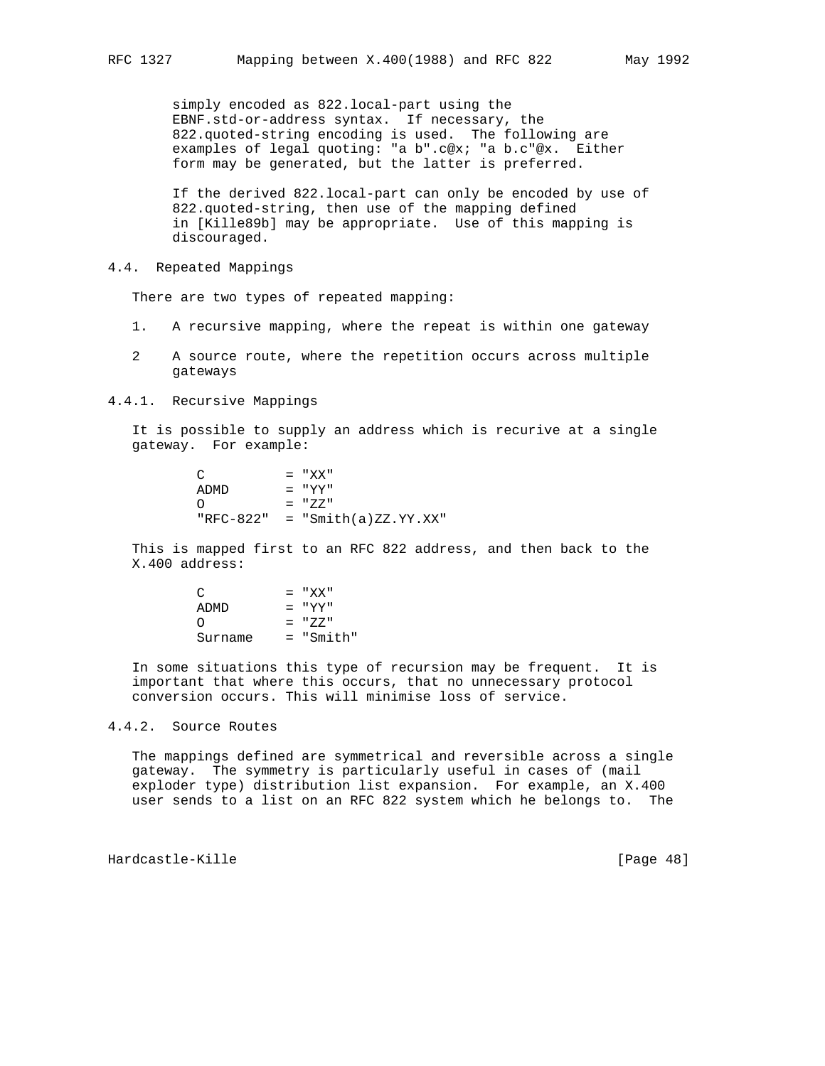simply encoded as 822.local-part using the EBNF.std-or-address syntax. If necessary, the 822.quoted-string encoding is used. The following are examples of legal quoting: "a b".c@x; "a b.c"@x. Either form may be generated, but the latter is preferred.

 If the derived 822.local-part can only be encoded by use of 822.quoted-string, then use of the mapping defined in [Kille89b] may be appropriate. Use of this mapping is discouraged.

4.4. Repeated Mappings

There are two types of repeated mapping:

- 1. A recursive mapping, where the repeat is within one gateway
- 2 A source route, where the repetition occurs across multiple gateways
- 4.4.1. Recursive Mappings

 It is possible to supply an address which is recurive at a single gateway. For example:

> $C = "XX"$  $ADMD$  = " $YY"$  $O = "ZZ"$ "RFC-822" = "Smith(a)ZZ.YY.XX"

 This is mapped first to an RFC 822 address, and then back to the X.400 address:

| $\mathcal{C}$    | $= "XY"$  |
|------------------|-----------|
| ADMD             | $= "YY"$  |
| $\left( \right)$ | $=$ "7.7" |
| Surname          | = "Smith" |

 In some situations this type of recursion may be frequent. It is important that where this occurs, that no unnecessary protocol conversion occurs. This will minimise loss of service.

### 4.4.2. Source Routes

 The mappings defined are symmetrical and reversible across a single gateway. The symmetry is particularly useful in cases of (mail exploder type) distribution list expansion. For example, an X.400 user sends to a list on an RFC 822 system which he belongs to. The

Hardcastle-Kille [Page 48]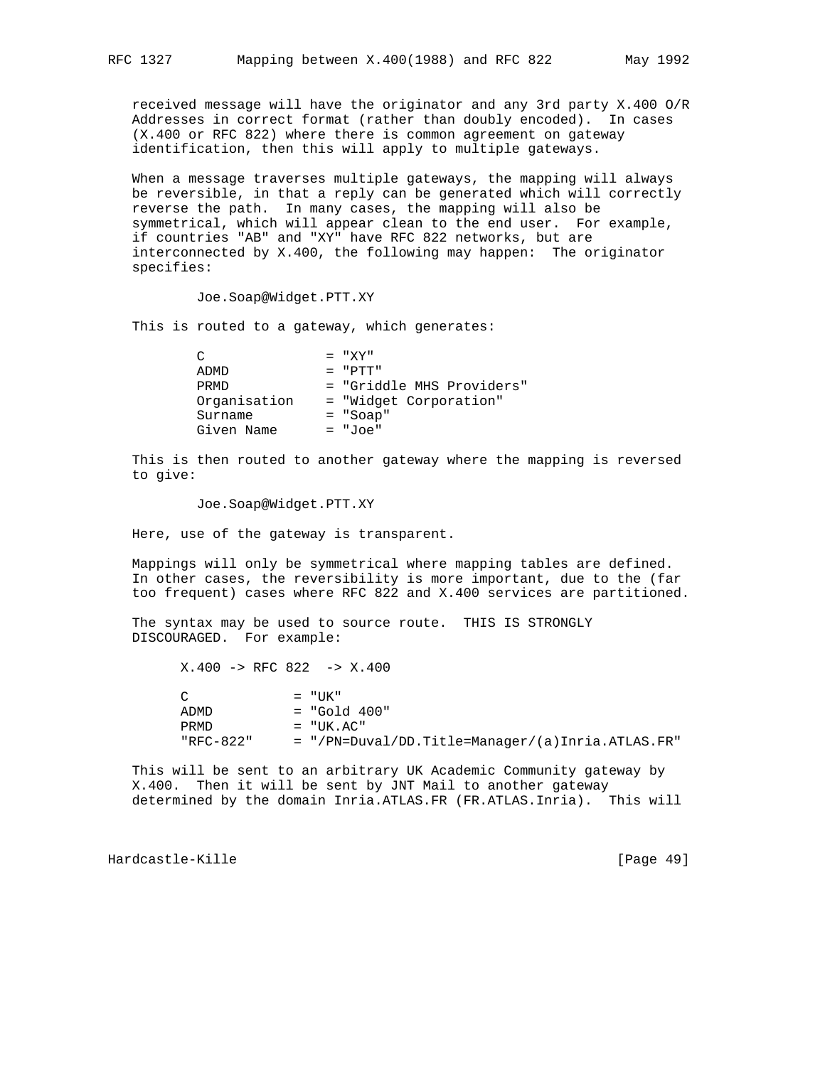received message will have the originator and any 3rd party X.400 O/R Addresses in correct format (rather than doubly encoded). In cases (X.400 or RFC 822) where there is common agreement on gateway identification, then this will apply to multiple gateways.

 When a message traverses multiple gateways, the mapping will always be reversible, in that a reply can be generated which will correctly reverse the path. In many cases, the mapping will also be symmetrical, which will appear clean to the end user. For example, if countries "AB" and "XY" have RFC 822 networks, but are interconnected by X.400, the following may happen: The originator specifies:

Joe.Soap@Widget.PTT.XY

This is routed to a gateway, which generates:

| = "Griddle MHS Providers" |
|---------------------------|
|                           |
|                           |
|                           |
|                           |

 This is then routed to another gateway where the mapping is reversed to give:

Joe.Soap@Widget.PTT.XY

Here, use of the gateway is transparent.

 Mappings will only be symmetrical where mapping tables are defined. In other cases, the reversibility is more important, due to the (far too frequent) cases where RFC 822 and X.400 services are partitioned.

 The syntax may be used to source route. THIS IS STRONGLY DISCOURAGED. For example:

 X.400 -> RFC 822 -> X.400  $C = "UK"$  ADMD = "Gold 400" PRMD = "UK.AC" "RFC-822" = "/PN=Duval/DD.Title=Manager/(a)Inria.ATLAS.FR"

 This will be sent to an arbitrary UK Academic Community gateway by X.400. Then it will be sent by JNT Mail to another gateway determined by the domain Inria.ATLAS.FR (FR.ATLAS.Inria). This will

Hardcastle-Kille [Page 49]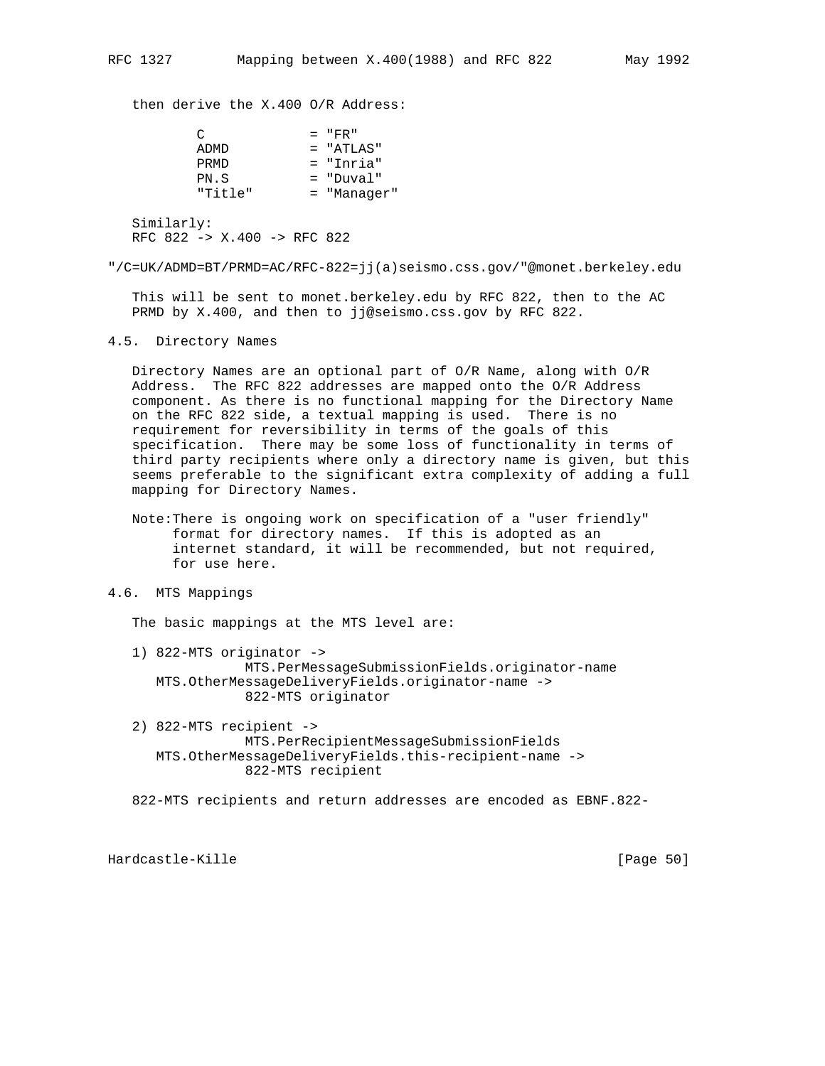then derive the X.400 O/R Address:

| ◠                                         | $=$ "FR"      |
|-------------------------------------------|---------------|
| ADMD                                      | $= "ATLAS"$   |
| PRMD                                      | $=$ "Inria"   |
| PN.S                                      | $=$ "Duval"   |
| "Title"                                   | $=$ "Manager" |
| Similarly:<br>RFC 822 -> X.400 -> RFC 822 |               |

"/C=UK/ADMD=BT/PRMD=AC/RFC-822=jj(a)seismo.css.gov/"@monet.berkeley.edu

 This will be sent to monet.berkeley.edu by RFC 822, then to the AC PRMD by X.400, and then to jj@seismo.css.gov by RFC 822.

4.5. Directory Names

 Directory Names are an optional part of O/R Name, along with O/R Address. The RFC 822 addresses are mapped onto the O/R Address component. As there is no functional mapping for the Directory Name on the RFC 822 side, a textual mapping is used. There is no requirement for reversibility in terms of the goals of this specification. There may be some loss of functionality in terms of third party recipients where only a directory name is given, but this seems preferable to the significant extra complexity of adding a full mapping for Directory Names.

 Note:There is ongoing work on specification of a "user friendly" format for directory names. If this is adopted as an internet standard, it will be recommended, but not required, for use here.

# 4.6. MTS Mappings

The basic mappings at the MTS level are:

- 1) 822-MTS originator -> MTS.PerMessageSubmissionFields.originator-name MTS.OtherMessageDeliveryFields.originator-name -> 822-MTS originator
- 2) 822-MTS recipient -> MTS.PerRecipientMessageSubmissionFields MTS.OtherMessageDeliveryFields.this-recipient-name -> 822-MTS recipient

822-MTS recipients and return addresses are encoded as EBNF.822-

Hardcastle-Kille [Page 50]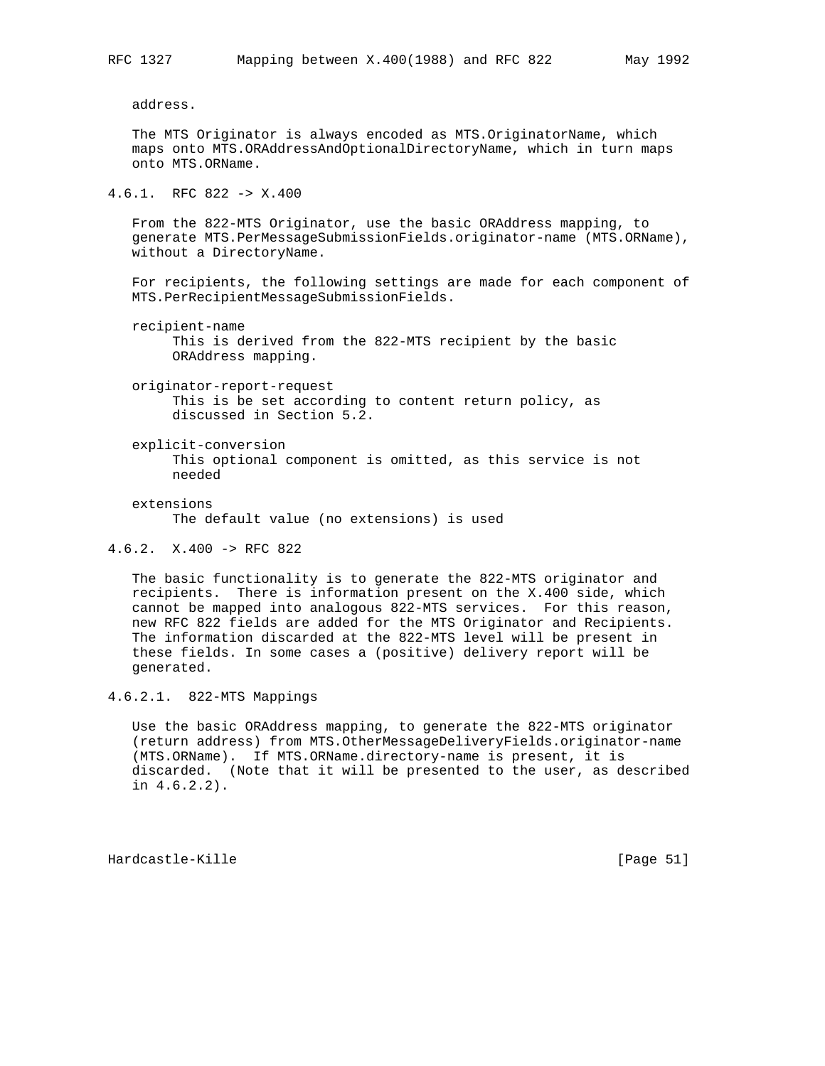address.

 The MTS Originator is always encoded as MTS.OriginatorName, which maps onto MTS.ORAddressAndOptionalDirectoryName, which in turn maps onto MTS.ORName.

# 4.6.1. RFC 822 -> X.400

 From the 822-MTS Originator, use the basic ORAddress mapping, to generate MTS.PerMessageSubmissionFields.originator-name (MTS.ORName), without a DirectoryName.

 For recipients, the following settings are made for each component of MTS.PerRecipientMessageSubmissionFields.

recipient-name

 This is derived from the 822-MTS recipient by the basic ORAddress mapping.

 originator-report-request This is be set according to content return policy, as discussed in Section 5.2.

- explicit-conversion This optional component is omitted, as this service is not needed
- extensions

The default value (no extensions) is used

4.6.2. X.400 -> RFC 822

 The basic functionality is to generate the 822-MTS originator and recipients. There is information present on the X.400 side, which cannot be mapped into analogous 822-MTS services. For this reason, new RFC 822 fields are added for the MTS Originator and Recipients. The information discarded at the 822-MTS level will be present in these fields. In some cases a (positive) delivery report will be generated.

4.6.2.1. 822-MTS Mappings

 Use the basic ORAddress mapping, to generate the 822-MTS originator (return address) from MTS.OtherMessageDeliveryFields.originator-name (MTS.ORName). If MTS.ORName.directory-name is present, it is discarded. (Note that it will be presented to the user, as described in 4.6.2.2).

Hardcastle-Kille [Page 51]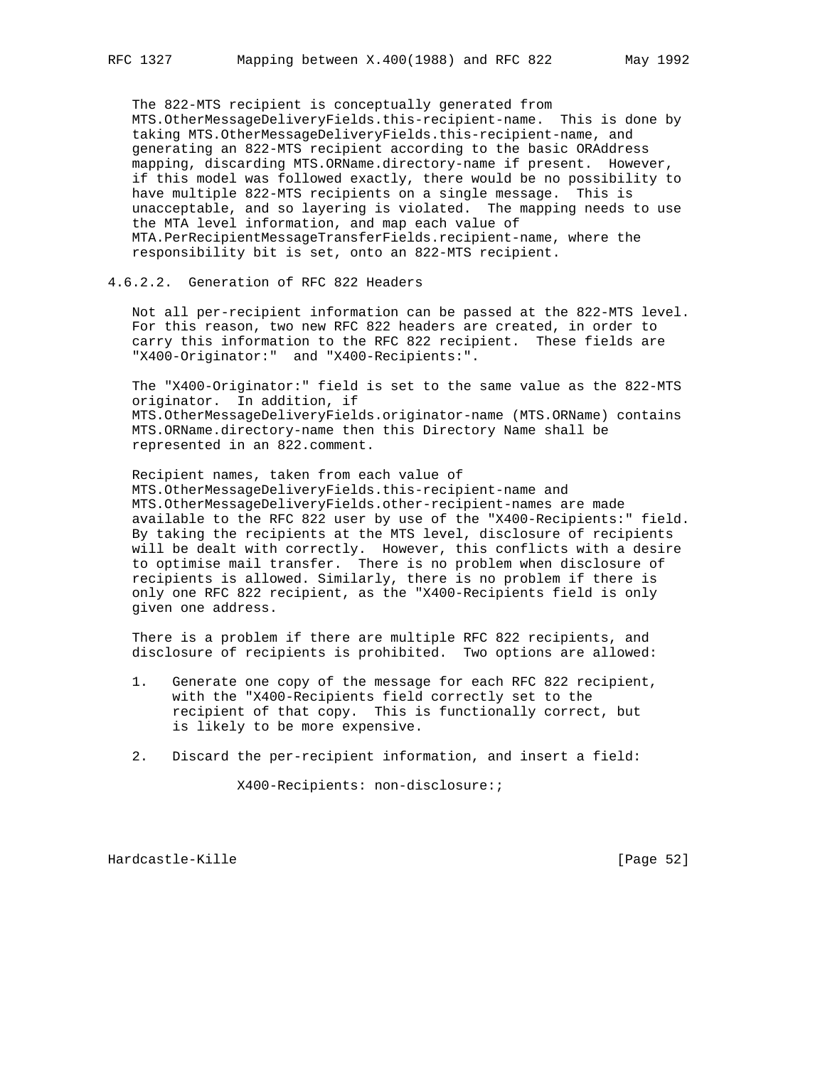The 822-MTS recipient is conceptually generated from MTS.OtherMessageDeliveryFields.this-recipient-name. This is done by taking MTS.OtherMessageDeliveryFields.this-recipient-name, and generating an 822-MTS recipient according to the basic ORAddress mapping, discarding MTS.ORName.directory-name if present. However, if this model was followed exactly, there would be no possibility to have multiple 822-MTS recipients on a single message. This is unacceptable, and so layering is violated. The mapping needs to use the MTA level information, and map each value of MTA.PerRecipientMessageTransferFields.recipient-name, where the responsibility bit is set, onto an 822-MTS recipient.

# 4.6.2.2. Generation of RFC 822 Headers

 Not all per-recipient information can be passed at the 822-MTS level. For this reason, two new RFC 822 headers are created, in order to carry this information to the RFC 822 recipient. These fields are "X400-Originator:" and "X400-Recipients:".

 The "X400-Originator:" field is set to the same value as the 822-MTS originator. In addition, if MTS.OtherMessageDeliveryFields.originator-name (MTS.ORName) contains MTS.ORName.directory-name then this Directory Name shall be represented in an 822.comment.

 Recipient names, taken from each value of MTS.OtherMessageDeliveryFields.this-recipient-name and MTS.OtherMessageDeliveryFields.other-recipient-names are made available to the RFC 822 user by use of the "X400-Recipients:" field. By taking the recipients at the MTS level, disclosure of recipients will be dealt with correctly. However, this conflicts with a desire to optimise mail transfer. There is no problem when disclosure of recipients is allowed. Similarly, there is no problem if there is only one RFC 822 recipient, as the "X400-Recipients field is only given one address.

 There is a problem if there are multiple RFC 822 recipients, and disclosure of recipients is prohibited. Two options are allowed:

- 1. Generate one copy of the message for each RFC 822 recipient, with the "X400-Recipients field correctly set to the recipient of that copy. This is functionally correct, but is likely to be more expensive.
- 2. Discard the per-recipient information, and insert a field:

X400-Recipients: non-disclosure:;

Hardcastle-Kille [Page 52]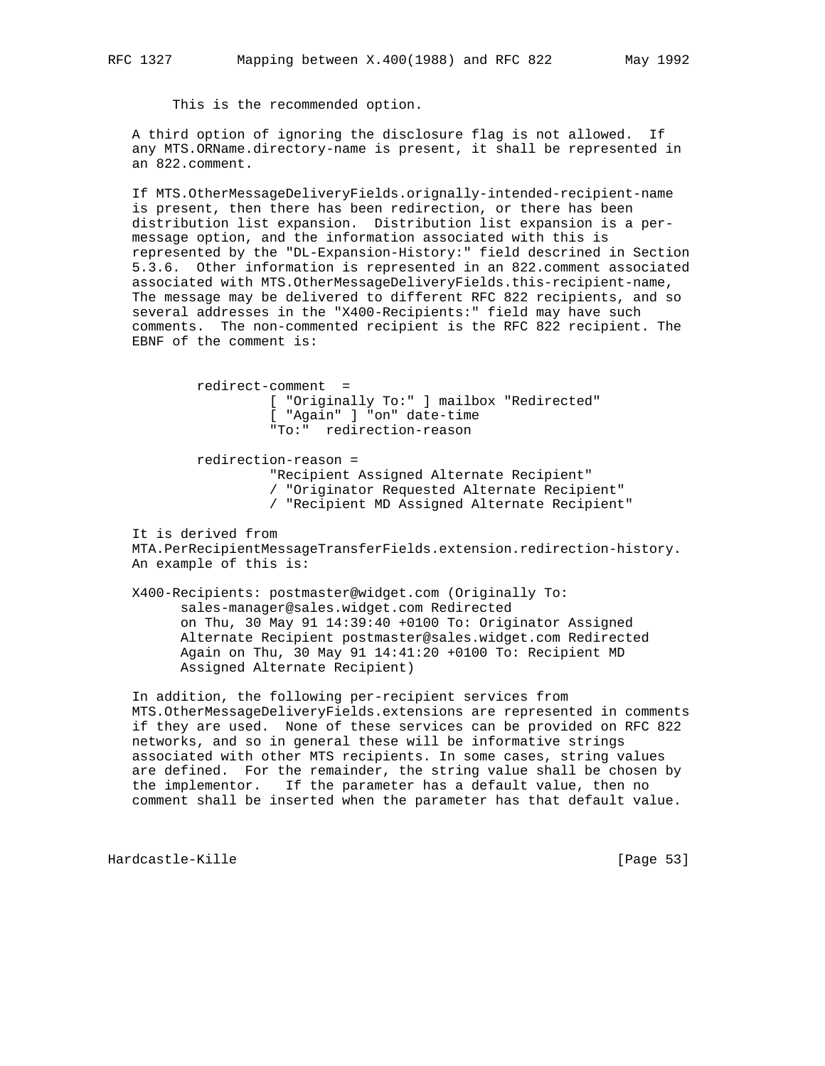This is the recommended option.

 A third option of ignoring the disclosure flag is not allowed. If any MTS.ORName.directory-name is present, it shall be represented in an 822.comment.

 If MTS.OtherMessageDeliveryFields.orignally-intended-recipient-name is present, then there has been redirection, or there has been distribution list expansion. Distribution list expansion is a per message option, and the information associated with this is represented by the "DL-Expansion-History:" field descrined in Section 5.3.6. Other information is represented in an 822.comment associated associated with MTS.OtherMessageDeliveryFields.this-recipient-name, The message may be delivered to different RFC 822 recipients, and so several addresses in the "X400-Recipients:" field may have such comments. The non-commented recipient is the RFC 822 recipient. The EBNF of the comment is:

> redirect-comment = [ "Originally To:" ] mailbox "Redirected" [ "Again" ] "on" date-time "To:" redirection-reason

 redirection-reason = "Recipient Assigned Alternate Recipient" / "Originator Requested Alternate Recipient" / "Recipient MD Assigned Alternate Recipient"

 It is derived from MTA.PerRecipientMessageTransferFields.extension.redirection-history. An example of this is:

 X400-Recipients: postmaster@widget.com (Originally To: sales-manager@sales.widget.com Redirected on Thu, 30 May 91 14:39:40 +0100 To: Originator Assigned Alternate Recipient postmaster@sales.widget.com Redirected Again on Thu, 30 May 91 14:41:20 +0100 To: Recipient MD Assigned Alternate Recipient)

 In addition, the following per-recipient services from MTS.OtherMessageDeliveryFields.extensions are represented in comments if they are used. None of these services can be provided on RFC 822 networks, and so in general these will be informative strings associated with other MTS recipients. In some cases, string values are defined. For the remainder, the string value shall be chosen by the implementor. If the parameter has a default value, then no comment shall be inserted when the parameter has that default value.

Hardcastle-Kille [Page 53]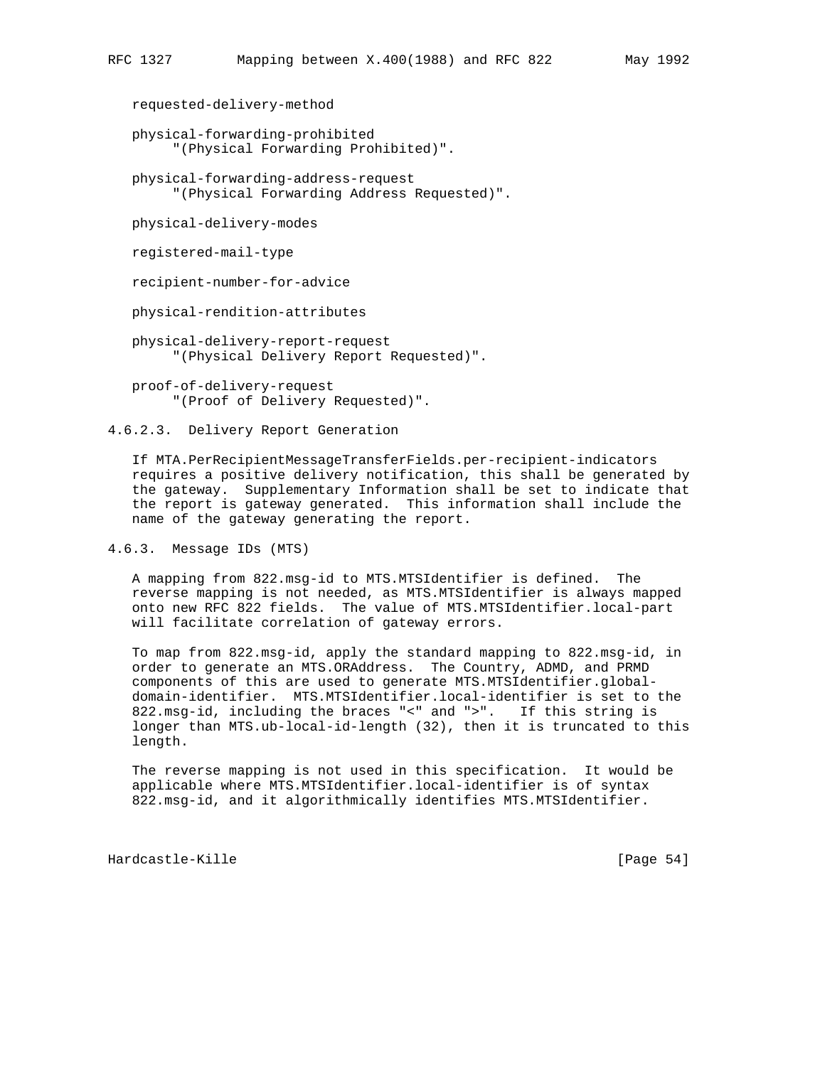requested-delivery-method

 physical-forwarding-prohibited "(Physical Forwarding Prohibited)".

 physical-forwarding-address-request "(Physical Forwarding Address Requested)".

physical-delivery-modes

registered-mail-type

recipient-number-for-advice

physical-rendition-attributes

 physical-delivery-report-request "(Physical Delivery Report Requested)".

 proof-of-delivery-request "(Proof of Delivery Requested)".

4.6.2.3. Delivery Report Generation

 If MTA.PerRecipientMessageTransferFields.per-recipient-indicators requires a positive delivery notification, this shall be generated by the gateway. Supplementary Information shall be set to indicate that the report is gateway generated. This information shall include the name of the gateway generating the report.

4.6.3. Message IDs (MTS)

 A mapping from 822.msg-id to MTS.MTSIdentifier is defined. The reverse mapping is not needed, as MTS.MTSIdentifier is always mapped onto new RFC 822 fields. The value of MTS.MTSIdentifier.local-part will facilitate correlation of gateway errors.

 To map from 822.msg-id, apply the standard mapping to 822.msg-id, in order to generate an MTS.ORAddress. The Country, ADMD, and PRMD components of this are used to generate MTS.MTSIdentifier.global domain-identifier. MTS.MTSIdentifier.local-identifier is set to the 822.msg-id, including the braces "<" and ">". If this string is longer than MTS.ub-local-id-length (32), then it is truncated to this length.

 The reverse mapping is not used in this specification. It would be applicable where MTS.MTSIdentifier.local-identifier is of syntax 822.msg-id, and it algorithmically identifies MTS.MTSIdentifier.

Hardcastle-Kille [Page 54]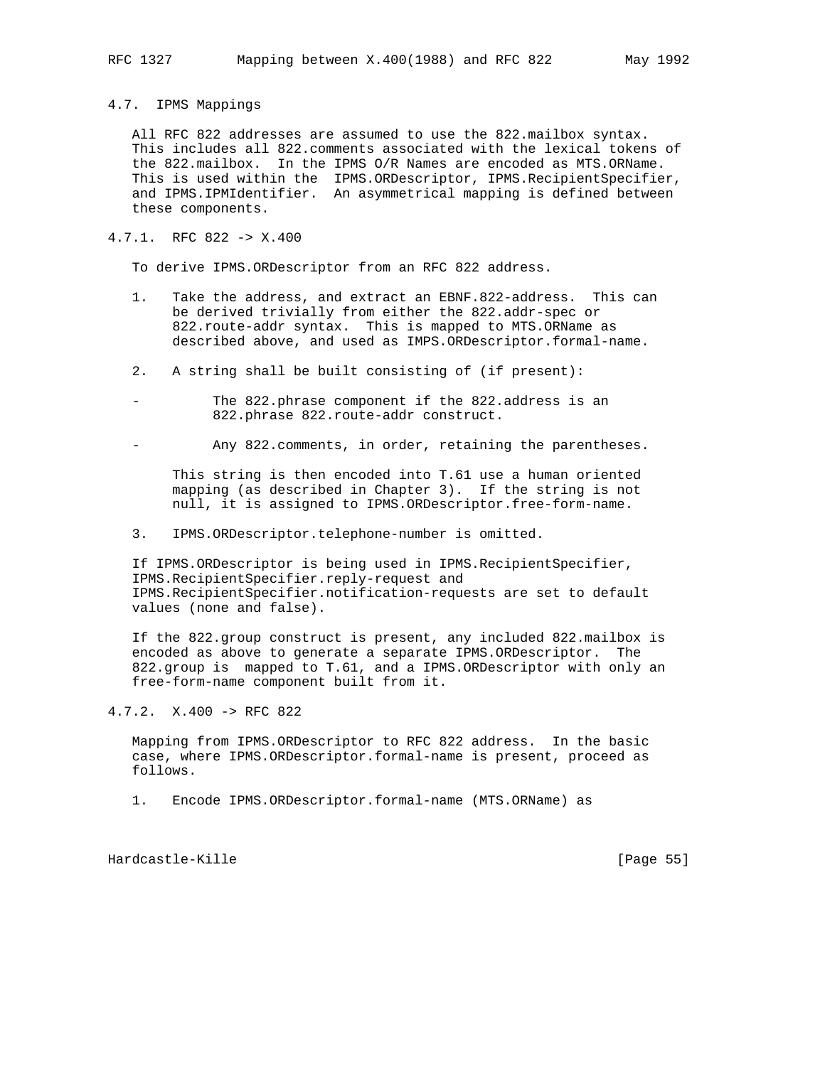4.7. IPMS Mappings

 All RFC 822 addresses are assumed to use the 822.mailbox syntax. This includes all 822.comments associated with the lexical tokens of the 822.mailbox. In the IPMS O/R Names are encoded as MTS.ORName. This is used within the IPMS.ORDescriptor, IPMS.RecipientSpecifier, and IPMS.IPMIdentifier. An asymmetrical mapping is defined between these components.

# 4.7.1. RFC 822 -> X.400

To derive IPMS.ORDescriptor from an RFC 822 address.

- 1. Take the address, and extract an EBNF.822-address. This can be derived trivially from either the 822.addr-spec or 822.route-addr syntax. This is mapped to MTS.ORName as described above, and used as IMPS.ORDescriptor.formal-name.
- 2. A string shall be built consisting of (if present):
- The 822.phrase component if the 822.address is an 822.phrase 822.route-addr construct.
- Any 822. comments, in order, retaining the parentheses.

 This string is then encoded into T.61 use a human oriented mapping (as described in Chapter 3). If the string is not null, it is assigned to IPMS.ORDescriptor.free-form-name.

3. IPMS.ORDescriptor.telephone-number is omitted.

 If IPMS.ORDescriptor is being used in IPMS.RecipientSpecifier, IPMS.RecipientSpecifier.reply-request and IPMS.RecipientSpecifier.notification-requests are set to default values (none and false).

 If the 822.group construct is present, any included 822.mailbox is encoded as above to generate a separate IPMS.ORDescriptor. The 822.group is mapped to T.61, and a IPMS.ORDescriptor with only an free-form-name component built from it.

4.7.2. X.400 -> RFC 822

 Mapping from IPMS.ORDescriptor to RFC 822 address. In the basic case, where IPMS.ORDescriptor.formal-name is present, proceed as follows.

1. Encode IPMS.ORDescriptor.formal-name (MTS.ORName) as

Hardcastle-Kille [Page 55]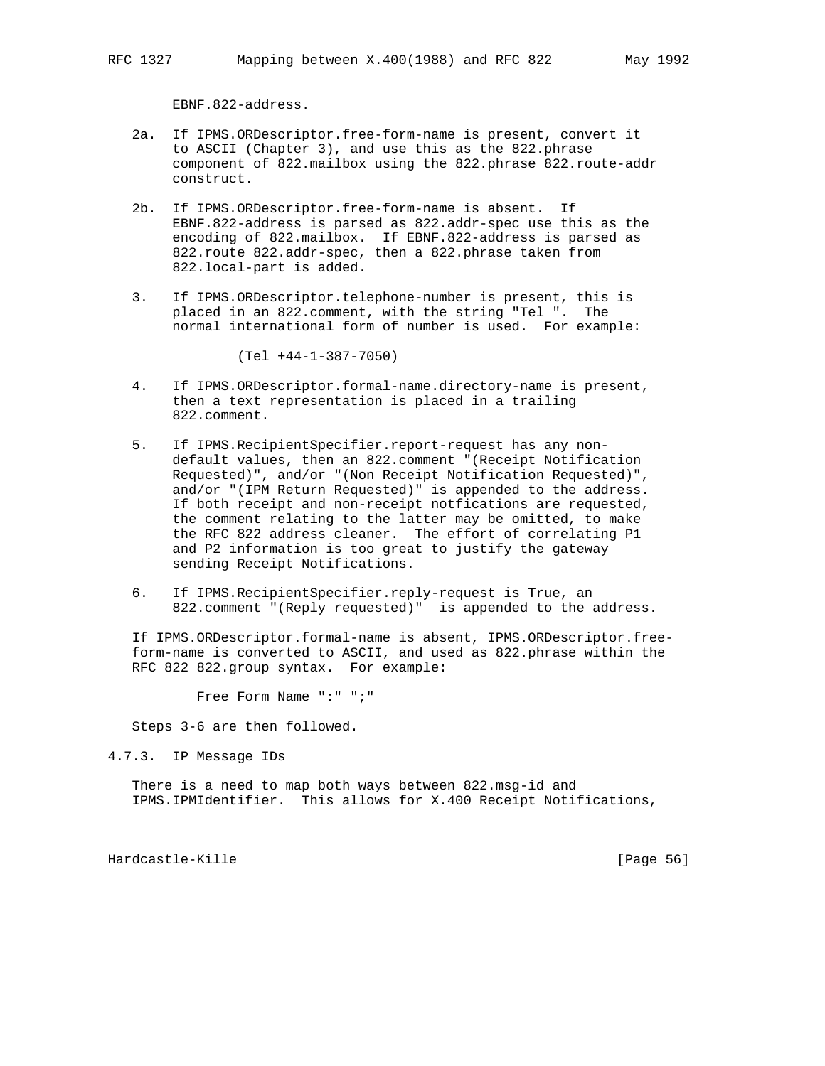EBNF.822-address.

- 2a. If IPMS.ORDescriptor.free-form-name is present, convert it to ASCII (Chapter 3), and use this as the 822.phrase component of 822.mailbox using the 822.phrase 822.route-addr construct.
- 2b. If IPMS.ORDescriptor.free-form-name is absent. If EBNF.822-address is parsed as 822.addr-spec use this as the encoding of 822.mailbox. If EBNF.822-address is parsed as 822.route 822.addr-spec, then a 822.phrase taken from 822.local-part is added.
- 3. If IPMS.ORDescriptor.telephone-number is present, this is placed in an 822.comment, with the string "Tel ". The normal international form of number is used. For example:

(Tel +44-1-387-7050)

- 4. If IPMS.ORDescriptor.formal-name.directory-name is present, then a text representation is placed in a trailing 822.comment.
- 5. If IPMS.RecipientSpecifier.report-request has any non default values, then an 822.comment "(Receipt Notification Requested)", and/or "(Non Receipt Notification Requested)", and/or "(IPM Return Requested)" is appended to the address. If both receipt and non-receipt notfications are requested, the comment relating to the latter may be omitted, to make the RFC 822 address cleaner. The effort of correlating P1 and P2 information is too great to justify the gateway sending Receipt Notifications.
- 6. If IPMS.RecipientSpecifier.reply-request is True, an 822.comment "(Reply requested)" is appended to the address.

 If IPMS.ORDescriptor.formal-name is absent, IPMS.ORDescriptor.free form-name is converted to ASCII, and used as 822.phrase within the RFC 822 822.group syntax. For example:

Free Form Name ":" ";"

Steps 3-6 are then followed.

4.7.3. IP Message IDs

 There is a need to map both ways between 822.msg-id and IPMS.IPMIdentifier. This allows for X.400 Receipt Notifications,

Hardcastle-Kille [Page 56]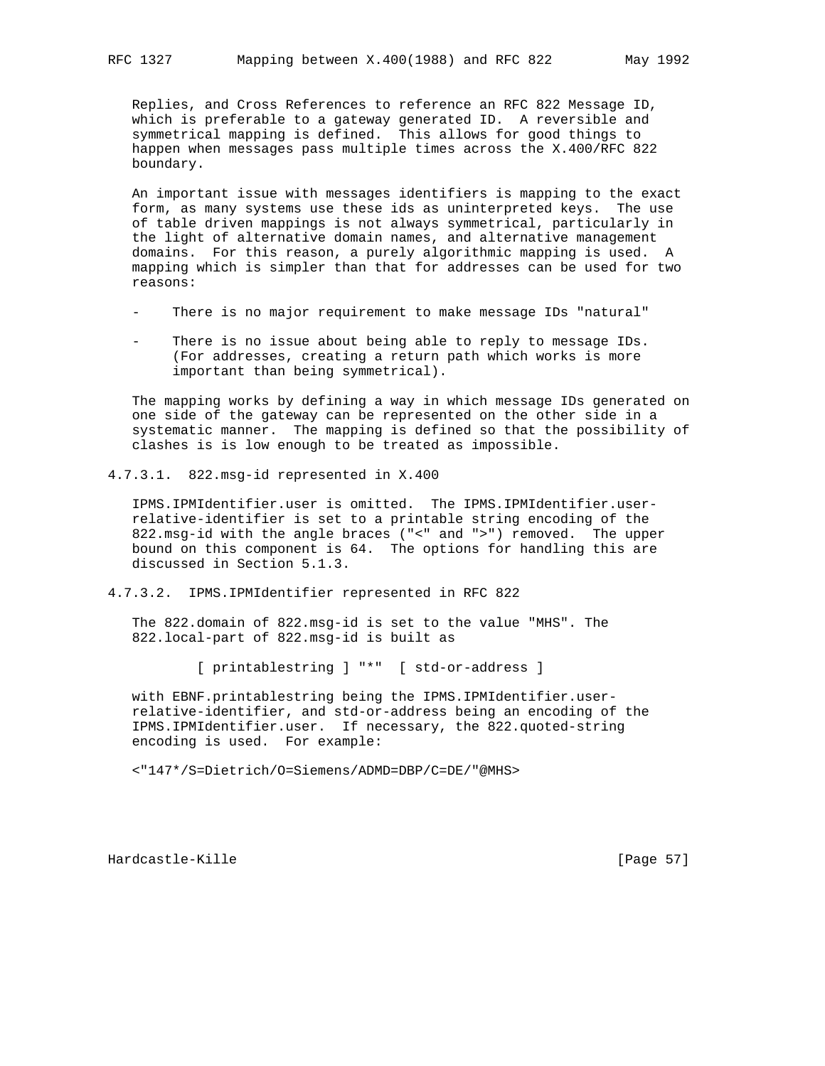Replies, and Cross References to reference an RFC 822 Message ID, which is preferable to a gateway generated ID. A reversible and symmetrical mapping is defined. This allows for good things to happen when messages pass multiple times across the X.400/RFC 822 boundary.

 An important issue with messages identifiers is mapping to the exact form, as many systems use these ids as uninterpreted keys. The use of table driven mappings is not always symmetrical, particularly in the light of alternative domain names, and alternative management domains. For this reason, a purely algorithmic mapping is used. A mapping which is simpler than that for addresses can be used for two reasons:

- There is no major requirement to make message IDs "natural"
- There is no issue about being able to reply to message IDs. (For addresses, creating a return path which works is more important than being symmetrical).

 The mapping works by defining a way in which message IDs generated on one side of the gateway can be represented on the other side in a systematic manner. The mapping is defined so that the possibility of clashes is is low enough to be treated as impossible.

4.7.3.1. 822.msg-id represented in X.400

 IPMS.IPMIdentifier.user is omitted. The IPMS.IPMIdentifier.user relative-identifier is set to a printable string encoding of the 822.msg-id with the angle braces ("<" and ">") removed. The upper bound on this component is 64. The options for handling this are discussed in Section 5.1.3.

4.7.3.2. IPMS.IPMIdentifier represented in RFC 822

 The 822.domain of 822.msg-id is set to the value "MHS". The 822.local-part of 822.msg-id is built as

[ printablestring ] "\*" [ std-or-address ]

 with EBNF.printablestring being the IPMS.IPMIdentifier.user relative-identifier, and std-or-address being an encoding of the IPMS.IPMIdentifier.user. If necessary, the 822.quoted-string encoding is used. For example:

<"147\*/S=Dietrich/O=Siemens/ADMD=DBP/C=DE/"@MHS>

Hardcastle-Kille [Page 57]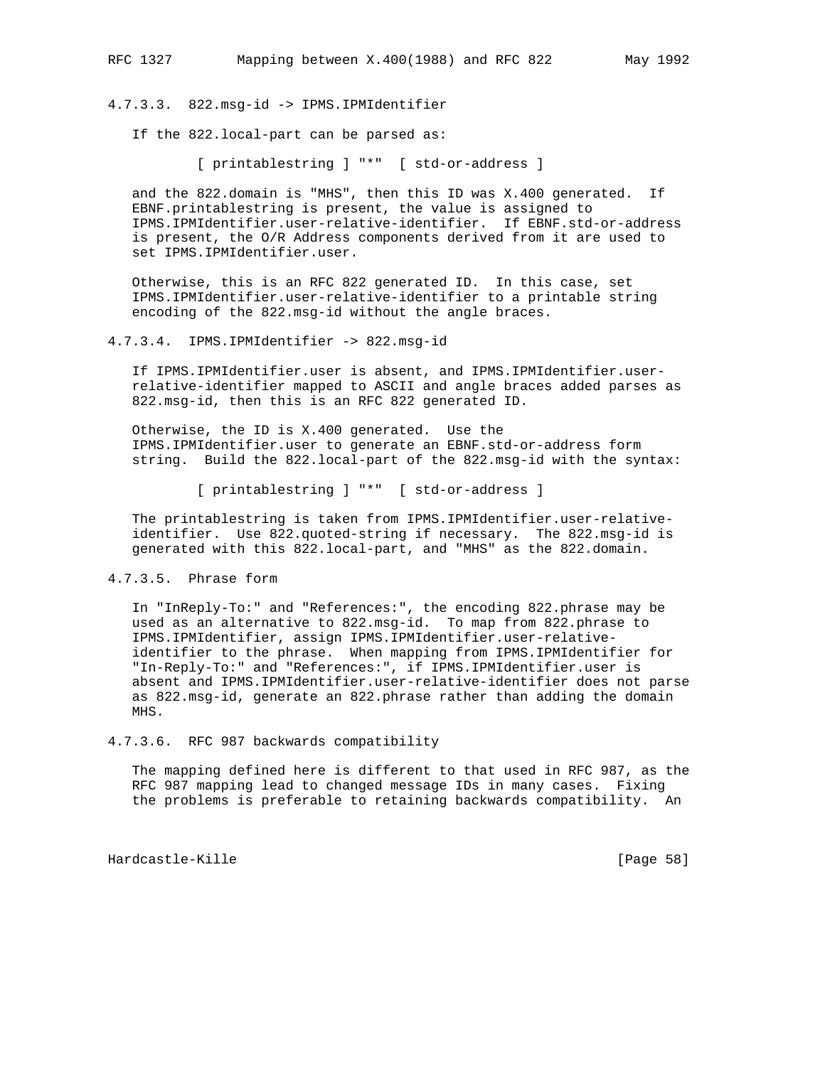4.7.3.3. 822.msg-id -> IPMS.IPMIdentifier

If the 822.local-part can be parsed as:

[ printablestring ] "\*" [ std-or-address ]

 and the 822.domain is "MHS", then this ID was X.400 generated. If EBNF.printablestring is present, the value is assigned to IPMS.IPMIdentifier.user-relative-identifier. If EBNF.std-or-address is present, the O/R Address components derived from it are used to set IPMS.IPMIdentifier.user.

 Otherwise, this is an RFC 822 generated ID. In this case, set IPMS.IPMIdentifier.user-relative-identifier to a printable string encoding of the 822.msg-id without the angle braces.

# 4.7.3.4. IPMS.IPMIdentifier -> 822.msg-id

 If IPMS.IPMIdentifier.user is absent, and IPMS.IPMIdentifier.user relative-identifier mapped to ASCII and angle braces added parses as 822.msg-id, then this is an RFC 822 generated ID.

 Otherwise, the ID is X.400 generated. Use the IPMS.IPMIdentifier.user to generate an EBNF.std-or-address form string. Build the 822.local-part of the 822.msg-id with the syntax:

[ printablestring ] "\*" [ std-or-address ]

 The printablestring is taken from IPMS.IPMIdentifier.user-relative identifier. Use 822.quoted-string if necessary. The 822.msg-id is generated with this 822.local-part, and "MHS" as the 822.domain.

# 4.7.3.5. Phrase form

 In "InReply-To:" and "References:", the encoding 822.phrase may be used as an alternative to 822.msg-id. To map from 822.phrase to IPMS.IPMIdentifier, assign IPMS.IPMIdentifier.user-relative identifier to the phrase. When mapping from IPMS.IPMIdentifier for "In-Reply-To:" and "References:", if IPMS.IPMIdentifier.user is absent and IPMS.IPMIdentifier.user-relative-identifier does not parse as 822.msg-id, generate an 822.phrase rather than adding the domain MHS.

### 4.7.3.6. RFC 987 backwards compatibility

 The mapping defined here is different to that used in RFC 987, as the RFC 987 mapping lead to changed message IDs in many cases. Fixing the problems is preferable to retaining backwards compatibility. An

Hardcastle-Kille [Page 58]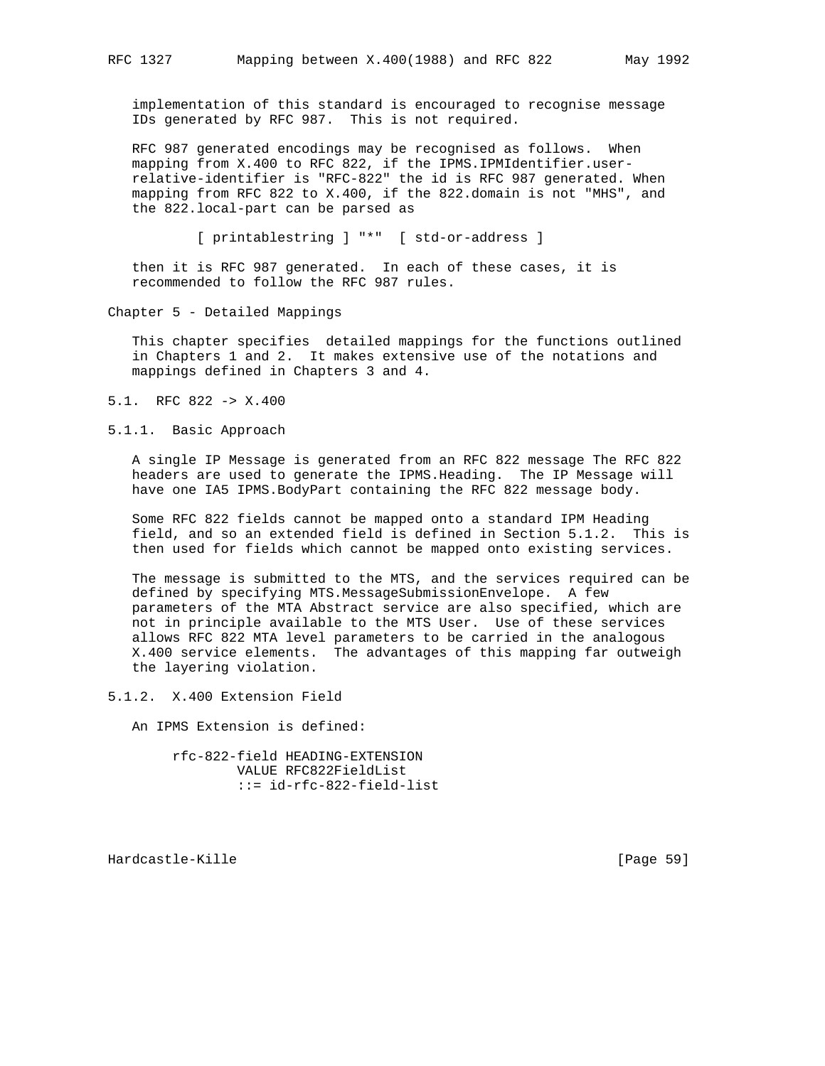implementation of this standard is encouraged to recognise message IDs generated by RFC 987. This is not required.

 RFC 987 generated encodings may be recognised as follows. When mapping from X.400 to RFC 822, if the IPMS.IPMIdentifier.user relative-identifier is "RFC-822" the id is RFC 987 generated. When mapping from RFC 822 to X.400, if the 822.domain is not "MHS", and the 822.local-part can be parsed as

[ printablestring ] "\*" [ std-or-address ]

 then it is RFC 987 generated. In each of these cases, it is recommended to follow the RFC 987 rules.

Chapter 5 - Detailed Mappings

 This chapter specifies detailed mappings for the functions outlined in Chapters 1 and 2. It makes extensive use of the notations and mappings defined in Chapters 3 and 4.

- 5.1. RFC 822 -> X.400
- 5.1.1. Basic Approach

 A single IP Message is generated from an RFC 822 message The RFC 822 headers are used to generate the IPMS.Heading. The IP Message will have one IA5 IPMS.BodyPart containing the RFC 822 message body.

 Some RFC 822 fields cannot be mapped onto a standard IPM Heading field, and so an extended field is defined in Section 5.1.2. This is then used for fields which cannot be mapped onto existing services.

 The message is submitted to the MTS, and the services required can be defined by specifying MTS.MessageSubmissionEnvelope. A few parameters of the MTA Abstract service are also specified, which are not in principle available to the MTS User. Use of these services allows RFC 822 MTA level parameters to be carried in the analogous X.400 service elements. The advantages of this mapping far outweigh the layering violation.

5.1.2. X.400 Extension Field

An IPMS Extension is defined:

 rfc-822-field HEADING-EXTENSION VALUE RFC822FieldList ::= id-rfc-822-field-list

Hardcastle-Kille [Page 59]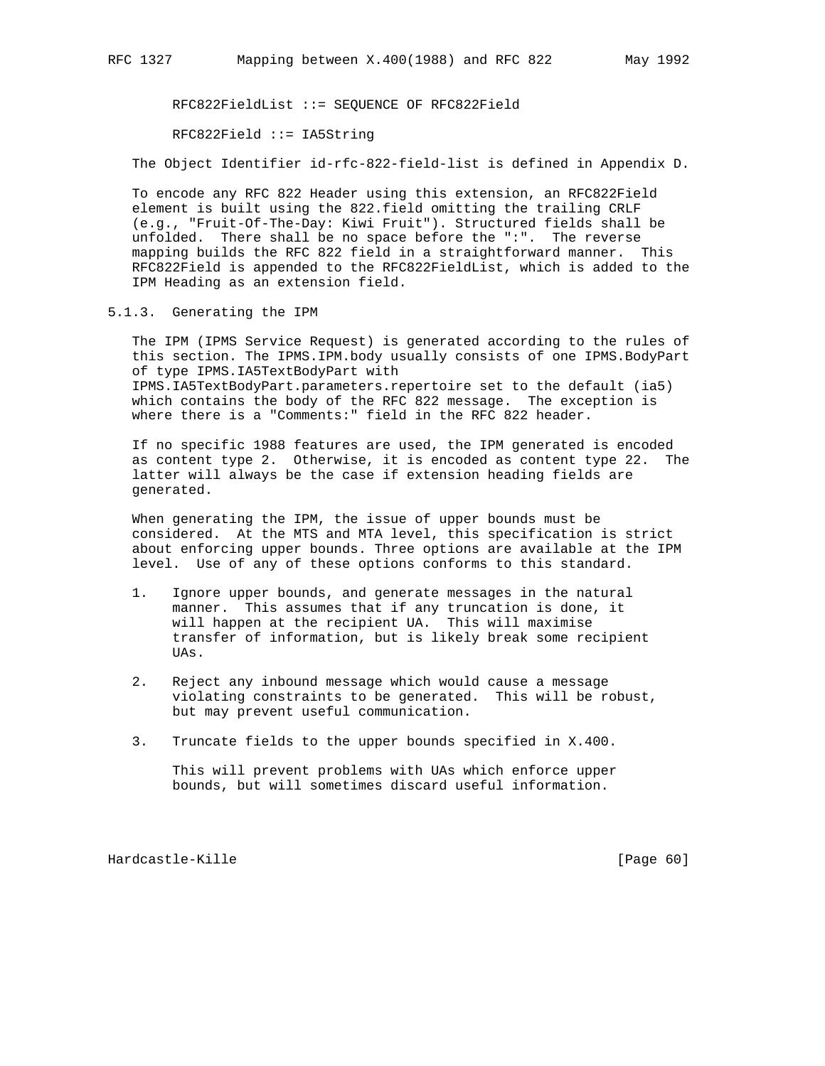RFC822FieldList ::= SEQUENCE OF RFC822Field

RFC822Field ::= IA5String

The Object Identifier id-rfc-822-field-list is defined in Appendix D.

 To encode any RFC 822 Header using this extension, an RFC822Field element is built using the 822.field omitting the trailing CRLF (e.g., "Fruit-Of-The-Day: Kiwi Fruit"). Structured fields shall be unfolded. There shall be no space before the ":". The reverse mapping builds the RFC 822 field in a straightforward manner. This RFC822Field is appended to the RFC822FieldList, which is added to the IPM Heading as an extension field.

5.1.3. Generating the IPM

 The IPM (IPMS Service Request) is generated according to the rules of this section. The IPMS.IPM.body usually consists of one IPMS.BodyPart of type IPMS.IA5TextBodyPart with IPMS.IA5TextBodyPart.parameters.repertoire set to the default (ia5) which contains the body of the RFC 822 message. The exception is where there is a "Comments:" field in the RFC 822 header.

 If no specific 1988 features are used, the IPM generated is encoded as content type 2. Otherwise, it is encoded as content type 22. The latter will always be the case if extension heading fields are generated.

 When generating the IPM, the issue of upper bounds must be considered. At the MTS and MTA level, this specification is strict about enforcing upper bounds. Three options are available at the IPM level. Use of any of these options conforms to this standard.

- 1. Ignore upper bounds, and generate messages in the natural manner. This assumes that if any truncation is done, it will happen at the recipient UA. This will maximise transfer of information, but is likely break some recipient UAs.
- 2. Reject any inbound message which would cause a message violating constraints to be generated. This will be robust, but may prevent useful communication.
- 3. Truncate fields to the upper bounds specified in X.400.

 This will prevent problems with UAs which enforce upper bounds, but will sometimes discard useful information.

Hardcastle-Kille [Page 60]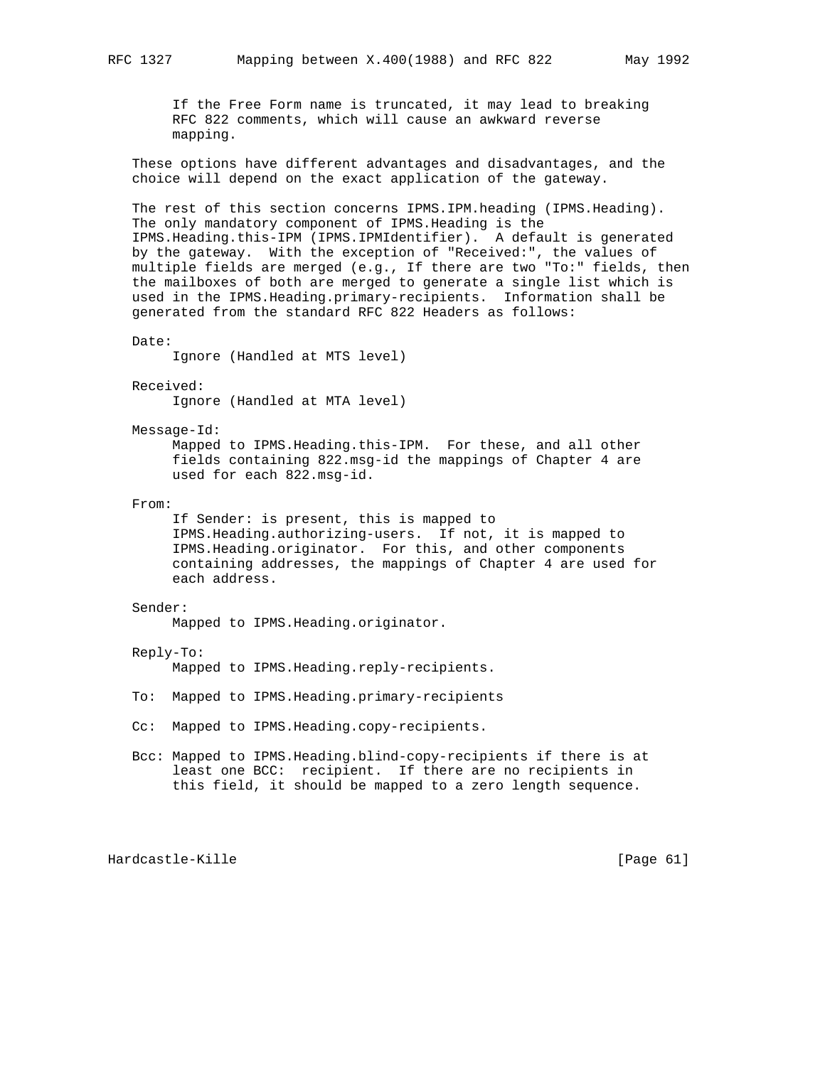If the Free Form name is truncated, it may lead to breaking RFC 822 comments, which will cause an awkward reverse mapping.

 These options have different advantages and disadvantages, and the choice will depend on the exact application of the gateway.

 The rest of this section concerns IPMS.IPM.heading (IPMS.Heading). The only mandatory component of IPMS.Heading is the IPMS.Heading.this-IPM (IPMS.IPMIdentifier). A default is generated by the gateway. With the exception of "Received:", the values of multiple fields are merged (e.g., If there are two "To:" fields, then the mailboxes of both are merged to generate a single list which is used in the IPMS.Heading.primary-recipients. Information shall be generated from the standard RFC 822 Headers as follows:

```
 Date:
```
Ignore (Handled at MTS level)

Received:

Ignore (Handled at MTA level)

Message-Id:

 Mapped to IPMS.Heading.this-IPM. For these, and all other fields containing 822.msg-id the mappings of Chapter 4 are used for each 822.msg-id.

From:

 If Sender: is present, this is mapped to IPMS.Heading.authorizing-users. If not, it is mapped to IPMS.Heading.originator. For this, and other components containing addresses, the mappings of Chapter 4 are used for each address.

### Sender:

Mapped to IPMS.Heading.originator.

### Reply-To:

Mapped to IPMS.Heading.reply-recipients.

- To: Mapped to IPMS.Heading.primary-recipients
- Cc: Mapped to IPMS.Heading.copy-recipients.
- Bcc: Mapped to IPMS.Heading.blind-copy-recipients if there is at least one BCC: recipient. If there are no recipients in this field, it should be mapped to a zero length sequence.

Hardcastle-Kille [Page 61]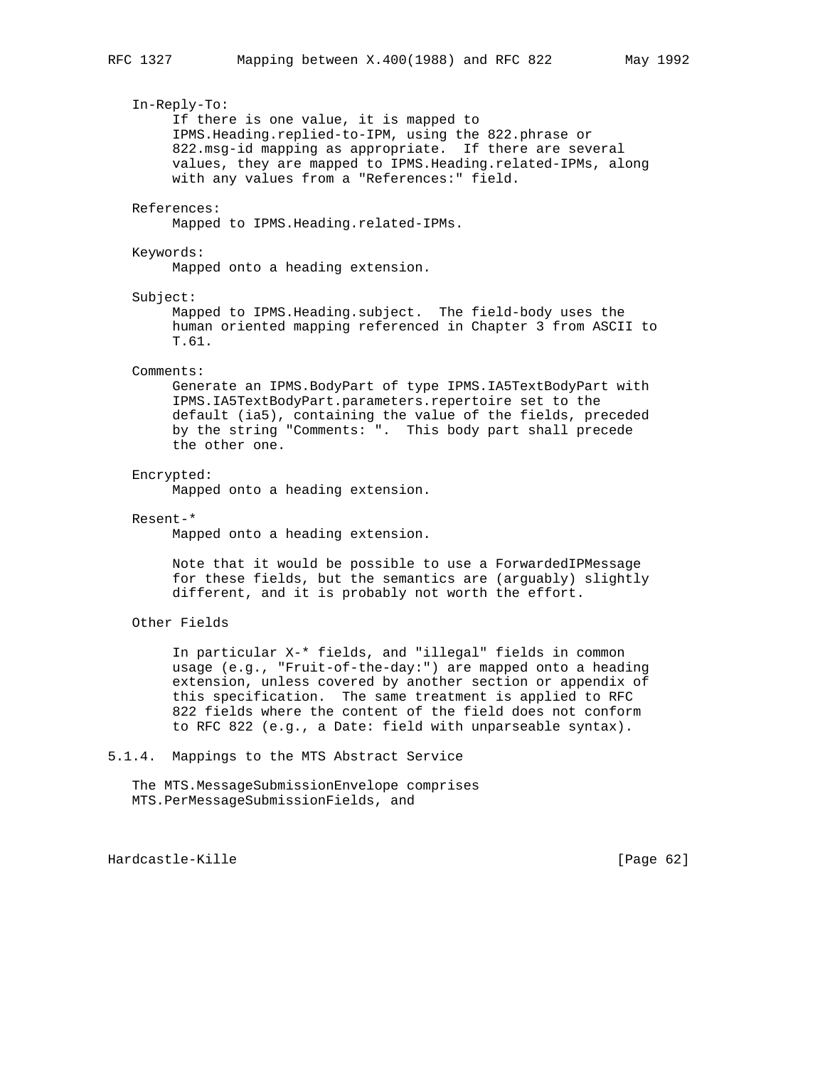# In-Reply-To: If there is one value, it is mapped to IPMS.Heading.replied-to-IPM, using the 822.phrase or 822.msg-id mapping as appropriate. If there are several values, they are mapped to IPMS.Heading.related-IPMs, along with any values from a "References:" field. References: Mapped to IPMS.Heading.related-IPMs. Keywords:

Mapped onto a heading extension.

### Subject:

 Mapped to IPMS.Heading.subject. The field-body uses the human oriented mapping referenced in Chapter 3 from ASCII to T.61.

### Comments:

 Generate an IPMS.BodyPart of type IPMS.IA5TextBodyPart with IPMS.IA5TextBodyPart.parameters.repertoire set to the default (ia5), containing the value of the fields, preceded by the string "Comments: ". This body part shall precede the other one.

### Encrypted:

Mapped onto a heading extension.

### Resent-\*

Mapped onto a heading extension.

 Note that it would be possible to use a ForwardedIPMessage for these fields, but the semantics are (arguably) slightly different, and it is probably not worth the effort.

# Other Fields

 In particular X-\* fields, and "illegal" fields in common usage (e.g., "Fruit-of-the-day:") are mapped onto a heading extension, unless covered by another section or appendix of this specification. The same treatment is applied to RFC 822 fields where the content of the field does not conform to RFC 822 (e.g., a Date: field with unparseable syntax).

# 5.1.4. Mappings to the MTS Abstract Service

 The MTS.MessageSubmissionEnvelope comprises MTS.PerMessageSubmissionFields, and

Hardcastle-Kille [Page 62]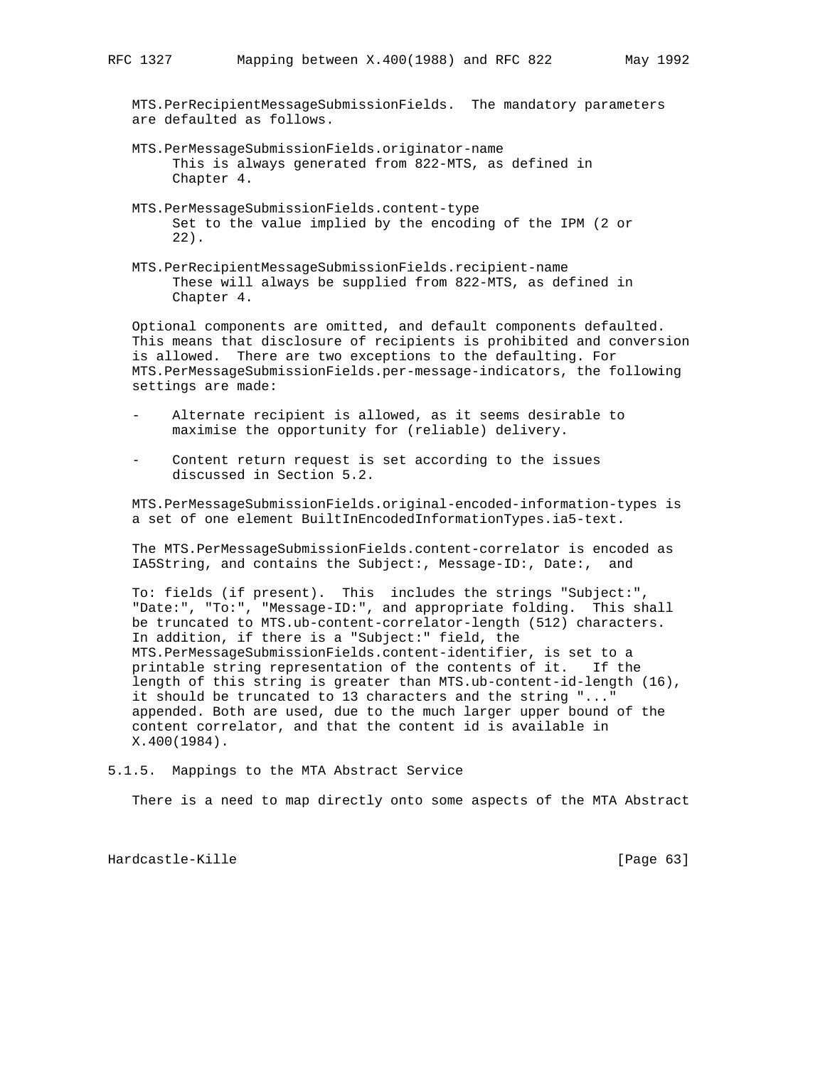MTS.PerRecipientMessageSubmissionFields. The mandatory parameters are defaulted as follows.

- MTS.PerMessageSubmissionFields.originator-name This is always generated from 822-MTS, as defined in Chapter 4.
- MTS.PerMessageSubmissionFields.content-type Set to the value implied by the encoding of the IPM (2 or 22).
- MTS.PerRecipientMessageSubmissionFields.recipient-name These will always be supplied from 822-MTS, as defined in Chapter 4.

 Optional components are omitted, and default components defaulted. This means that disclosure of recipients is prohibited and conversion is allowed. There are two exceptions to the defaulting. For MTS.PerMessageSubmissionFields.per-message-indicators, the following settings are made:

- Alternate recipient is allowed, as it seems desirable to maximise the opportunity for (reliable) delivery.
- Content return request is set according to the issues discussed in Section 5.2.

 MTS.PerMessageSubmissionFields.original-encoded-information-types is a set of one element BuiltInEncodedInformationTypes.ia5-text.

 The MTS.PerMessageSubmissionFields.content-correlator is encoded as IA5String, and contains the Subject:, Message-ID:, Date:, and

 To: fields (if present). This includes the strings "Subject:", "Date:", "To:", "Message-ID:", and appropriate folding. This shall be truncated to MTS.ub-content-correlator-length (512) characters. In addition, if there is a "Subject:" field, the MTS.PerMessageSubmissionFields.content-identifier, is set to a printable string representation of the contents of it. If the length of this string is greater than MTS.ub-content-id-length (16), it should be truncated to 13 characters and the string "..." appended. Both are used, due to the much larger upper bound of the content correlator, and that the content id is available in X.400(1984).

5.1.5. Mappings to the MTA Abstract Service

There is a need to map directly onto some aspects of the MTA Abstract

Hardcastle-Kille [Page 63]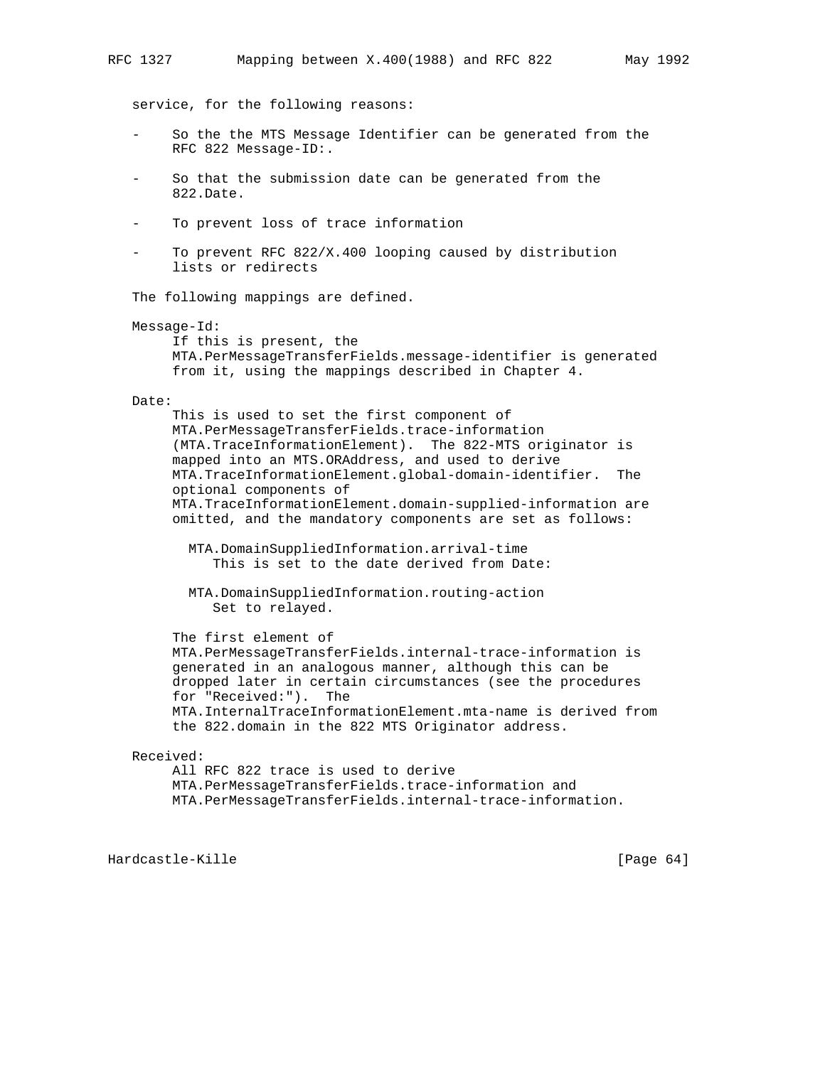service, for the following reasons:

- So the the MTS Message Identifier can be generated from the RFC 822 Message-ID:.
- So that the submission date can be generated from the 822.Date.
- To prevent loss of trace information
- To prevent RFC 822/X.400 looping caused by distribution lists or redirects

The following mappings are defined.

### Message-Id:

 If this is present, the MTA.PerMessageTransferFields.message-identifier is generated from it, using the mappings described in Chapter 4.

### Date:

 This is used to set the first component of MTA.PerMessageTransferFields.trace-information (MTA.TraceInformationElement). The 822-MTS originator is mapped into an MTS.ORAddress, and used to derive MTA.TraceInformationElement.global-domain-identifier. The optional components of MTA.TraceInformationElement.domain-supplied-information are omitted, and the mandatory components are set as follows:

 MTA.DomainSuppliedInformation.arrival-time This is set to the date derived from Date:

 MTA.DomainSuppliedInformation.routing-action Set to relayed.

 The first element of MTA.PerMessageTransferFields.internal-trace-information is generated in an analogous manner, although this can be dropped later in certain circumstances (see the procedures

 for "Received:"). The MTA.InternalTraceInformationElement.mta-name is derived from the 822.domain in the 822 MTS Originator address.

### Received:

 All RFC 822 trace is used to derive MTA.PerMessageTransferFields.trace-information and MTA.PerMessageTransferFields.internal-trace-information.

Hardcastle-Kille [Page 64]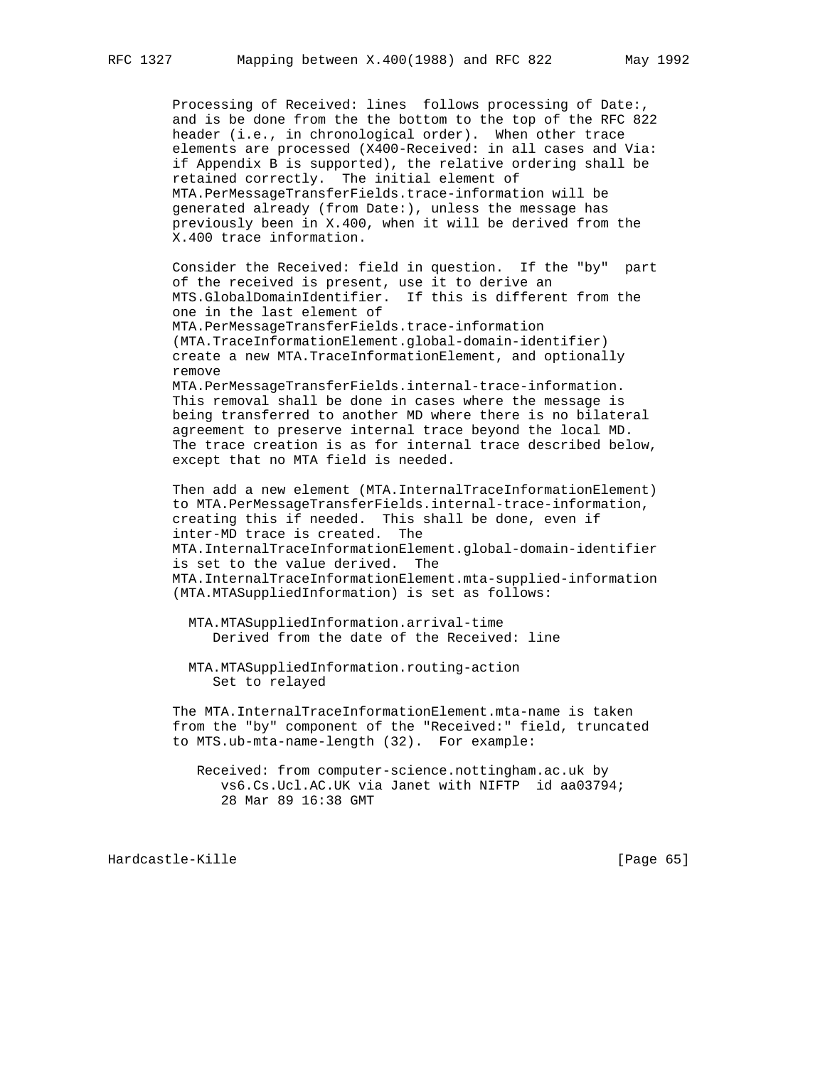Processing of Received: lines follows processing of Date:, and is be done from the the bottom to the top of the RFC 822 header (i.e., in chronological order). When other trace elements are processed (X400-Received: in all cases and Via: if Appendix B is supported), the relative ordering shall be retained correctly. The initial element of MTA.PerMessageTransferFields.trace-information will be generated already (from Date:), unless the message has previously been in X.400, when it will be derived from the X.400 trace information.

 Consider the Received: field in question. If the "by" part of the received is present, use it to derive an MTS.GlobalDomainIdentifier. If this is different from the one in the last element of MTA.PerMessageTransferFields.trace-information (MTA.TraceInformationElement.global-domain-identifier) create a new MTA.TraceInformationElement, and optionally remove MTA.PerMessageTransferFields.internal-trace-information.

 This removal shall be done in cases where the message is being transferred to another MD where there is no bilateral agreement to preserve internal trace beyond the local MD. The trace creation is as for internal trace described below, except that no MTA field is needed.

Then add a new element (MTA.InternalTraceInformationElement) to MTA.PerMessageTransferFields.internal-trace-information, creating this if needed. This shall be done, even if inter-MD trace is created. The MTA.InternalTraceInformationElement.global-domain-identifier is set to the value derived. The MTA.InternalTraceInformationElement.mta-supplied-information (MTA.MTASuppliedInformation) is set as follows:

 MTA.MTASuppliedInformation.arrival-time Derived from the date of the Received: line

 MTA.MTASuppliedInformation.routing-action Set to relayed

 The MTA.InternalTraceInformationElement.mta-name is taken from the "by" component of the "Received:" field, truncated to MTS.ub-mta-name-length (32). For example:

 Received: from computer-science.nottingham.ac.uk by vs6.Cs.Ucl.AC.UK via Janet with NIFTP id aa03794; 28 Mar 89 16:38 GMT

Hardcastle-Kille [Page 65]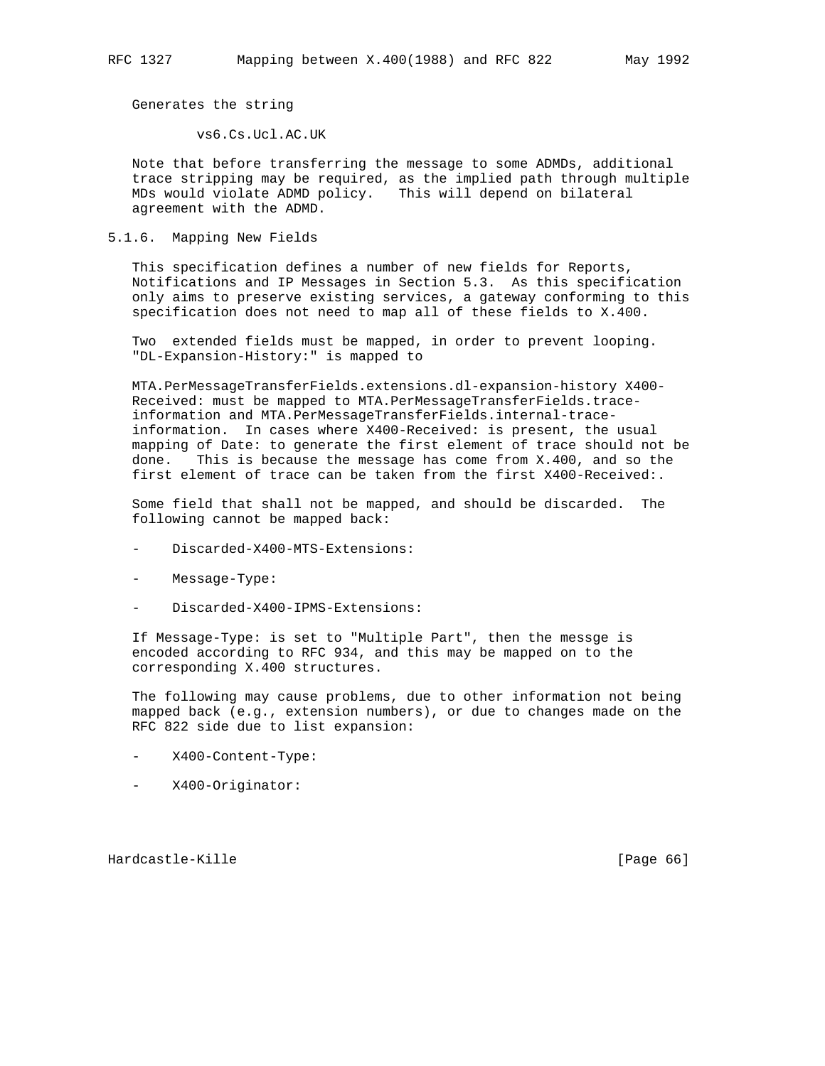Generates the string

vs6.Cs.Ucl.AC.UK

 Note that before transferring the message to some ADMDs, additional trace stripping may be required, as the implied path through multiple MDs would violate ADMD policy. This will depend on bilateral agreement with the ADMD.

# 5.1.6. Mapping New Fields

 This specification defines a number of new fields for Reports, Notifications and IP Messages in Section 5.3. As this specification only aims to preserve existing services, a gateway conforming to this specification does not need to map all of these fields to X.400.

 Two extended fields must be mapped, in order to prevent looping. "DL-Expansion-History:" is mapped to

 MTA.PerMessageTransferFields.extensions.dl-expansion-history X400- Received: must be mapped to MTA.PerMessageTransferFields.trace information and MTA.PerMessageTransferFields.internal-trace information. In cases where X400-Received: is present, the usual mapping of Date: to generate the first element of trace should not be done. This is because the message has come from X.400, and so the first element of trace can be taken from the first X400-Received:.

 Some field that shall not be mapped, and should be discarded. The following cannot be mapped back:

- Discarded-X400-MTS-Extensions:
- Message-Type:
- Discarded-X400-IPMS-Extensions:

 If Message-Type: is set to "Multiple Part", then the messge is encoded according to RFC 934, and this may be mapped on to the corresponding X.400 structures.

 The following may cause problems, due to other information not being mapped back (e.g., extension numbers), or due to changes made on the RFC 822 side due to list expansion:

- X400-Content-Type:
- X400-Originator:

Hardcastle-Kille [Page 66]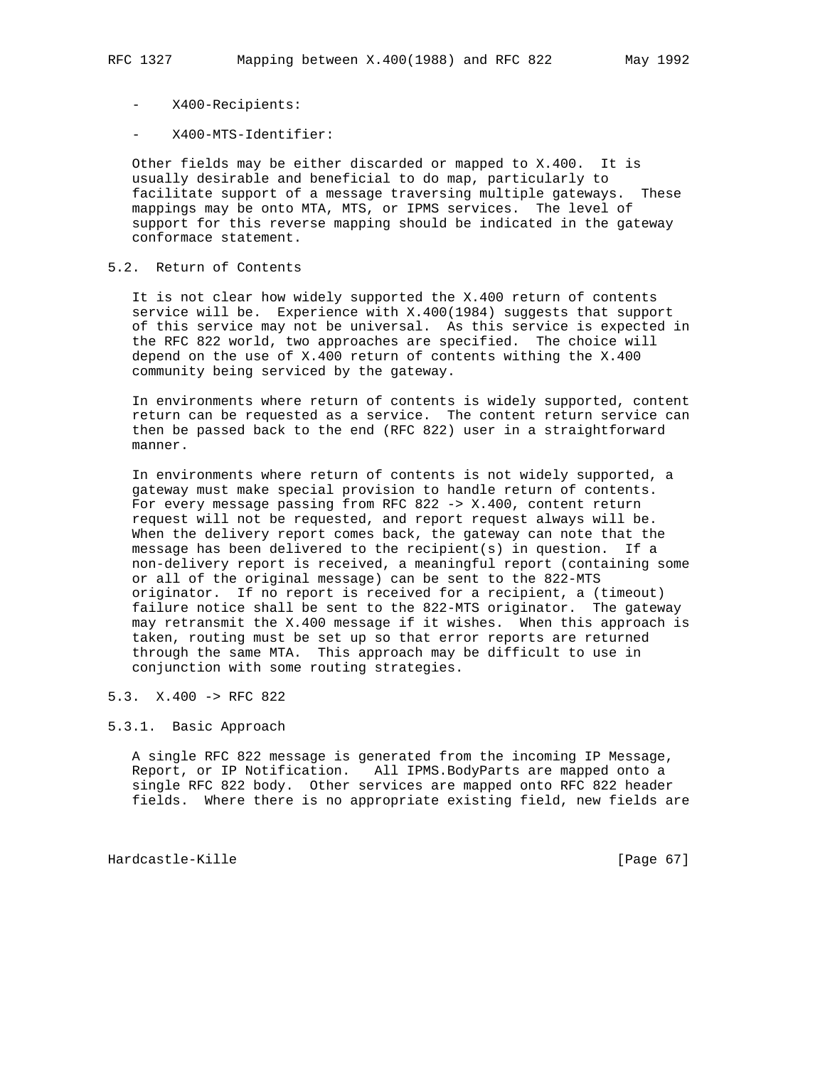- X400-Recipients:
- X400-MTS-Identifier:

 Other fields may be either discarded or mapped to X.400. It is usually desirable and beneficial to do map, particularly to facilitate support of a message traversing multiple gateways. These mappings may be onto MTA, MTS, or IPMS services. The level of support for this reverse mapping should be indicated in the gateway conformace statement.

# 5.2. Return of Contents

 It is not clear how widely supported the X.400 return of contents service will be. Experience with X.400(1984) suggests that support of this service may not be universal. As this service is expected in the RFC 822 world, two approaches are specified. The choice will depend on the use of X.400 return of contents withing the X.400 community being serviced by the gateway.

 In environments where return of contents is widely supported, content return can be requested as a service. The content return service can then be passed back to the end (RFC 822) user in a straightforward manner.

 In environments where return of contents is not widely supported, a gateway must make special provision to handle return of contents. For every message passing from RFC 822 -> X.400, content return request will not be requested, and report request always will be. When the delivery report comes back, the gateway can note that the message has been delivered to the recipient(s) in question. If a non-delivery report is received, a meaningful report (containing some or all of the original message) can be sent to the 822-MTS originator. If no report is received for a recipient, a (timeout) failure notice shall be sent to the 822-MTS originator. The gateway may retransmit the X.400 message if it wishes. When this approach is taken, routing must be set up so that error reports are returned through the same MTA. This approach may be difficult to use in conjunction with some routing strategies.

## 5.3. X.400 -> RFC 822

# 5.3.1. Basic Approach

 A single RFC 822 message is generated from the incoming IP Message, Report, or IP Notification. All IPMS.BodyParts are mapped onto a single RFC 822 body. Other services are mapped onto RFC 822 header fields. Where there is no appropriate existing field, new fields are

Hardcastle-Kille [Page 67]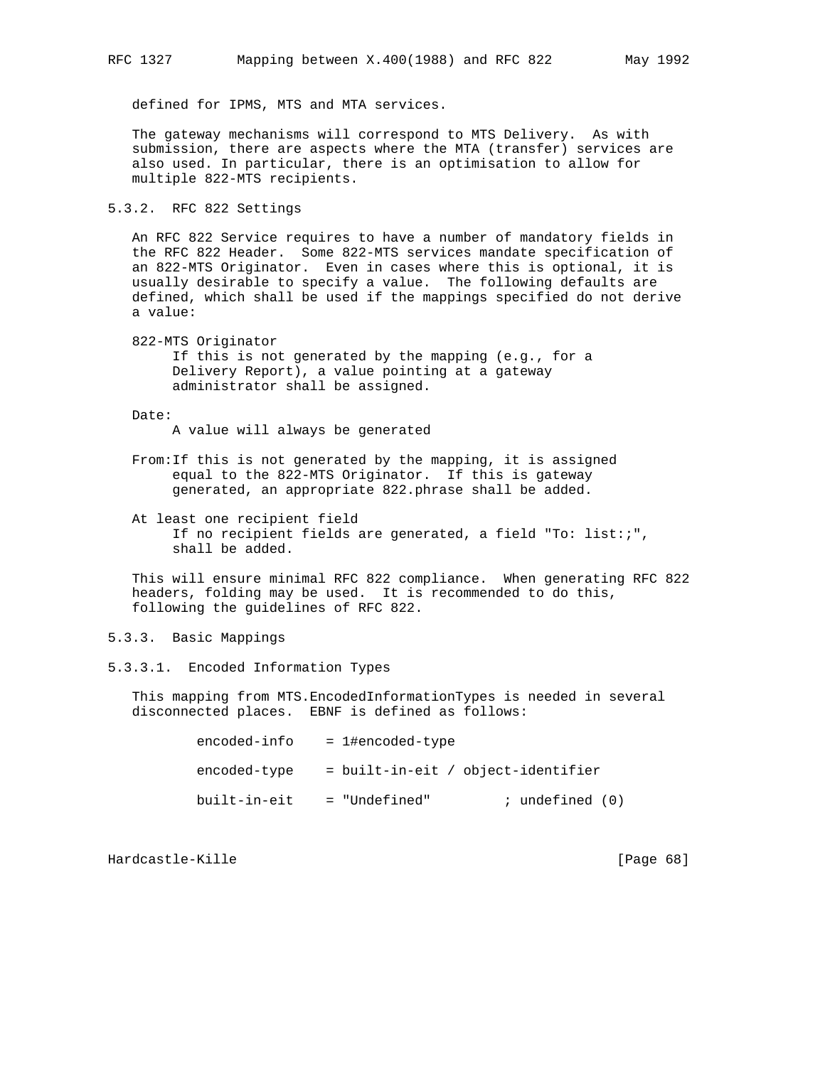defined for IPMS, MTS and MTA services.

 The gateway mechanisms will correspond to MTS Delivery. As with submission, there are aspects where the MTA (transfer) services are also used. In particular, there is an optimisation to allow for multiple 822-MTS recipients.

5.3.2. RFC 822 Settings

 An RFC 822 Service requires to have a number of mandatory fields in the RFC 822 Header. Some 822-MTS services mandate specification of an 822-MTS Originator. Even in cases where this is optional, it is usually desirable to specify a value. The following defaults are defined, which shall be used if the mappings specified do not derive a value:

 822-MTS Originator If this is not generated by the mapping (e.g., for a Delivery Report), a value pointing at a gateway administrator shall be assigned.

Date:

A value will always be generated

- From:If this is not generated by the mapping, it is assigned equal to the 822-MTS Originator. If this is gateway generated, an appropriate 822.phrase shall be added.
- At least one recipient field If no recipient fields are generated, a field "To: list:;", shall be added.

 This will ensure minimal RFC 822 compliance. When generating RFC 822 headers, folding may be used. It is recommended to do this, following the guidelines of RFC 822.

5.3.3. Basic Mappings

5.3.3.1. Encoded Information Types

 This mapping from MTS.EncodedInformationTypes is needed in several disconnected places. EBNF is defined as follows:

| encoded-info | $= 1$ #encoded-type                |
|--------------|------------------------------------|
| encoded-type | = built-in-eit / object-identifier |
| built-in-eit | = "Undefined"<br>; undefined (0)   |

Hardcastle-Kille [Page 68]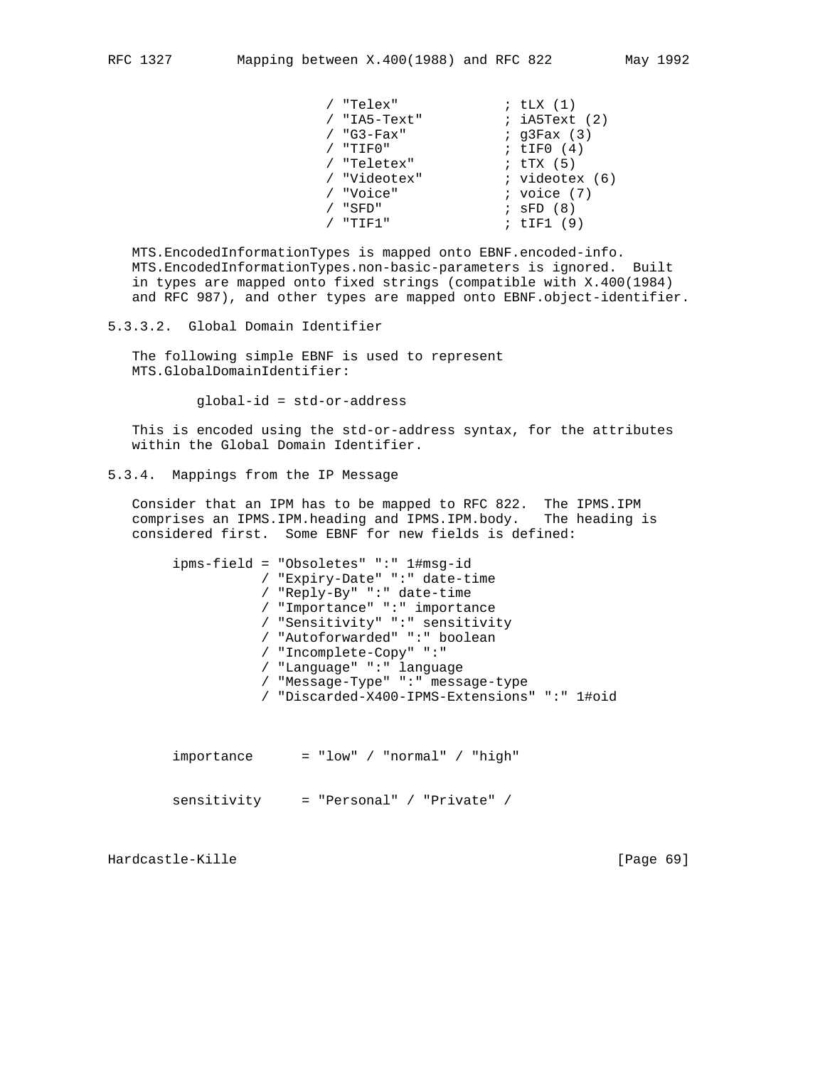| "Telex"      | ; $tLX(1)$               |
|--------------|--------------------------|
| / "IA5-Text" | ; iA5Text (2)            |
| "G3-Fax"     | $;$ q3Fax $(3)$          |
| "TIFO"       | ; $LIF0(4)$              |
| "Teletex"    | ; $\text{tr} \times (5)$ |
| / "Videotex" | ; videotex (6)           |
| "Voice"      | $:$ voice $(7)$          |
| "SFD"        | $;$ SFD $(8)$            |
| " דדי        | ; tIF1 (9)               |
|              |                          |

 MTS.EncodedInformationTypes is mapped onto EBNF.encoded-info. MTS.EncodedInformationTypes.non-basic-parameters is ignored. Built in types are mapped onto fixed strings (compatible with X.400(1984) and RFC 987), and other types are mapped onto EBNF.object-identifier.

5.3.3.2. Global Domain Identifier

 The following simple EBNF is used to represent MTS.GlobalDomainIdentifier:

global-id = std-or-address

 This is encoded using the std-or-address syntax, for the attributes within the Global Domain Identifier.

5.3.4. Mappings from the IP Message

 Consider that an IPM has to be mapped to RFC 822. The IPMS.IPM comprises an IPMS.IPM.heading and IPMS.IPM.body. The heading is considered first. Some EBNF for new fields is defined:

|  | $ipms-field = "Obsoletes" ": "1#msg-id$      |
|--|----------------------------------------------|
|  | / "Expiry-Date" ":" date-time                |
|  | / "Reply-By" ":" date-time                   |
|  | / "Importance" ":" importance                |
|  | / "Sensitivity" ":" sensitivity              |
|  | / "Autoforwarded" ":" boolean                |
|  | / "Incomplete-Copy" ":"                      |
|  | / "Language" ":" language                    |
|  | / "Message-Type" ":" message-type            |
|  | / "Discarded-X400-IPMS-Extensions" ":" 1#oid |
|  |                                              |

| importance  | $=$ "low" / "normal" / "high" |  |
|-------------|-------------------------------|--|
| sensitivity | $=$ "Personal" / "Private" /  |  |

Hardcastle-Kille [Page 69]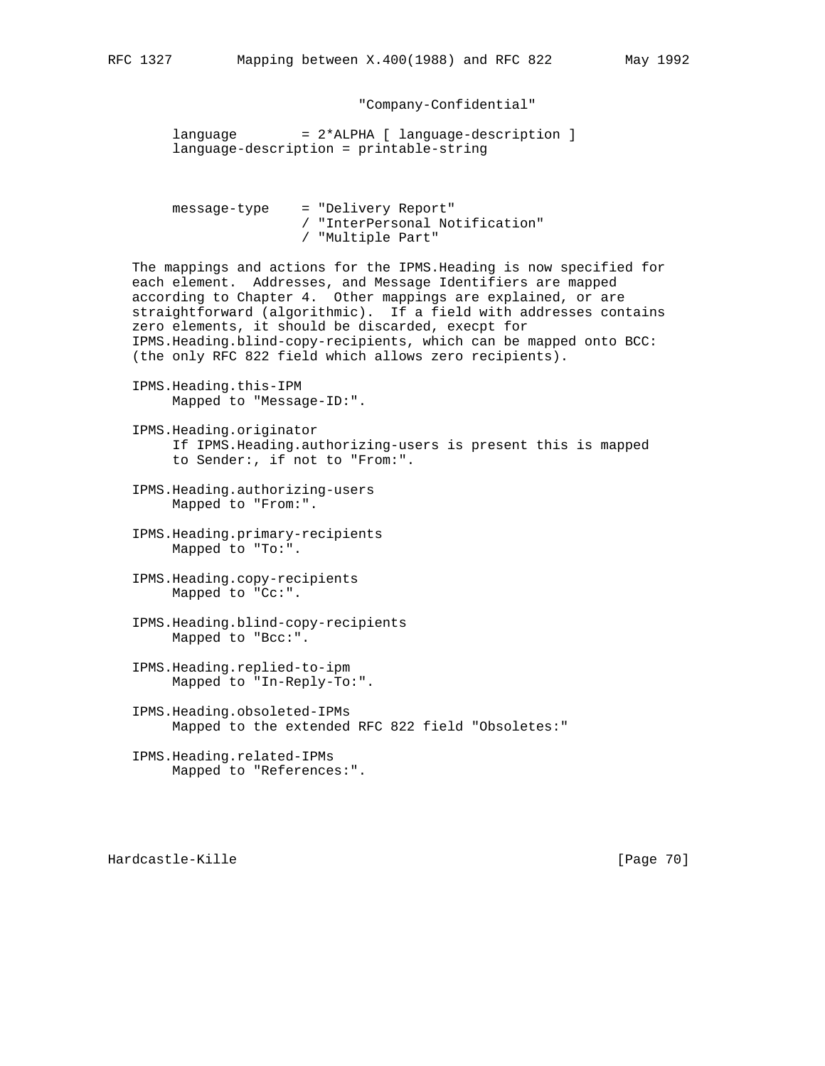"Company-Confidential"

language = 2\*ALPHA [ language-description ] language-description = printable-string

 message-type = "Delivery Report" / "InterPersonal Notification" / "Multiple Part"

 The mappings and actions for the IPMS.Heading is now specified for each element. Addresses, and Message Identifiers are mapped according to Chapter 4. Other mappings are explained, or are straightforward (algorithmic). If a field with addresses contains zero elements, it should be discarded, execpt for IPMS.Heading.blind-copy-recipients, which can be mapped onto BCC: (the only RFC 822 field which allows zero recipients).

- IPMS.Heading.this-IPM Mapped to "Message-ID:".
- IPMS.Heading.originator If IPMS.Heading.authorizing-users is present this is mapped to Sender:, if not to "From:".
- IPMS.Heading.authorizing-users Mapped to "From:".
- IPMS.Heading.primary-recipients Mapped to "To:".
- IPMS.Heading.copy-recipients Mapped to "Cc:".
- IPMS.Heading.blind-copy-recipients Mapped to "Bcc:".
- IPMS.Heading.replied-to-ipm Mapped to "In-Reply-To:".
- IPMS.Heading.obsoleted-IPMs Mapped to the extended RFC 822 field "Obsoletes:"
- IPMS.Heading.related-IPMs Mapped to "References:".

Hardcastle-Kille [Page 70]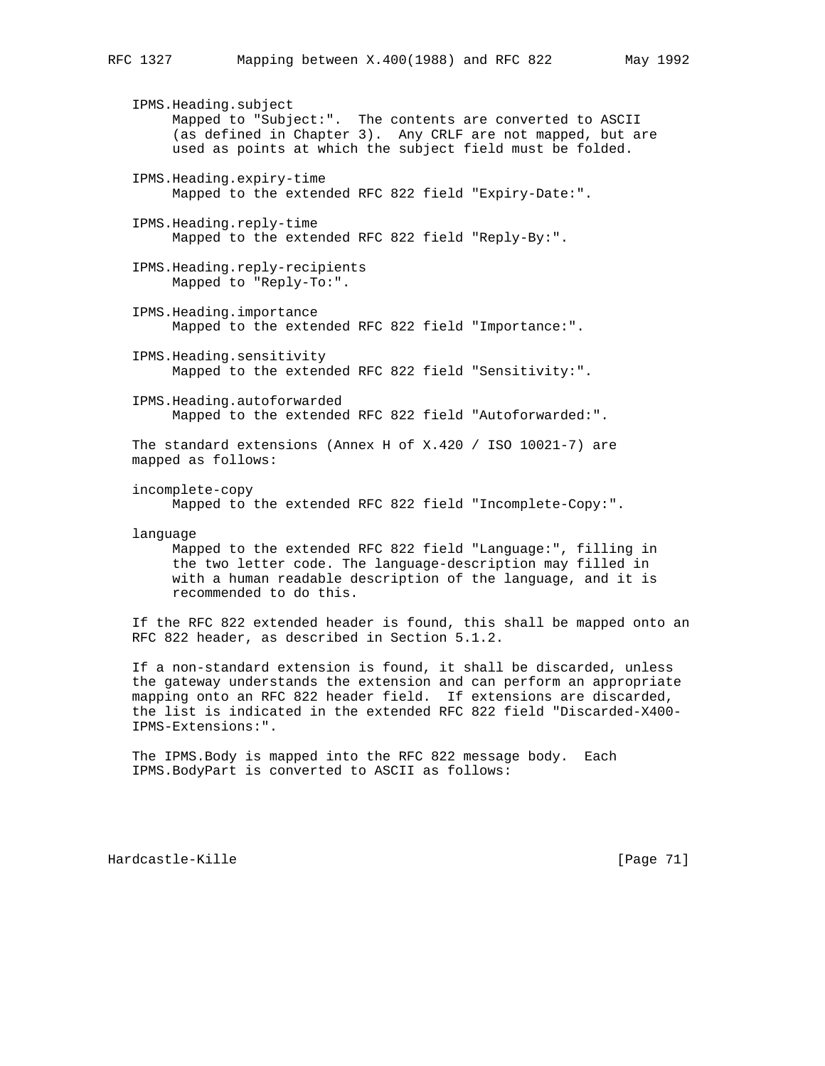IPMS.Heading.subject Mapped to "Subject:". The contents are converted to ASCII (as defined in Chapter 3). Any CRLF are not mapped, but are used as points at which the subject field must be folded. IPMS.Heading.expiry-time Mapped to the extended RFC 822 field "Expiry-Date:". IPMS.Heading.reply-time Mapped to the extended RFC 822 field "Reply-By:". IPMS.Heading.reply-recipients Mapped to "Reply-To:". IPMS.Heading.importance Mapped to the extended RFC 822 field "Importance:". IPMS.Heading.sensitivity Mapped to the extended RFC 822 field "Sensitivity:". IPMS.Heading.autoforwarded Mapped to the extended RFC 822 field "Autoforwarded:". The standard extensions (Annex H of X.420 / ISO 10021-7) are mapped as follows: incomplete-copy Mapped to the extended RFC 822 field "Incomplete-Copy:". language Mapped to the extended RFC 822 field "Language:", filling in the two letter code. The language-description may filled in with a human readable description of the language, and it is recommended to do this. If the RFC 822 extended header is found, this shall be mapped onto an RFC 822 header, as described in Section 5.1.2.

 If a non-standard extension is found, it shall be discarded, unless the gateway understands the extension and can perform an appropriate mapping onto an RFC 822 header field. If extensions are discarded, the list is indicated in the extended RFC 822 field "Discarded-X400- IPMS-Extensions:".

 The IPMS.Body is mapped into the RFC 822 message body. Each IPMS.BodyPart is converted to ASCII as follows:

Hardcastle-Kille [Page 71]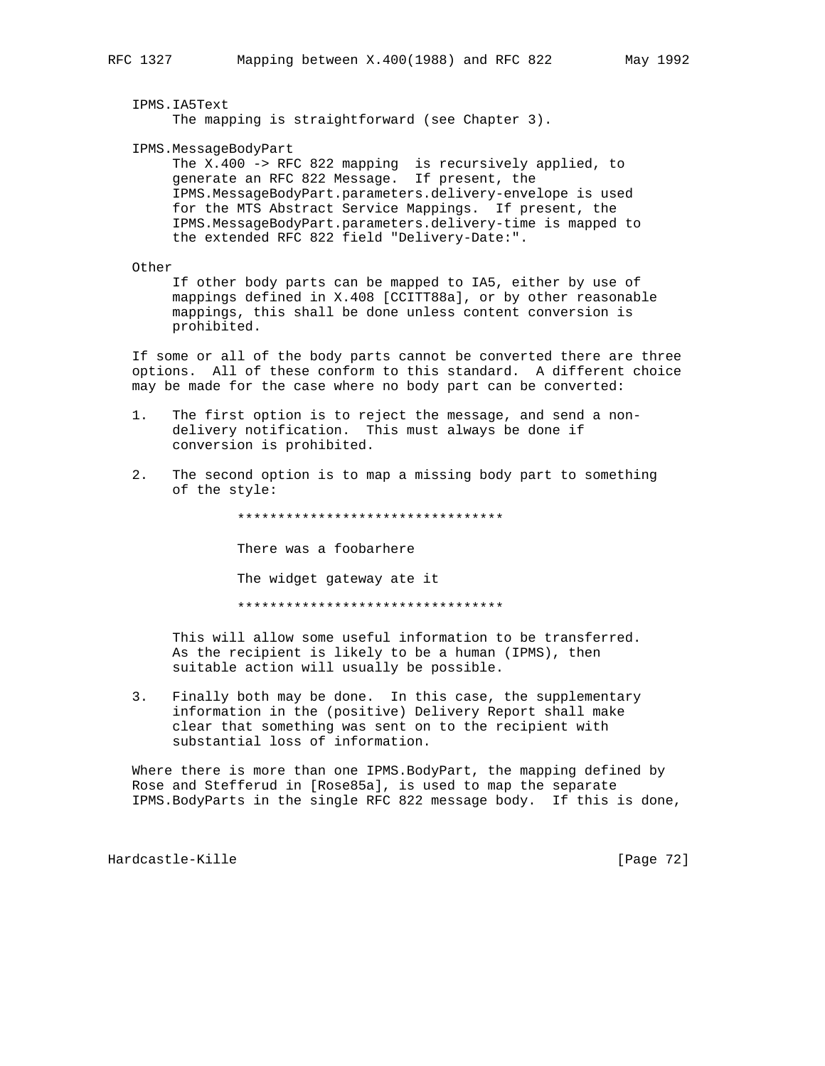IPMS.IA5Text

The mapping is straightforward (see Chapter 3).

IPMS.MessageBodyPart

 The X.400 -> RFC 822 mapping is recursively applied, to generate an RFC 822 Message. If present, the IPMS.MessageBodyPart.parameters.delivery-envelope is used for the MTS Abstract Service Mappings. If present, the IPMS.MessageBodyPart.parameters.delivery-time is mapped to the extended RFC 822 field "Delivery-Date:".

Other

 If other body parts can be mapped to IA5, either by use of mappings defined in X.408 [CCITT88a], or by other reasonable mappings, this shall be done unless content conversion is prohibited.

 If some or all of the body parts cannot be converted there are three options. All of these conform to this standard. A different choice may be made for the case where no body part can be converted:

- 1. The first option is to reject the message, and send a non delivery notification. This must always be done if conversion is prohibited.
- 2. The second option is to map a missing body part to something of the style:

\*\*\*\*\*\*\*\*\*\*\*\*\*\*\*\*\*\*\*\*\*\*\*\*\*\*\*\*\*\*\*\*\*

There was a foobarhere

The widget gateway ate it

\*\*\*\*\*\*\*\*\*\*\*\*\*\*\*\*\*\*\*\*\*\*\*\*\*\*\*\*\*\*\*\*\*

 This will allow some useful information to be transferred. As the recipient is likely to be a human (IPMS), then suitable action will usually be possible.

 3. Finally both may be done. In this case, the supplementary information in the (positive) Delivery Report shall make clear that something was sent on to the recipient with substantial loss of information.

 Where there is more than one IPMS.BodyPart, the mapping defined by Rose and Stefferud in [Rose85a], is used to map the separate IPMS.BodyParts in the single RFC 822 message body. If this is done,

Hardcastle-Kille [Page 72]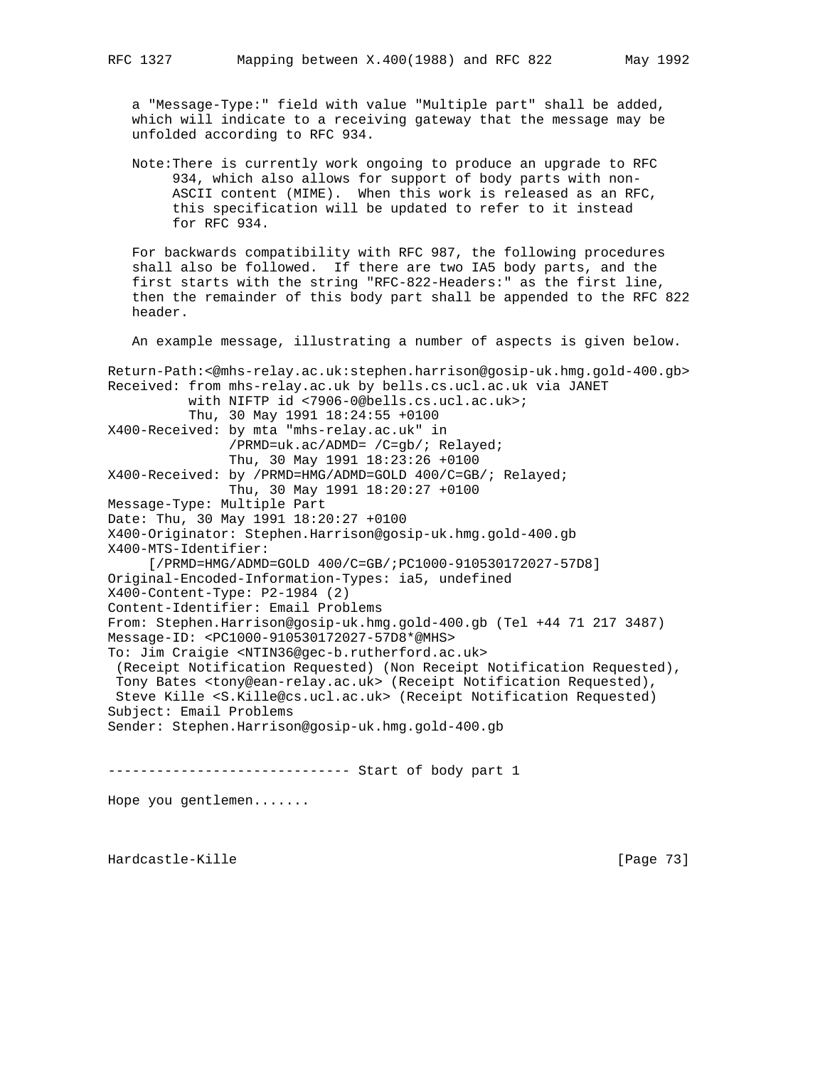a "Message-Type:" field with value "Multiple part" shall be added, which will indicate to a receiving gateway that the message may be unfolded according to RFC 934.

 Note:There is currently work ongoing to produce an upgrade to RFC 934, which also allows for support of body parts with non- ASCII content (MIME). When this work is released as an RFC, this specification will be updated to refer to it instead for RFC 934.

 For backwards compatibility with RFC 987, the following procedures shall also be followed. If there are two IA5 body parts, and the first starts with the string "RFC-822-Headers:" as the first line, then the remainder of this body part shall be appended to the RFC 822 header.

An example message, illustrating a number of aspects is given below.

Return-Path:<@mhs-relay.ac.uk:stephen.harrison@gosip-uk.hmg.gold-400.gb> Received: from mhs-relay.ac.uk by bells.cs.ucl.ac.uk via JANET with NIFTP id <7906-0@bells.cs.ucl.ac.uk>; Thu, 30 May 1991 18:24:55 +0100 X400-Received: by mta "mhs-relay.ac.uk" in /PRMD=uk.ac/ADMD= /C=gb/; Relayed; Thu, 30 May 1991 18:23:26 +0100 X400-Received: by /PRMD=HMG/ADMD=GOLD 400/C=GB/; Relayed; Thu, 30 May 1991 18:20:27 +0100 Message-Type: Multiple Part Date: Thu, 30 May 1991 18:20:27 +0100 X400-Originator: Stephen.Harrison@gosip-uk.hmg.gold-400.gb X400-MTS-Identifier: [/PRMD=HMG/ADMD=GOLD 400/C=GB/;PC1000-910530172027-57D8] Original-Encoded-Information-Types: ia5, undefined X400-Content-Type: P2-1984 (2) Content-Identifier: Email Problems From: Stephen.Harrison@gosip-uk.hmg.gold-400.gb (Tel +44 71 217 3487) Message-ID: <PC1000-910530172027-57D8\*@MHS> To: Jim Craigie <NTIN36@gec-b.rutherford.ac.uk> (Receipt Notification Requested) (Non Receipt Notification Requested), Tony Bates <tony@ean-relay.ac.uk> (Receipt Notification Requested), Steve Kille <S.Kille@cs.ucl.ac.uk> (Receipt Notification Requested) Subject: Email Problems Sender: Stephen.Harrison@gosip-uk.hmg.gold-400.gb ------------------------------ Start of body part 1

Hope you gentlemen.......

Hardcastle-Kille [Page 73]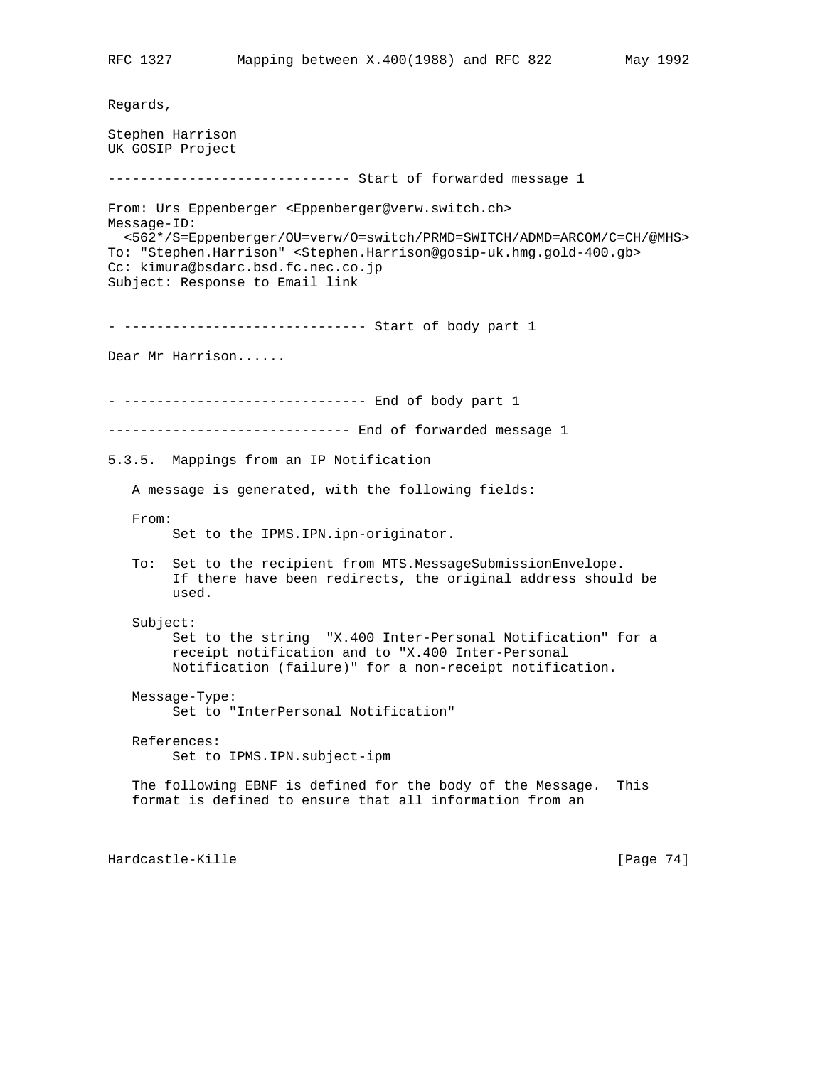Regards, Stephen Harrison UK GOSIP Project ------------------------------ Start of forwarded message 1 From: Urs Eppenberger <Eppenberger@verw.switch.ch> Message-ID: <562\*/S=Eppenberger/OU=verw/O=switch/PRMD=SWITCH/ADMD=ARCOM/C=CH/@MHS> To: "Stephen.Harrison" <Stephen.Harrison@gosip-uk.hmg.gold-400.gb> Cc: kimura@bsdarc.bsd.fc.nec.co.jp Subject: Response to Email link - ------------------------------ Start of body part 1 Dear Mr Harrison...... - ------------------------------ End of body part 1 ------------------------------ End of forwarded message 1 5.3.5. Mappings from an IP Notification A message is generated, with the following fields: From: Set to the IPMS.IPN.ipn-originator. To: Set to the recipient from MTS.MessageSubmissionEnvelope. If there have been redirects, the original address should be used. Subject: Set to the string "X.400 Inter-Personal Notification" for a receipt notification and to "X.400 Inter-Personal Notification (failure)" for a non-receipt notification. Message-Type: Set to "InterPersonal Notification" References: Set to IPMS.IPN.subject-ipm The following EBNF is defined for the body of the Message. This format is defined to ensure that all information from an Hardcastle-Kille [Page 74]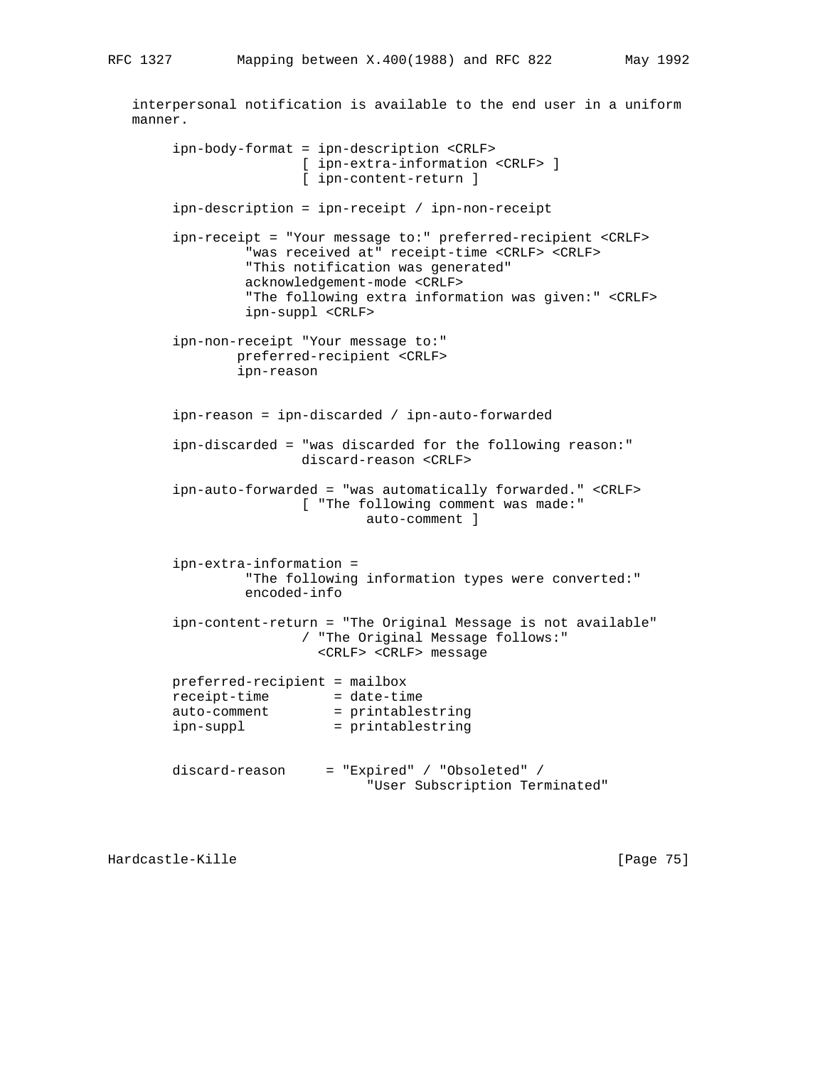interpersonal notification is available to the end user in a uniform

 manner. ipn-body-format = ipn-description <CRLF> [ ipn-extra-information <CRLF> ] [ ipn-content-return ] ipn-description = ipn-receipt / ipn-non-receipt ipn-receipt = "Your message to:" preferred-recipient <CRLF> "was received at" receipt-time <CRLF> <CRLF> "This notification was generated" acknowledgement-mode <CRLF> "The following extra information was given:" <CRLF> ipn-suppl <CRLF> ipn-non-receipt "Your message to:" preferred-recipient <CRLF> ipn-reason ipn-reason = ipn-discarded / ipn-auto-forwarded ipn-discarded = "was discarded for the following reason:" discard-reason <CRLF> ipn-auto-forwarded = "was automatically forwarded." <CRLF> [ "The following comment was made:" auto-comment ] ipn-extra-information = "The following information types were converted:" encoded-info ipn-content-return = "The Original Message is not available" / "The Original Message follows:" <CRLF> <CRLF> message preferred-recipient = mailbox receipt-time = date-time auto-comment = printablestring ipn-suppl = printablestring discard-reason = "Expired" / "Obsoleted" / "User Subscription Terminated"

Hardcastle-Kille [Page 75]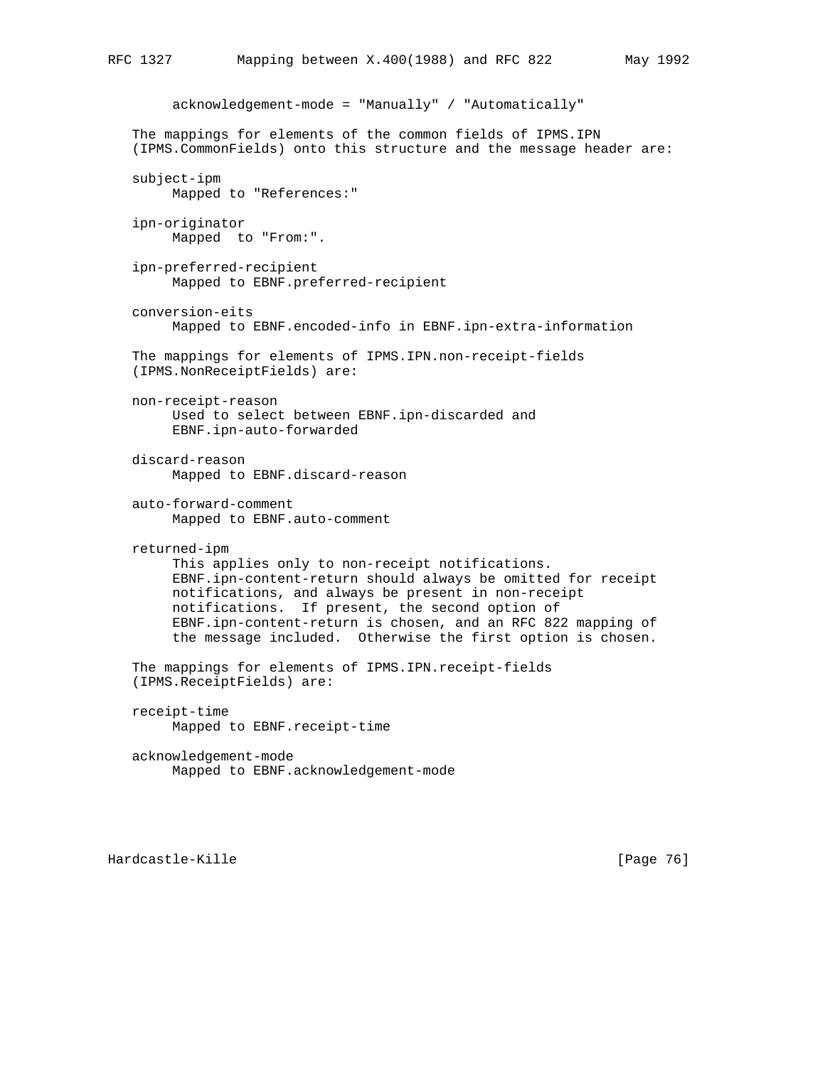```
 acknowledgement-mode = "Manually" / "Automatically"
 The mappings for elements of the common fields of IPMS.IPN
 (IPMS.CommonFields) onto this structure and the message header are:
 subject-ipm
      Mapped to "References:"
 ipn-originator
      Mapped to "From:".
 ipn-preferred-recipient
      Mapped to EBNF.preferred-recipient
 conversion-eits
      Mapped to EBNF.encoded-info in EBNF.ipn-extra-information
 The mappings for elements of IPMS.IPN.non-receipt-fields
 (IPMS.NonReceiptFields) are:
 non-receipt-reason
      Used to select between EBNF.ipn-discarded and
      EBNF.ipn-auto-forwarded
 discard-reason
      Mapped to EBNF.discard-reason
 auto-forward-comment
      Mapped to EBNF.auto-comment
 returned-ipm
      This applies only to non-receipt notifications.
      EBNF.ipn-content-return should always be omitted for receipt
      notifications, and always be present in non-receipt
      notifications. If present, the second option of
      EBNF.ipn-content-return is chosen, and an RFC 822 mapping of
      the message included. Otherwise the first option is chosen.
 The mappings for elements of IPMS.IPN.receipt-fields
 (IPMS.ReceiptFields) are:
 receipt-time
      Mapped to EBNF.receipt-time
 acknowledgement-mode
      Mapped to EBNF.acknowledgement-mode
```
Hardcastle-Kille [Page 76]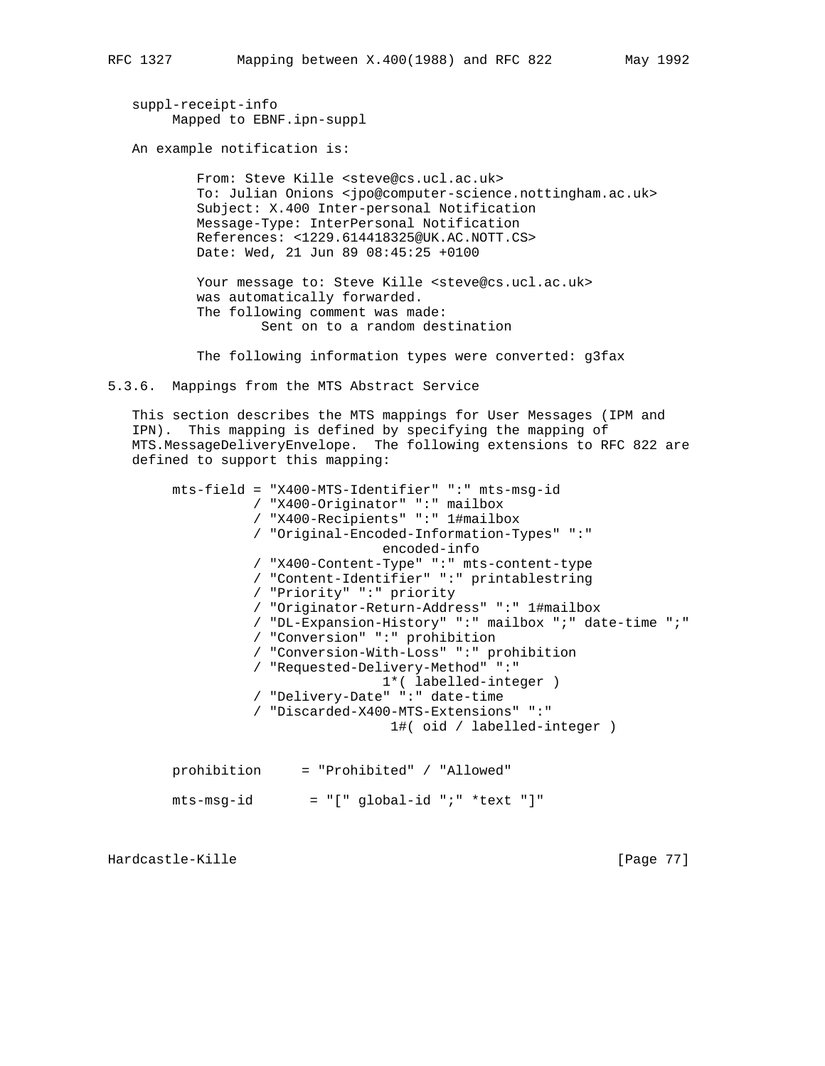suppl-receipt-info Mapped to EBNF.ipn-suppl

An example notification is:

 From: Steve Kille <steve@cs.ucl.ac.uk> To: Julian Onions <jpo@computer-science.nottingham.ac.uk> Subject: X.400 Inter-personal Notification Message-Type: InterPersonal Notification References: <1229.614418325@UK.AC.NOTT.CS> Date: Wed, 21 Jun 89 08:45:25 +0100

Your message to: Steve Kille <steve@cs.ucl.ac.uk> was automatically forwarded. The following comment was made: Sent on to a random destination

The following information types were converted: g3fax

5.3.6. Mappings from the MTS Abstract Service

 This section describes the MTS mappings for User Messages (IPM and IPN). This mapping is defined by specifying the mapping of MTS.MessageDeliveryEnvelope. The following extensions to RFC 822 are defined to support this mapping:

 mts-field = "X400-MTS-Identifier" ":" mts-msg-id / "X400-Originator" ":" mailbox / "X400-Recipients" ":" 1#mailbox / "Original-Encoded-Information-Types" ":" encoded-info / "X400-Content-Type" ":" mts-content-type / "Content-Identifier" ":" printablestring / "Priority" ":" priority / "Originator-Return-Address" ":" 1#mailbox / "DL-Expansion-History" ":" mailbox ";" date-time ";" / "Conversion" ":" prohibition / "Conversion-With-Loss" ":" prohibition / "Requested-Delivery-Method" ":" 1\*( labelled-integer ) / "Delivery-Date" ":" date-time / "Discarded-X400-MTS-Extensions" ":" 1#( oid / labelled-integer ) prohibition = "Prohibited" / "Allowed"

 $mts-msg-id = "[" global-id "i" *text "]"$ 

Hardcastle-Kille [Page 77]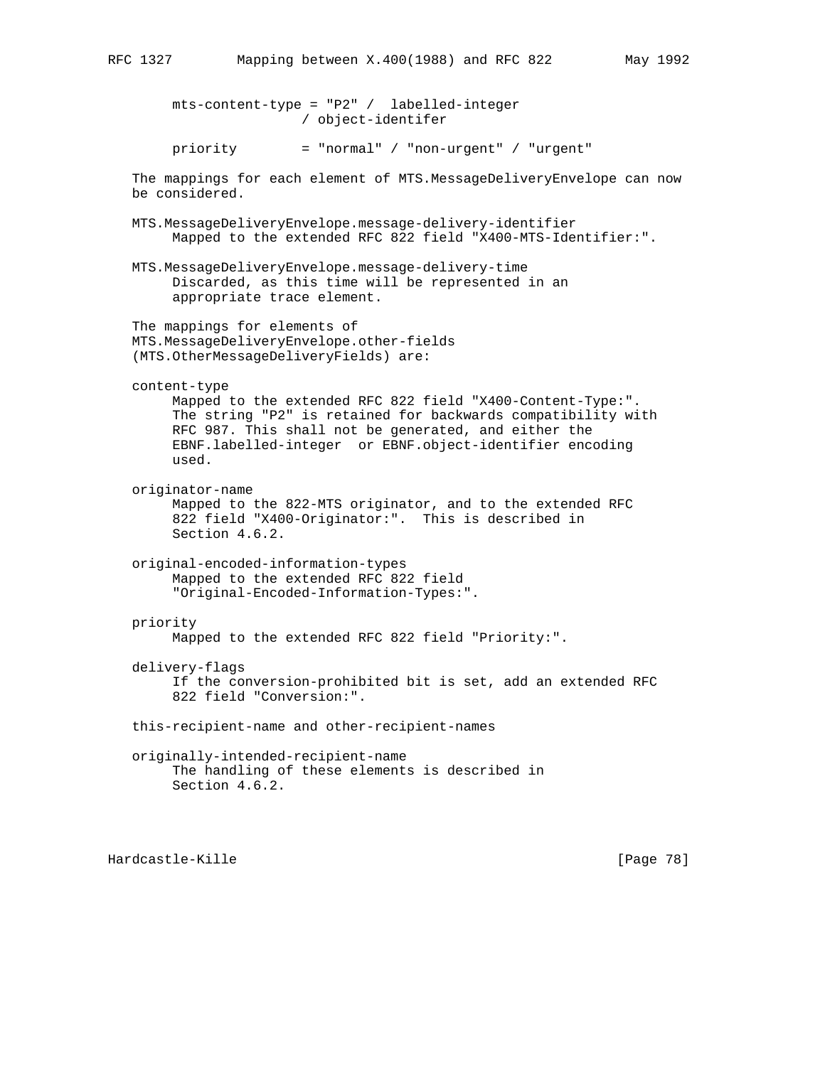mts-content-type = "P2" / labelled-integer / object-identifer priority = "normal" / "non-urgent" / "urgent" The mappings for each element of MTS.MessageDeliveryEnvelope can now be considered. MTS.MessageDeliveryEnvelope.message-delivery-identifier Mapped to the extended RFC 822 field "X400-MTS-Identifier:". MTS.MessageDeliveryEnvelope.message-delivery-time Discarded, as this time will be represented in an appropriate trace element. The mappings for elements of MTS.MessageDeliveryEnvelope.other-fields (MTS.OtherMessageDeliveryFields) are: content-type Mapped to the extended RFC 822 field "X400-Content-Type:". The string "P2" is retained for backwards compatibility with RFC 987. This shall not be generated, and either the EBNF.labelled-integer or EBNF.object-identifier encoding used. originator-name Mapped to the 822-MTS originator, and to the extended RFC 822 field "X400-Originator:". This is described in Section 4.6.2. original-encoded-information-types Mapped to the extended RFC 822 field "Original-Encoded-Information-Types:". priority Mapped to the extended RFC 822 field "Priority:". delivery-flags If the conversion-prohibited bit is set, add an extended RFC 822 field "Conversion:". this-recipient-name and other-recipient-names originally-intended-recipient-name The handling of these elements is described in Section 4.6.2.

Hardcastle-Kille [Page 78]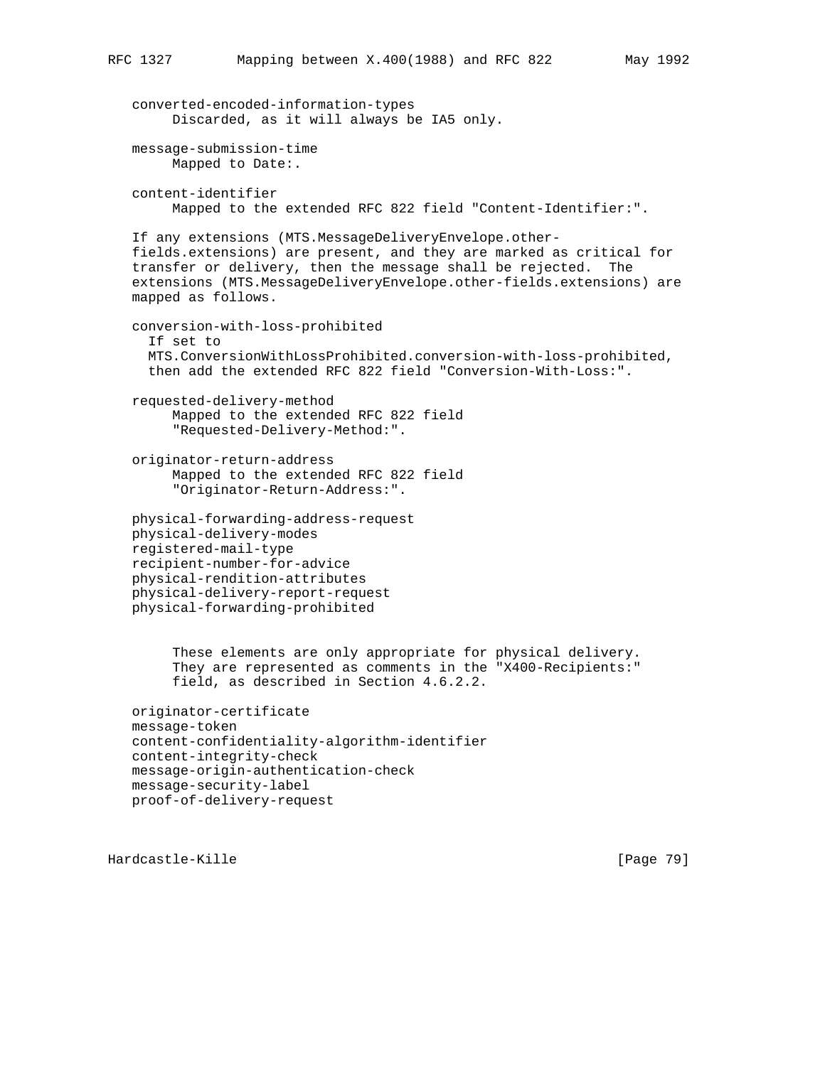```
 converted-encoded-information-types
      Discarded, as it will always be IA5 only.
 message-submission-time
      Mapped to Date:.
 content-identifier
      Mapped to the extended RFC 822 field "Content-Identifier:".
 If any extensions (MTS.MessageDeliveryEnvelope.other-
 fields.extensions) are present, and they are marked as critical for
 transfer or delivery, then the message shall be rejected. The
 extensions (MTS.MessageDeliveryEnvelope.other-fields.extensions) are
 mapped as follows.
 conversion-with-loss-prohibited
   If set to
   MTS.ConversionWithLossProhibited.conversion-with-loss-prohibited,
   then add the extended RFC 822 field "Conversion-With-Loss:".
 requested-delivery-method
      Mapped to the extended RFC 822 field
      "Requested-Delivery-Method:".
 originator-return-address
      Mapped to the extended RFC 822 field
      "Originator-Return-Address:".
 physical-forwarding-address-request
 physical-delivery-modes
 registered-mail-type
 recipient-number-for-advice
 physical-rendition-attributes
 physical-delivery-report-request
 physical-forwarding-prohibited
      These elements are only appropriate for physical delivery.
      They are represented as comments in the "X400-Recipients:"
      field, as described in Section 4.6.2.2.
 originator-certificate
 message-token
 content-confidentiality-algorithm-identifier
 content-integrity-check
 message-origin-authentication-check
 message-security-label
 proof-of-delivery-request
```
Hardcastle-Kille [Page 79]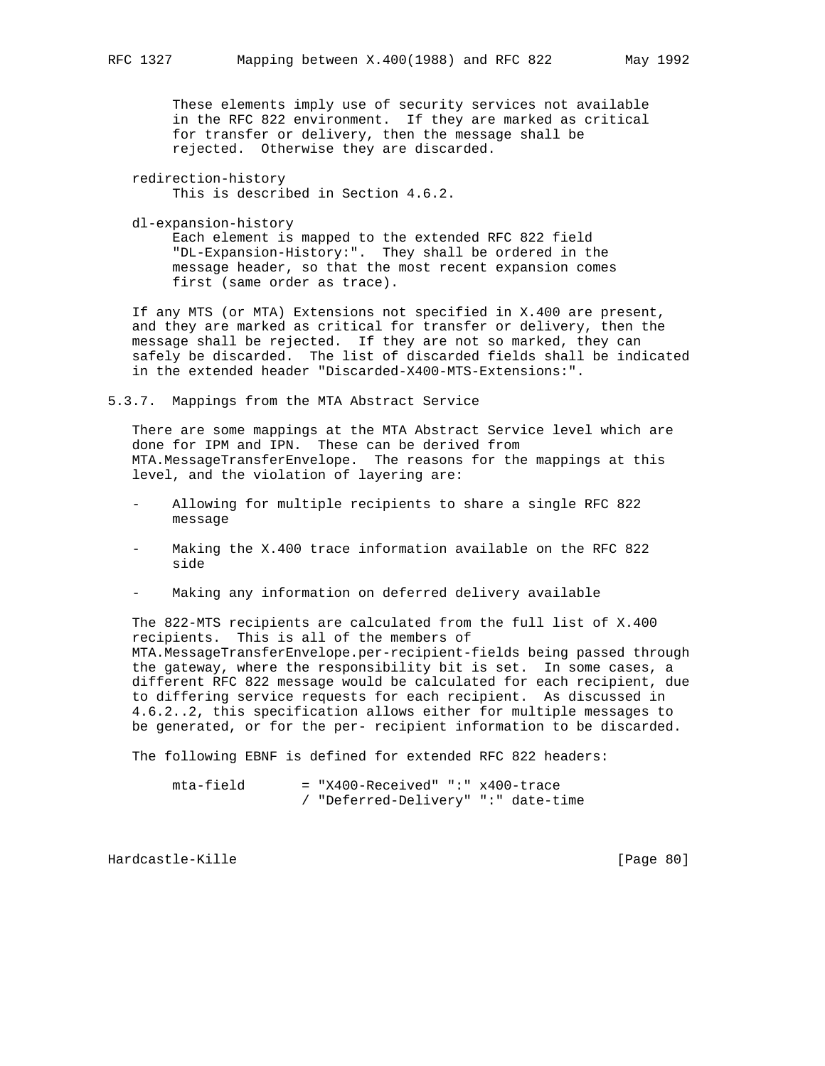These elements imply use of security services not available in the RFC 822 environment. If they are marked as critical for transfer or delivery, then the message shall be rejected. Otherwise they are discarded.

 redirection-history This is described in Section 4.6.2.

dl-expansion-history

 Each element is mapped to the extended RFC 822 field "DL-Expansion-History:". They shall be ordered in the message header, so that the most recent expansion comes first (same order as trace).

 If any MTS (or MTA) Extensions not specified in X.400 are present, and they are marked as critical for transfer or delivery, then the message shall be rejected. If they are not so marked, they can safely be discarded. The list of discarded fields shall be indicated in the extended header "Discarded-X400-MTS-Extensions:".

5.3.7. Mappings from the MTA Abstract Service

 There are some mappings at the MTA Abstract Service level which are done for IPM and IPN. These can be derived from MTA.MessageTransferEnvelope. The reasons for the mappings at this level, and the violation of layering are:

- Allowing for multiple recipients to share a single RFC 822 message
- Making the X.400 trace information available on the RFC 822 side
- Making any information on deferred delivery available

 The 822-MTS recipients are calculated from the full list of X.400 recipients. This is all of the members of MTA.MessageTransferEnvelope.per-recipient-fields being passed through the gateway, where the responsibility bit is set. In some cases, a different RFC 822 message would be calculated for each recipient, due to differing service requests for each recipient. As discussed in 4.6.2..2, this specification allows either for multiple messages to be generated, or for the per- recipient information to be discarded.

The following EBNF is defined for extended RFC 822 headers:

 mta-field = "X400-Received" ":" x400-trace / "Deferred-Delivery" ":" date-time

Hardcastle-Kille [Page 80]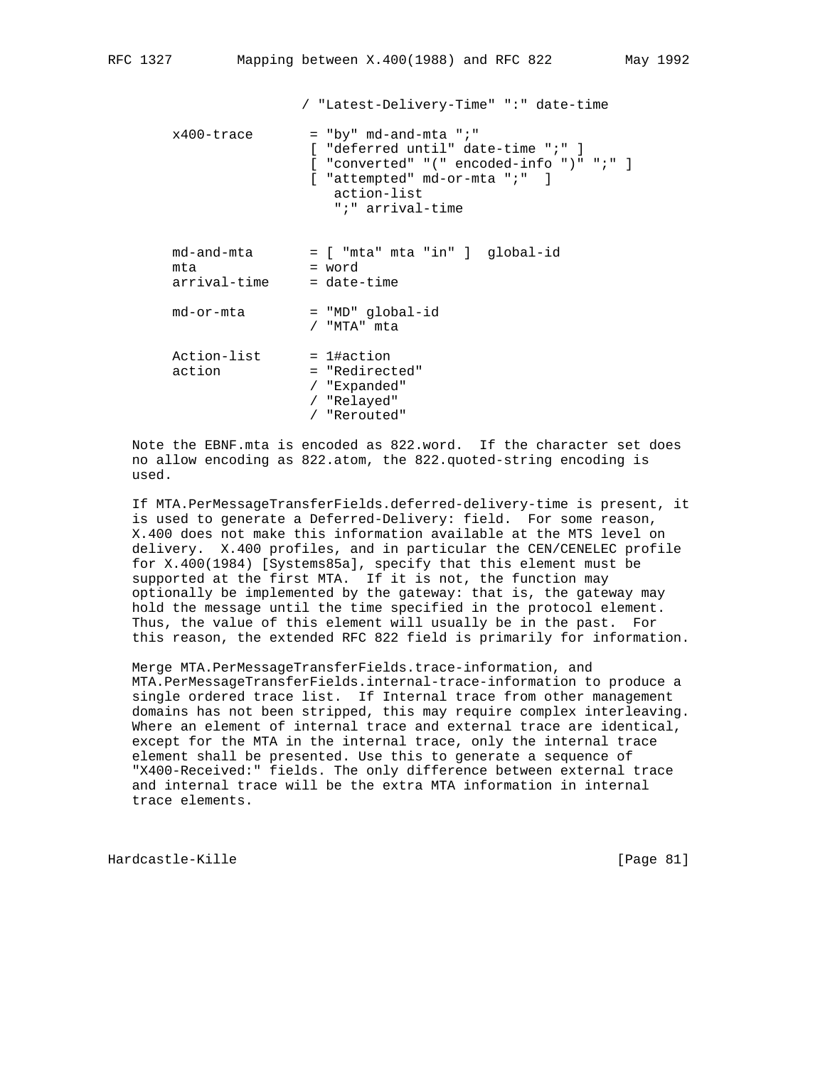```
 / "Latest-Delivery-Time" ":" date-time
x400-trace = "by" md-and-mta ";"
                [ "deferred until" date-time ";" ]
                [ "converted" "(" encoded-info ")" ";" ]
               [ "attempted" md-or-mta ";" ]
                   action-list
                   ";" arrival-time
 md-and-mta = [ "mta" mta "in" ] global-id
mta = word
 arrival-time = date-time
 md-or-mta = "MD" global-id
                / "MTA" mta
Action-list = 1#action
action = "Redirected"
                / "Expanded"
                / "Relayed"
                / "Rerouted"
```
 Note the EBNF.mta is encoded as 822.word. If the character set does no allow encoding as 822.atom, the 822.quoted-string encoding is used.

 If MTA.PerMessageTransferFields.deferred-delivery-time is present, it is used to generate a Deferred-Delivery: field. For some reason, X.400 does not make this information available at the MTS level on delivery. X.400 profiles, and in particular the CEN/CENELEC profile for X.400(1984) [Systems85a], specify that this element must be supported at the first MTA. If it is not, the function may optionally be implemented by the gateway: that is, the gateway may hold the message until the time specified in the protocol element. Thus, the value of this element will usually be in the past. For this reason, the extended RFC 822 field is primarily for information.

 Merge MTA.PerMessageTransferFields.trace-information, and MTA.PerMessageTransferFields.internal-trace-information to produce a single ordered trace list. If Internal trace from other management domains has not been stripped, this may require complex interleaving. Where an element of internal trace and external trace are identical, except for the MTA in the internal trace, only the internal trace element shall be presented. Use this to generate a sequence of "X400-Received:" fields. The only difference between external trace and internal trace will be the extra MTA information in internal trace elements.

Hardcastle-Kille [Page 81]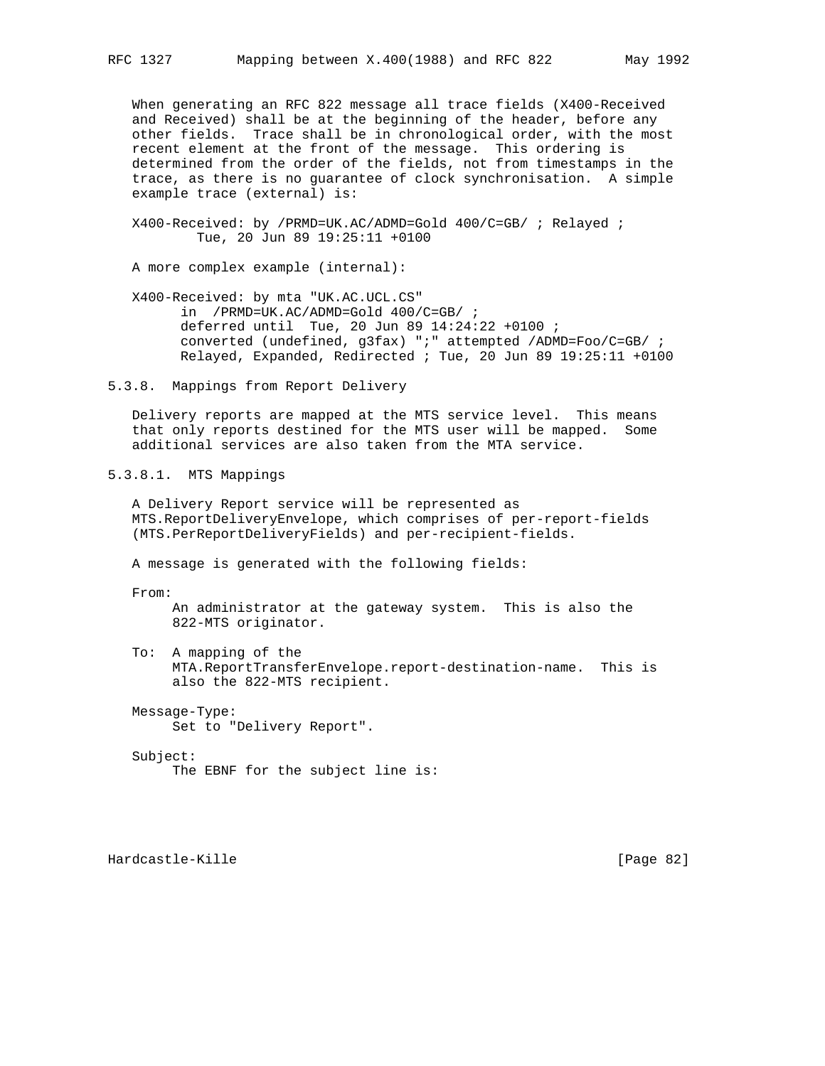When generating an RFC 822 message all trace fields (X400-Received and Received) shall be at the beginning of the header, before any other fields. Trace shall be in chronological order, with the most recent element at the front of the message. This ordering is determined from the order of the fields, not from timestamps in the trace, as there is no guarantee of clock synchronisation. A simple example trace (external) is:

 X400-Received: by /PRMD=UK.AC/ADMD=Gold 400/C=GB/ ; Relayed ; Tue, 20 Jun 89 19:25:11 +0100

A more complex example (internal):

 X400-Received: by mta "UK.AC.UCL.CS" in /PRMD=UK.AC/ADMD=Gold 400/C=GB/ ; deferred until Tue, 20 Jun 89 14:24:22 +0100 ; converted (undefined, g3fax) ";" attempted /ADMD=Foo/C=GB/ ; Relayed, Expanded, Redirected ; Tue, 20 Jun 89 19:25:11 +0100

5.3.8. Mappings from Report Delivery

 Delivery reports are mapped at the MTS service level. This means that only reports destined for the MTS user will be mapped. Some additional services are also taken from the MTA service.

5.3.8.1. MTS Mappings

 A Delivery Report service will be represented as MTS.ReportDeliveryEnvelope, which comprises of per-report-fields (MTS.PerReportDeliveryFields) and per-recipient-fields.

A message is generated with the following fields:

From:

 An administrator at the gateway system. This is also the 822-MTS originator.

 To: A mapping of the MTA.ReportTransferEnvelope.report-destination-name. This is also the 822-MTS recipient.

 Message-Type: Set to "Delivery Report".

Subject:

The EBNF for the subject line is:

Hardcastle-Kille [Page 82]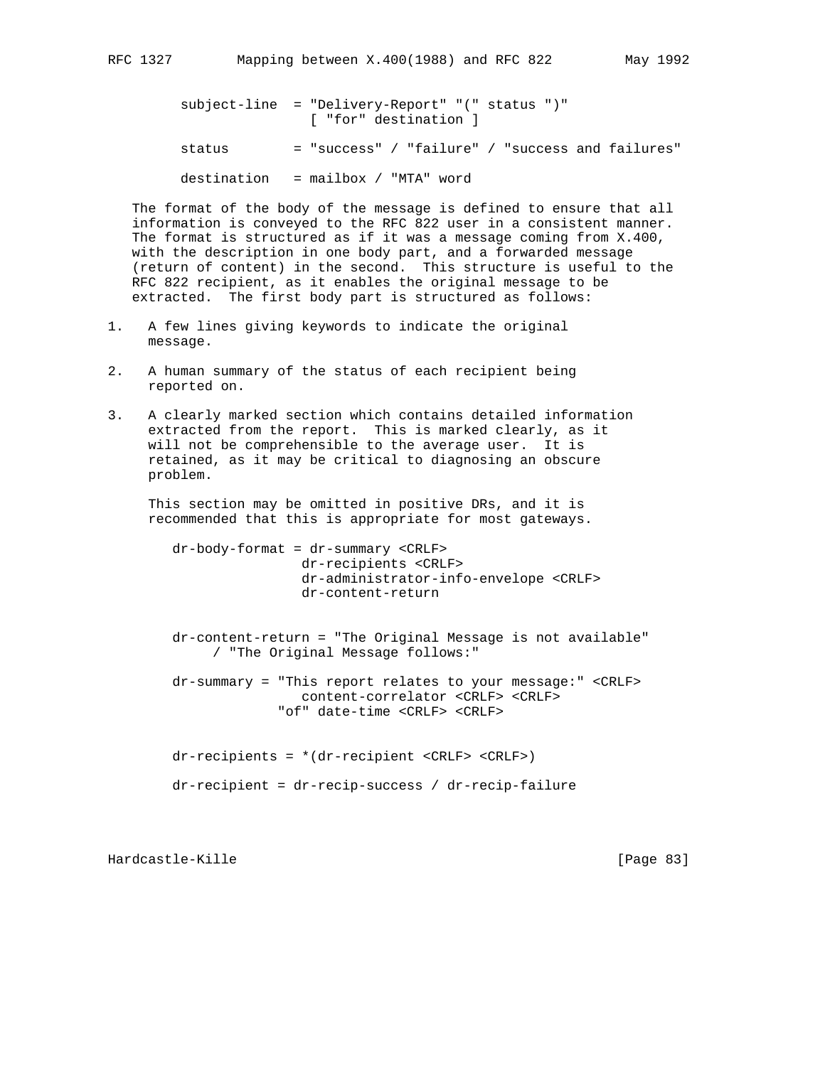subject-line = "Delivery-Report" "(" status ")" [ "for" destination ] status = "success" / "failure" / "success and failures" destination = mailbox / "MTA" word

 The format of the body of the message is defined to ensure that all information is conveyed to the RFC 822 user in a consistent manner. The format is structured as if it was a message coming from X.400, with the description in one body part, and a forwarded message (return of content) in the second. This structure is useful to the RFC 822 recipient, as it enables the original message to be extracted. The first body part is structured as follows:

- 1. A few lines giving keywords to indicate the original message.
- 2. A human summary of the status of each recipient being reported on.
- 3. A clearly marked section which contains detailed information extracted from the report. This is marked clearly, as it will not be comprehensible to the average user. It is retained, as it may be critical to diagnosing an obscure problem.

 This section may be omitted in positive DRs, and it is recommended that this is appropriate for most gateways.

 dr-body-format = dr-summary <CRLF> dr-recipients <CRLF> dr-administrator-info-envelope <CRLF> dr-content-return

 dr-content-return = "The Original Message is not available" / "The Original Message follows:"

 dr-summary = "This report relates to your message:" <CRLF> content-correlator <CRLF> <CRLF> "of" date-time <CRLF> <CRLF>

dr-recipients = \*(dr-recipient <CRLF> <CRLF>)

dr-recipient = dr-recip-success / dr-recip-failure

Hardcastle-Kille [Page 83]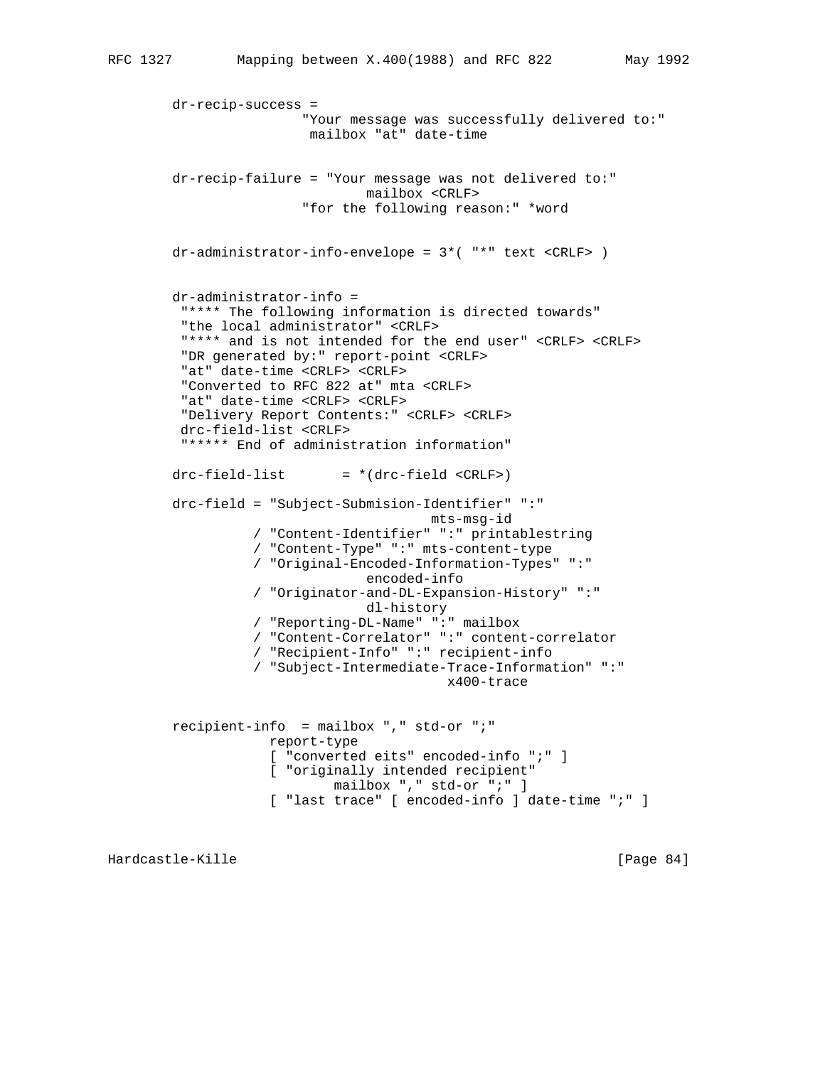```
 dr-recip-success =
                 "Your message was successfully delivered to:"
                  mailbox "at" date-time
 dr-recip-failure = "Your message was not delivered to:"
                         mailbox <CRLF>
                 "for the following reason:" *word
 dr-administrator-info-envelope = 3*( "*" text <CRLF> )
 dr-administrator-info =
  "**** The following information is directed towards"
  "the local administrator" <CRLF>
  "**** and is not intended for the end user" <CRLF> <CRLF>
  "DR generated by:" report-point <CRLF>
  "at" date-time <CRLF> <CRLF>
  "Converted to RFC 822 at" mta <CRLF>
  "at" date-time <CRLF> <CRLF>
  "Delivery Report Contents:" <CRLF> <CRLF>
  drc-field-list <CRLF>
  "***** End of administration information"
drc-field-list = *(drc-field < cRLF) drc-field = "Subject-Submision-Identifier" ":"
                                 mts-msg-id
           / "Content-Identifier" ":" printablestring
           / "Content-Type" ":" mts-content-type
           / "Original-Encoded-Information-Types" ":"
                         encoded-info
           / "Originator-and-DL-Expansion-History" ":"
                         dl-history
           / "Reporting-DL-Name" ":" mailbox
           / "Content-Correlator" ":" content-correlator
           / "Recipient-Info" ":" recipient-info
           / "Subject-Intermediate-Trace-Information" ":"
                                    x400-trace
 recipient-info = mailbox "," std-or ";"
             report-type
             [ "converted eits" encoded-info ";" ]
             [ "originally intended recipient"
                     mailbox "," std-or ";" ]
             [ "last trace" [ encoded-info ] date-time ";" ]
```
Hardcastle-Kille [Page 84]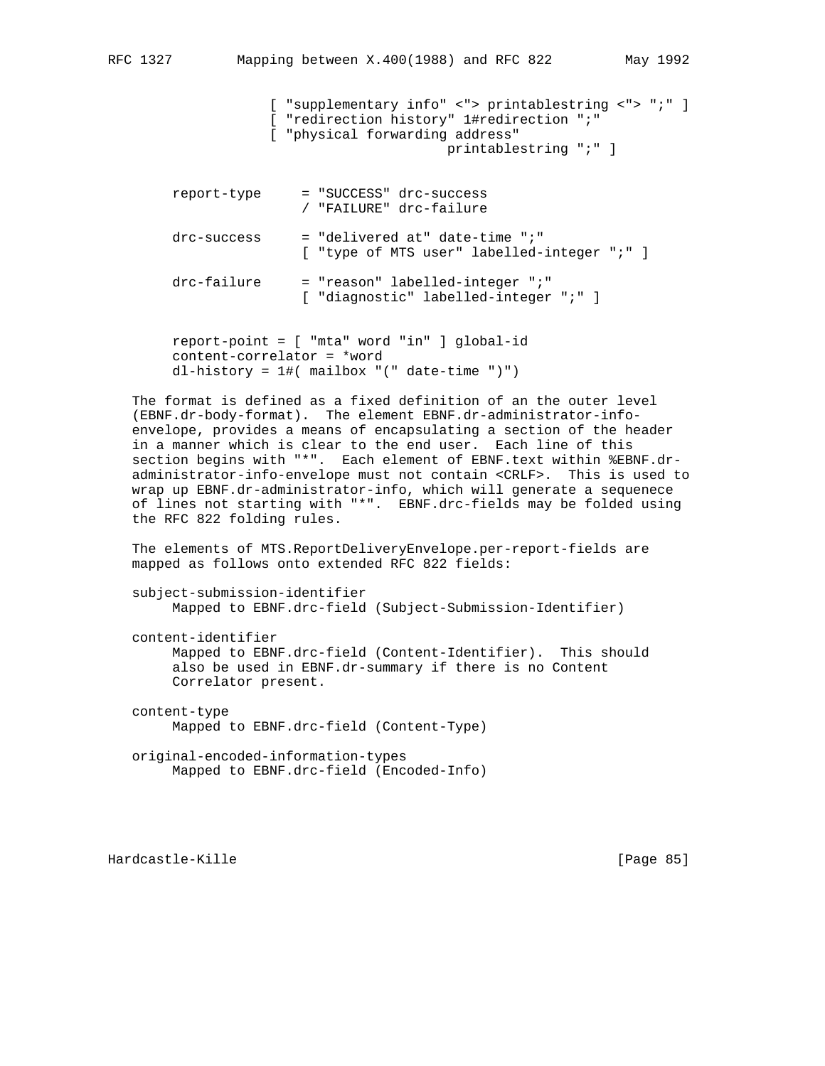[ "supplementary info" <"> printablestring <"> ";" ] [ "redirection history" 1#redirection ";" [ "physical forwarding address" printablestring ";" ] report-type = "SUCCESS" drc-success / "FAILURE" drc-failure  $drc$ -success = "delivered at" date-time ";" [ "type of MTS user" labelled-integer ";" ] drc-failure = "reason" labelled-integer ";" [ "diagnostic" labelled-integer ";" ]

 report-point = [ "mta" word "in" ] global-id content-correlator = \*word dl-history = 1#( mailbox "(" date-time ")")

 The format is defined as a fixed definition of an the outer level (EBNF.dr-body-format). The element EBNF.dr-administrator-info envelope, provides a means of encapsulating a section of the header in a manner which is clear to the end user. Each line of this section begins with "\*". Each element of EBNF.text within %EBNF.dr administrator-info-envelope must not contain <CRLF>. This is used to wrap up EBNF.dr-administrator-info, which will generate a sequenece of lines not starting with "\*". EBNF.drc-fields may be folded using the RFC 822 folding rules.

 The elements of MTS.ReportDeliveryEnvelope.per-report-fields are mapped as follows onto extended RFC 822 fields:

```
 subject-submission-identifier
      Mapped to EBNF.drc-field (Subject-Submission-Identifier)
```
content-identifier

 Mapped to EBNF.drc-field (Content-Identifier). This should also be used in EBNF.dr-summary if there is no Content Correlator present.

 content-type Mapped to EBNF.drc-field (Content-Type)

 original-encoded-information-types Mapped to EBNF.drc-field (Encoded-Info)

Hardcastle-Kille [Page 85]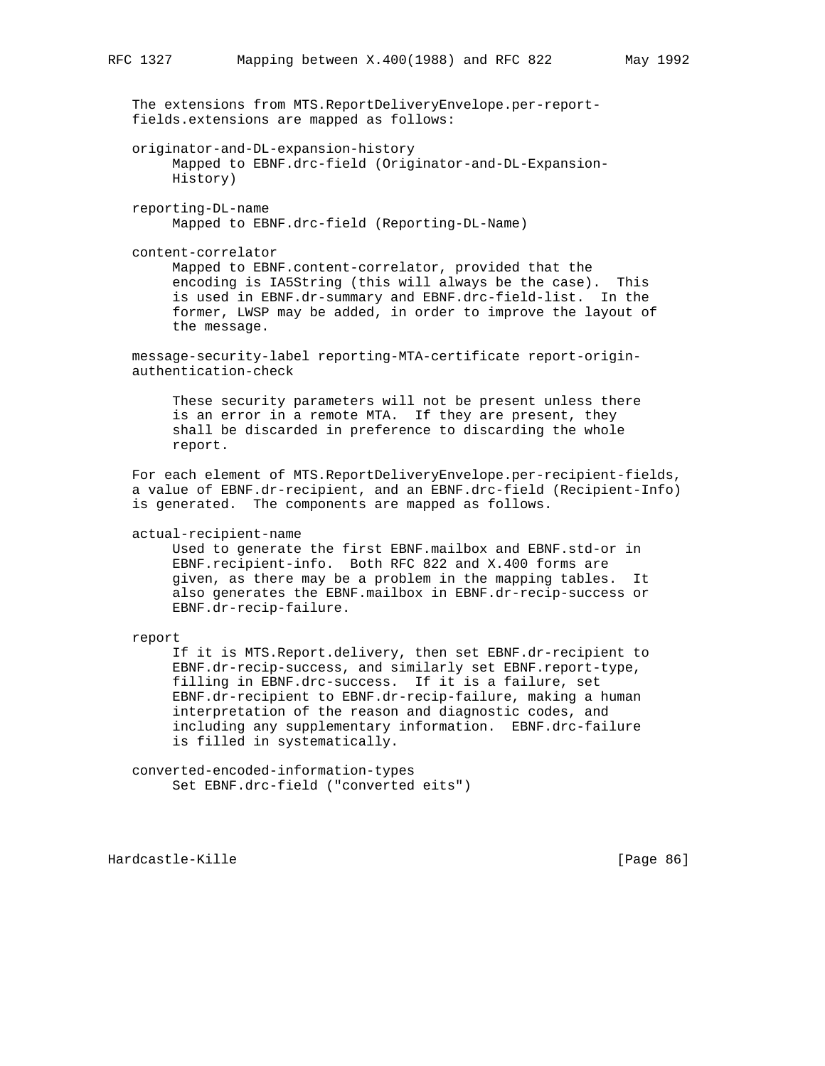| The extensions from MTS. ReportDeliveryEnvelope.per-report-<br>fields.extensions are mapped as follows:                                                                                                                                                                                                                                                                                                                                                                                                |
|--------------------------------------------------------------------------------------------------------------------------------------------------------------------------------------------------------------------------------------------------------------------------------------------------------------------------------------------------------------------------------------------------------------------------------------------------------------------------------------------------------|
| originator-and-DL-expansion-history<br>Mapped to EBNF.drc-field (Originator-and-DL-Expansion-<br>History)                                                                                                                                                                                                                                                                                                                                                                                              |
| reporting-DL-name<br>Mapped to EBNF.drc-field (Reporting-DL-Name)                                                                                                                                                                                                                                                                                                                                                                                                                                      |
| content-correlator<br>Mapped to EBNF.content-correlator, provided that the<br>encoding is IA5String (this will always be the case). This<br>is used in EBNF.dr-summary and EBNF.drc-field-list. In the<br>former, LWSP may be added, in order to improve the layout of<br>the message.                                                                                                                                                                                                                 |
| message-security-label reporting-MTA-certificate report-origin-<br>authentication-check                                                                                                                                                                                                                                                                                                                                                                                                                |
| These security parameters will not be present unless there<br>is an error in a remote MTA. If they are present, they<br>shall be discarded in preference to discarding the whole<br>report.                                                                                                                                                                                                                                                                                                            |
| For each element of MTS. ReportDeliveryEnvelope. per-recipient-fields,<br>a value of EBNF.dr-recipient, and an EBNF.drc-field (Recipient-Info)<br>is generated. The components are mapped as follows.                                                                                                                                                                                                                                                                                                  |
| actual-recipient-name<br>Used to generate the first EBNF.mailbox and EBNF.std-or in<br>EBNF. recipient-info. Both RFC 822 and X.400 forms are<br>given, as there may be a problem in the mapping tables.<br>It<br>also generates the EBNF.mailbox in EBNF.dr-recip-success or<br>EBNF.dr-recip-failure.                                                                                                                                                                                                |
| report<br>If it is MTS. Report. delivery, then set EBNF. dr-recipient to<br>EBNF.dr-recip-success, and similarly set EBNF.report-type,<br>filling in EBNF.drc-success. If it is a failure, set<br>EBNF.dr-recipient to EBNF.dr-recip-failure, making a human<br>interpretation of the reason and diagnostic codes, and<br>including any supplementary information.<br>EBNF.drc-failure<br>is filled in systematically.<br>converted-encoded-information-types<br>Set EBNF.drc-field ("converted eits") |
|                                                                                                                                                                                                                                                                                                                                                                                                                                                                                                        |

Hardcastle-Kille **Exercise Exercise Exercise Exercise Exercise** [Page 86]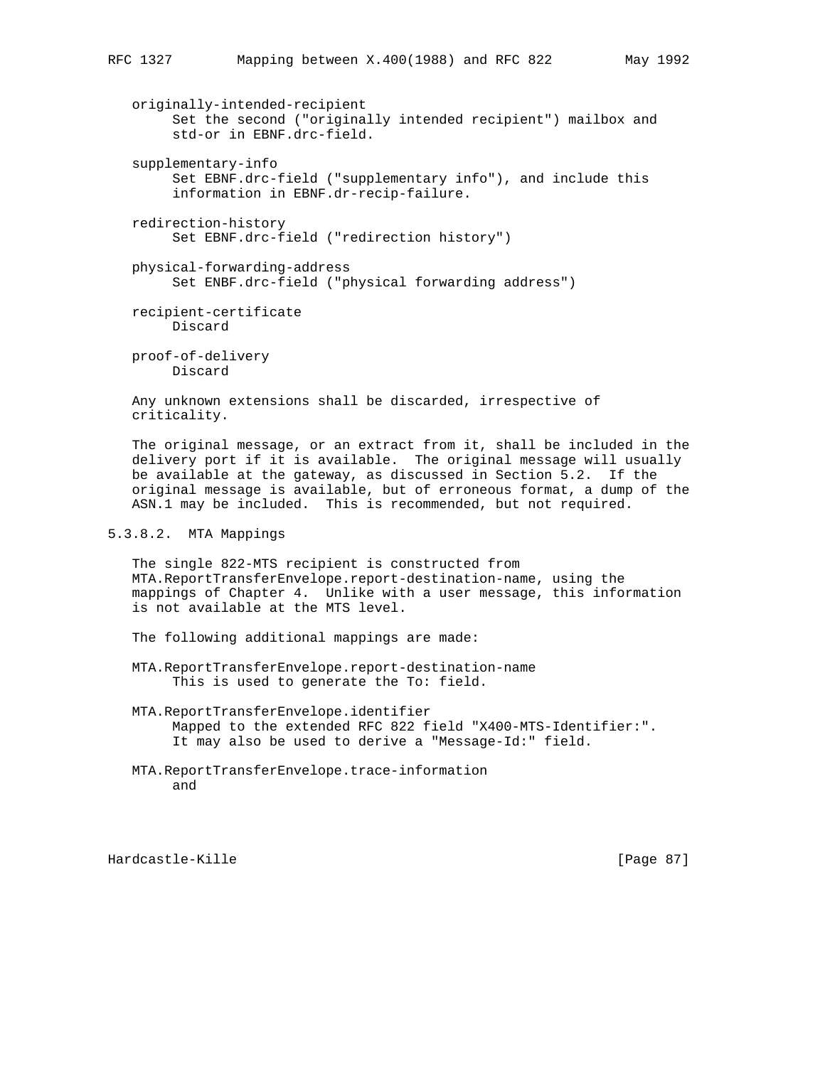originally-intended-recipient Set the second ("originally intended recipient") mailbox and std-or in EBNF.drc-field.

- supplementary-info Set EBNF.drc-field ("supplementary info"), and include this information in EBNF.dr-recip-failure.
- redirection-history Set EBNF.drc-field ("redirection history")
- physical-forwarding-address Set ENBF.drc-field ("physical forwarding address")

 recipient-certificate Discard

 proof-of-delivery Discard

 Any unknown extensions shall be discarded, irrespective of criticality.

 The original message, or an extract from it, shall be included in the delivery port if it is available. The original message will usually be available at the gateway, as discussed in Section 5.2. If the original message is available, but of erroneous format, a dump of the ASN.1 may be included. This is recommended, but not required.

## 5.3.8.2. MTA Mappings

 The single 822-MTS recipient is constructed from MTA.ReportTransferEnvelope.report-destination-name, using the mappings of Chapter 4. Unlike with a user message, this information is not available at the MTS level.

The following additional mappings are made:

- MTA.ReportTransferEnvelope.report-destination-name This is used to generate the To: field.
- MTA.ReportTransferEnvelope.identifier Mapped to the extended RFC 822 field "X400-MTS-Identifier:". It may also be used to derive a "Message-Id:" field.
- MTA.ReportTransferEnvelope.trace-information and

Hardcastle-Kille [Page 87]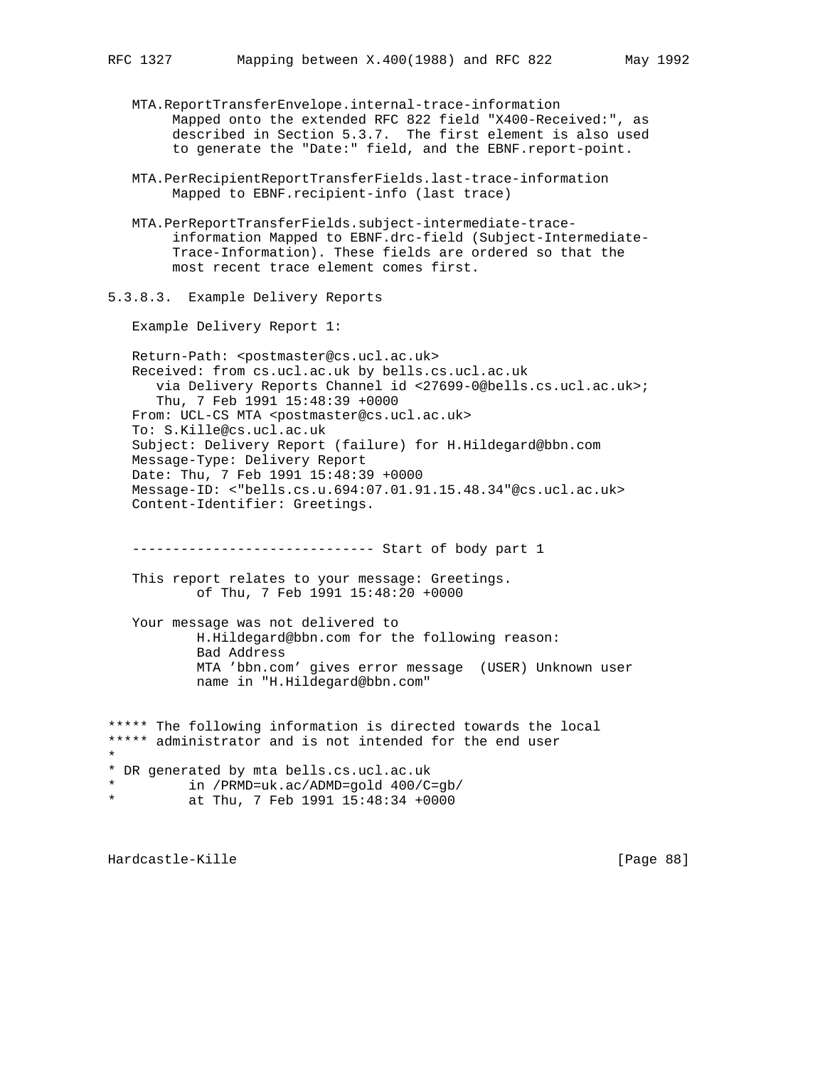MTA.ReportTransferEnvelope.internal-trace-information Mapped onto the extended RFC 822 field "X400-Received:", as described in Section 5.3.7. The first element is also used to generate the "Date:" field, and the EBNF.report-point.

- MTA.PerRecipientReportTransferFields.last-trace-information Mapped to EBNF.recipient-info (last trace)
- MTA.PerReportTransferFields.subject-intermediate-trace information Mapped to EBNF.drc-field (Subject-Intermediate- Trace-Information). These fields are ordered so that the most recent trace element comes first.
- 5.3.8.3. Example Delivery Reports

Example Delivery Report 1:

Return-Path: <postmaster@cs.ucl.ac.uk> Received: from cs.ucl.ac.uk by bells.cs.ucl.ac.uk via Delivery Reports Channel id <27699-0@bells.cs.ucl.ac.uk>; Thu, 7 Feb 1991 15:48:39 +0000 From: UCL-CS MTA <postmaster@cs.ucl.ac.uk> To: S.Kille@cs.ucl.ac.uk Subject: Delivery Report (failure) for H.Hildegard@bbn.com Message-Type: Delivery Report Date: Thu, 7 Feb 1991 15:48:39 +0000 Message-ID: <"bells.cs.u.694:07.01.91.15.48.34"@cs.ucl.ac.uk> Content-Identifier: Greetings.

------------------------------ Start of body part 1

 This report relates to your message: Greetings. of Thu, 7 Feb 1991 15:48:20 +0000

 Your message was not delivered to H.Hildegard@bbn.com for the following reason: Bad Address MTA 'bbn.com' gives error message (USER) Unknown user name in "H.Hildegard@bbn.com"

\*\*\*\*\* The following information is directed towards the local \*\*\*\*\* administrator and is not intended for the end user \* \* DR generated by mta bells.cs.ucl.ac.uk \* in /PRMD=uk.ac/ADMD=gold 400/C=gb/ at Thu, 7 Feb 1991 15:48:34 +0000

Hardcastle-Kille [Page 88]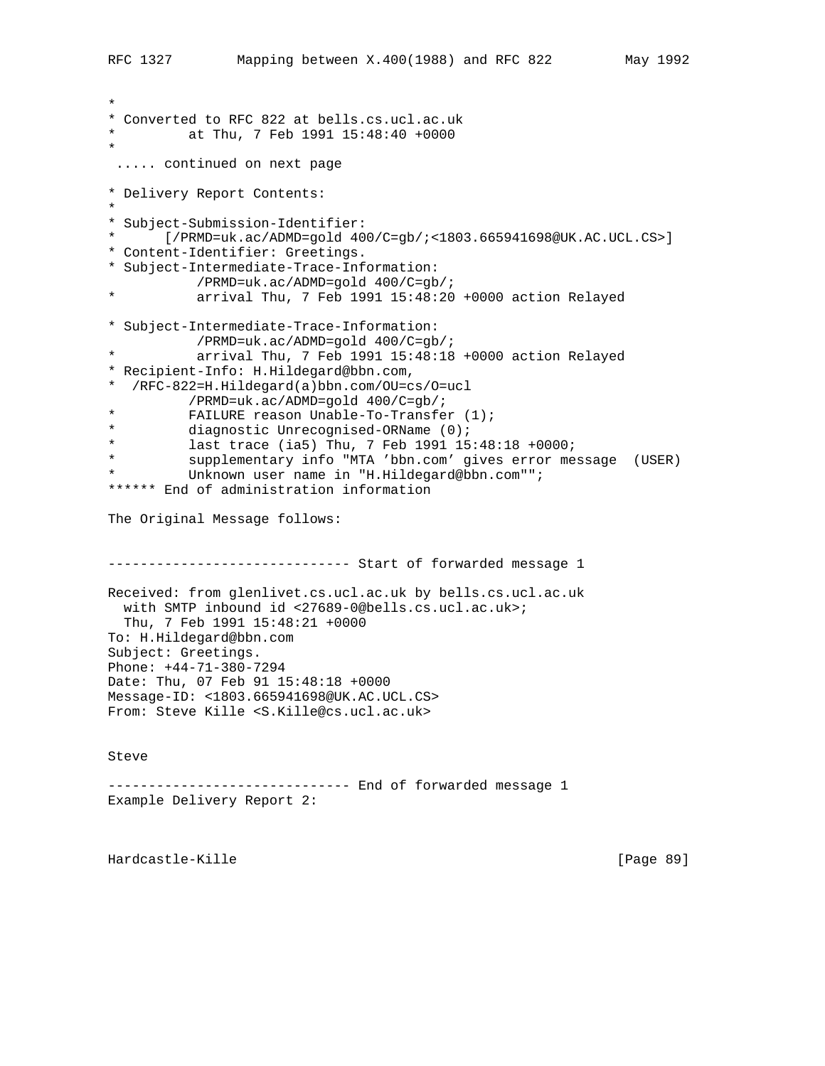```
*
* Converted to RFC 822 at bells.cs.ucl.ac.uk
          at Thu, 7 Feb 1991 15:48:40 +0000
*
  ..... continued on next page
* Delivery Report Contents:
*
* Subject-Submission-Identifier:
* [/PRMD=uk.ac/ADMD=gold 400/C=gb/;<1803.665941698@UK.AC.UCL.CS>]
* Content-Identifier: Greetings.
* Subject-Intermediate-Trace-Information:
 /PRMD=uk.ac/ADMD=gold 400/C=gb/;
           arrival Thu, 7 Feb 1991 15:48:20 +0000 action Relayed
* Subject-Intermediate-Trace-Information:
 /PRMD=uk.ac/ADMD=gold 400/C=gb/;
           arrival Thu, 7 Feb 1991 15:48:18 +0000 action Relayed
* Recipient-Info: H.Hildegard@bbn.com,
* /RFC-822=H.Hildegard(a)bbn.com/OU=cs/O=ucl
           /PRMD=uk.ac/ADMD=gold 400/C=gb/;
* FAILURE reason Unable-To-Transfer (1);<br>* diagnostic Unrecognised-ORName (0):
* diagnostic Unrecognised-ORName (0);<br>* 1355 trace (135) Thu 7 Feb 1991 15
          last trace (ia5) Thu, 7 Feb 1991 15:48:18 +0000;
          supplementary info "MTA 'bbn.com' gives error message (USER)
          Unknown user name in "H.Hildegard@bbn.com"";
****** End of administration information
The Original Message follows:
------------------------------ Start of forwarded message 1
Received: from glenlivet.cs.ucl.ac.uk by bells.cs.ucl.ac.uk
  with SMTP inbound id <27689-0@bells.cs.ucl.ac.uk>;
  Thu, 7 Feb 1991 15:48:21 +0000
To: H.Hildegard@bbn.com
Subject: Greetings.
Phone: +44-71-380-7294
Date: Thu, 07 Feb 91 15:48:18 +0000
Message-ID: <1803.665941698@UK.AC.UCL.CS>
From: Steve Kille <S.Kille@cs.ucl.ac.uk>
Steve
------------------------------ End of forwarded message 1
Example Delivery Report 2:
```
Hardcastle-Kille [Page 89]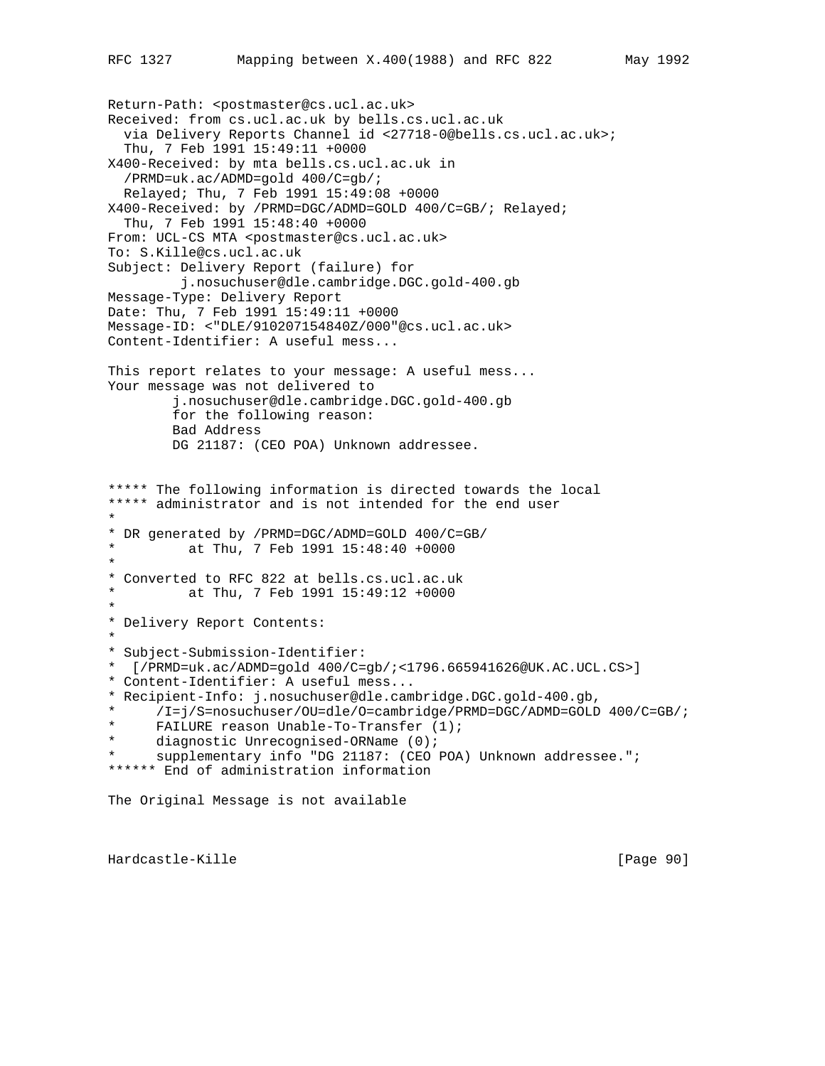Return-Path: <postmaster@cs.ucl.ac.uk> Received: from cs.ucl.ac.uk by bells.cs.ucl.ac.uk via Delivery Reports Channel id <27718-0@bells.cs.ucl.ac.uk>; Thu, 7 Feb 1991 15:49:11 +0000 X400-Received: by mta bells.cs.ucl.ac.uk in /PRMD=uk.ac/ADMD=gold 400/C=gb/; Relayed; Thu, 7 Feb 1991 15:49:08 +0000 X400-Received: by /PRMD=DGC/ADMD=GOLD 400/C=GB/; Relayed; Thu, 7 Feb 1991 15:48:40 +0000 From: UCL-CS MTA <postmaster@cs.ucl.ac.uk> To: S.Kille@cs.ucl.ac.uk Subject: Delivery Report (failure) for j.nosuchuser@dle.cambridge.DGC.gold-400.gb Message-Type: Delivery Report Date: Thu, 7 Feb 1991 15:49:11 +0000 Message-ID: <"DLE/910207154840Z/000"@cs.ucl.ac.uk> Content-Identifier: A useful mess... This report relates to your message: A useful mess... Your message was not delivered to j.nosuchuser@dle.cambridge.DGC.gold-400.gb for the following reason: Bad Address DG 21187: (CEO POA) Unknown addressee. \*\*\*\*\* The following information is directed towards the local \*\*\*\*\* administrator and is not intended for the end user \* \* DR generated by /PRMD=DGC/ADMD=GOLD 400/C=GB/ at Thu, 7 Feb 1991 15:48:40 +0000 \* \* Converted to RFC 822 at bells.cs.ucl.ac.uk at Thu, 7 Feb 1991 15:49:12 +0000 \* \* Delivery Report Contents: \* \* Subject-Submission-Identifier: \* [/PRMD=uk.ac/ADMD=gold 400/C=gb/;<1796.665941626@UK.AC.UCL.CS>] \* Content-Identifier: A useful mess... \* Recipient-Info: j.nosuchuser@dle.cambridge.DGC.gold-400.gb, \* /I=j/S=nosuchuser/OU=dle/O=cambridge/PRMD=DGC/ADMD=GOLD 400/C=GB/; FAILURE reason Unable-To-Transfer  $(1)$ ; diagnostic Unrecognised-ORName  $(0)$ ; supplementary info "DG 21187: (CEO POA) Unknown addressee."; \*\*\*\*\*\* End of administration information The Original Message is not available

Hardcastle-Kille [Page 90]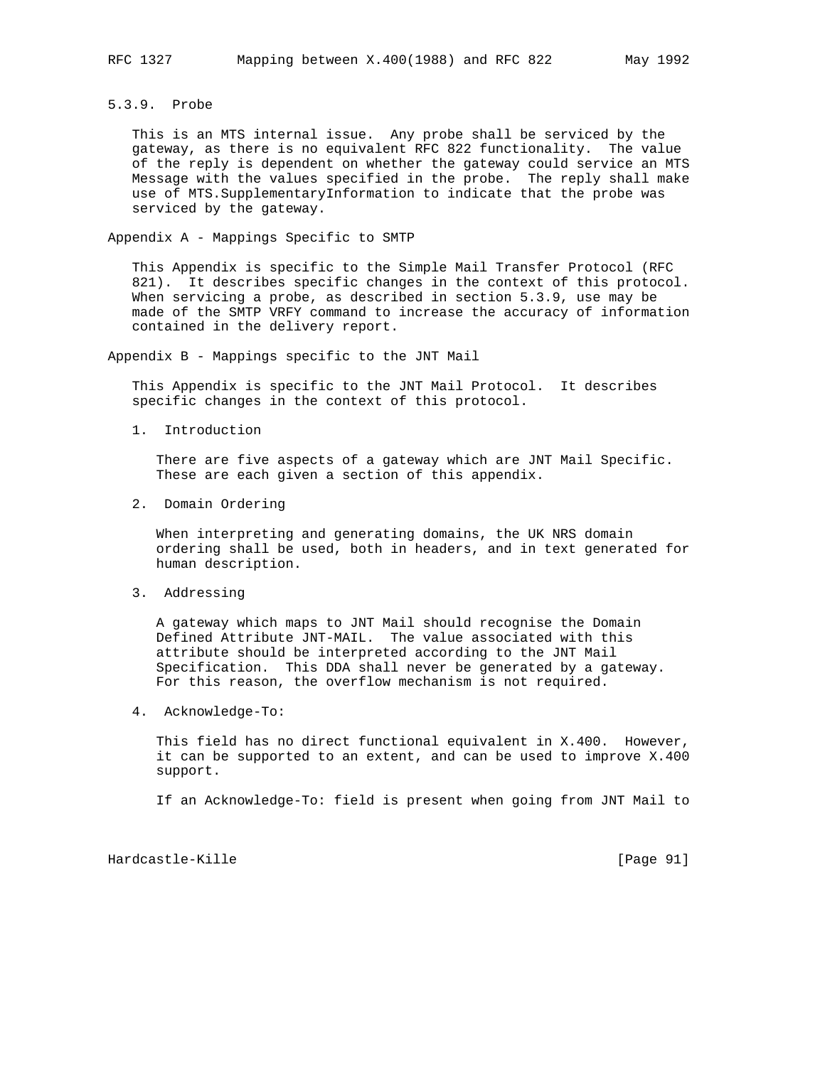## 5.3.9. Probe

 This is an MTS internal issue. Any probe shall be serviced by the gateway, as there is no equivalent RFC 822 functionality. The value of the reply is dependent on whether the gateway could service an MTS Message with the values specified in the probe. The reply shall make use of MTS.SupplementaryInformation to indicate that the probe was serviced by the gateway.

Appendix A - Mappings Specific to SMTP

 This Appendix is specific to the Simple Mail Transfer Protocol (RFC 821). It describes specific changes in the context of this protocol. When servicing a probe, as described in section 5.3.9, use may be made of the SMTP VRFY command to increase the accuracy of information contained in the delivery report.

Appendix B - Mappings specific to the JNT Mail

 This Appendix is specific to the JNT Mail Protocol. It describes specific changes in the context of this protocol.

1. Introduction

 There are five aspects of a gateway which are JNT Mail Specific. These are each given a section of this appendix.

2. Domain Ordering

 When interpreting and generating domains, the UK NRS domain ordering shall be used, both in headers, and in text generated for human description.

3. Addressing

 A gateway which maps to JNT Mail should recognise the Domain Defined Attribute JNT-MAIL. The value associated with this attribute should be interpreted according to the JNT Mail Specification. This DDA shall never be generated by a gateway. For this reason, the overflow mechanism is not required.

4. Acknowledge-To:

 This field has no direct functional equivalent in X.400. However, it can be supported to an extent, and can be used to improve X.400 support.

If an Acknowledge-To: field is present when going from JNT Mail to

Hardcastle-Kille [Page 91]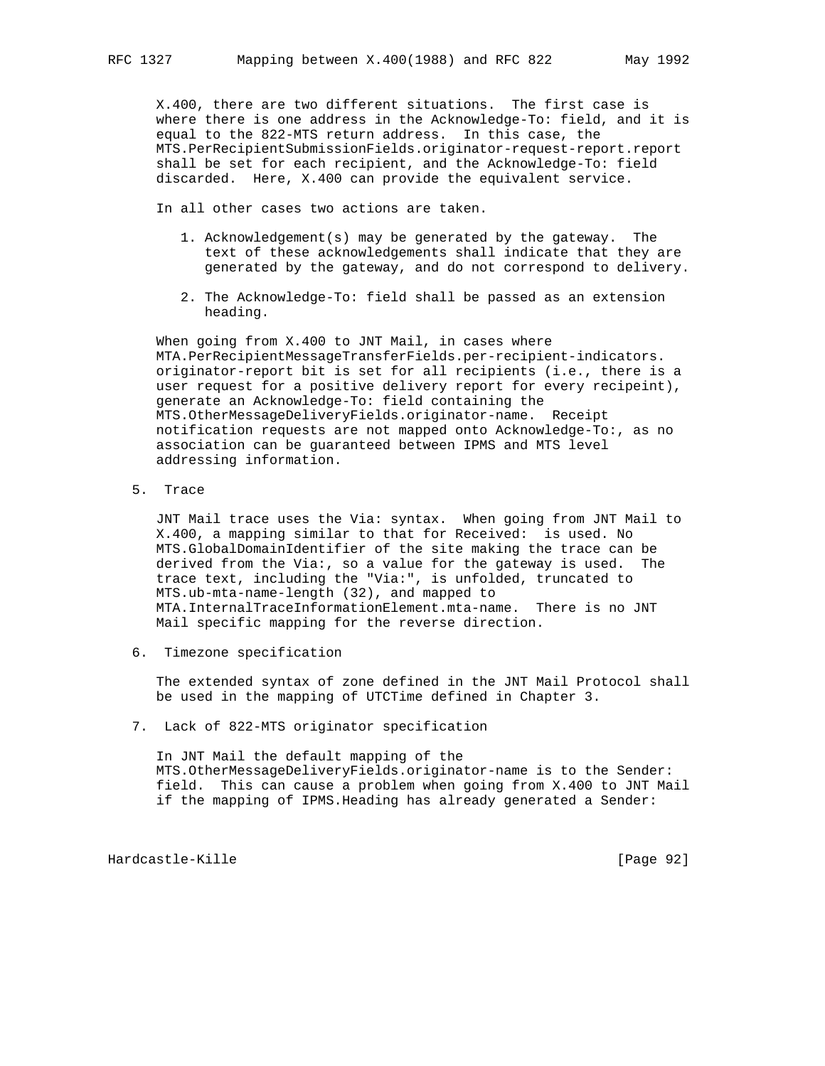X.400, there are two different situations. The first case is where there is one address in the Acknowledge-To: field, and it is equal to the 822-MTS return address. In this case, the MTS.PerRecipientSubmissionFields.originator-request-report.report shall be set for each recipient, and the Acknowledge-To: field discarded. Here, X.400 can provide the equivalent service.

In all other cases two actions are taken.

- 1. Acknowledgement(s) may be generated by the gateway. The text of these acknowledgements shall indicate that they are generated by the gateway, and do not correspond to delivery.
- 2. The Acknowledge-To: field shall be passed as an extension heading.

 When going from X.400 to JNT Mail, in cases where MTA.PerRecipientMessageTransferFields.per-recipient-indicators. originator-report bit is set for all recipients (i.e., there is a user request for a positive delivery report for every recipeint), generate an Acknowledge-To: field containing the MTS.OtherMessageDeliveryFields.originator-name. Receipt notification requests are not mapped onto Acknowledge-To:, as no association can be guaranteed between IPMS and MTS level addressing information.

5. Trace

 JNT Mail trace uses the Via: syntax. When going from JNT Mail to X.400, a mapping similar to that for Received: is used. No MTS.GlobalDomainIdentifier of the site making the trace can be derived from the Via:, so a value for the gateway is used. The trace text, including the "Via:", is unfolded, truncated to MTS.ub-mta-name-length (32), and mapped to MTA.InternalTraceInformationElement.mta-name. There is no JNT Mail specific mapping for the reverse direction.

6. Timezone specification

 The extended syntax of zone defined in the JNT Mail Protocol shall be used in the mapping of UTCTime defined in Chapter 3.

7. Lack of 822-MTS originator specification

 In JNT Mail the default mapping of the MTS.OtherMessageDeliveryFields.originator-name is to the Sender: field. This can cause a problem when going from X.400 to JNT Mail if the mapping of IPMS.Heading has already generated a Sender:

Hardcastle-Kille [Page 92]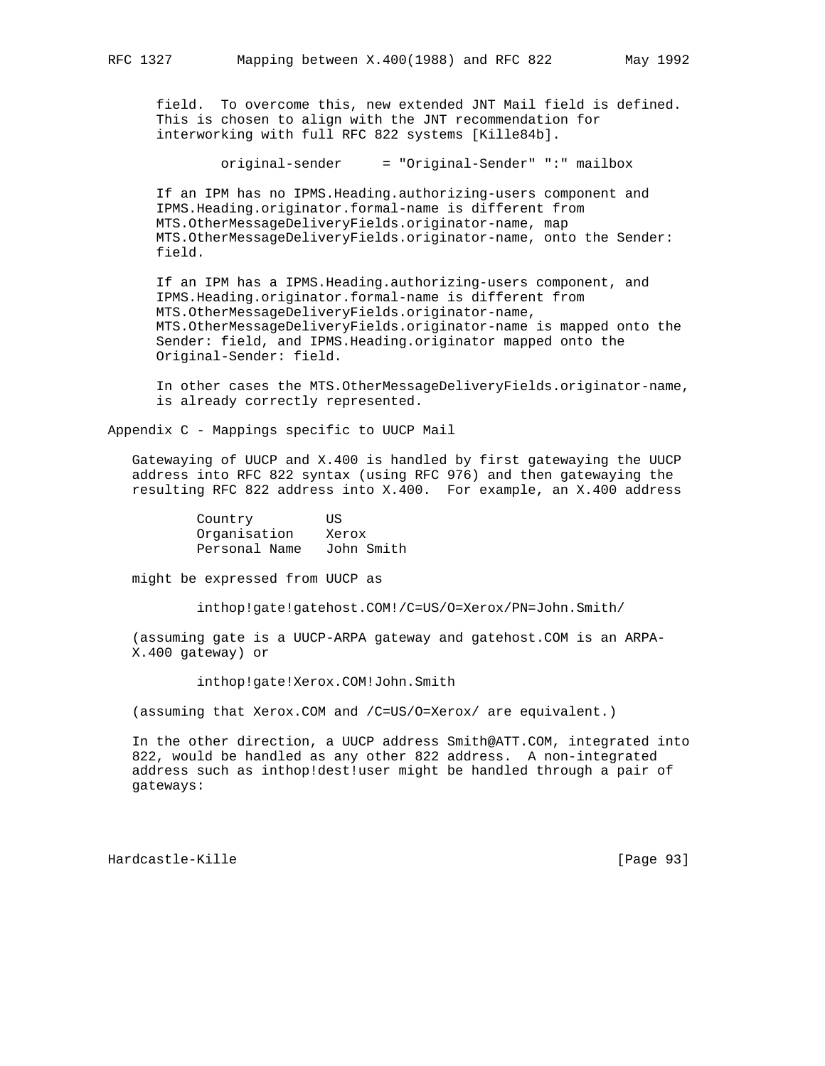field. To overcome this, new extended JNT Mail field is defined. This is chosen to align with the JNT recommendation for interworking with full RFC 822 systems [Kille84b].

original-sender = "Original-Sender" ":" mailbox

 If an IPM has no IPMS.Heading.authorizing-users component and IPMS.Heading.originator.formal-name is different from MTS.OtherMessageDeliveryFields.originator-name, map MTS.OtherMessageDeliveryFields.originator-name, onto the Sender: field.

 If an IPM has a IPMS.Heading.authorizing-users component, and IPMS.Heading.originator.formal-name is different from MTS.OtherMessageDeliveryFields.originator-name, MTS.OtherMessageDeliveryFields.originator-name is mapped onto the Sender: field, and IPMS.Heading.originator mapped onto the Original-Sender: field.

 In other cases the MTS.OtherMessageDeliveryFields.originator-name, is already correctly represented.

Appendix C - Mappings specific to UUCP Mail

 Gatewaying of UUCP and X.400 is handled by first gatewaying the UUCP address into RFC 822 syntax (using RFC 976) and then gatewaying the resulting RFC 822 address into X.400. For example, an X.400 address

| Country       | ΠS         |
|---------------|------------|
| Organisation  | Xerox      |
| Personal Name | John Smith |

might be expressed from UUCP as

inthop!gate!gatehost.COM!/C=US/O=Xerox/PN=John.Smith/

 (assuming gate is a UUCP-ARPA gateway and gatehost.COM is an ARPA- X.400 gateway) or

inthop!gate!Xerox.COM!John.Smith

(assuming that Xerox.COM and /C=US/O=Xerox/ are equivalent.)

 In the other direction, a UUCP address Smith@ATT.COM, integrated into 822, would be handled as any other 822 address. A non-integrated address such as inthop!dest!user might be handled through a pair of gateways:

Hardcastle-Kille [Page 93]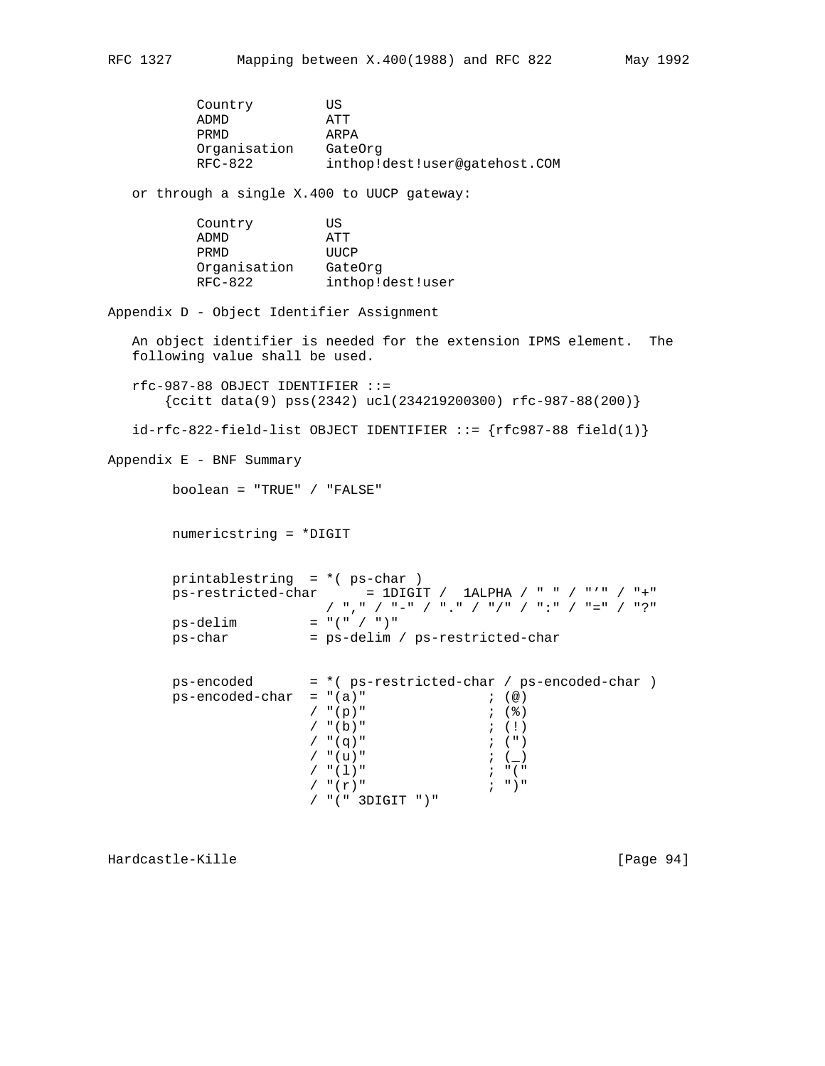Country US ADMD ATT PRMD ARPA Organisation GateOrg RFC-822 inthop!dest!user@gatehost.COM or through a single X.400 to UUCP gateway: Country US ADMD ATT PRMD UUCP Organisation GateOrg RFC-822 inthop!dest!user Appendix D - Object Identifier Assignment An object identifier is needed for the extension IPMS element. The following value shall be used. rfc-987-88 OBJECT IDENTIFIER ::=  $\{c\text{citt data}(9) \text{ ps}(2342) \text{ ucl}(234219200300) \text{ rfc-987-88}(200)\}\$  $id-rfc-822-field-list OBJECT IDENTIFYER ::= {rfc987-88 field(1)}$ Appendix E - BNF Summary boolean = "TRUE" / "FALSE" numericstring = \*DIGIT printablestring = \*( ps-char )  $ps-restricted-char$  =  $1DIGIT$  /  $1ALPHA$  / " " / "'" / "+" / "," / "-" / "." / "/" / ":" / "=" / "?"  $ps$ -delim = "(" / ")" ps-char = ps-delim / ps-restricted-char ps-encoded = \*( ps-restricted-char / ps-encoded-char )  $ps-encoded-char = "(a)"$  ; (@)  $/$  "(p)" ; (%)  $/$  "(b)" ; (!)  $/$  "(q)" ; (")  $/$  "(u)" ; (\_)  $\begin{array}{ccc} \gamma & \text{``(1)} \text{''} & \text{''} & \text{''} \text{''} \\ \gamma & \text{``(r)} \text{''} & \text{''} & \text{''} \end{array}$ /  $"$   $(\Upsilon)$  " / "(" 3DIGIT ")"

Hardcastle-Kille [Page 94]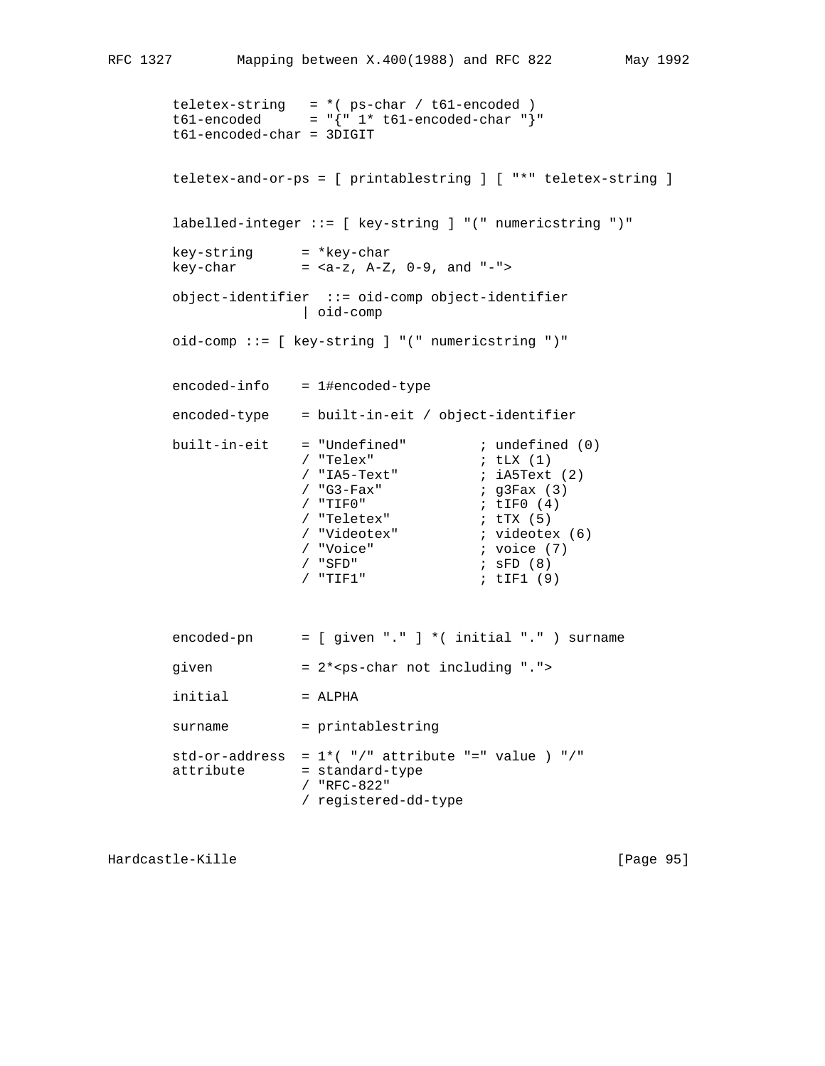```
 teletex-string = *( ps-char / t61-encoded )
 t61-encoded = "{" 1* t61-encoded-char "}"
       t61-encoded-char = 3DIGIT
       teletex-and-or-ps = [ printablestring ] [ "*" teletex-string ]
       labelled-integer ::= [ key-string ] "(" numericstring ")"
      key-string = *key-char
     key-char = <a-z, A-Z, 0-9, and "-">
       object-identifier ::= oid-comp object-identifier
                   | oid-comp
       oid-comp ::= [ key-string ] "(" numericstring ")"
       encoded-info = 1#encoded-type
       encoded-type = built-in-eit / object-identifier
     built-in-eit = "Undefined" i undefined (0)<br>i "Telex" i tLX (1)
/ "Telex" ; \mathsf{tLX} (1)
/ "IA5-Text" i iA5Text (2)
 / "G3-Fax" ; g3Fax (3)
/ "TIFO" i, tIFO (4) / "Teletex" ; tTX (5)
                                 ; videotex (6)<br>; voice (7)
 / "Voice" ; voice (7)
/ "SFD" ; \mathsf{SFD} (8)
 / "TIF1" ; tIF1 (9)
       encoded-pn = [ given "." ] *( initial "." ) surname
      given = 2*<b>ps</b>-char not including ".initial = ALPHA
      surname = printablestring
      std-or-address = 1*(-")" attribute "=" value ) "/"
      attribute = standard-type
                   / "RFC-822"
                   / registered-dd-type
```
Hardcastle-Kille [Page 95]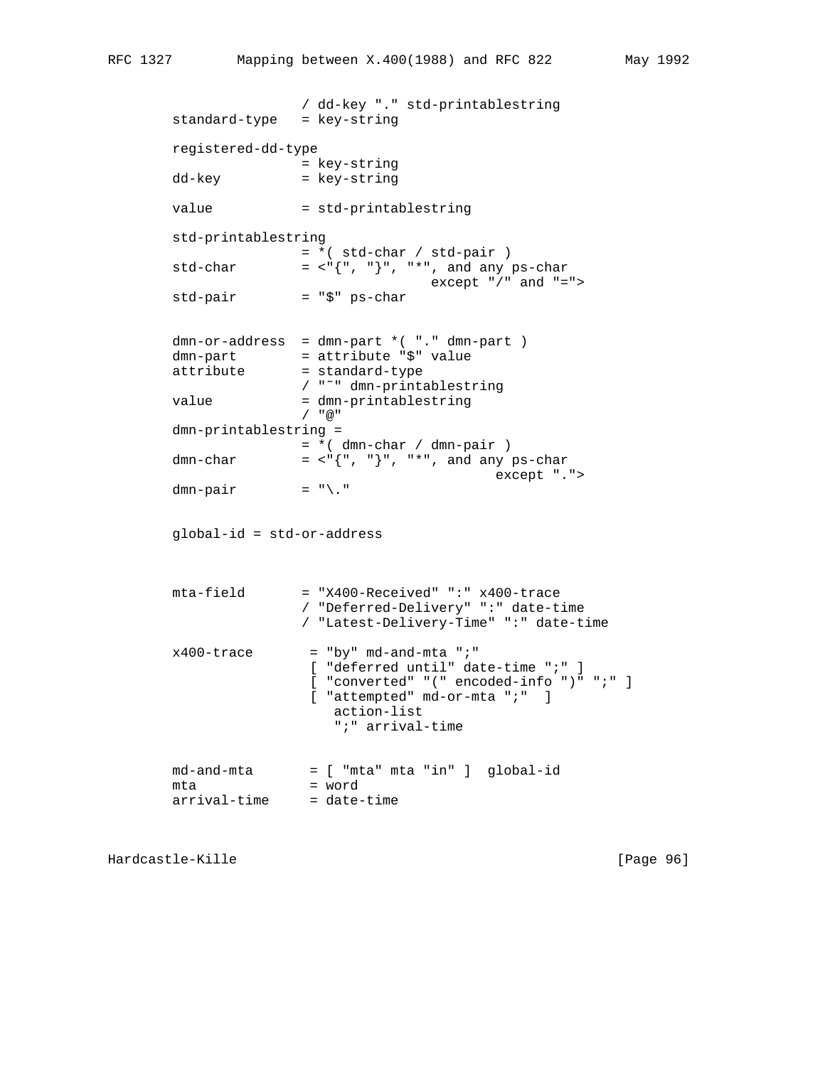```
 / dd-key "." std-printablestring
 standard-type = key-string
 registered-dd-type
                 = key-string
 dd-key = key-string
value = std-printablestring
 std-printablestring
                 = *( std-char / std-pair )
std-char = \langle"{", "}", "*", and any ps-char
               \begin{array}{rcl} \text{except} & \text{"} / \text{"} \text{ and } \text{"} = \text{"} > \end{array} = "$" ps-char
std-pair
 dmn-or-address = dmn-part *( "." dmn-part )
dmn-part = attribute "$" value
attribute = standard-type
                 / "˜" dmn-printablestring
value = dmn-printablestring
                 / "@"
 dmn-printablestring =
                = * ( dmn-char / dmn-pair )
dmn-char = <math>\langle \cdot, \cdot \rangle", "*", and any ps-char
                                          except ".">
dmn-pair = "\ ." global-id = std-or-address
 mta-field = "X400-Received" ":" x400-trace
                 / "Deferred-Delivery" ":" date-time
                 / "Latest-Delivery-Time" ":" date-time
x400-trace = "by" md-and-mta ";"
                  [ "deferred until" date-time ";" ]
                  [ "converted" "(" encoded-info ")" ";" ]
                 [ "attempted" md-or-mta ";" ]
                     action-list
                     ";" arrival-time
 md-and-mta = [ "mta" mta "in" ] global-id
mta = word
 arrival-time = date-time
```
Hardcastle-Kille [Page 96]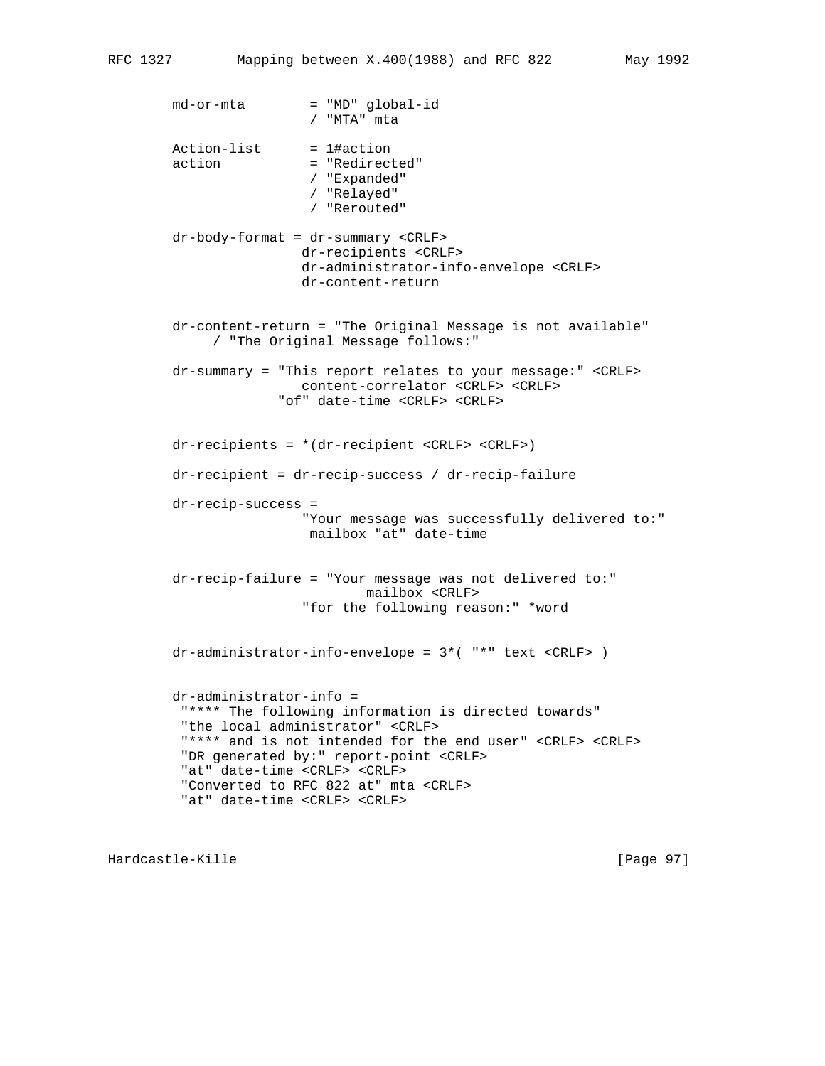md-or-mta = "MD" global-id / "MTA" mta Action-list = 1#action action = "Redirected" / "Expanded" / "Relayed" / "Rerouted" dr-body-format = dr-summary <CRLF> dr-recipients <CRLF> dr-administrator-info-envelope <CRLF> dr-content-return dr-content-return = "The Original Message is not available" / "The Original Message follows:" dr-summary = "This report relates to your message:" <CRLF> content-correlator <CRLF> <CRLF> "of" date-time <CRLF> <CRLF> dr-recipients = \*(dr-recipient <CRLF> <CRLF>) dr-recipient = dr-recip-success / dr-recip-failure dr-recip-success = "Your message was successfully delivered to:" mailbox "at" date-time dr-recip-failure = "Your message was not delivered to:" mailbox <CRLF> "for the following reason:" \*word dr-administrator-info-envelope = 3\*( "\*" text <CRLF> ) dr-administrator-info = "\*\*\*\* The following information is directed towards" "the local administrator" <CRLF> "\*\*\*\* and is not intended for the end user" <CRLF> <CRLF> "DR generated by:" report-point <CRLF> "at" date-time <CRLF> <CRLF> "Converted to RFC 822 at" mta <CRLF> "at" date-time <CRLF> <CRLF>

Hardcastle-Kille [Page 97]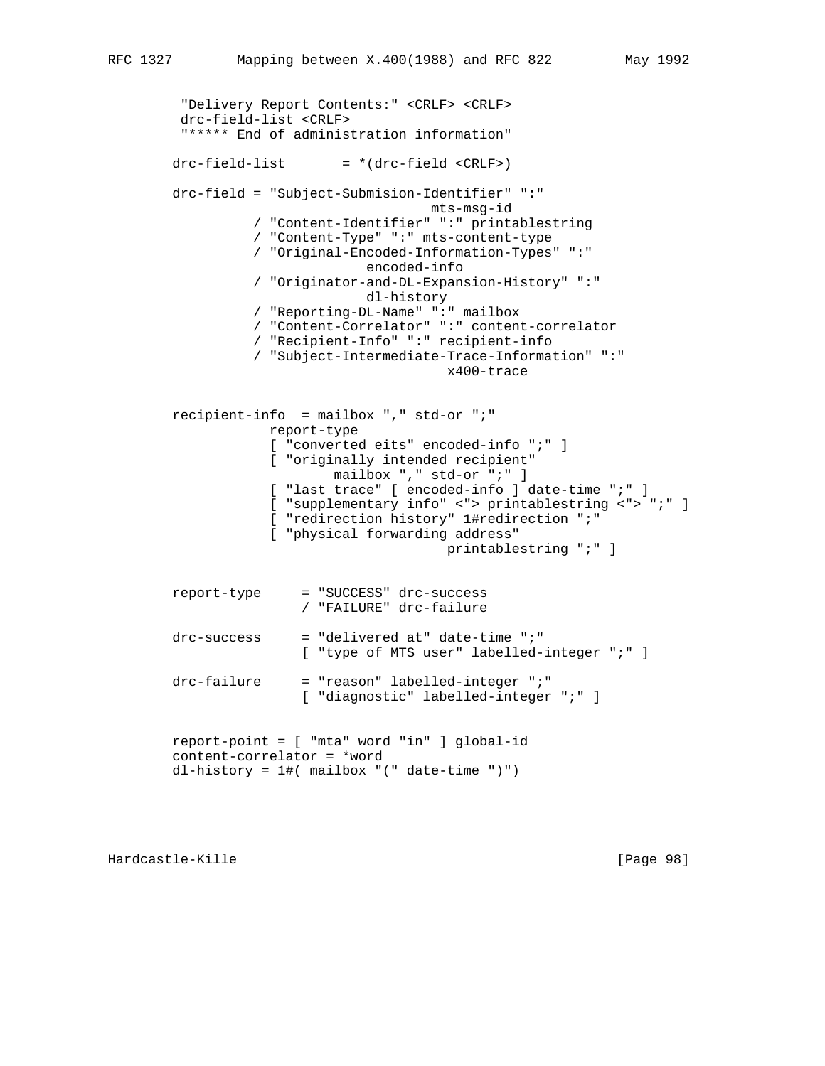```
 "Delivery Report Contents:" <CRLF> <CRLF>
         drc-field-list <CRLF>
         "***** End of administration information"
       drc-field-list = *(drc-field < CRLF) drc-field = "Subject-Submision-Identifier" ":"
                                       mts-msg-id
                  / "Content-Identifier" ":" printablestring
                  / "Content-Type" ":" mts-content-type
                  / "Original-Encoded-Information-Types" ":"
                               encoded-info
                  / "Originator-and-DL-Expansion-History" ":"
                               dl-history
                  / "Reporting-DL-Name" ":" mailbox
                  / "Content-Correlator" ":" content-correlator
                  / "Recipient-Info" ":" recipient-info
                  / "Subject-Intermediate-Trace-Information" ":"
                                         x400-trace
        recipient-info = mailbox "," std-or ";"
                    report-type
                    [ "converted eits" encoded-info ";" ]
                    [ "originally intended recipient"
mailbox "," std-or ";" ]
 [ "last trace" [ encoded-info ] date-time ";" ]
                    [ "supplementary info" <"> printablestring <"> ";" ]
                    [ "redirection history" 1#redirection ";"
                    [ "physical forwarding address"
                                         printablestring ";" ]
        report-type = "SUCCESS" drc-success
                        / "FAILURE" drc-failure
        drc-success = "delivered at" date-time ";"
                        [ "type of MTS user" labelled-integer ";" ]
        drc-failure = "reason" labelled-integer ";"
                        [ "diagnostic" labelled-integer ";" ]
        report-point = [ "mta" word "in" ] global-id
        content-correlator = *word
        dl-history = 1#( mailbox "(" date-time ")")
```
Hardcastle-Kille [Page 98]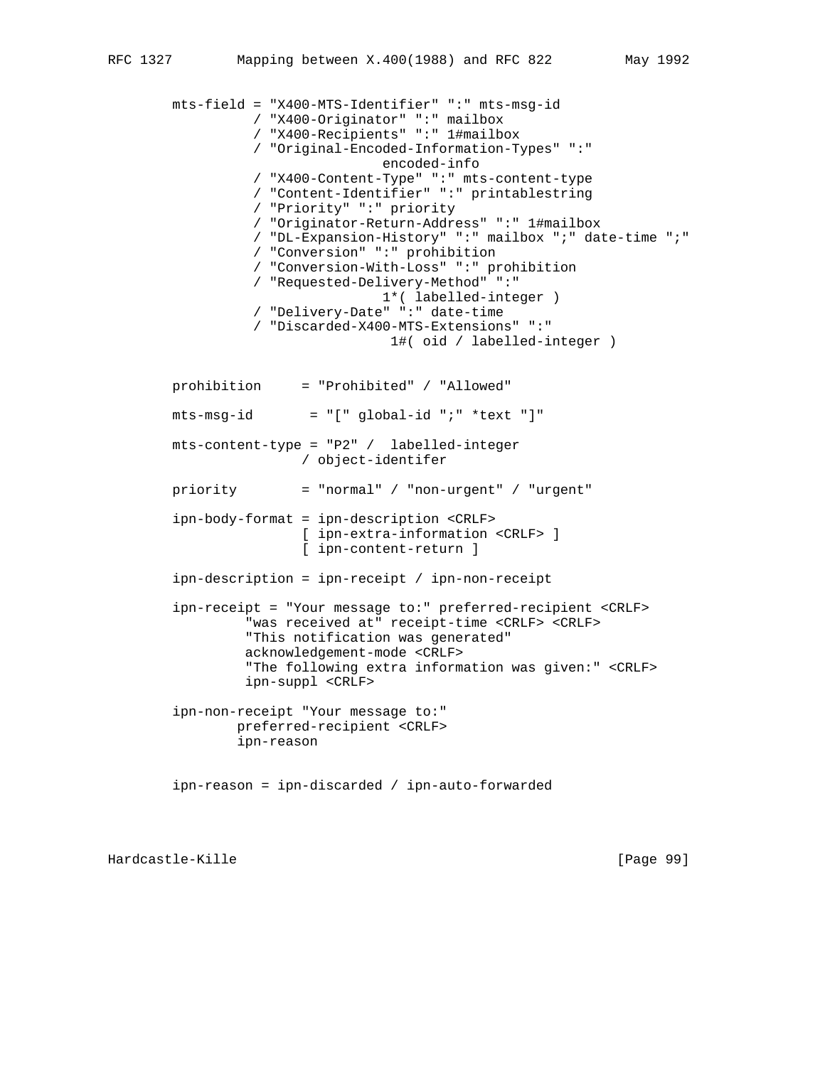```
 mts-field = "X400-MTS-Identifier" ":" mts-msg-id
           / "X400-Originator" ":" mailbox
           / "X400-Recipients" ":" 1#mailbox
           / "Original-Encoded-Information-Types" ":"
                           encoded-info
           / "X400-Content-Type" ":" mts-content-type
           / "Content-Identifier" ":" printablestring
           / "Priority" ":" priority
           / "Originator-Return-Address" ":" 1#mailbox
           / "DL-Expansion-History" ":" mailbox ";" date-time ";"
           / "Conversion" ":" prohibition
           / "Conversion-With-Loss" ":" prohibition
           / "Requested-Delivery-Method" ":"
                           1*( labelled-integer )
           / "Delivery-Date" ":" date-time
           / "Discarded-X400-MTS-Extensions" ":"
                            1#( oid / labelled-integer )
 prohibition = "Prohibited" / "Allowed"
mts-msg-id = "[' global-id "i" *text "]" mts-content-type = "P2" / labelled-integer
                 / object-identifer
 priority = "normal" / "non-urgent" / "urgent"
 ipn-body-format = ipn-description <CRLF>
                 [ ipn-extra-information <CRLF> ]
                 [ ipn-content-return ]
 ipn-description = ipn-receipt / ipn-non-receipt
 ipn-receipt = "Your message to:" preferred-recipient <CRLF>
          "was received at" receipt-time <CRLF> <CRLF>
          "This notification was generated"
          acknowledgement-mode <CRLF>
          "The following extra information was given:" <CRLF>
          ipn-suppl <CRLF>
 ipn-non-receipt "Your message to:"
         preferred-recipient <CRLF>
         ipn-reason
 ipn-reason = ipn-discarded / ipn-auto-forwarded
```
Hardcastle-Kille [Page 99]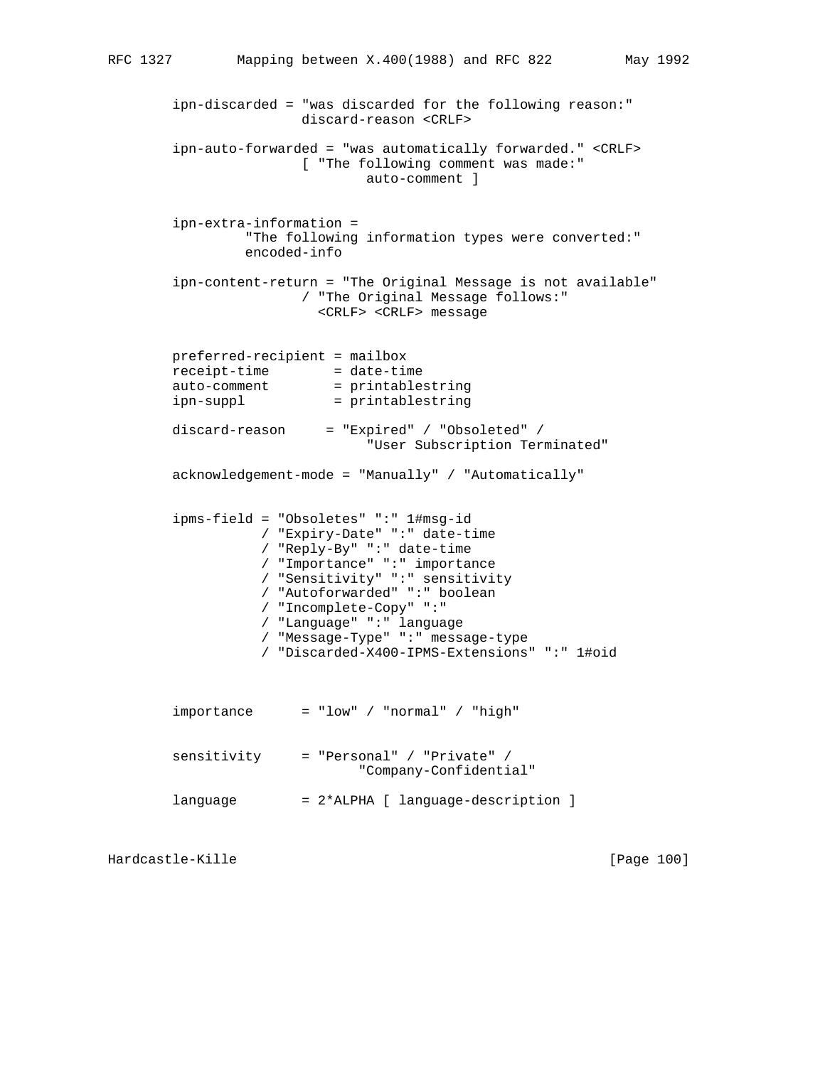ipn-discarded = "was discarded for the following reason:" discard-reason <CRLF>

 ipn-auto-forwarded = "was automatically forwarded." <CRLF> [ "The following comment was made:" auto-comment ] ipn-extra-information = "The following information types were converted:" encoded-info ipn-content-return = "The Original Message is not available" / "The Original Message follows:" <CRLF> <CRLF> message preferred-recipient = mailbox receipt-time = date-time auto-comment = printablestring ipn-suppl = printablestring discard-reason = "Expired" / "Obsoleted" / "User Subscription Terminated" acknowledgement-mode = "Manually" / "Automatically" ipms-field = "Obsoletes" ":" 1#msg-id / "Expiry-Date" ":" date-time / "Reply-By" ":" date-time / "Importance" ":" importance / "Sensitivity" ":" sensitivity / "Autoforwarded" ":" boolean / "Incomplete-Copy" ":" / "Language" ":" language / "Message-Type" ":" message-type / "Discarded-X400-IPMS-Extensions" ":" 1#oid  $im$ portance = "low" / "normal" / "high" sensitivity = "Personal" / "Private" / "Company-Confidential" language = 2\*ALPHA [ language-description ]

Hardcastle-Kille **Exercise Exercise Exercise Exercise Exercise** [Page 100]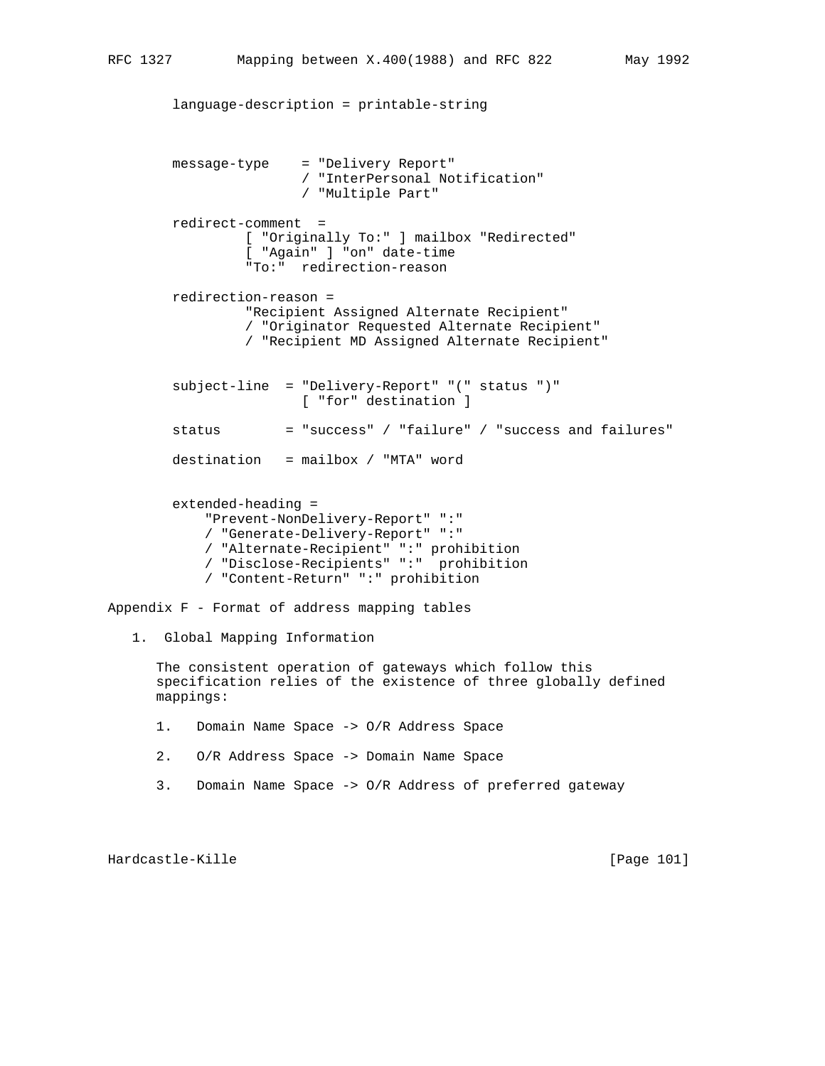language-description = printable-string message-type = "Delivery Report" / "InterPersonal Notification" / "Multiple Part" redirect-comment = [ "Originally To:" ] mailbox "Redirected" [ "Again" ] "on" date-time "To:" redirection-reason redirection-reason = "Recipient Assigned Alternate Recipient" / "Originator Requested Alternate Recipient" / "Recipient MD Assigned Alternate Recipient" subject-line = "Delivery-Report" "(" status ")" [ "for" destination ] status = "success" / "failure" / "success and failures" destination = mailbox / "MTA" word extended-heading = "Prevent-NonDelivery-Report" ":" / "Generate-Delivery-Report" ":" / "Alternate-Recipient" ":" prohibition / "Disclose-Recipients" ":" prohibition / "Content-Return" ":" prohibition Appendix F - Format of address mapping tables 1. Global Mapping Information The consistent operation of gateways which follow this specification relies of the existence of three globally defined mappings: 1. Domain Name Space -> O/R Address Space 2. O/R Address Space -> Domain Name Space

3. Domain Name Space -> O/R Address of preferred gateway

Hardcastle-Kille [Page 101]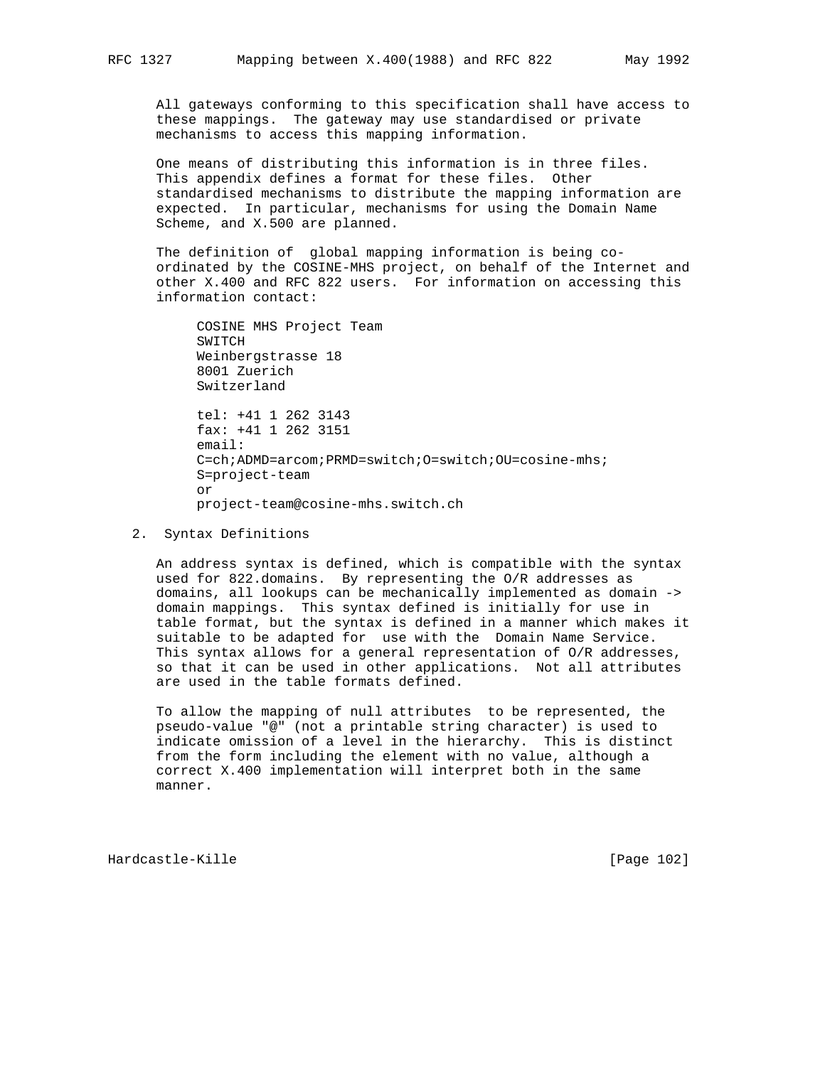All gateways conforming to this specification shall have access to these mappings. The gateway may use standardised or private mechanisms to access this mapping information.

 One means of distributing this information is in three files. This appendix defines a format for these files. Other standardised mechanisms to distribute the mapping information are expected. In particular, mechanisms for using the Domain Name Scheme, and X.500 are planned.

 The definition of global mapping information is being co ordinated by the COSINE-MHS project, on behalf of the Internet and other X.400 and RFC 822 users. For information on accessing this information contact:

 COSINE MHS Project Team SWITCH Weinbergstrasse 18 8001 Zuerich Switzerland tel: +41 1 262 3143 fax: +41 1 262 3151 email: C=ch;ADMD=arcom;PRMD=switch;O=switch;OU=cosine-mhs; S=project-team or project-team@cosine-mhs.switch.ch

2. Syntax Definitions

 An address syntax is defined, which is compatible with the syntax used for 822.domains. By representing the O/R addresses as domains, all lookups can be mechanically implemented as domain -> domain mappings. This syntax defined is initially for use in table format, but the syntax is defined in a manner which makes it suitable to be adapted for use with the Domain Name Service. This syntax allows for a general representation of O/R addresses, so that it can be used in other applications. Not all attributes are used in the table formats defined.

 To allow the mapping of null attributes to be represented, the pseudo-value "@" (not a printable string character) is used to indicate omission of a level in the hierarchy. This is distinct from the form including the element with no value, although a correct X.400 implementation will interpret both in the same manner.

Hardcastle-Kille [Page 102]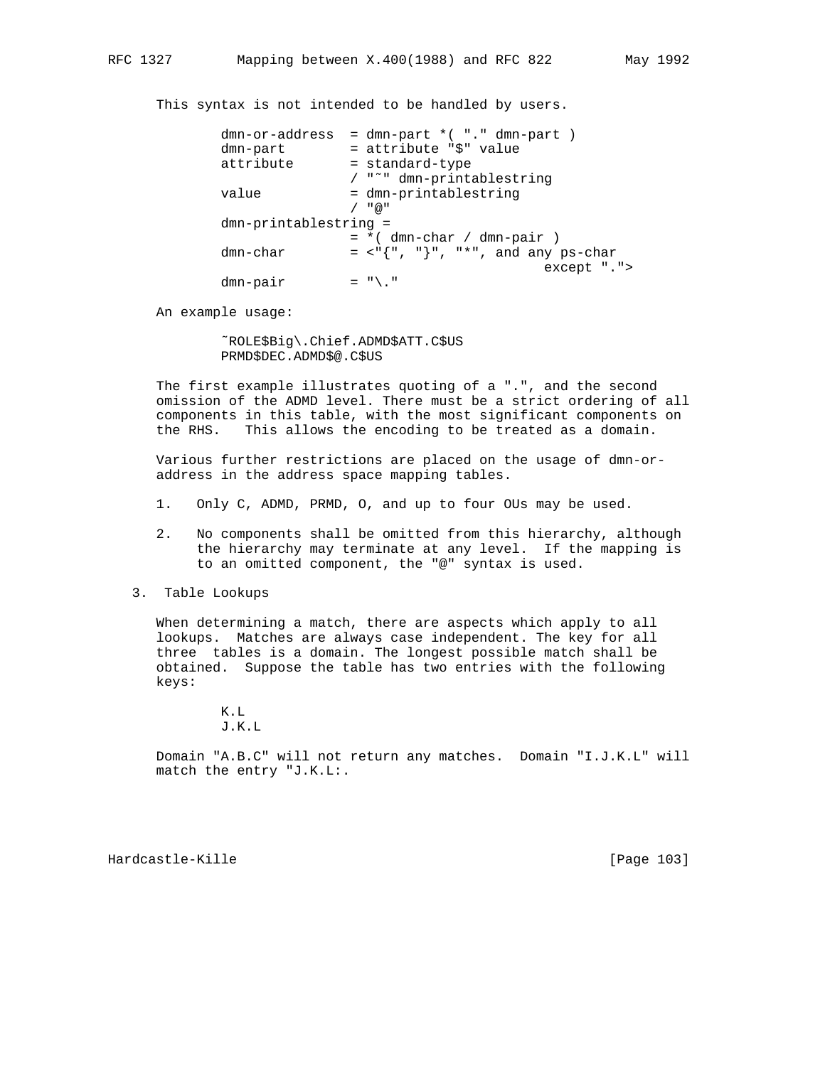This syntax is not intended to be handled by users.

|                         | dmn-or-address |  | $=$ dmn-part $*($ "." dmn-part $)$<br>= attribute "\$" value |
|-------------------------|----------------|--|--------------------------------------------------------------|
|                         | dmn-part       |  |                                                              |
|                         | attribute      |  | = standard-type                                              |
|                         |                |  | / "~" dmn-printablestring                                    |
|                         | value          |  | = dmn-printablestring                                        |
|                         |                |  | / "@"                                                        |
| $dmn-printablestring =$ |                |  |                                                              |
|                         |                |  | $= *$ (dmn-char / dmn-pair )                                 |
|                         | dmn-char       |  | $=$ <"{", "}", "*", and any ps-char                          |
|                         |                |  | except ".">                                                  |
|                         | dmn-pair       |  | $=$ "\."                                                     |

An example usage:

 ˜ROLE\$Big\.Chief.ADMD\$ATT.C\$US PRMD\$DEC.ADMD\$@.C\$US

 The first example illustrates quoting of a ".", and the second omission of the ADMD level. There must be a strict ordering of all components in this table, with the most significant components on the RHS. This allows the encoding to be treated as a domain.

 Various further restrictions are placed on the usage of dmn-or address in the address space mapping tables.

- 1. Only C, ADMD, PRMD, O, and up to four OUs may be used.
- 2. No components shall be omitted from this hierarchy, although the hierarchy may terminate at any level. If the mapping is to an omitted component, the "@" syntax is used.
- 3. Table Lookups

 When determining a match, there are aspects which apply to all lookups. Matches are always case independent. The key for all three tables is a domain. The longest possible match shall be obtained. Suppose the table has two entries with the following keys:

> K.L J.K.L

 Domain "A.B.C" will not return any matches. Domain "I.J.K.L" will match the entry "J.K.L:.

Hardcastle-Kille **Exercise Exercise Exercise Exercise Exercise** [Page 103]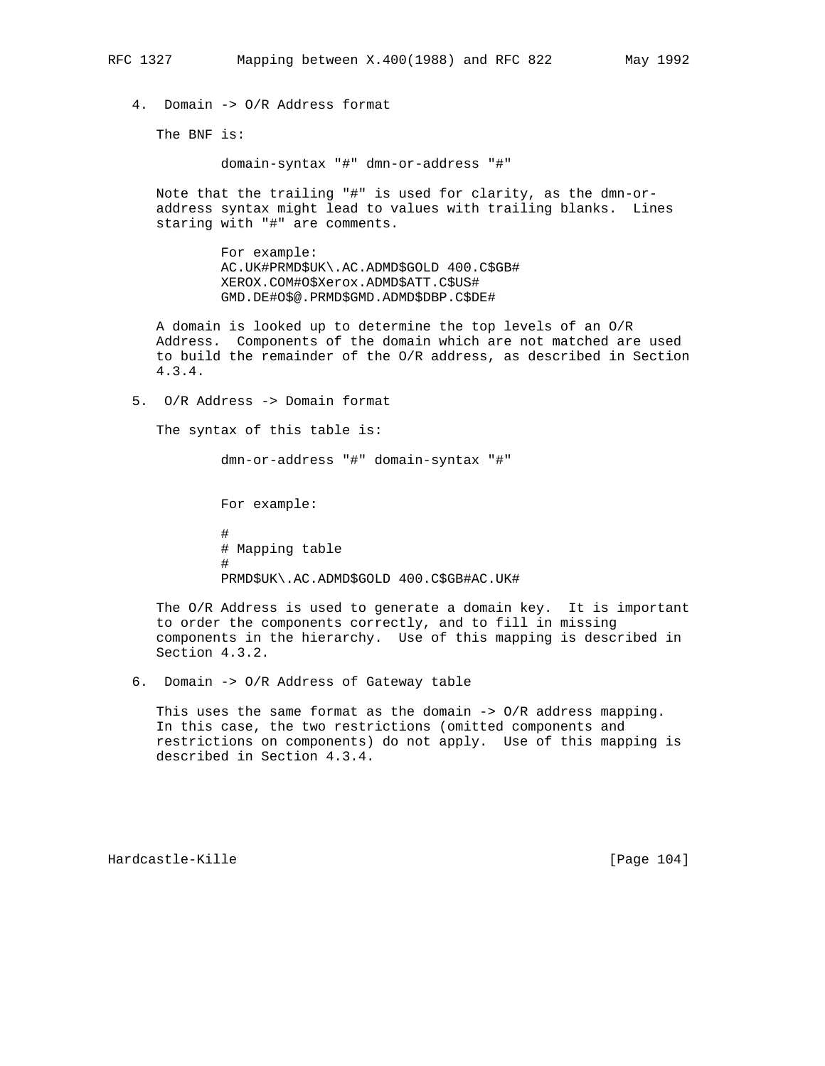4. Domain -> O/R Address format

The BNF is:

domain-syntax "#" dmn-or-address "#"

 Note that the trailing "#" is used for clarity, as the dmn-or address syntax might lead to values with trailing blanks. Lines staring with "#" are comments.

> For example: AC.UK#PRMD\$UK\.AC.ADMD\$GOLD 400.C\$GB# XEROX.COM#O\$Xerox.ADMD\$ATT.C\$US# GMD.DE#O\$@.PRMD\$GMD.ADMD\$DBP.C\$DE#

 A domain is looked up to determine the top levels of an O/R Address. Components of the domain which are not matched are used to build the remainder of the O/R address, as described in Section 4.3.4.

5. O/R Address -> Domain format

The syntax of this table is:

dmn-or-address "#" domain-syntax "#"

 For example: # # Mapping table # PRMD\$UK\.AC.ADMD\$GOLD 400.C\$GB#AC.UK#

> The O/R Address is used to generate a domain key. It is important to order the components correctly, and to fill in missing components in the hierarchy. Use of this mapping is described in Section 4.3.2.

6. Domain -> O/R Address of Gateway table

 This uses the same format as the domain -> O/R address mapping. In this case, the two restrictions (omitted components and restrictions on components) do not apply. Use of this mapping is described in Section 4.3.4.

Hardcastle-Kille **Exercise Exercise Exercise Exercise Exercise** [Page 104]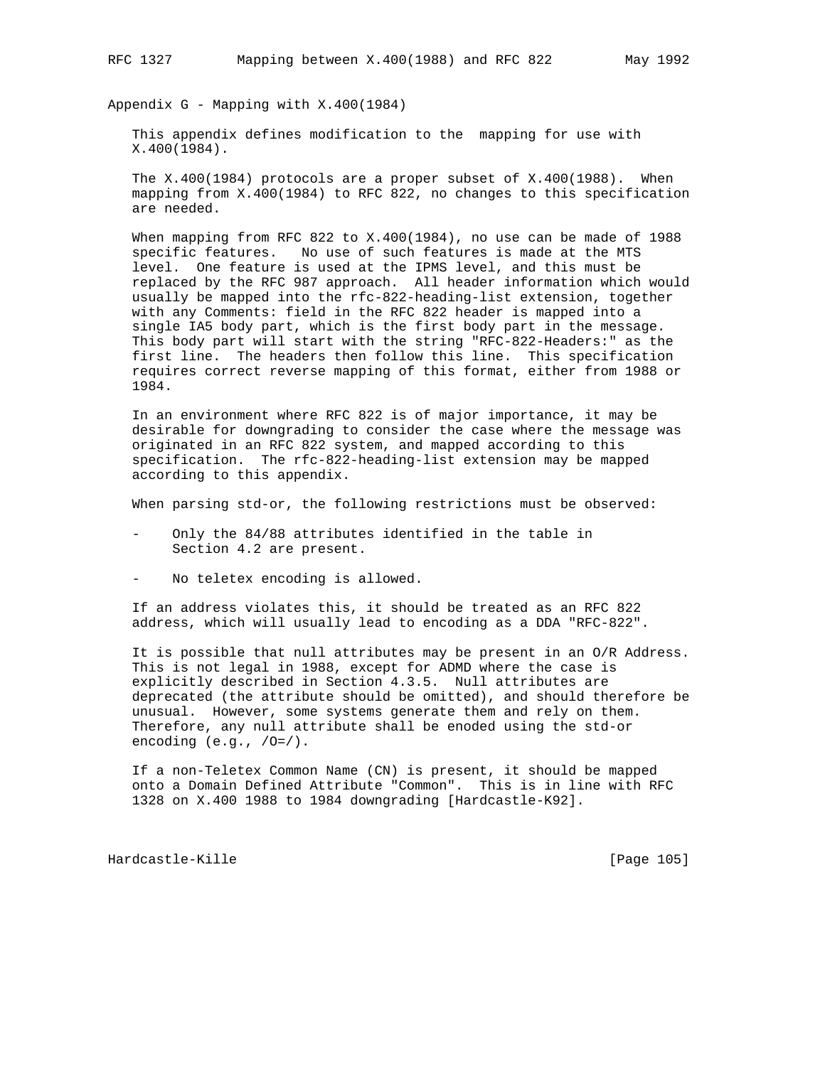Appendix G - Mapping with X.400(1984)

 This appendix defines modification to the mapping for use with X.400(1984).

 The X.400(1984) protocols are a proper subset of X.400(1988). When mapping from X.400(1984) to RFC 822, no changes to this specification are needed.

 When mapping from RFC 822 to X.400(1984), no use can be made of 1988 specific features. No use of such features is made at the MTS level. One feature is used at the IPMS level, and this must be replaced by the RFC 987 approach. All header information which would usually be mapped into the rfc-822-heading-list extension, together with any Comments: field in the RFC 822 header is mapped into a single IA5 body part, which is the first body part in the message. This body part will start with the string "RFC-822-Headers:" as the first line. The headers then follow this line. This specification requires correct reverse mapping of this format, either from 1988 or 1984.

 In an environment where RFC 822 is of major importance, it may be desirable for downgrading to consider the case where the message was originated in an RFC 822 system, and mapped according to this specification. The rfc-822-heading-list extension may be mapped according to this appendix.

When parsing std-or, the following restrictions must be observed:

- Only the 84/88 attributes identified in the table in Section 4.2 are present.
- No teletex encoding is allowed.

 If an address violates this, it should be treated as an RFC 822 address, which will usually lead to encoding as a DDA "RFC-822".

 It is possible that null attributes may be present in an O/R Address. This is not legal in 1988, except for ADMD where the case is explicitly described in Section 4.3.5. Null attributes are deprecated (the attribute should be omitted), and should therefore be unusual. However, some systems generate them and rely on them. Therefore, any null attribute shall be enoded using the std-or encoding  $(e.g., /0=7)$ .

 If a non-Teletex Common Name (CN) is present, it should be mapped onto a Domain Defined Attribute "Common". This is in line with RFC 1328 on X.400 1988 to 1984 downgrading [Hardcastle-K92].

Hardcastle-Kille [Page 105]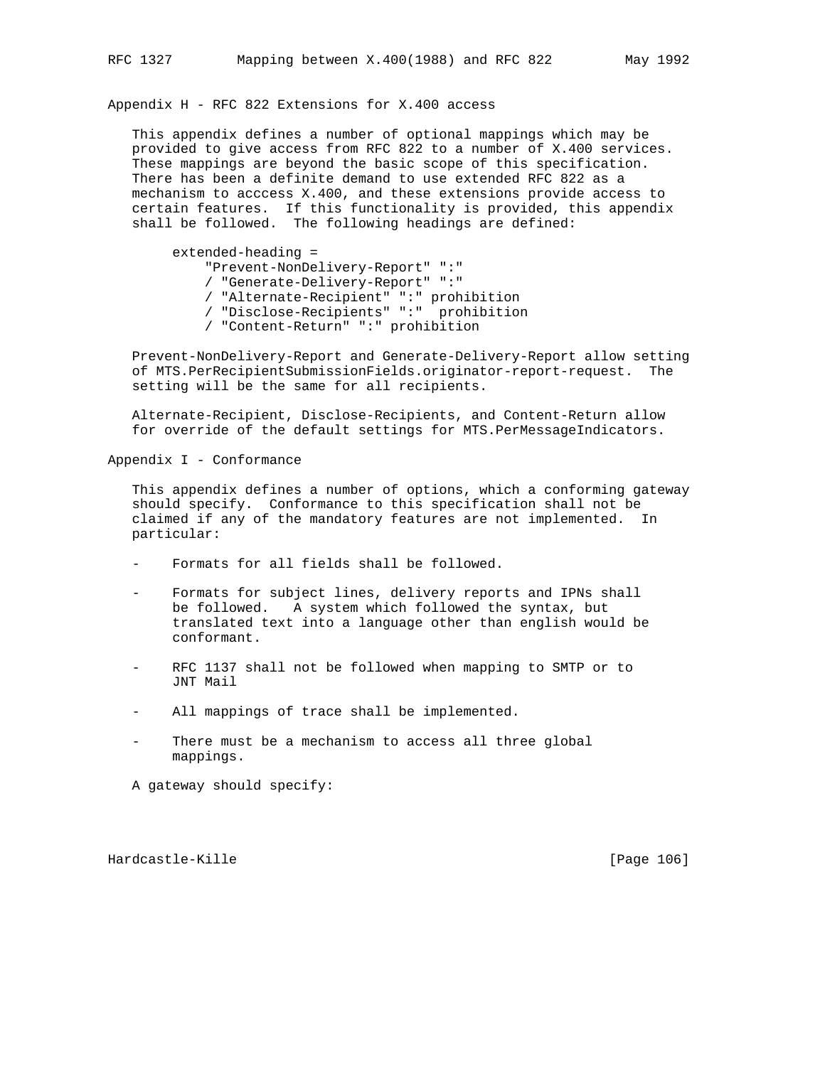Appendix H - RFC 822 Extensions for X.400 access

 This appendix defines a number of optional mappings which may be provided to give access from RFC 822 to a number of X.400 services. These mappings are beyond the basic scope of this specification. There has been a definite demand to use extended RFC 822 as a mechanism to acccess X.400, and these extensions provide access to certain features. If this functionality is provided, this appendix shall be followed. The following headings are defined:

 extended-heading = "Prevent-NonDelivery-Report" ":" / "Generate-Delivery-Report" ":" / "Alternate-Recipient" ":" prohibition / "Disclose-Recipients" ":" prohibition / "Content-Return" ":" prohibition

 Prevent-NonDelivery-Report and Generate-Delivery-Report allow setting of MTS.PerRecipientSubmissionFields.originator-report-request. The setting will be the same for all recipients.

 Alternate-Recipient, Disclose-Recipients, and Content-Return allow for override of the default settings for MTS.PerMessageIndicators.

Appendix I - Conformance

 This appendix defines a number of options, which a conforming gateway should specify. Conformance to this specification shall not be claimed if any of the mandatory features are not implemented. In particular:

- Formats for all fields shall be followed.
- Formats for subject lines, delivery reports and IPNs shall be followed. A system which followed the syntax, but translated text into a language other than english would be conformant.
- RFC 1137 shall not be followed when mapping to SMTP or to JNT Mail
- All mappings of trace shall be implemented.
- There must be a mechanism to access all three global mappings.

A gateway should specify:

Hardcastle-Kille [Page 106]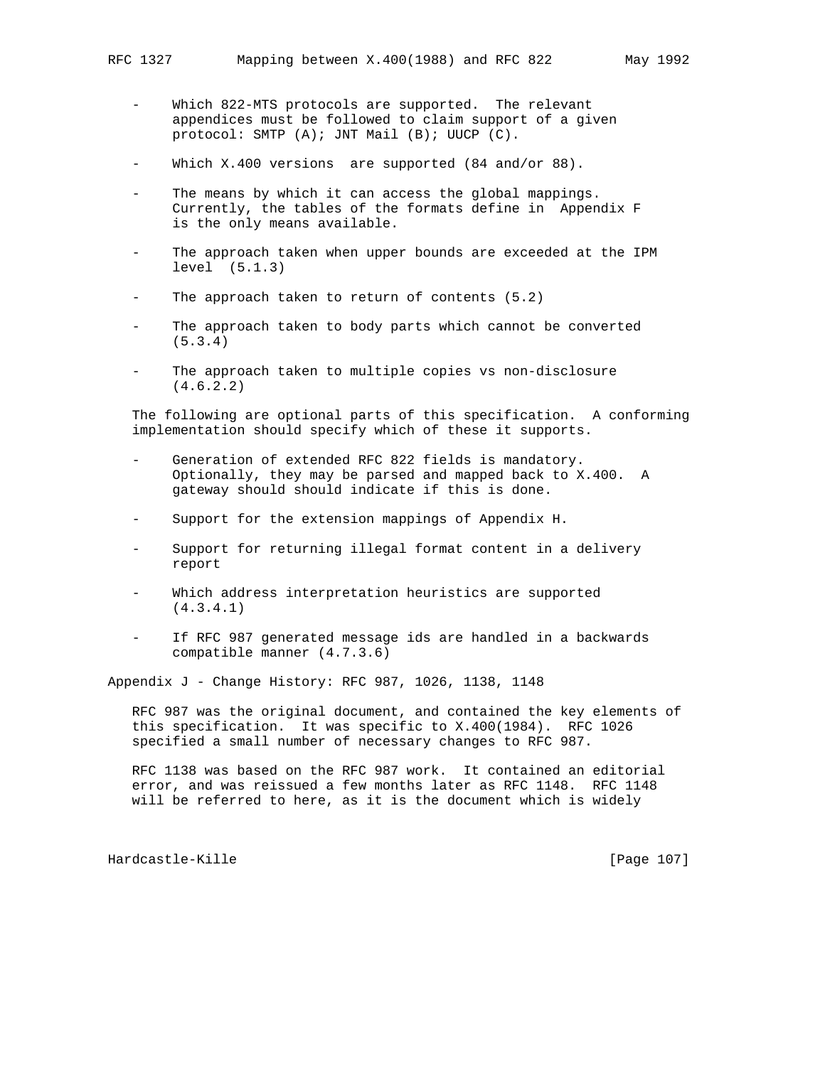- Which 822-MTS protocols are supported. The relevant appendices must be followed to claim support of a given protocol: SMTP (A); JNT Mail (B); UUCP (C).
- Which X.400 versions are supported (84 and/or 88).
- The means by which it can access the global mappings. Currently, the tables of the formats define in Appendix F is the only means available.
- The approach taken when upper bounds are exceeded at the IPM level (5.1.3)
- The approach taken to return of contents  $(5.2)$
- The approach taken to body parts which cannot be converted (5.3.4)
- The approach taken to multiple copies vs non-disclosure (4.6.2.2)

 The following are optional parts of this specification. A conforming implementation should specify which of these it supports.

- Generation of extended RFC 822 fields is mandatory. Optionally, they may be parsed and mapped back to X.400. A gateway should should indicate if this is done.
- Support for the extension mappings of Appendix H.
- Support for returning illegal format content in a delivery report
- Which address interpretation heuristics are supported (4.3.4.1)
- If RFC 987 generated message ids are handled in a backwards compatible manner (4.7.3.6)

Appendix J - Change History: RFC 987, 1026, 1138, 1148

 RFC 987 was the original document, and contained the key elements of this specification. It was specific to X.400(1984). RFC 1026 specified a small number of necessary changes to RFC 987.

 RFC 1138 was based on the RFC 987 work. It contained an editorial error, and was reissued a few months later as RFC 1148. RFC 1148 will be referred to here, as it is the document which is widely

Hardcastle-Kille **Exercise Exercise Exercise Exercise** [Page 107]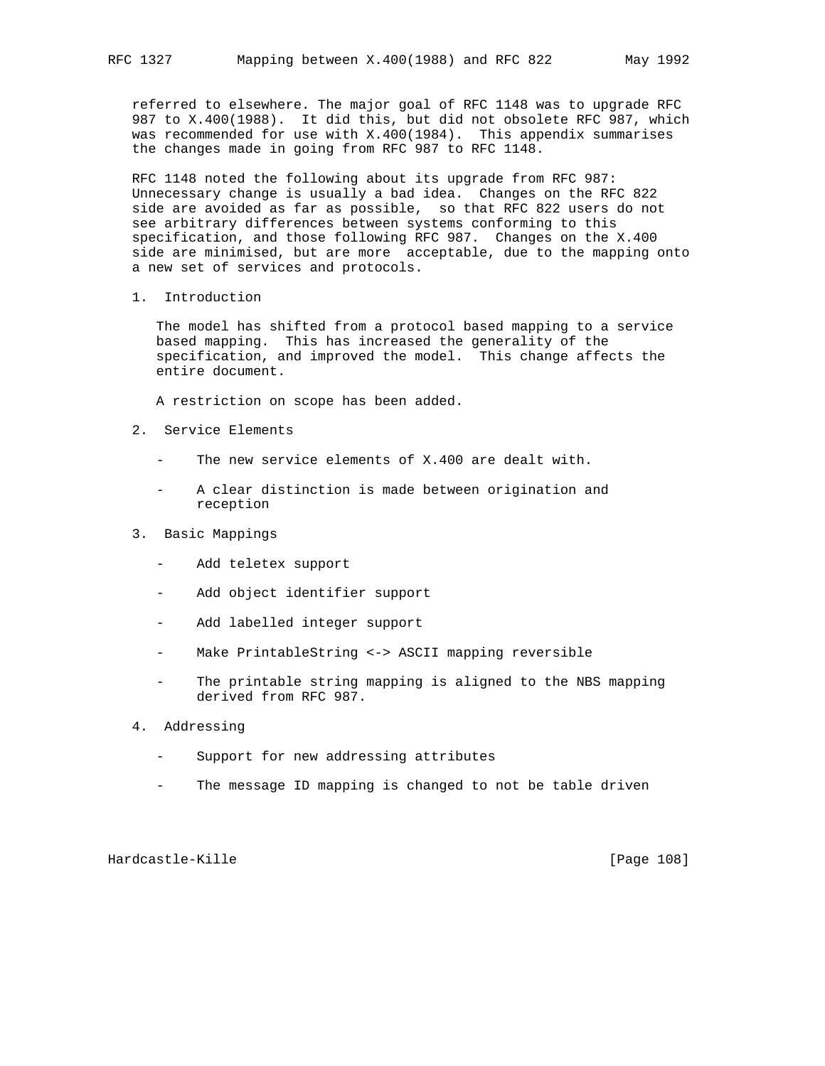referred to elsewhere. The major goal of RFC 1148 was to upgrade RFC 987 to X.400(1988). It did this, but did not obsolete RFC 987, which was recommended for use with X.400(1984). This appendix summarises the changes made in going from RFC 987 to RFC 1148.

 RFC 1148 noted the following about its upgrade from RFC 987: Unnecessary change is usually a bad idea. Changes on the RFC 822 side are avoided as far as possible, so that RFC 822 users do not see arbitrary differences between systems conforming to this specification, and those following RFC 987. Changes on the X.400 side are minimised, but are more acceptable, due to the mapping onto a new set of services and protocols.

1. Introduction

 The model has shifted from a protocol based mapping to a service based mapping. This has increased the generality of the specification, and improved the model. This change affects the entire document.

A restriction on scope has been added.

- 2. Service Elements
	- The new service elements of X.400 are dealt with.
	- A clear distinction is made between origination and reception
- 3. Basic Mappings
	- Add teletex support
	- Add object identifier support
	- Add labelled integer support
	- Make PrintableString <-> ASCII mapping reversible
	- The printable string mapping is aligned to the NBS mapping derived from RFC 987.
- 4. Addressing
	- Support for new addressing attributes
	- The message ID mapping is changed to not be table driven

Hardcastle-Kille [Page 108]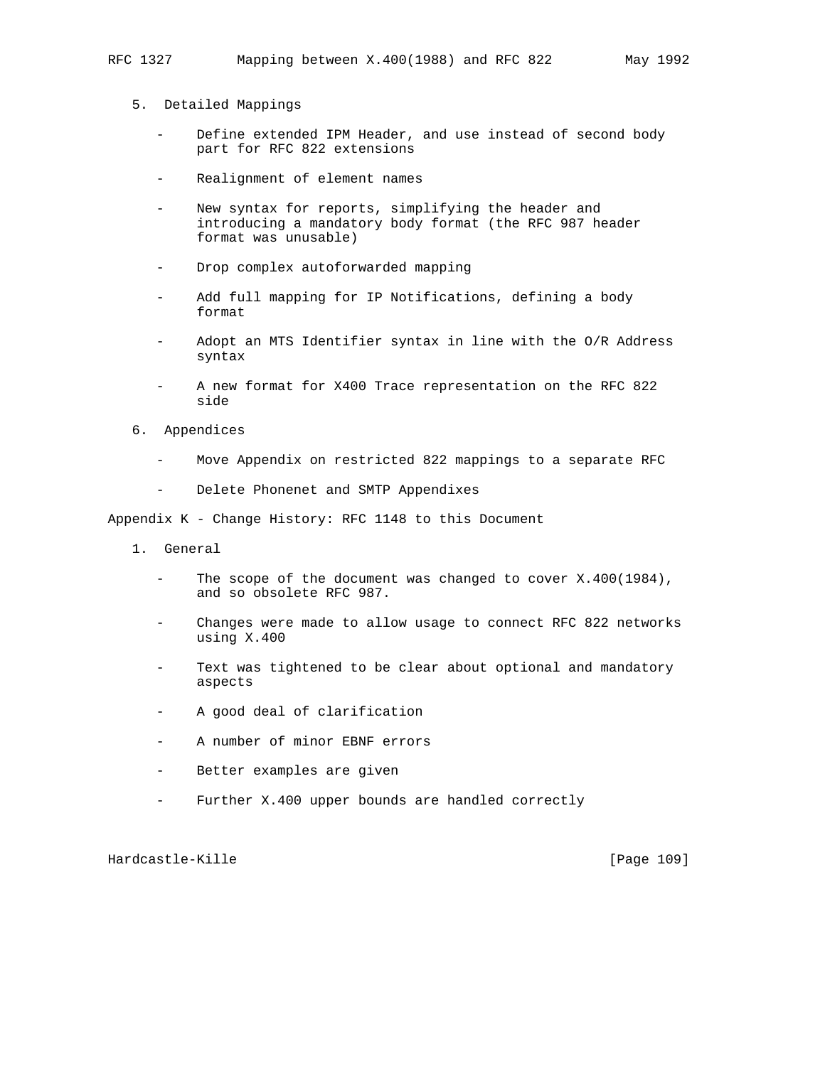- 5. Detailed Mappings
	- Define extended IPM Header, and use instead of second body part for RFC 822 extensions
	- Realignment of element names
	- New syntax for reports, simplifying the header and introducing a mandatory body format (the RFC 987 header format was unusable)
	- Drop complex autoforwarded mapping
	- Add full mapping for IP Notifications, defining a body format
	- Adopt an MTS Identifier syntax in line with the O/R Address syntax
	- A new format for X400 Trace representation on the RFC 822 side
- 6. Appendices
	- Move Appendix on restricted 822 mappings to a separate RFC
	- Delete Phonenet and SMTP Appendixes

Appendix K - Change History: RFC 1148 to this Document

- 1. General
	- The scope of the document was changed to cover  $X.400(1984)$ , and so obsolete RFC 987.
	- Changes were made to allow usage to connect RFC 822 networks using X.400
	- Text was tightened to be clear about optional and mandatory aspects
	- A good deal of clarification
	- A number of minor EBNF errors
	- Better examples are given
	- Further X.400 upper bounds are handled correctly

Hardcastle-Kille **Exercise Exercise Exercise Exercise** [Page 109]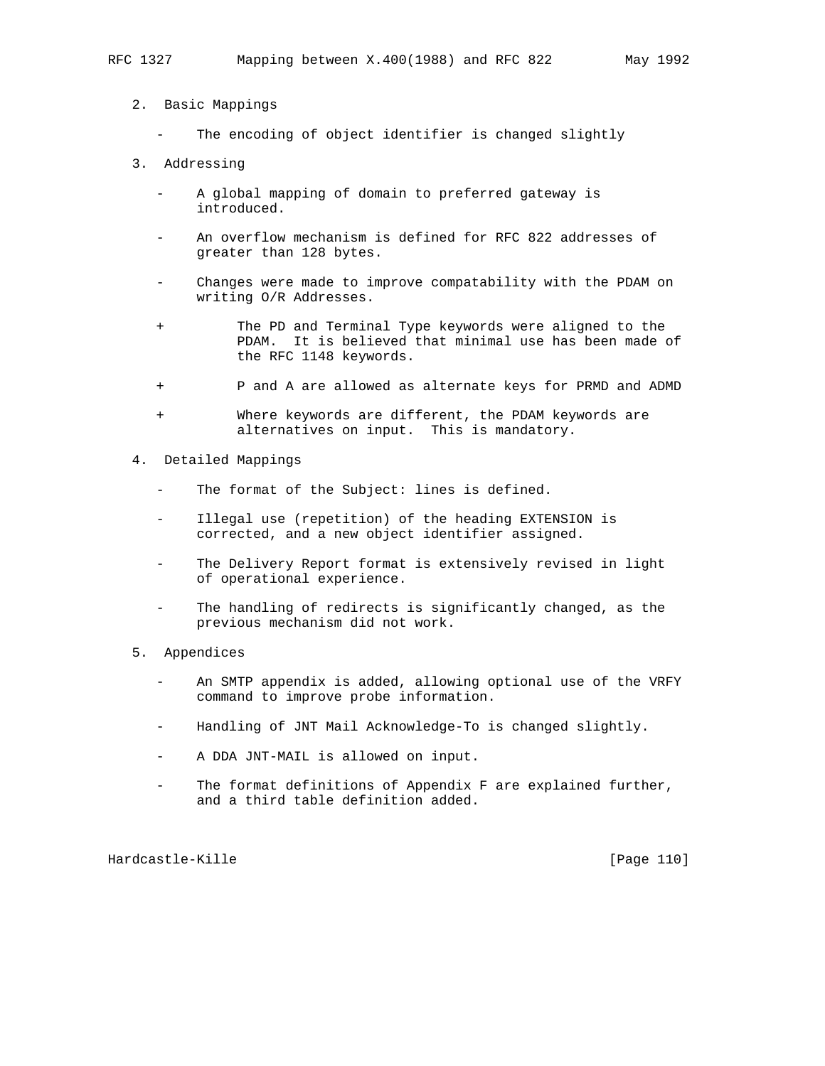- 2. Basic Mappings
	- The encoding of object identifier is changed slightly
- 3. Addressing
	- A global mapping of domain to preferred gateway is introduced.
	- An overflow mechanism is defined for RFC 822 addresses of greater than 128 bytes.
	- Changes were made to improve compatability with the PDAM on writing O/R Addresses.
	- + The PD and Terminal Type keywords were aligned to the PDAM. It is believed that minimal use has been made of the RFC 1148 keywords.
	- + P and A are allowed as alternate keys for PRMD and ADMD
	- Where keywords are different, the PDAM keywords are alternatives on input. This is mandatory.
- 4. Detailed Mappings
	- The format of the Subject: lines is defined.
	- Illegal use (repetition) of the heading EXTENSION is corrected, and a new object identifier assigned.
	- The Delivery Report format is extensively revised in light of operational experience.
	- The handling of redirects is significantly changed, as the previous mechanism did not work.
- 5. Appendices
	- An SMTP appendix is added, allowing optional use of the VRFY command to improve probe information.
	- Handling of JNT Mail Acknowledge-To is changed slightly.
	- A DDA JNT-MAIL is allowed on input.
	- The format definitions of Appendix F are explained further, and a third table definition added.

Hardcastle-Kille [Page 110]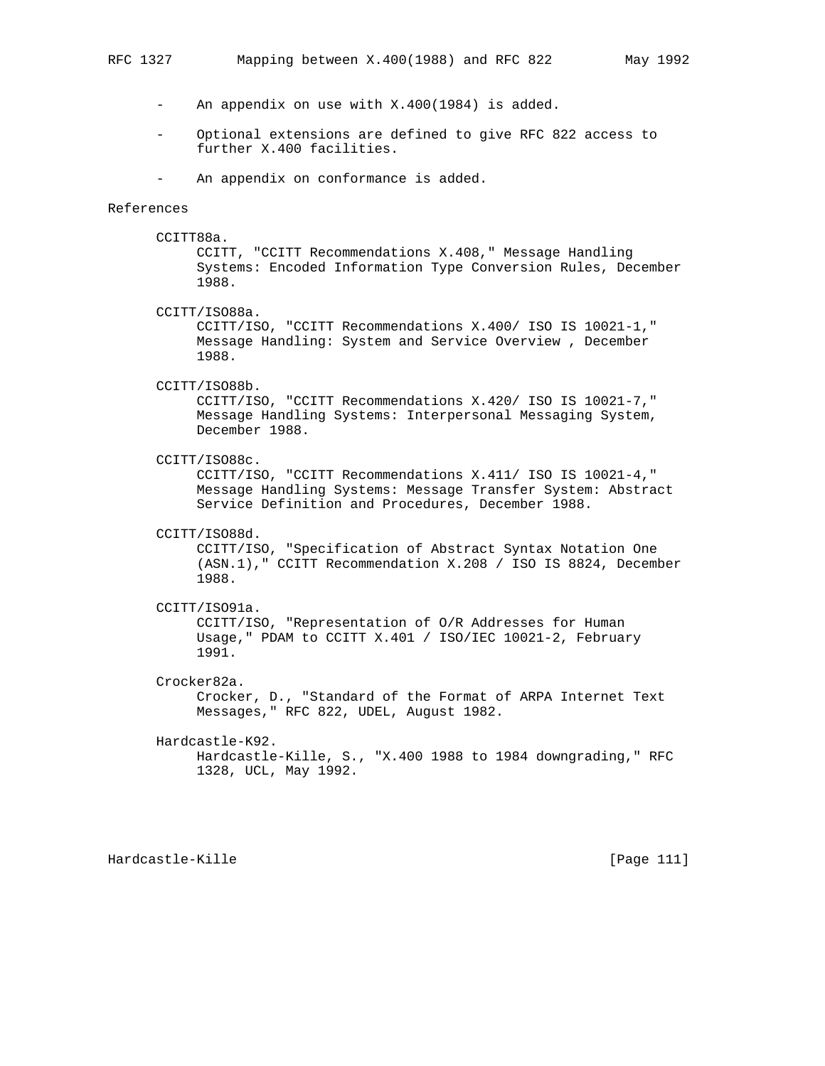- An appendix on use with X.400(1984) is added.
- Optional extensions are defined to give RFC 822 access to further X.400 facilities.
- An appendix on conformance is added.

#### References

CCITT88a.

 CCITT, "CCITT Recommendations X.408," Message Handling Systems: Encoded Information Type Conversion Rules, December 1988.

CCITT/ISO88a.

 CCITT/ISO, "CCITT Recommendations X.400/ ISO IS 10021-1," Message Handling: System and Service Overview , December 1988.

## CCITT/ISO88b.

 CCITT/ISO, "CCITT Recommendations X.420/ ISO IS 10021-7," Message Handling Systems: Interpersonal Messaging System, December 1988.

CCITT/ISO88c.

 CCITT/ISO, "CCITT Recommendations X.411/ ISO IS 10021-4," Message Handling Systems: Message Transfer System: Abstract Service Definition and Procedures, December 1988.

CCITT/ISO88d.

 CCITT/ISO, "Specification of Abstract Syntax Notation One (ASN.1)," CCITT Recommendation X.208 / ISO IS 8824, December 1988.

### CCITT/ISO91a.

 CCITT/ISO, "Representation of O/R Addresses for Human Usage," PDAM to CCITT X.401 / ISO/IEC 10021-2, February 1991.

Crocker82a.

 Crocker, D., "Standard of the Format of ARPA Internet Text Messages," RFC 822, UDEL, August 1982.

#### Hardcastle-K92.

 Hardcastle-Kille, S., "X.400 1988 to 1984 downgrading," RFC 1328, UCL, May 1992.

Hardcastle-Kille [Page 111]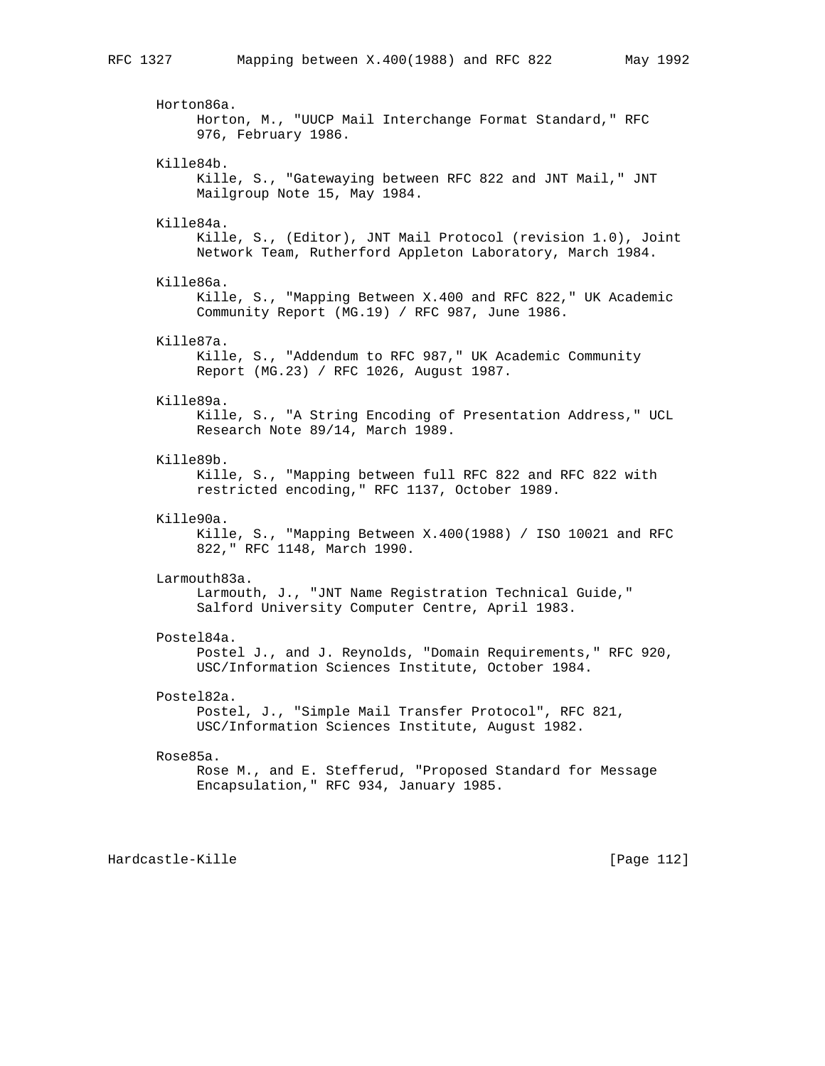Horton86a. Horton, M., "UUCP Mail Interchange Format Standard," RFC 976, February 1986. Kille84b. Kille, S., "Gatewaying between RFC 822 and JNT Mail," JNT Mailgroup Note 15, May 1984. Kille84a. Kille, S., (Editor), JNT Mail Protocol (revision 1.0), Joint Network Team, Rutherford Appleton Laboratory, March 1984. Kille86a. Kille, S., "Mapping Between X.400 and RFC 822," UK Academic Community Report (MG.19) / RFC 987, June 1986. Kille87a. Kille, S., "Addendum to RFC 987," UK Academic Community Report (MG.23) / RFC 1026, August 1987. Kille89a. Kille, S., "A String Encoding of Presentation Address," UCL Research Note 89/14, March 1989. Kille89b. Kille, S., "Mapping between full RFC 822 and RFC 822 with restricted encoding," RFC 1137, October 1989. Kille90a. Kille, S., "Mapping Between X.400(1988) / ISO 10021 and RFC 822," RFC 1148, March 1990. Larmouth83a. Larmouth, J., "JNT Name Registration Technical Guide," Salford University Computer Centre, April 1983. Postel84a. Postel J., and J. Reynolds, "Domain Requirements," RFC 920, USC/Information Sciences Institute, October 1984. Postel82a. Postel, J., "Simple Mail Transfer Protocol", RFC 821, USC/Information Sciences Institute, August 1982. Rose85a. Rose M., and E. Stefferud, "Proposed Standard for Message Encapsulation," RFC 934, January 1985.

Hardcastle-Kille **Exercise Exercise Exercise Exercise** [Page 112]